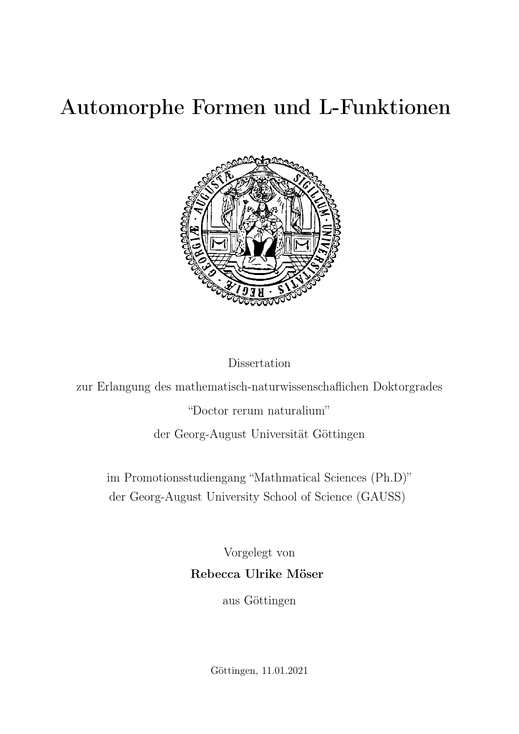# Automorphe Formen und L-Funktionen



Dissertation

zur Erlangung des mathematisch-naturwissenschaflichen Doktorgrades

"Doctor rerum naturalium"

der Georg-August Universität Göttingen

im Promotionsstudiengang "Mathmatical Sciences (Ph.D)" der Georg-August University School of Science (GAUSS)

> Vorgelegt von Rebecca Ulrike Möser

> > aus Göttingen

Göttingen, 11.01.2021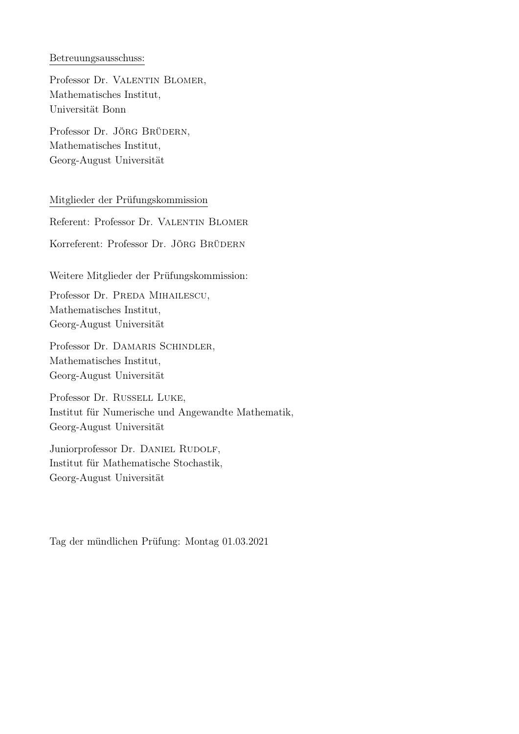### Betreuungsausschuss:

Professor Dr. VALENTIN BLOMER, Mathematisches Institut, Universität Bonn

Professor Dr. JÖRG BRÜDERN, Mathematisches Institut, Georg-August Universität

### Mitglieder der Prüfungskommission

Referent: Professor Dr. VALENTIN BLOMER

Korreferent: Professor Dr. JÖRG BRÜDERN

Weitere Mitglieder der Prüfungskommission:

Professor Dr. PREDA MIHAILESCU, Mathematisches Institut, Georg-August Universität

Professor Dr. DAMARIS SCHINDLER, Mathematisches Institut, Georg-August Universität

Professor Dr. Russell Luke, Institut für Numerische und Angewandte Mathematik, Georg-August Universität

Juniorprofessor Dr. DANIEL RUDOLF, Institut für Mathematische Stochastik, Georg-August Universität

Tag der mündlichen Prüfung: Montag 01.03.2021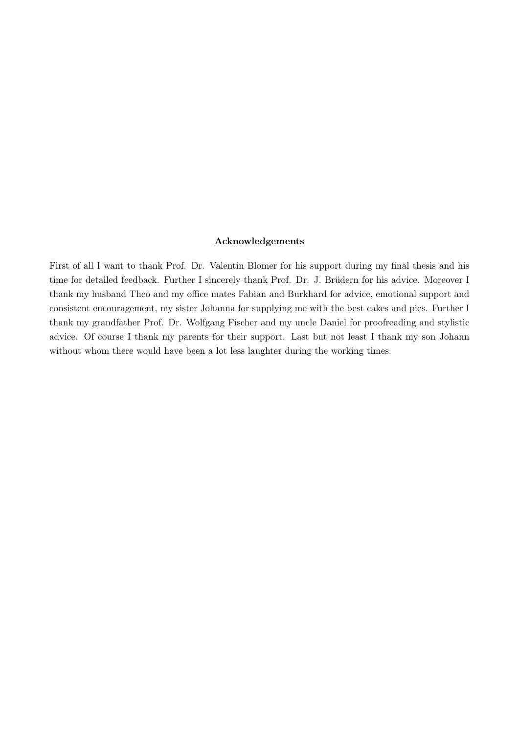### Acknowledgements

First of all I want to thank Prof. Dr. Valentin Blomer for his support during my final thesis and his time for detailed feedback. Further I sincerely thank Prof. Dr. J. Brüdern for his advice. Moreover I thank my husband Theo and my office mates Fabian and Burkhard for advice, emotional support and consistent encouragement, my sister Johanna for supplying me with the best cakes and pies. Further I thank my grandfather Prof. Dr. Wolfgang Fischer and my uncle Daniel for proofreading and stylistic advice. Of course I thank my parents for their support. Last but not least I thank my son Johann without whom there would have been a lot less laughter during the working times.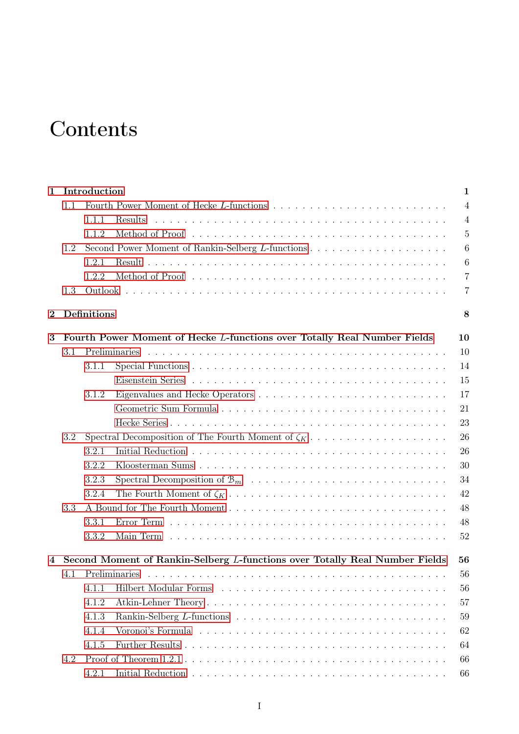## **Contents**

| $\mathbf{1}$   | Introduction                                                                      |                                                          |               | $\mathbf{1}$     |  |  |
|----------------|-----------------------------------------------------------------------------------|----------------------------------------------------------|---------------|------------------|--|--|
|                | 1.1                                                                               |                                                          |               | $\overline{4}$   |  |  |
|                |                                                                                   | 1.1.1                                                    | Results       | $\overline{4}$   |  |  |
|                |                                                                                   | 1.1.2                                                    |               | $\overline{5}$   |  |  |
|                | 1.2                                                                               |                                                          |               | $\boldsymbol{6}$ |  |  |
|                |                                                                                   | 1.2.1                                                    |               | $\boldsymbol{6}$ |  |  |
|                |                                                                                   | 1.2.2                                                    |               | $\overline{7}$   |  |  |
|                | 1.3                                                                               |                                                          |               | $\overline{7}$   |  |  |
| $\overline{2}$ |                                                                                   | Definitions                                              |               | 8                |  |  |
| 3              | Fourth Power Moment of Hecke L-functions over Totally Real Number Fields          |                                                          |               |                  |  |  |
|                | 3.1                                                                               |                                                          | Preliminaries | 10               |  |  |
|                |                                                                                   | 3.1.1                                                    |               | 14               |  |  |
|                |                                                                                   |                                                          |               | 15               |  |  |
|                |                                                                                   | 3.1.2                                                    |               | 17               |  |  |
|                |                                                                                   |                                                          |               | 21               |  |  |
|                |                                                                                   |                                                          |               | 23               |  |  |
|                | 3.2                                                                               | Spectral Decomposition of The Fourth Moment of $\zeta_K$ |               |                  |  |  |
|                |                                                                                   | 3.2.1                                                    |               | 26               |  |  |
|                |                                                                                   | 3.2.2                                                    |               | 30               |  |  |
|                |                                                                                   | 3.2.3                                                    |               | 34               |  |  |
|                |                                                                                   | 3.2.4                                                    |               | 42               |  |  |
|                | 3.3                                                                               |                                                          |               | 48               |  |  |
|                |                                                                                   | 3.3.1                                                    |               | 48               |  |  |
|                |                                                                                   | 3.3.2                                                    |               | 52               |  |  |
| 4              | Second Moment of Rankin-Selberg L-functions over Totally Real Number Fields<br>56 |                                                          |               |                  |  |  |
|                | 4.1                                                                               |                                                          |               | 56               |  |  |
|                |                                                                                   | 4.1.1                                                    |               | 56               |  |  |
|                |                                                                                   | 4.1.2                                                    |               | 57               |  |  |
|                |                                                                                   | 4.1.3                                                    |               | 59               |  |  |
|                |                                                                                   | 4.1.4                                                    |               | 62               |  |  |
|                |                                                                                   | 4.1.5                                                    |               | 64               |  |  |
|                | 4.2                                                                               |                                                          |               | 66               |  |  |
|                |                                                                                   | 4.2.1                                                    |               | 66               |  |  |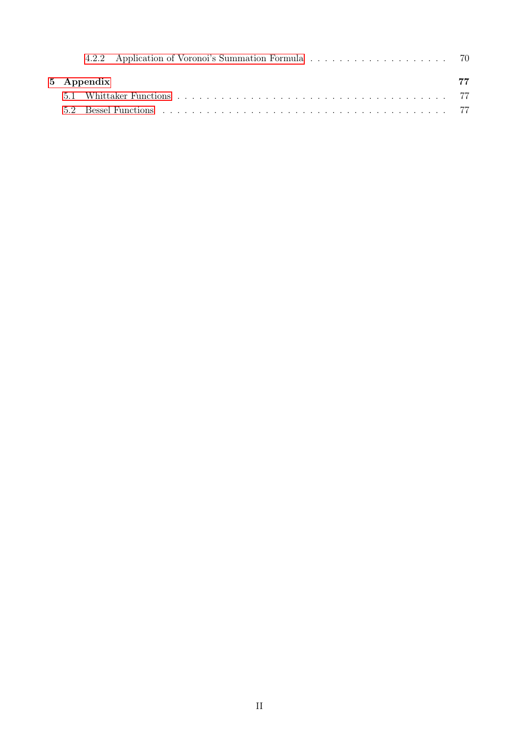|  | 5 Appendix | 77 |
|--|------------|----|
|  |            |    |
|  |            |    |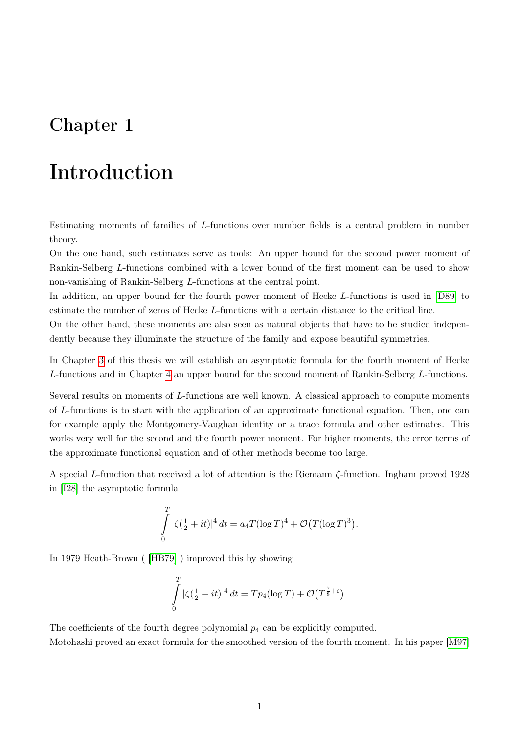## <span id="page-6-0"></span>Chapter 1

## Introduction

Estimating moments of families of L-functions over number fields is a central problem in number theory.

On the one hand, such estimates serve as tools: An upper bound for the second power moment of Rankin-Selberg L-functions combined with a lower bound of the first moment can be used to show non-vanishing of Rankin-Selberg L-functions at the central point.

In addition, an upper bound for the fourth power moment of Hecke L-functions is used in [\[D89\]](#page-86-0) to estimate the number of zeros of Hecke L-functions with a certain distance to the critical line.

On the other hand, these moments are also seen as natural objects that have to be studied independently because they illuminate the structure of the family and expose beautiful symmetries.

In Chapter [3](#page-15-0) of this thesis we will establish an asymptotic formula for the fourth moment of Hecke L-functions and in Chapter [4](#page-61-0) an upper bound for the second moment of Rankin-Selberg L-functions.

Several results on moments of L-functions are well known. A classical approach to compute moments of L-functions is to start with the application of an approximate functional equation. Then, one can for example apply the Montgomery-Vaughan identity or a trace formula and other estimates. This works very well for the second and the fourth power moment. For higher moments, the error terms of the approximate functional equation and of other methods become too large.

A special L-function that received a lot of attention is the Riemann ζ-function. Ingham proved 1928 in [\[I28\]](#page-86-1) the asymptotic formula

$$
\int_{0}^{T} |\zeta(\frac{1}{2} + it)|^4 dt = a_4 T (\log T)^4 + \mathcal{O}(T (\log T)^3).
$$

In 1979 Heath-Brown ( [\[HB79\]](#page-86-2) ) improved this by showing

$$
\int_{0}^{T} |\zeta(\frac{1}{2} + it)|^4 dt = T p_4(\log T) + \mathcal{O}(T^{\frac{7}{8} + \varepsilon}).
$$

The coefficients of the fourth degree polynomial  $p_4$  can be explicitly computed. Motohashi proved an exact formula for the smoothed version of the fourth moment. In his paper [\[M97\]](#page-87-0)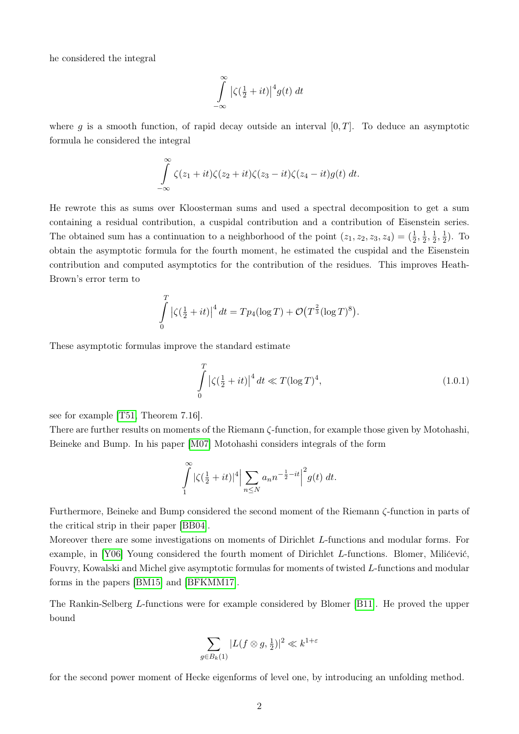he considered the integral

$$
\int_{-\infty}^{\infty} \left| \zeta(\tfrac{1}{2} + it) \right|^4 g(t) dt
$$

where g is a smooth function, of rapid decay outside an interval  $[0, T]$ . To deduce an asymptotic formula he considered the integral

$$
\int_{-\infty}^{\infty} \zeta(z_1+it)\zeta(z_2+it)\zeta(z_3-it)\zeta(z_4-it)g(t) dt.
$$

He rewrote this as sums over Kloosterman sums and used a spectral decomposition to get a sum containing a residual contribution, a cuspidal contribution and a contribution of Eisenstein series. The obtained sum has a continuation to a neighborhood of the point  $(z_1, z_2, z_3, z_4) = (\frac{1}{2}, \frac{1}{2})$  $\frac{1}{2}, \frac{1}{2}$  $\frac{1}{2}, \frac{1}{2}$  $(\frac{1}{2})$ . To obtain the asymptotic formula for the fourth moment, he estimated the cuspidal and the Eisenstein contribution and computed asymptotics for the contribution of the residues. This improves Heath-Brown's error term to

$$
\int_{0}^{T} |\zeta(\frac{1}{2} + it)|^4 dt = T p_4(\log T) + \mathcal{O}(T^{\frac{2}{3}}(\log T)^8).
$$

These asymptotic formulas improve the standard estimate

<span id="page-7-0"></span>
$$
\int_{0}^{T} |\zeta(\frac{1}{2} + it)|^4 dt \ll T(\log T)^4,
$$
\n(1.0.1)

see for example [\[T51,](#page-87-1) Theorem 7.16].

There are further results on moments of the Riemann ζ-function, for example those given by Motohashi, Beineke and Bump. In his paper [\[M07\]](#page-87-2) Motohashi considers integrals of the form

$$
\int_{1}^{\infty} |\zeta(\frac{1}{2} + it)|^4 \Big| \sum_{n \le N} a_n n^{-\frac{1}{2} - it} \Big|^2 g(t) dt.
$$

Furthermore, Beineke and Bump considered the second moment of the Riemann ζ-function in parts of the critical strip in their paper [\[BB04\]](#page-85-0).

Moreover there are some investigations on moments of Dirichlet L-functions and modular forms. For example, in [\[Y06\]](#page-87-3) Young considered the fourth moment of Dirichlet L-functions. Blomer, Milićević, Fouvry, Kowalski and Michel give asymptotic formulas for moments of twisted L-functions and modular forms in the papers [\[BM15\]](#page-85-1) and [\[BFKMM17\]](#page-85-2).

The Rankin-Selberg L-functions were for example considered by Blomer [\[B11\]](#page-85-3). He proved the upper bound

$$
\sum_{g \in B_k(1)} |L(f \otimes g, \frac{1}{2})|^2 \ll k^{1+\varepsilon}
$$

for the second power moment of Hecke eigenforms of level one, by introducing an unfolding method.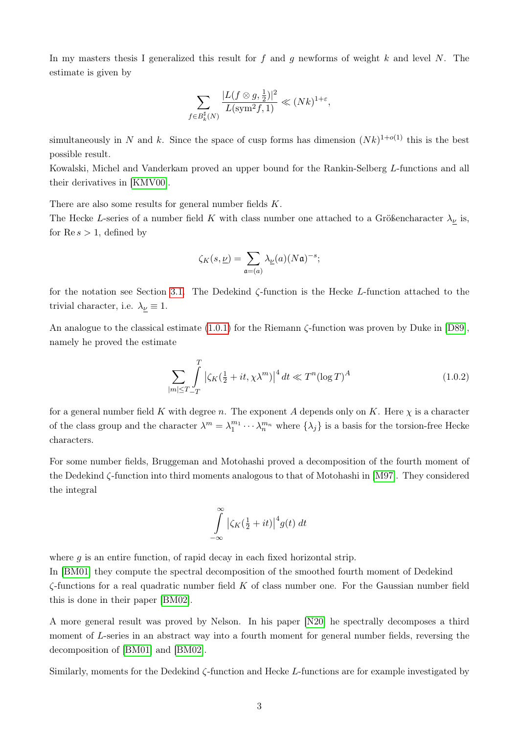In my masters thesis I generalized this result for f and g newforms of weight k and level N. The estimate is given by

$$
\sum_{f \in B_k^{\sharp}(N)} \frac{|L(f \otimes g, \frac{1}{2})|^2}{L(\text{sym}^2 f, 1)} \ll (Nk)^{1+\varepsilon},
$$

simultaneously in N and k. Since the space of cusp forms has dimension  $(Nk)^{1+o(1)}$  this is the best possible result.

Kowalski, Michel and Vanderkam proved an upper bound for the Rankin-Selberg L-functions and all their derivatives in [\[KMV00\]](#page-86-3).

There are also some results for general number fields K.

The Hecke L-series of a number field K with class number one attached to a Größencharacter  $\lambda_{\nu}$  is, for  $\text{Re } s > 1$ , defined by

$$
\zeta_K(s,\underline{\nu})=\sum_{\mathfrak{a}=(a)}\lambda_{\underline{\nu}}(a)(N\mathfrak{a})^{-s};
$$

for the notation see Section [3.1.](#page-15-1) The Dedekind ζ-function is the Hecke L-function attached to the trivial character, i.e.  $\lambda_{\nu} \equiv 1$ .

An analogue to the classical estimate [\(1.0.1\)](#page-7-0) for the Riemann ζ-function was proven by Duke in [\[D89\]](#page-86-0), namely he proved the estimate

$$
\sum_{|m| \le T} \int\limits_{-T}^{T} \left| \zeta_K(\tfrac{1}{2} + it, \chi \lambda^m) \right|^4 dt \ll T^n (\log T)^A \tag{1.0.2}
$$

for a general number field K with degree n. The exponent A depends only on K. Here  $\chi$  is a character of the class group and the character  $\lambda^m = \lambda_1^{m_1} \cdots \lambda_n^{m_n}$  where  $\{\lambda_j\}$  is a basis for the torsion-free Hecke characters.

For some number fields, Bruggeman and Motohashi proved a decomposition of the fourth moment of the Dedekind ζ-function into third moments analogous to that of Motohashi in [\[M97\]](#page-87-0). They considered the integral

$$
\int_{-\infty}^{\infty} \left| \zeta_K(\tfrac{1}{2} + it) \right|^4 g(t) dt
$$

where  $g$  is an entire function, of rapid decay in each fixed horizontal strip.

In [\[BM01\]](#page-85-4) they compute the spectral decomposition of the smoothed fourth moment of Dedekind  $\zeta$ -functions for a real quadratic number field K of class number one. For the Gaussian number field this is done in their paper [\[BM02\]](#page-85-5).

A more general result was proved by Nelson. In his paper [\[N20\]](#page-87-4) he spectrally decomposes a third moment of L-series in an abstract way into a fourth moment for general number fields, reversing the decomposition of [\[BM01\]](#page-85-4) and [\[BM02\]](#page-85-5).

Similarly, moments for the Dedekind  $\zeta$ -function and Hecke L-functions are for example investigated by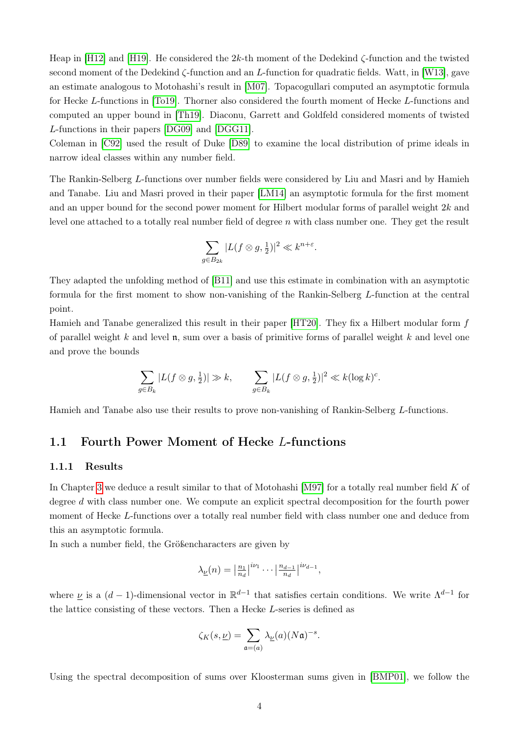Heap in [\[H12\]](#page-86-4) and [\[H19\]](#page-86-5). He considered the 2k-th moment of the Dedekind ζ-function and the twisted second moment of the Dedekind ζ-function and an L-function for quadratic fields. Watt, in [\[W13\]](#page-87-5), gave an estimate analogous to Motohashi's result in [\[M07\]](#page-87-2). Topacogullari computed an asymptotic formula for Hecke L-functions in [\[To19\]](#page-87-6). Thorner also considered the fourth moment of Hecke L-functions and computed an upper bound in [\[Th19\]](#page-87-7). Diaconu, Garrett and Goldfeld considered moments of twisted L-functions in their papers [\[DG09\]](#page-86-6) and [\[DGG11\]](#page-86-7).

Coleman in [\[C92\]](#page-85-6) used the result of Duke [\[D89\]](#page-86-0) to examine the local distribution of prime ideals in narrow ideal classes within any number field.

The Rankin-Selberg L-functions over number fields were considered by Liu and Masri and by Hamieh and Tanabe. Liu and Masri proved in their paper [\[LM14\]](#page-86-8) an asymptotic formula for the first moment and an upper bound for the second power moment for Hilbert modular forms of parallel weight 2k and level one attached to a totally real number field of degree n with class number one. They get the result

$$
\sum_{g \in B_{2k}} |L(f \otimes g, \frac{1}{2})|^2 \ll k^{n+\varepsilon}.
$$

They adapted the unfolding method of [\[B11\]](#page-85-3) and use this estimate in combination with an asymptotic formula for the first moment to show non-vanishing of the Rankin-Selberg L-function at the central point.

Hamieh and Tanabe generalized this result in their paper [\[HT20\]](#page-86-9). They fix a Hilbert modular form f of parallel weight k and level  $\mathfrak n$ , sum over a basis of primitive forms of parallel weight k and level one and prove the bounds

$$
\sum_{g \in B_k} |L(f \otimes g, \frac{1}{2})| \gg k, \qquad \sum_{g \in B_k} |L(f \otimes g, \frac{1}{2})|^2 \ll k(\log k)^c.
$$

Hamieh and Tanabe also use their results to prove non-vanishing of Rankin-Selberg L-functions.

### <span id="page-9-0"></span>1.1 Fourth Power Moment of Hecke L-functions

### <span id="page-9-1"></span>1.1.1 Results

In Chapter [3](#page-15-0) we deduce a result similar to that of Motohashi [\[M97\]](#page-87-0) for a totally real number field K of degree d with class number one. We compute an explicit spectral decomposition for the fourth power moment of Hecke L-functions over a totally real number field with class number one and deduce from this an asymptotic formula.

In such a number field, the Größencharacters are given by

$$
\lambda_{\underline{\nu}}(n) = \left| \frac{n_1}{n_d} \right|^{i\nu_1} \cdots \left| \frac{n_{d-1}}{n_d} \right|^{i\nu_{d-1}},
$$

where  $\underline{\nu}$  is a  $(d-1)$ -dimensional vector in  $\mathbb{R}^{d-1}$  that satisfies certain conditions. We write  $\Lambda^{d-1}$  for the lattice consisting of these vectors. Then a Hecke L-series is defined as

$$
\zeta_K(s,\underline{\nu})=\sum_{\mathfrak{a}=(a)}\lambda_{\underline{\nu}}(a)(N\mathfrak{a})^{-s}.
$$

Using the spectral decomposition of sums over Kloosterman sums given in [\[BMP01\]](#page-85-7), we follow the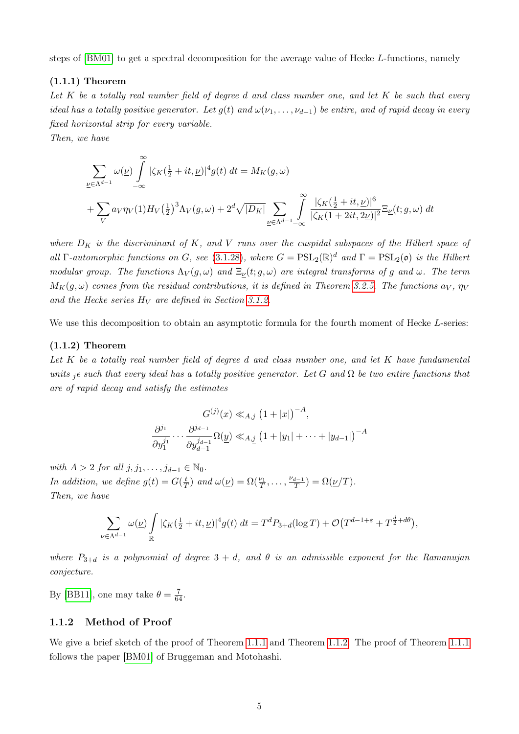steps of [\[BM01\]](#page-85-4) to get a spectral decomposition for the average value of Hecke L-functions, namely

### <span id="page-10-1"></span>(1.1.1) Theorem

Let  $K$  be a totally real number field of degree d and class number one, and let  $K$  be such that every ideal has a totally positive generator. Let  $g(t)$  and  $\omega(\nu_1, \ldots, \nu_{d-1})$  be entire, and of rapid decay in every fixed horizontal strip for every variable.

Then, we have

$$
\sum_{\underline{\nu}\in\Lambda^{d-1}}\omega(\underline{\nu})\int_{-\infty}^{\infty}|\zeta_K(\tfrac{1}{2}+it,\underline{\nu})|^4g(t) dt = M_K(g,\omega)
$$
  
+
$$
\sum_{V}a_V\eta_V(1)H_V(\tfrac{1}{2})^3\Lambda_V(g,\omega) + 2^d\sqrt{|D_K|}\sum_{\underline{\nu}\in\Lambda^{d-1}-\infty}\int_{-\infty}^{\infty}\frac{|\zeta_K(\tfrac{1}{2}+it,\underline{\nu})|^6}{|\zeta_K(1+2it,2\underline{\nu})|^2}\Xi_{\underline{\nu}}(t;g,\omega) dt
$$

where  $D_K$  is the discriminant of K, and V runs over the cuspidal subspaces of the Hilbert space of all  $\Gamma$ -automorphic functions on G, see [\(3.1.28\)](#page-22-1), where  $G = \text{PSL}_2(\mathbb{R})^d$  and  $\Gamma = \text{PSL}_2(\mathfrak{o})$  is the Hilbert modular group. The functions  $\Lambda_V(g,\omega)$  and  $\Xi_\nu(t;g,\omega)$  are integral transforms of g and  $\omega$ . The term  $M_K(g,\omega)$  comes from the residual contributions, it is defined in Theorem [3.2.5.](#page-52-0) The functions  $a_V$ ,  $\eta_V$ and the Hecke series  $H_V$  are defined in Section [3.1.2.](#page-22-0)

We use this decomposition to obtain an asymptotic formula for the fourth moment of Hecke L-series:

### <span id="page-10-2"></span>(1.1.2) Theorem

Let  $K$  be a totally real number field of degree d and class number one, and let  $K$  have fundamental units  ${}_{i}\epsilon$  such that every ideal has a totally positive generator. Let G and  $\Omega$  be two entire functions that are of rapid decay and satisfy the estimates

$$
G^{(j)}(x) \ll_{A,j} (1+|x|)^{-A},
$$
  

$$
\frac{\partial^{j_1}}{\partial y_1^{j_1}} \cdots \frac{\partial^{j_{d-1}}}{\partial y_{d-1}^{j_{d-1}}} \Omega(\underline{y}) \ll_{A,j} (1+|y_1|+\cdots+|y_{d-1}|)^{-A}
$$

with  $A > 2$  for all  $j, j_1, \ldots, j_{d-1} \in \mathbb{N}_0$ . In addition, we define  $g(t) = G(\frac{t}{7})$  $(\frac{t}{T})$  and  $\omega(\underline{\nu}) = \Omega(\frac{\nu_1}{T}, \dots, \frac{\nu_{d-1}}{T})$  $\frac{d-1}{T}$ ) =  $\Omega(\underline{\nu}/T)$ . Then, we have

$$
\sum_{\underline{\nu}\in\Lambda^{d-1}}\omega(\underline{\nu})\int\limits_{\mathbb{R}}|\zeta_K(\tfrac{1}{2}+it,\underline{\nu})|^4g(t)\;dt=T^dP_{3+d}(\log T)+\mathcal{O}\big(T^{d-1+\varepsilon}+T^{\frac{d}{2}+d\theta}\big),
$$

where  $P_{3+d}$  is a polynomial of degree  $3+d$ , and  $\theta$  is an admissible exponent for the Ramanujan conjecture.

By [\[BB11\]](#page-85-8), one may take  $\theta = \frac{7}{64}$ .

### <span id="page-10-0"></span>1.1.2 Method of Proof

We give a brief sketch of the proof of Theorem [1.1.1](#page-10-1) and Theorem [1.1.2.](#page-10-2) The proof of Theorem [1.1.1](#page-10-1) follows the paper [\[BM01\]](#page-85-4) of Bruggeman and Motohashi.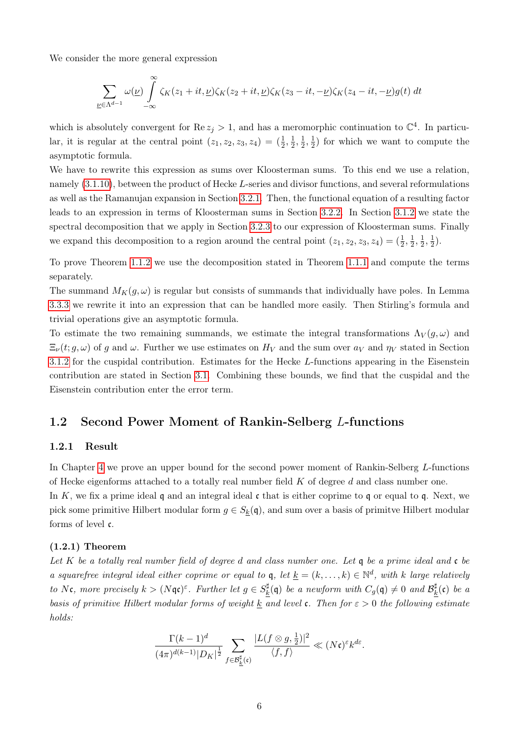We consider the more general expression

$$
\sum_{\underline{\nu}\in\Lambda^{d-1}}\omega(\underline{\nu})\int_{-\infty}^{\infty}\zeta_K(z_1+it,\underline{\nu})\zeta_K(z_2+it,\underline{\nu})\zeta_K(z_3-it,-\underline{\nu})\zeta_K(z_4-it,-\underline{\nu})g(t) dt
$$

which is absolutely convergent for Re  $z_j > 1$ , and has a meromorphic continuation to  $\mathbb{C}^4$ . In particular, it is regular at the central point  $(z_1, z_2, z_3, z_4) = (\frac{1}{2}, \frac{1}{2})$  $\frac{1}{2}, \frac{1}{2}$  $\frac{1}{2}, \frac{1}{2}$  $(\frac{1}{2})$  for which we want to compute the asymptotic formula.

We have to rewrite this expression as sums over Kloosterman sums. To this end we use a relation, namely [\(3.1.10\)](#page-18-0), between the product of Hecke L-series and divisor functions, and several reformulations as well as the Ramanujan expansion in Section [3.2.1.](#page-31-1) Then, the functional equation of a resulting factor leads to an expression in terms of Kloosterman sums in Section [3.2.2.](#page-35-0) In Section [3.1.2](#page-22-0) we state the spectral decomposition that we apply in Section [3.2.3](#page-39-0) to our expression of Kloosterman sums. Finally we expand this decomposition to a region around the central point  $(z_1, z_2, z_3, z_4) = (\frac{1}{2}, \frac{1}{2})$  $\frac{1}{2}, \frac{1}{2}$  $\frac{1}{2}, \frac{1}{2}$  $(\frac{1}{2})$ .

To prove Theorem [1.1.2](#page-10-2) we use the decomposition stated in Theorem [1.1.1](#page-10-1) and compute the terms separately.

The summand  $M_K(q,\omega)$  is regular but consists of summands that individually have poles. In Lemma [3.3.3](#page-57-1) we rewrite it into an expression that can be handled more easily. Then Stirling's formula and trivial operations give an asymptotic formula.

To estimate the two remaining summands, we estimate the integral transformations  $\Lambda_V(g,\omega)$  and  $\Xi_{\nu}(t; g, \omega)$  of g and  $\omega$ . Further we use estimates on  $H_V$  and the sum over  $a_V$  and  $\eta_V$  stated in Section [3.1.2](#page-22-0) for the cuspidal contribution. Estimates for the Hecke L-functions appearing in the Eisenstein contribution are stated in Section [3.1.](#page-15-1) Combining these bounds, we find that the cuspidal and the Eisenstein contribution enter the error term.

### <span id="page-11-0"></span>1.2 Second Power Moment of Rankin-Selberg L-functions

### <span id="page-11-1"></span>1.2.1 Result

In Chapter [4](#page-61-0) we prove an upper bound for the second power moment of Rankin-Selberg L-functions of Hecke eigenforms attached to a totally real number field  $K$  of degree  $d$  and class number one.

In K, we fix a prime ideal q and an integral ideal c that is either coprime to q or equal to q. Next, we pick some primitive Hilbert modular form  $g \in S_k(q)$ , and sum over a basis of primitve Hilbert modular forms of level c.

### <span id="page-11-2"></span>(1.2.1) Theorem

Let K be a totally real number field of degree d and class number one. Let  $\frak q$  be a prime ideal and  $\frak c$  be a squarefree integral ideal either coprime or equal to q, let  $\underline{k} = (k, \ldots, k) \in \mathbb{N}^d$ , with k large relatively to Nc, more precisely  $k > (N \mathfrak{q} \mathfrak{c})^{\varepsilon}$ . Further let  $g \in S_k^{\sharp}$  $\frac{\sharp}{k}(\mathfrak{q})$  be a newform with  $C_g(\mathfrak{q})\neq 0$  and  $\mathcal{B}_{k}^{\sharp}$  $\frac{d}{dt}(\mathfrak{c})$  be a basis of primitive Hilbert modular forms of weight  $\underline{k}$  and level c. Then for  $\varepsilon > 0$  the following estimate holds:

$$
\frac{\Gamma(k-1)^d}{(4\pi)^{d(k-1)}|D_K|^{\frac{1}{2}}}\sum_{f\in\mathcal{B}_k^{\sharp}(\mathfrak{c})}\frac{|L(f\otimes g,\frac{1}{2})|^2}{\langle f,f\rangle}\ll (N\mathfrak{c})^{\varepsilon}k^{d\varepsilon}.
$$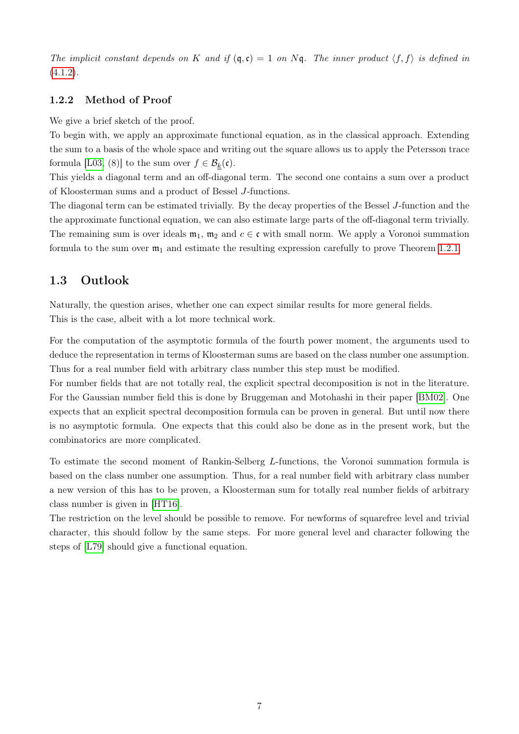The implicit constant depends on K and if  $(q, c) = 1$  on Nq. The inner product  $\langle f, f \rangle$  is defined in  $(4.1.2).$  $(4.1.2).$ 

### <span id="page-12-0"></span>1.2.2 Method of Proof

We give a brief sketch of the proof.

To begin with, we apply an approximate functional equation, as in the classical approach. Extending the sum to a basis of the whole space and writing out the square allows us to apply the Petersson trace formula [\[L03,](#page-87-8) (8)] to the sum over  $f \in \mathcal{B}_k(\mathfrak{c})$ .

This yields a diagonal term and an off-diagonal term. The second one contains a sum over a product of Kloosterman sums and a product of Bessel J-functions.

The diagonal term can be estimated trivially. By the decay properties of the Bessel J-function and the the approximate functional equation, we can also estimate large parts of the off-diagonal term trivially. The remaining sum is over ideals  $m_1$ ,  $m_2$  and  $c \in \mathfrak{c}$  with small norm. We apply a Voronoi summation formula to the sum over  $\mathfrak{m}_1$  and estimate the resulting expression carefully to prove Theorem [1.2.1.](#page-11-2)

### <span id="page-12-1"></span>1.3 Outlook

Naturally, the question arises, whether one can expect similar results for more general fields. This is the case, albeit with a lot more technical work.

For the computation of the asymptotic formula of the fourth power moment, the arguments used to deduce the representation in terms of Kloosterman sums are based on the class number one assumption. Thus for a real number field with arbitrary class number this step must be modified.

For number fields that are not totally real, the explicit spectral decomposition is not in the literature. For the Gaussian number field this is done by Bruggeman and Motohashi in their paper [\[BM02\]](#page-85-5). One expects that an explicit spectral decomposition formula can be proven in general. But until now there is no asymptotic formula. One expects that this could also be done as in the present work, but the combinatorics are more complicated.

To estimate the second moment of Rankin-Selberg L-functions, the Voronoi summation formula is based on the class number one assumption. Thus, for a real number field with arbitrary class number a new version of this has to be proven, a Kloosterman sum for totally real number fields of arbitrary class number is given in [\[HT16\]](#page-86-10).

The restriction on the level should be possible to remove. For newforms of squarefree level and trivial character, this should follow by the same steps. For more general level and character following the steps of [\[L79\]](#page-86-11) should give a functional equation.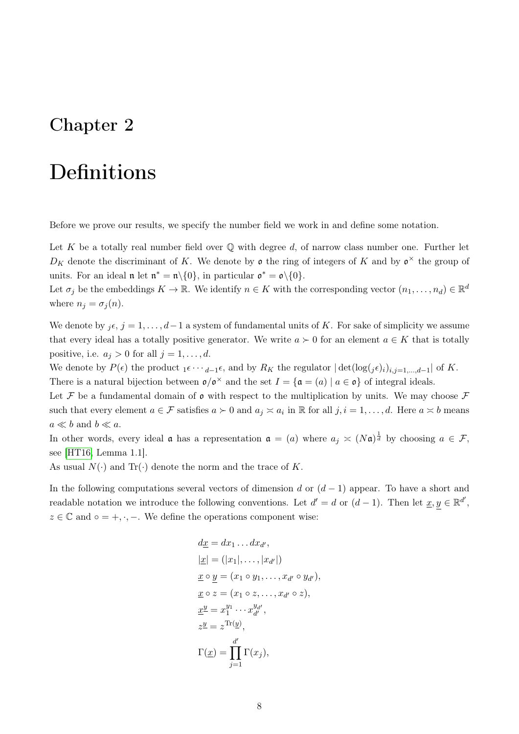## <span id="page-13-0"></span>Chapter 2

## Definitions

Before we prove our results, we specify the number field we work in and define some notation.

Let K be a totally real number field over  $\mathbb Q$  with degree d, of narrow class number one. Further let  $D_K$  denote the discriminant of K. We denote by  $\mathfrak o$  the ring of integers of K and by  $\mathfrak o^\times$  the group of units. For an ideal  $\mathfrak{n}$  let  $\mathfrak{n}^* = \mathfrak{n} \setminus \{0\}$ , in particular  $\mathfrak{o}^* = \mathfrak{o} \setminus \{0\}$ .

Let  $\sigma_j$  be the embeddings  $K \to \mathbb{R}$ . We identify  $n \in K$  with the corresponding vector  $(n_1, \ldots, n_d) \in \mathbb{R}^d$ where  $n_j = \sigma_j(n)$ .

We denote by  $i\epsilon, j = 1, \ldots, d-1$  a system of fundamental units of K. For sake of simplicity we assume that every ideal has a totally positive generator. We write  $a \succ 0$  for an element  $a \in K$  that is totally positive, i.e.  $a_j > 0$  for all  $j = 1, \ldots, d$ .

We denote by  $P(\epsilon)$  the product  $1 \epsilon \cdots d-1 \epsilon$ , and by  $R_K$  the regulator  $|\det(\log(j\epsilon))_{i,j=1,\dots,d-1}|$  of K. There is a natural bijection between  $\mathfrak{o}/\mathfrak{o}^{\times}$  and the set  $I = {\mathfrak{a} = (a) | a \in \mathfrak{o}}$  of integral ideals.

Let F be a fundamental domain of  $\mathfrak o$  with respect to the multiplication by units. We may choose F such that every element  $a \in \mathcal{F}$  satisfies  $a \succ 0$  and  $a_j \asymp a_i$  in  $\mathbb{R}$  for all  $j, i = 1, \ldots, d$ . Here  $a \asymp b$  means  $a \ll b$  and  $b \ll a$ .

In other words, every ideal **a** has a representation  $\mathfrak{a} = (a)$  where  $a_j \simeq (N\mathfrak{a})^{\frac{1}{d}}$  by choosing  $a \in \mathcal{F}$ , see [\[HT16,](#page-86-10) Lemma 1.1].

As usual  $N(\cdot)$  and  $Tr(\cdot)$  denote the norm and the trace of K.

In the following computations several vectors of dimension d or  $(d-1)$  appear. To have a short and readable notation we introduce the following conventions. Let  $d' = d$  or  $(d-1)$ . Then let  $\underline{x}, y \in \mathbb{R}^{d'}$ ,  $z \in \mathbb{C}$  and  $\circ = +, \cdot, -$ . We define the operations component wise:

$$
dx = dx_1 \dots dx_{d'},
$$
  
\n
$$
|\underline{x}| = (|x_1|, \dots, |x_{d'}|)
$$
  
\n
$$
\underline{x} \circ \underline{y} = (x_1 \circ y_1, \dots, x_{d'} \circ y_{d'}),
$$
  
\n
$$
\underline{x} \circ z = (x_1 \circ z, \dots, x_{d'} \circ z),
$$
  
\n
$$
\underline{x}^{\underline{y}} = x_1^{y_1} \cdots x_{d'}^{y_{d'}},
$$
  
\n
$$
z^{\underline{y}} = z^{\text{Tr}(\underline{y})},
$$
  
\n
$$
\Gamma(\underline{x}) = \prod_{j=1}^{d'} \Gamma(x_j),
$$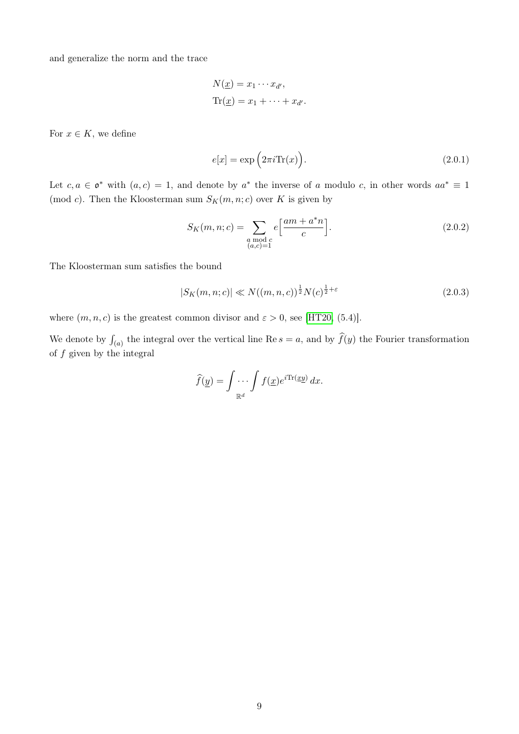and generalize the norm and the trace

$$
N(\underline{x}) = x_1 \cdots x_{d'},
$$
  
Tr( $\underline{x}$ ) =  $x_1 + \cdots + x_{d'}.$ 

For  $x \in K$ , we define

<span id="page-14-1"></span><span id="page-14-0"></span>
$$
e[x] = \exp\left(2\pi i \text{Tr}(x)\right). \tag{2.0.1}
$$

Let  $c, a \in \mathfrak{o}^*$  with  $(a, c) = 1$ , and denote by  $a^*$  the inverse of a modulo c, in other words  $aa^* \equiv 1$ (mod c). Then the Kloosterman sum  $S_K(m, n; c)$  over K is given by

$$
S_K(m, n; c) = \sum_{\substack{a \bmod c \\ (a, c) = 1}} e\left[\frac{am + a^*n}{c}\right].
$$
 (2.0.2)

The Kloosterman sum satisfies the bound

$$
|S_K(m, n; c)| \ll N((m, n, c))^{\frac{1}{2}} N(c)^{\frac{1}{2} + \varepsilon}
$$
\n(2.0.3)

where  $(m, n, c)$  is the greatest common divisor and  $\varepsilon > 0$ , see [\[HT20,](#page-86-9) (5.4)].

We denote by  $\int_{(a)}$  the integral over the vertical line Re  $s = a$ , and by  $\hat{f}(y)$  the Fourier transformation of  $f$  given by the integral

$$
\widehat{f}(\underline{y}) = \int \cdots \int f(\underline{x}) e^{i \text{Tr}(\underline{x} \underline{y})} dx.
$$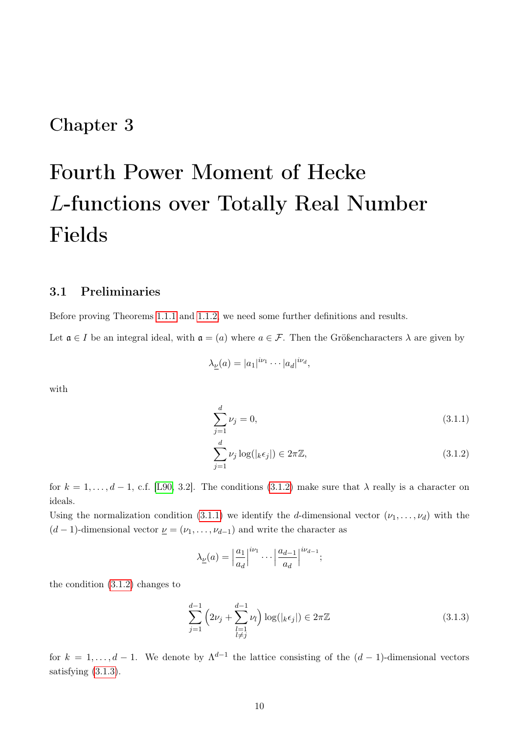### <span id="page-15-0"></span>Chapter 3

# Fourth Power Moment of Hecke L-functions over Totally Real Number Fields

### <span id="page-15-1"></span>3.1 Preliminaries

Before proving Theorems [1.1.1](#page-10-1) and [1.1.2,](#page-10-2) we need some further definitions and results.

Let  $\mathfrak{a} \in I$  be an integral ideal, with  $\mathfrak{a} = (a)$  where  $a \in \mathcal{F}$ . Then the Größencharacters  $\lambda$  are given by

$$
\lambda_{\underline{\nu}}(a) = |a_1|^{i\nu_1} \cdots |a_d|^{i\nu_d},
$$

with

<span id="page-15-3"></span><span id="page-15-2"></span>
$$
\sum_{j=1}^{d} \nu_j = 0,\tag{3.1.1}
$$

$$
\sum_{j=1}^{d} \nu_j \log(|_k \epsilon_j|) \in 2\pi \mathbb{Z},\tag{3.1.2}
$$

for  $k = 1, \ldots, d-1$ , c.f. [\[L90,](#page-86-12) 3.2]. The conditions [\(3.1.2\)](#page-15-2) make sure that  $\lambda$  really is a character on ideals.

Using the normalization condition [\(3.1.1\)](#page-15-3) we identify the d-dimensional vector  $(\nu_1, \ldots, \nu_d)$  with the  $(d-1)$ -dimensional vector  $\underline{\nu} = (\nu_1, \dots, \nu_{d-1})$  and write the character as

<span id="page-15-4"></span>
$$
\lambda_{\underline{\nu}}(a) = \left| \frac{a_1}{a_d} \right|^{i\nu_1} \cdots \left| \frac{a_{d-1}}{a_d} \right|^{i\nu_{d-1}};
$$

the condition [\(3.1.2\)](#page-15-2) changes to

$$
\sum_{j=1}^{d-1} \left( 2\nu_j + \sum_{\substack{l=1\\l \neq j}}^{d-1} \nu_l \right) \log(|_k \epsilon_j|) \in 2\pi \mathbb{Z}
$$
\n(3.1.3)

for  $k = 1, \ldots, d - 1$ . We denote by  $\Lambda^{d-1}$  the lattice consisting of the  $(d-1)$ -dimensional vectors satisfying [\(3.1.3\)](#page-15-4).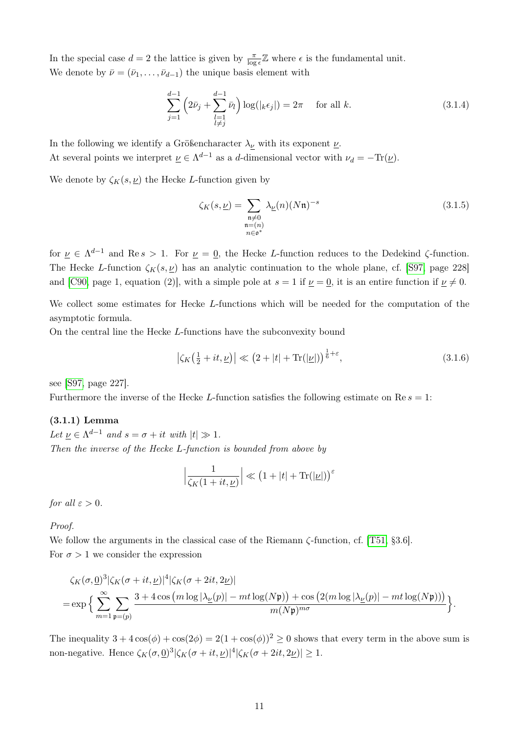In the special case  $d=2$  the lattice is given by  $\frac{\pi}{\log \epsilon} \mathbb{Z}$  where  $\epsilon$  is the fundamental unit. We denote by  $\bar{\nu} = (\bar{\nu}_1, \ldots, \bar{\nu}_{d-1})$  the unique basis element with

$$
\sum_{j=1}^{d-1} \left( 2\bar{\nu}_j + \sum_{\substack{l=1\\l \neq j}}^{d-1} \bar{\nu}_l \right) \log(|_k \epsilon_j|) = 2\pi \quad \text{ for all } k. \tag{3.1.4}
$$

In the following we identify a Größencharacter  $\lambda_{\nu}$  with its exponent  ${\nu}$ . At several points we interpret  $\underline{\nu} \in \Lambda^{d-1}$  as a d-dimensional vector with  $\nu_d = -\text{Tr}(\underline{\nu})$ .

We denote by  $\zeta_K(s, \underline{\nu})$  the Hecke L-function given by

<span id="page-16-1"></span><span id="page-16-0"></span>
$$
\zeta_K(s,\underline{\nu}) = \sum_{\substack{\mathfrak{n}\neq 0 \\ \mathfrak{n}=(n) \\ n\in \mathfrak{o}^*}} \lambda_{\underline{\nu}}(n) (N\mathfrak{n})^{-s}
$$
\n(3.1.5)

for  $\nu \in \Lambda^{d-1}$  and Re s > 1. For  $\nu = 0$ , the Hecke L-function reduces to the Dedekind  $\zeta$ -function. The Hecke L-function  $\zeta_K(s, \underline{\nu})$  has an analytic continuation to the whole plane, cf. [\[S97,](#page-87-9) page 228] and [\[C90,](#page-85-9) page 1, equation (2)], with a simple pole at  $s = 1$  if  $\nu = 0$ , it is an entire function if  $\nu \neq 0$ .

We collect some estimates for Hecke L-functions which will be needed for the computation of the asymptotic formula.

On the central line the Hecke L-functions have the subconvexity bound

<span id="page-16-2"></span>
$$
\left|\zeta_K\left(\frac{1}{2}+it,\underline{\nu}\right)\right| \ll \left(2+|t|+\mathrm{Tr}(|\underline{\nu}|)\right)^{\frac{1}{6}+\varepsilon},\tag{3.1.6}
$$

see [\[S97,](#page-87-9) page 227].

Furthermore the inverse of the Hecke L-function satisfies the following estimate on  $\text{Re } s = 1$ :

### (3.1.1) Lemma

Let  $\underline{\nu} \in \Lambda^{d-1}$  and  $s = \sigma + it$  with  $|t| \gg 1$ . Then the inverse of the Hecke L-function is bounded from above by

$$
\left|\frac{1}{\zeta_K(1+it,\underline{\nu})}\right| \ll \left(1+|t|+\text{Tr}(|\underline{\nu}|)\right)^{\varepsilon}
$$

for all  $\varepsilon > 0$ .

Proof.

We follow the arguments in the classical case of the Riemann  $\zeta$ -function, cf. [\[T51,](#page-87-1) §3.6]. For  $\sigma > 1$  we consider the expression

$$
\zeta_K(\sigma, \underline{0})^3 |\zeta_K(\sigma+it, \underline{\nu})|^4 |\zeta_K(\sigma+2it, 2\underline{\nu})|
$$
  
= 
$$
\exp \Big\{ \sum_{m=1}^{\infty} \sum_{\mathfrak{p}=(p)} \frac{3 + 4 \cos \big(m \log |\lambda_{\underline{\nu}}(p)| - mt \log (N\mathfrak{p})\big) + \cos \big(2(m \log |\lambda_{\underline{\nu}}(p)| - mt \log (N\mathfrak{p}))\big)}{m(N\mathfrak{p})^{m\sigma}} \Big\}.
$$

The inequality  $3 + 4\cos(\phi) + \cos(2\phi) = 2(1 + \cos(\phi))^2 \ge 0$  shows that every term in the above sum is non-negative. Hence  $\zeta_K(\sigma, \underline{0})^3 |\zeta_K(\sigma + it, \underline{\nu})|^4 |\zeta_K(\sigma + 2it, 2\underline{\nu})| \geq 1$ .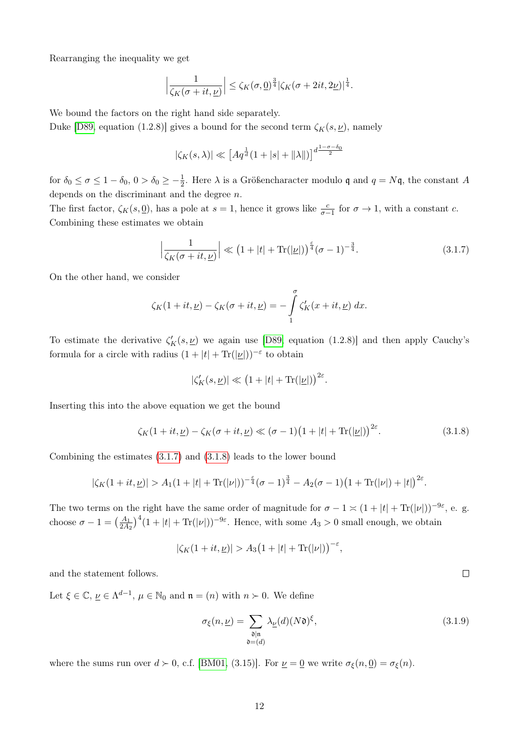Rearranging the inequality we get

$$
\left|\frac{1}{\zeta_K(\sigma+it,\underline{\nu})}\right| \leq \zeta_K(\sigma,\underline{0})^{\frac{3}{4}}|\zeta_K(\sigma+2it,2\underline{\nu})|^{\frac{1}{4}}.
$$

We bound the factors on the right hand side separately.

Duke [\[D89,](#page-86-0) equation (1.2.8)] gives a bound for the second term  $\zeta_K(s, \underline{\nu})$ , namely

$$
|\zeta_K(s,\lambda)| \ll \left[Aq^{\frac{1}{d}}(1+|s|+ \|\lambda\|)\right]^{d\frac{1-\sigma-\delta_0}{2}}
$$

for  $\delta_0 \le \sigma \le 1 - \delta_0$ ,  $0 > \delta_0 \ge -\frac{1}{2}$ . Here  $\lambda$  is a Größencharacter modulo q and  $q = N\mathfrak{q}$ , the constant A depends on the discriminant and the degree  $n$ .

The first factor,  $\zeta_K(s, \underline{0})$ , has a pole at  $s = 1$ , hence it grows like  $\frac{c}{\sigma-1}$  for  $\sigma \to 1$ , with a constant c. Combining these estimates we obtain

<span id="page-17-0"></span>
$$
\left|\frac{1}{\zeta_K(\sigma+it,\underline{\nu})}\right| \ll \left(1+|t|+\text{Tr}(|\underline{\nu}|)\right)^{\frac{\varepsilon}{4}}(\sigma-1)^{-\frac{3}{4}}.\tag{3.1.7}
$$

On the other hand, we consider

$$
\zeta_K(1+it,\underline{\nu}) - \zeta_K(\sigma+it,\underline{\nu}) = -\int\limits_1^\sigma \zeta_K'(x+it,\underline{\nu})\ dx.
$$

To estimate the derivative  $\zeta_K'(s, \nu)$  we again use [\[D89,](#page-86-0) equation (1.2.8)] and then apply Cauchy's formula for a circle with radius  $(1+|t|+Tr(|u|))^{-\epsilon}$  to obtain

$$
|\zeta_K'(s,\underline{\nu})| \ll \left(1+|t|+\text{Tr}(|\underline{\nu}|)\right)^{2\varepsilon}.
$$

Inserting this into the above equation we get the bound

$$
\zeta_K(1+it,\underline{\nu}) - \zeta_K(\sigma+it,\underline{\nu}) \ll (\sigma-1)\big(1+|t|+\text{Tr}(|\underline{\nu}|)\big)^{2\varepsilon}.\tag{3.1.8}
$$

Combining the estimates [\(3.1.7\)](#page-17-0) and [\(3.1.8\)](#page-17-1) leads to the lower bound

$$
|\zeta_K(1+it,\underline{\nu})| > A_1(1+|t|+\mathrm{Tr}(|\nu|))^{-\frac{\varepsilon}{4}}(\sigma-1)^{\frac{3}{4}}-A_2(\sigma-1)(1+\mathrm{Tr}(|\nu|)+|t|)^{2\varepsilon}.
$$

The two terms on the right have the same order of magnitude for  $\sigma - 1 \asymp (1 + |t| + \text{Tr}(|\nu|))^{-9\varepsilon}$ , e. g. choose  $\sigma - 1 = \left(\frac{A_1}{2A_2}\right)^4 (1 + |t| + \text{Tr}(|\nu|))^{-9\varepsilon}$ . Hence, with some  $A_3 > 0$  small enough, we obtain

$$
|\zeta_K(1+it,\underline{\nu})| > A_3(1+|t|+\mathrm{Tr}(|\nu|))^{-\varepsilon},
$$

and the statement follows.

Let  $\xi \in \mathbb{C}, \underline{\nu} \in \Lambda^{d-1}, \mu \in \mathbb{N}_0$  and  $\mathfrak{n} = (n)$  with  $n \succ 0$ . We define

$$
\sigma_{\xi}(n,\underline{\nu}) = \sum_{\substack{\mathfrak{d}|\mathfrak{n} \\ \mathfrak{d} = (d)}} \lambda_{\underline{\nu}}(d)(N\mathfrak{d})^{\xi},\tag{3.1.9}
$$

where the sums run over  $d \succ 0$ , c.f. [\[BM01,](#page-85-4) (3.15)]. For  $\underline{\nu} = \underline{0}$  we write  $\sigma_{\xi}(n, \underline{0}) = \sigma_{\xi}(n)$ .

<span id="page-17-2"></span><span id="page-17-1"></span> $\Box$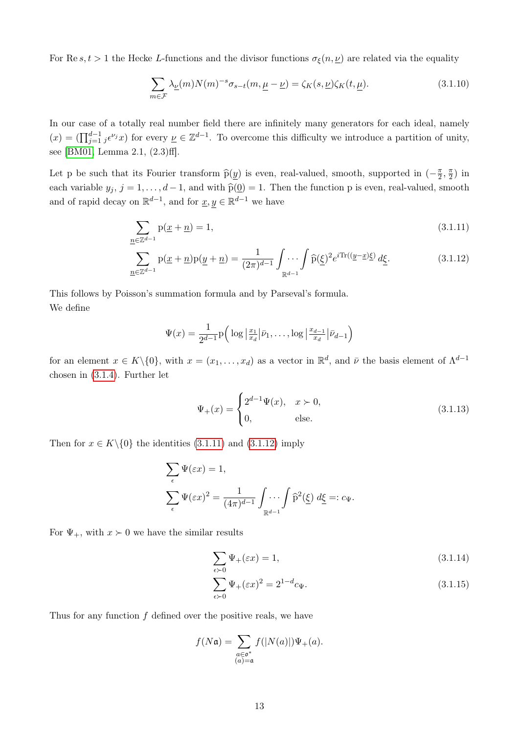For Re s,  $t > 1$  the Hecke L-functions and the divisor functions  $\sigma_{\xi}(n, \underline{\nu})$  are related via the equality

<span id="page-18-0"></span>
$$
\sum_{m \in \mathcal{F}} \lambda_{\underline{\nu}}(m) N(m)^{-s} \sigma_{s-t}(m, \underline{\mu} - \underline{\nu}) = \zeta_K(s, \underline{\nu}) \zeta_K(t, \underline{\mu}). \tag{3.1.10}
$$

In our case of a totally real number field there are infinitely many generators for each ideal, namely  $(x) = \left(\prod_{j=1}^{d-1} j \epsilon^{\nu_j} x\right)$  for every  $\underline{\nu} \in \mathbb{Z}^{d-1}$ . To overcome this difficulty we introduce a partition of unity, see [\[BM01,](#page-85-4) Lemma 2.1, (2.3)ff].

Let p be such that its Fourier transform  $\hat{p}(y)$  is even, real-valued, smooth, supported in  $(-\frac{\pi}{2})$  $\frac{\pi}{2}, \frac{\pi}{2}$  $\frac{\pi}{2}$ ) in each variable  $y_j$ ,  $j = 1, ..., d - 1$ , and with  $\hat{p}(\underline{0}) = 1$ . Then the function p is even, real-valued, smooth and of rapid decay on  $\mathbb{R}^{d-1}$ , and for  $\underline{x}, y \in \mathbb{R}^{d-1}$  we have

$$
\sum_{n \in \mathbb{Z}^{d-1}} \mathbf{p}(\underline{x} + \underline{n}) = 1,\tag{3.1.11}
$$

$$
\sum_{\underline{n}\in\mathbb{Z}^{d-1}}\mathbf{p}(\underline{x}+\underline{n})\mathbf{p}(\underline{y}+\underline{n})=\frac{1}{(2\pi)^{d-1}}\int_{\mathbb{R}^{d-1}}\int\widehat{\mathbf{p}}(\underline{\xi})^2e^{i\text{Tr}((\underline{y}-\underline{x})\underline{\xi})}\,d\underline{\xi}.\tag{3.1.12}
$$

This follows by Poisson's summation formula and by Parseval's formula. We define

<span id="page-18-1"></span>
$$
\Psi(x) = \frac{1}{2^{d-1}} \mathrm{p} \Big( \log \big| \frac{x_1}{x_d} \big| \bar{\nu}_1, \dots, \log \big| \frac{x_{d-1}}{x_d} \big| \bar{\nu}_{d-1} \Big)
$$

for an element  $x \in K \setminus \{0\}$ , with  $x = (x_1, \ldots, x_d)$  as a vector in  $\mathbb{R}^d$ , and  $\bar{\nu}$  the basis element of  $\Lambda^{d-1}$ chosen in [\(3.1.4\)](#page-16-0). Further let

<span id="page-18-3"></span><span id="page-18-2"></span>
$$
\Psi_{+}(x) = \begin{cases} 2^{d-1}\Psi(x), & x > 0, \\ 0, & \text{else.} \end{cases}
$$
 (3.1.13)

Then for  $x \in K \setminus \{0\}$  the identities [\(3.1.11\)](#page-18-1) and [\(3.1.12\)](#page-18-2) imply

$$
\sum_{\epsilon} \Psi(\varepsilon x) = 1,
$$
  

$$
\sum_{\epsilon} \Psi(\varepsilon x)^2 = \frac{1}{(4\pi)^{d-1}} \int_{\mathbb{R}^{d-1}} \int_{\mathbb{R}^{d-1}} \hat{p}^2(\underline{\xi}) d\underline{\xi} =: c_{\Psi}.
$$

For  $\Psi_+$ , with  $x > 0$  we have the similar results

$$
\sum_{\epsilon \succ 0} \Psi_+(\varepsilon x) = 1,\tag{3.1.14}
$$

<span id="page-18-4"></span>
$$
\sum_{\epsilon \succ 0} \Psi_+(\varepsilon x)^2 = 2^{1-d} c_{\Psi}.\tag{3.1.15}
$$

Thus for any function  $f$  defined over the positive reals, we have

$$
f(N\mathfrak{a}) = \sum_{\substack{a \in \mathfrak{o}^* \\ (a) = \mathfrak{a}}} f(|N(a)|) \Psi_+(a).
$$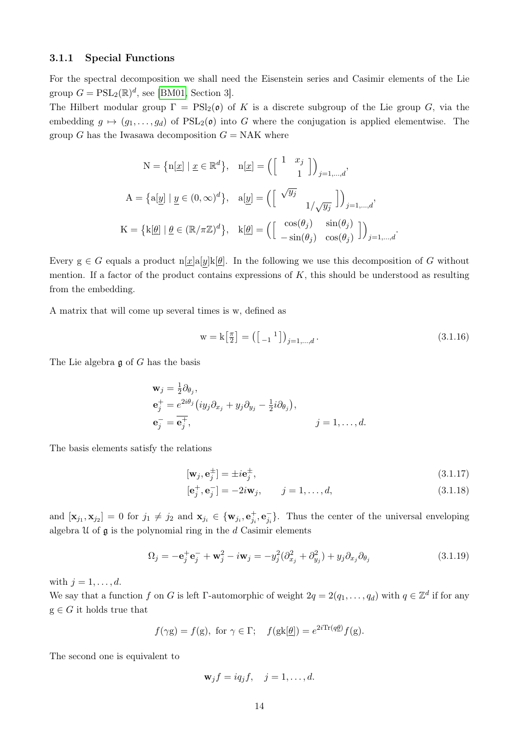### <span id="page-19-0"></span>3.1.1 Special Functions

For the spectral decomposition we shall need the Eisenstein series and Casimir elements of the Lie group  $G = \mathrm{PSL}_2(\mathbb{R})^d$ , see [\[BM01,](#page-85-4) Section 3].

The Hilbert modular group  $\Gamma = \text{PSl}_2(\mathfrak{o})$  of K is a discrete subgroup of the Lie group G, via the embedding  $g \mapsto (g_1, \ldots, g_d)$  of  $PSL_2(\mathfrak{o})$  into G where the conjugation is applied elementwise. The group G has the Iwasawa decomposition  $G = NAK$  where

$$
N = \{n[\underline{x}] \mid \underline{x} \in \mathbb{R}^d\}, \quad n[\underline{x}] = \left(\begin{bmatrix} 1 & x_j \\ & 1 \end{bmatrix}\right)_{j=1,\dots,d},
$$

$$
A = \{a[\underline{y}] \mid \underline{y} \in (0,\infty)^d\}, \quad a[\underline{y}] = \left(\begin{bmatrix} \sqrt{y_j} \\ & 1/\sqrt{y_j} \end{bmatrix}\right)_{j=1,\dots,d},
$$

$$
K = \{k[\underline{\theta}] \mid \underline{\theta} \in (\mathbb{R}/\pi\mathbb{Z})^d\}, \quad k[\underline{\theta}] = \left(\begin{bmatrix} \cos(\theta_j) & \sin(\theta_j) \\ -\sin(\theta_j) & \cos(\theta_j) \end{bmatrix}\right)_{j=1,\dots,d}.
$$

Every  $g \in G$  equals a product n[x]a[y]k[ $\theta$ ]. In the following we use this decomposition of G without mention. If a factor of the product contains expressions of  $K$ , this should be understood as resulting from the embedding.

A matrix that will come up several times is w, defined as

<span id="page-19-1"></span>
$$
\mathbf{w} = \mathbf{k} \begin{bmatrix} \frac{\pi}{2} \end{bmatrix} = \left( \begin{bmatrix} 1 \\ -1 \end{bmatrix} \right)_{j=1,\dots,d}.
$$
\n
$$
(3.1.16)
$$

The Lie algebra  $\mathfrak g$  of G has the basis

$$
\mathbf{w}_{j} = \frac{1}{2}\partial_{\theta_{j}},
$$
  
\n
$$
\mathbf{e}_{j}^{+} = e^{2i\theta_{j}} (iy_{j}\partial_{x_{j}} + y_{j}\partial_{y_{j}} - \frac{1}{2}i\partial_{\theta_{j}}),
$$
  
\n
$$
\mathbf{e}_{j}^{-} = \overline{\mathbf{e}_{j}^{+}}, \qquad j = 1, ..., d.
$$

The basis elements satisfy the relations

$$
[\mathbf{w}_j, \mathbf{e}_j^{\pm}] = \pm i \mathbf{e}_j^{\pm},\tag{3.1.17}
$$

<span id="page-19-2"></span>
$$
[\mathbf{e}_j^+, \mathbf{e}_j^-] = -2i\mathbf{w}_j, \qquad j = 1, \dots, d,
$$
\n(3.1.18)

and  $[\mathbf{x}_{j_1}, \mathbf{x}_{j_2}] = 0$  for  $j_1 \neq j_2$  and  $\mathbf{x}_{j_i} \in {\mathbf{w}_{j_i}, \mathbf{e}_{j_i}^+, \mathbf{e}_{j_i}^-}$ . Thus the center of the universal enveloping algebra  $\mathfrak U$  of  $\mathfrak g$  is the polynomial ring in the d Casimir elements

$$
\Omega_j = -\mathbf{e}_j^+ \mathbf{e}_j^- + \mathbf{w}_j^2 - i \mathbf{w}_j = -y_j^2 (\partial_{x_j}^2 + \partial_{y_j}^2) + y_j \partial_{x_j} \partial_{\theta_j}
$$
(3.1.19)

with  $j = 1, \ldots, d$ .

We say that a function f on G is left  $\Gamma$ -automorphic of weight  $2q = 2(q_1, \ldots, q_d)$  with  $q \in \mathbb{Z}^d$  if for any  $g \in G$  it holds true that

$$
f(\gamma g) = f(g), \text{ for } \gamma \in \Gamma; \quad f(gk[\underline{\theta}]) = e^{2i \text{Tr}(q\underline{\theta})} f(g).
$$

The second one is equivalent to

$$
\mathbf{w}_j f = iq_j f, \quad j = 1, \dots, d.
$$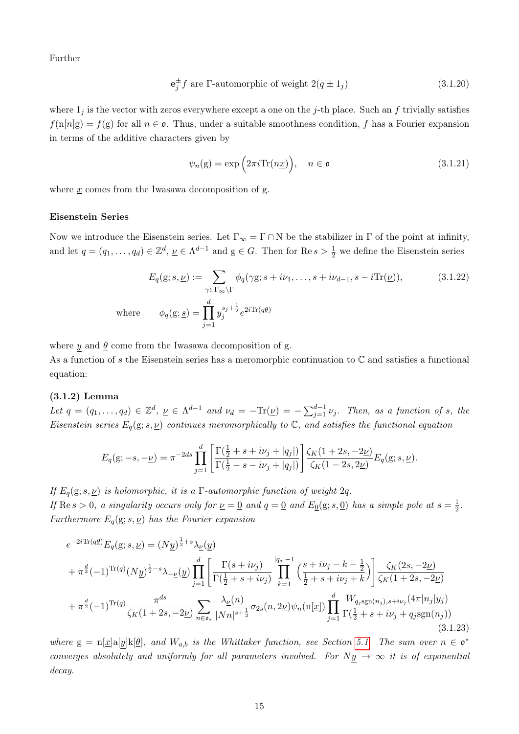Further

$$
\mathbf{e}_j^{\pm} f \text{ are } \Gamma \text{-automorphic of weight } 2(q \pm 1_j) \tag{3.1.20}
$$

where  $1_j$  is the vector with zeros everywhere except a one on the j-th place. Such an f trivially satisfies  $f(n[n]g) = f(g)$  for all  $n \in \mathfrak{o}$ . Thus, under a suitable smoothness condition, f has a Fourier expansion in terms of the additive characters given by

<span id="page-20-3"></span><span id="page-20-2"></span><span id="page-20-1"></span>
$$
\psi_n(\mathbf{g}) = \exp\left(2\pi i \text{Tr}(n\underline{x})\right), \quad n \in \mathfrak{o} \tag{3.1.21}
$$

where  $x$  comes from the Iwasawa decomposition of g.

### <span id="page-20-0"></span>Eisenstein Series

Now we introduce the Eisenstein series. Let  $\Gamma_{\infty} = \Gamma \cap N$  be the stabilizer in  $\Gamma$  of the point at infinity, and let  $q = (q_1, \ldots, q_d) \in \mathbb{Z}^d$ ,  $\underline{\nu} \in \Lambda^{d-1}$  and  $g \in G$ . Then for  $\text{Re } s > \frac{1}{2}$  we define the Eisenstein series

$$
E_q(g; s, \underline{\nu}) := \sum_{\gamma \in \Gamma_{\infty} \backslash \Gamma} \phi_q(\gamma g; s + i\nu_1, \dots, s + i\nu_{d-1}, s - i \text{Tr}(\underline{\nu})),
$$
(3.1.22)  
where 
$$
\phi_q(g; \underline{s}) = \prod_{j=1}^d y_j^{s_j + \frac{1}{2}} e^{2i \text{Tr}(q\underline{\theta})}
$$

where y and  $\theta$  come from the Iwasawa decomposition of g.

As a function of s the Eisenstein series has a meromorphic continuation to  $\mathbb C$  and satisfies a functional equation:

### (3.1.2) Lemma

Let  $q = (q_1, \ldots, q_d) \in \mathbb{Z}^d$ ,  $\underline{\nu} \in \Lambda^{d-1}$  and  $\nu_d = -\text{Tr}(\underline{\nu}) = -\sum_{j=1}^{d-1} \nu_j$ . Then, as a function of s, the Eisenstein series  $E_q(g; s, \underline{\nu})$  continues meromorphically to  $\mathbb{C}$ , and satisfies the functional equation

$$
E_q(g; -s, -\underline{\nu}) = \pi^{-2ds} \prod_{j=1}^d \left[ \frac{\Gamma(\frac{1}{2} + s + i\nu_j + |q_j|)}{\Gamma(\frac{1}{2} - s - i\nu_j + |q_j|)} \right] \frac{\zeta_K(1+2s, -2\underline{\nu})}{\zeta_K(1-2s, 2\underline{\nu})} E_q(g; s, \underline{\nu}).
$$

If  $E_q(g; s, \underline{\nu})$  is holomorphic, it is a Γ-automorphic function of weight 2q.

If Re  $s > 0$ , a singularity occurs only for  $\underline{\nu} = \underline{0}$  and  $q = \underline{0}$  and  $E_{\underline{0}}(g; s, \underline{0})$  has a simple pole at  $s = \frac{1}{2}$  $rac{1}{2}$ . Furthermore  $E_q(\mathbf{g}; s, \underline{\nu})$  has the Fourier expansion

<span id="page-20-4"></span>
$$
e^{-2i\text{Tr}(q\underline{\theta})}E_{q}(\mathbf{g};s,\underline{\nu}) = (N\underline{y})^{\frac{1}{2}+s}\lambda_{\underline{\nu}}(\underline{y})
$$
  
+  $\pi^{\frac{d}{2}}(-1)^{\text{Tr}(q)}(N\underline{y})^{\frac{1}{2}-s}\lambda_{-\underline{\nu}}(\underline{y})\prod_{j=1}^{d}\left[\frac{\Gamma(s+i\nu_{j})}{\Gamma(\frac{1}{2}+s+i\nu_{j})}\prod_{k=1}^{|q_{j}|-1}\left(\frac{s+i\nu_{j}-k-\frac{1}{2}}{\frac{1}{2}+s+i\nu_{j}+k}\right)\right]\frac{\zeta_{K}(2s,-2\underline{\nu})}{\zeta_{K}(1+2s,-2\underline{\nu})}$   
+  $\pi^{\frac{d}{2}}(-1)^{\text{Tr}(q)}\frac{\pi^{ds}}{\zeta_{K}(1+2s,-2\underline{\nu})}\sum_{n\in\mathfrak{o}_{*}}\frac{\lambda_{\underline{\nu}}(n)}{|Nn|^{s+\frac{1}{2}}}\sigma_{2s}(n,2\underline{\nu})\psi_{n}(\mathbf{n}[\underline{x}])\prod_{j=1}^{d}\frac{W_{q_{j}}\mathrm{sgn}(n_{j}),s+i\nu_{j}\left(4\pi|n_{j}|y_{j}\right)}{\Gamma(\frac{1}{2}+s+i\nu_{j}+q_{j}\mathrm{sgn}(n_{j}))}$ \n(3.1.23)

where  $g = n[\underline{x}]a[y]k[\underline{\theta}]$ , and  $W_{a,b}$  is the Whittaker function, see Section [5.1.](#page-82-1) The sum over  $n \in \mathfrak{o}^*$ converges absolutely and uniformly for all parameters involved. For  $Ny \to \infty$  it is of exponential decay.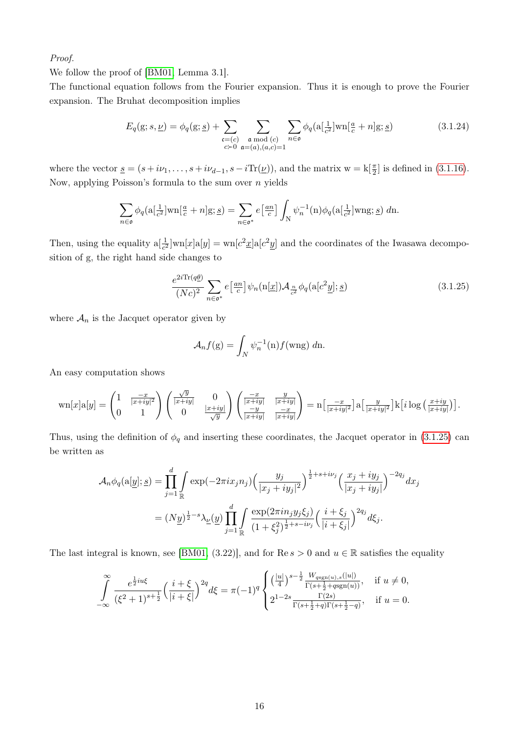Proof.

We follow the proof of [\[BM01,](#page-85-4) Lemma 3.1].

The functional equation follows from the Fourier expansion. Thus it is enough to prove the Fourier expansion. The Bruhat decomposition implies

<span id="page-21-1"></span>
$$
E_q(g; s, \underline{\nu}) = \phi_q(g; \underline{s}) + \sum_{\substack{\mathfrak{c} = (c) \\ c \succ 0}} \sum_{\substack{\mathfrak{a} \bmod(c) \\ \mathfrak{a} = (a), (a, c) = 1}} \sum_{n \in \mathfrak{o}} \phi_q(\mathfrak{a}[\frac{1}{c^2}] \text{wn}[\frac{a}{c} + n] \mathfrak{g}; \underline{s})
$$
(3.1.24)

where the vector  $\underline{s} = (s + i\nu_1, \dots, s + i\nu_{d-1}, s - i\text{Tr}(\underline{\nu}))$ , and the matrix  $w = k[\frac{\pi}{2}]$  is defined in [\(3.1.16\)](#page-19-1). Now, applying Poisson's formula to the sum over  $n$  yields

$$
\sum_{n\in\mathfrak{o}} \phi_q(\mathbf{a}[\tfrac{1}{c^2}]\mathbf{w}\mathbf{n}[\tfrac{a}{c}+n]g; \underline{s}) = \sum_{n\in\mathfrak{o}^*} e\left[\tfrac{an}{c}\right] \int_{N} \psi_n^{-1}(\mathbf{n}) \phi_q(\mathbf{a}[\tfrac{1}{c^2}]\mathbf{w}\mathbf{n}\mathbf{g}; \underline{s}) \ d\mathbf{n}.
$$

Then, using the equality  $a[\frac{1}{c^2}]$ wn $[x]a[y] = \text{wn}[c^2 \underline{x}]a[c^2 \underline{y}]$  and the coordinates of the Iwasawa decomposition of g, the right hand side changes to

$$
\frac{e^{2i\text{Tr}(q\underline{\theta})}}{(Nc)^2} \sum_{n\in\mathfrak{o}^*} e\left[\frac{an}{c}\right] \psi_n(\text{n}[\underline{x}]) \mathcal{A}_{\frac{n}{c^2}} \phi_q(\text{a}[c^2\underline{y}]; \underline{s})\tag{3.1.25}
$$

where  $A_n$  is the Jacquet operator given by

<span id="page-21-0"></span>
$$
\mathcal{A}_n f(\mathbf{g}) = \int_N \psi_n^{-1}(\mathbf{n}) f(\mathbf{wng}) \, d\mathbf{n}.
$$

An easy computation shows

$$
\text{wn}[x]a[y] = \begin{pmatrix} 1 & \frac{-x}{|x+iy|^2} \\ 0 & 1 \end{pmatrix} \begin{pmatrix} \frac{\sqrt{y}}{|x+iy|} & 0 \\ 0 & \frac{|x+iy|}{\sqrt{y}} \end{pmatrix} \begin{pmatrix} \frac{-x}{|x+iy|} & \frac{y}{|x+iy|} \\ \frac{-y}{|x+iy|} & \frac{-x}{|x+iy|} \end{pmatrix} = \text{n}\left[\frac{-x}{|x+iy|^2}\right]a\left[\frac{y}{|x+iy|^2}\right]k\left[i\log\left(\frac{x+iy}{|x+iy|}\right)\right].
$$

Thus, using the definition of  $\phi_q$  and inserting these coordinates, the Jacquet operator in [\(3.1.25\)](#page-21-0) can be written as

$$
\mathcal{A}_{n}\phi_{q}(\mathbf{a}[\underline{y}];\underline{s}) = \prod_{j=1}^{d} \int_{\mathbb{R}} \exp(-2\pi i x_{j}n_{j}) \left(\frac{y_{j}}{|x_{j}+iy_{j}|^{2}}\right)^{\frac{1}{2}+s+ i\nu_{j}} \left(\frac{x_{j}+iy_{j}}{|x_{j}+iy_{j}|}\right)^{-2q_{j}} dx_{j}
$$

$$
= (Ny)^{\frac{1}{2}-s} \lambda_{\underline{v}}(\underline{y}) \prod_{j=1}^{d} \int_{\mathbb{R}} \frac{\exp(2\pi i n_{j}y_{j}\xi_{j})}{(1+\xi_{j}^{2})^{\frac{1}{2}+s-i\nu_{j}}} \left(\frac{i+\xi_{j}}{|i+\xi_{j}|}\right)^{2q_{j}} d\xi_{j}.
$$

The last integral is known, see [\[BM01,](#page-85-4) (3.22)], and for  $\text{Re } s > 0$  and  $u \in \mathbb{R}$  satisfies the equality

$$
\int_{-\infty}^{\infty} \frac{e^{\frac{1}{2}i u \xi}}{(\xi^2 + 1)^{s + \frac{1}{2}}} \left(\frac{i + \xi}{|i + \xi|}\right)^{2q} d\xi = \pi (-1)^q \begin{cases} \left(\frac{|u|}{4}\right)^{s - \frac{1}{2}} \frac{W_{\text{sgn}(u),s}(|u|)}{\Gamma(s + \frac{1}{2} + q \text{sgn}(u))}, & \text{if } u \neq 0, \\ 2^{1 - 2s} \frac{\Gamma(2s)}{\Gamma(s + \frac{1}{2} + q) \Gamma(s + \frac{1}{2} - q)}, & \text{if } u = 0. \end{cases}
$$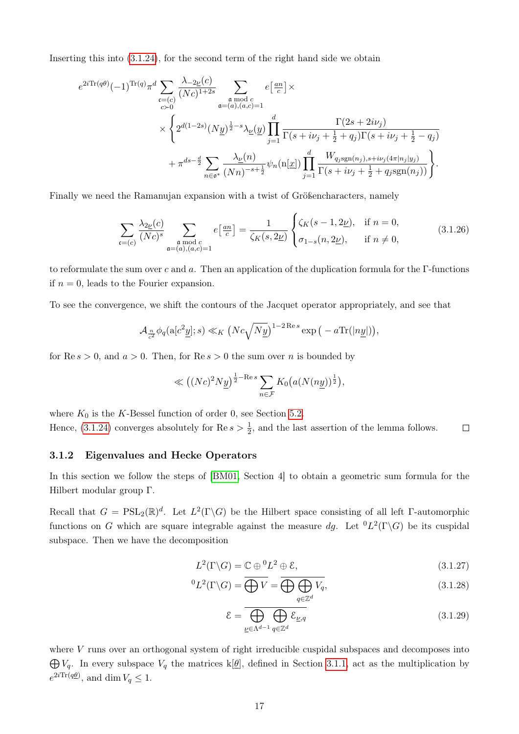Inserting this into [\(3.1.24\)](#page-21-1), for the second term of the right hand side we obtain

$$
e^{2i\text{Tr}(q\theta)}(-1)^{\text{Tr}(q)}\pi^{d}\sum_{\substack{\mathfrak{c}=(c)\\c>0}}\frac{\lambda_{-2\underline{\nu}}(c)}{(Nc)^{1+2s}}\sum_{\substack{\mathfrak{a}\bmod{c}\\ \mathfrak{a}=(a),(a,c)=1}}e\left[\frac{\mathfrak{a}n}{c}\right]\times
$$

$$
\times\left\{2^{d(1-2s)}(N\underline{y})^{\frac{1}{2}-s}\lambda_{\underline{\nu}}(\underline{y})\prod_{j=1}^{d}\frac{\Gamma(2s+2i\nu_{j})}{\Gamma(s+i\nu_{j}+\frac{1}{2}+q_{j})\Gamma(s+i\nu_{j}+\frac{1}{2}-q_{j})}\right.\right.
$$

$$
+\pi^{ds-\frac{d}{2}}\sum_{n\in\mathfrak{o}^{*}}\frac{\lambda_{\underline{\nu}}(n)}{(Nn)^{-s+\frac{1}{2}}}\psi_{n}(\mathbf{n}[\underline{x}])\prod_{j=1}^{d}\frac{W_{q_{j}\text{sgn}(n_{j}),s+i\nu_{j}(4\pi|n_{j}|y_{j})}}{\Gamma(s+i\nu_{j}+\frac{1}{2}+q_{j}\text{sgn}(n_{j}))}\right\}.
$$

Finally we need the Ramanujan expansion with a twist of Größencharacters, namely

$$
\sum_{\mathfrak{c}=(c)} \frac{\lambda_{2\underline{\nu}}(c)}{(Nc)^s} \sum_{\substack{\mathfrak{a} \bmod c \\ \mathfrak{a}=(a),(a,c)=1}} e\left[\frac{an}{c}\right] = \frac{1}{\zeta_K(s, 2\underline{\nu})} \begin{cases} \zeta_K(s-1, 2\underline{\nu}), & \text{if } n=0, \\ \sigma_{1-s}(n, 2\underline{\nu}), & \text{if } n \neq 0, \end{cases}
$$
(3.1.26)

to reformulate the sum over c and a. Then an application of the duplication formula for the Γ-functions if  $n = 0$ , leads to the Fourier expansion.

To see the convergence, we shift the contours of the Jacquet operator appropriately, and see that

$$
\mathcal{A}_{\frac{n}{c^2}} \phi_q(\mathbf{a}[c^2\underline{y}];s) \ll_K \left( Nc\sqrt{Ny} \right)^{1-2\operatorname{Re} s} \exp\big(-a\operatorname{Tr}(|n\underline{y}|)\big),\,
$$

for Re  $s > 0$ , and  $a > 0$ . Then, for Re  $s > 0$  the sum over n is bounded by

<span id="page-22-3"></span>
$$
\ll \left( (Nc)^2 N \underline{y} \right)^{\frac{1}{2} - \text{Re } s} \sum_{n \in \mathcal{F}} K_0 \big( a (N(n\underline{y}))^{\frac{1}{2}} \big),
$$

where  $K_0$  is the K-Bessel function of order 0, see Section [5.2.](#page-82-2) Hence, [\(3.1.24\)](#page-21-1) converges absolutely for  $\text{Re } s > \frac{1}{2}$ , and the last assertion of the lemma follows.  $\Box$ 

### <span id="page-22-0"></span>3.1.2 Eigenvalues and Hecke Operators

In this section we follow the steps of [\[BM01,](#page-85-4) Section 4] to obtain a geometric sum formula for the Hilbert modular group Γ.

Recall that  $G = \text{PSL}_2(\mathbb{R})^d$ . Let  $L^2(\Gamma \backslash G)$  be the Hilbert space consisting of all left Γ-automorphic functions on G which are square integrable against the measure dg. Let  ${}^{0}L^{2}(\Gamma\backslash G)$  be its cuspidal subspace. Then we have the decomposition

$$
L^{2}(\Gamma \backslash G) = \mathbb{C} \oplus {}^{0}L^{2} \oplus \mathcal{E}, \qquad (3.1.27)
$$

$$
{}^{0}L^{2}(\Gamma\backslash G)=\overline{\bigoplus V}=\overline{\bigoplus_{q\in\mathbb{Z}^{d}}V_{q}},\qquad(3.1.28)
$$

<span id="page-22-2"></span><span id="page-22-1"></span>
$$
\mathcal{E} = \overline{\bigoplus_{\underline{\nu} \in \Lambda^{d-1} q \in \mathbb{Z}^d} \mathcal{E}_{\underline{\nu}, q}}
$$
(3.1.29)

where  $V$  runs over an orthogonal system of right irreducible cuspidal subspaces and decomposes into  $\bigoplus V_q$ . In every subspace  $V_q$  the matrices k[ $\theta$ ], defined in Section [3.1.1,](#page-19-0) act as the multiplication by  $e^{2i\text{Tr}(q\underline{\theta})}$ , and dim  $V_q \leq 1$ .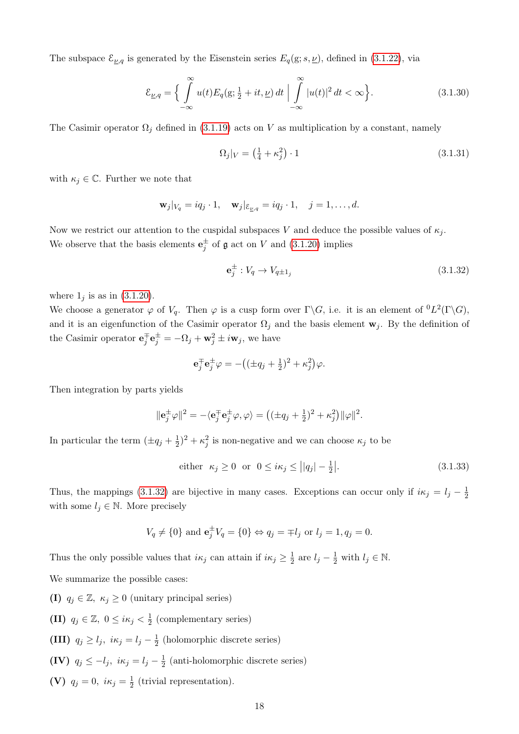The subspace  $\mathcal{E}_{\underline{\nu},q}$  is generated by the Eisenstein series  $E_q(\mathrm{g}; s, \underline{\nu})$ , defined in [\(3.1.22\)](#page-20-1), via

$$
\mathcal{E}_{\underline{\nu},q} = \left\{ \int_{-\infty}^{\infty} u(t) E_q(\mathbf{g}; \frac{1}{2} + it, \underline{\nu}) dt \mid \int_{-\infty}^{\infty} |u(t)|^2 dt < \infty \right\}.
$$
 (3.1.30)

The Casimir operator  $\Omega_j$  defined in [\(3.1.19\)](#page-19-2) acts on V as multiplication by a constant, namely

<span id="page-23-3"></span><span id="page-23-1"></span>
$$
\Omega_j|_V = \left(\frac{1}{4} + \kappa_j^2\right) \cdot 1\tag{3.1.31}
$$

with  $\kappa_j \in \mathbb{C}$ . Further we note that

$$
\mathbf{w}_j|_{V_q} = iq_j \cdot 1, \quad \mathbf{w}_j|_{\mathcal{E}_{\underline{\nu},q}} = iq_j \cdot 1, \quad j = 1, \dots, d.
$$

Now we restrict our attention to the cuspidal subspaces V and deduce the possible values of  $\kappa_i$ . We observe that the basis elements  $\mathbf{e}_j^{\pm}$  of  $\mathfrak g$  act on V and [\(3.1.20\)](#page-20-2) implies

<span id="page-23-0"></span>
$$
\mathbf{e}_j^{\pm} : V_q \to V_{q \pm 1_j} \tag{3.1.32}
$$

where  $1_j$  is as in  $(3.1.20)$ .

We choose a generator  $\varphi$  of  $V_q$ . Then  $\varphi$  is a cusp form over  $\Gamma \backslash G$ , i.e. it is an element of  ${}^0L^2(\Gamma \backslash G)$ , and it is an eigenfunction of the Casimir operator  $\Omega_j$  and the basis element  $\mathbf{w}_j$ . By the definition of the Casimir operator  $\mathbf{e}_j^{\mp} \mathbf{e}_j^{\pm} = -\Omega_j + \mathbf{w}_j^2 \pm i \mathbf{w}_j$ , we have

$$
\mathbf{e}_j^{\mp} \mathbf{e}_j^{\pm} \varphi = -((\pm q_j + \frac{1}{2})^2 + \kappa_j^2)\varphi.
$$

Then integration by parts yields

$$
\|\mathbf{e}_j^{\pm}\varphi\|^2 = -\langle \mathbf{e}_j^{\mp}\mathbf{e}_j^{\pm}\varphi, \varphi \rangle = \big((\pm q_j + \frac{1}{2})^2 + \kappa_j^2\big) \|\varphi\|^2.
$$

In particular the term  $(\pm q_j + \frac{1}{2})$  $(\frac{1}{2})^2 + \kappa_j^2$  is non-negative and we can choose  $\kappa_j$  to be

<span id="page-23-2"></span>either 
$$
\kappa_j \ge 0
$$
 or  $0 \le i\kappa_j \le ||q_j| - \frac{1}{2}.$  (3.1.33)

Thus, the mappings [\(3.1.32\)](#page-23-0) are bijective in many cases. Exceptions can occur only if  $i\kappa_j = l_j - \frac{1}{2}$ 2 with some  $l_j \in \mathbb{N}$ . More precisely

$$
V_q \neq \{0\}
$$
 and  $\mathbf{e}_j^{\pm} V_q = \{0\} \Leftrightarrow q_j = \mp l_j \text{ or } l_j = 1, q_j = 0.$ 

Thus the only possible values that  $i\kappa_j$  can attain if  $i\kappa_j \geq \frac{1}{2}$  $\frac{1}{2}$  are  $l_j - \frac{1}{2}$  with  $l_j \in \mathbb{N}$ .

We summarize the possible cases:

(I)  $q_i \in \mathbb{Z}, \ \kappa_i \geq 0$  (unitary principal series)

(II)  $q_j \in \mathbb{Z}, 0 \leq i \kappa_j < \frac{1}{2}$  $\frac{1}{2}$  (complementary series)

(III)  $q_j \ge l_j, i\kappa_j = l_j - \frac{1}{2}$  $\frac{1}{2}$  (holomorphic discrete series)

- (IV)  $q_j \leq -l_j$ ,  $i\kappa_j = l_j \frac{1}{2}$  $\frac{1}{2}$  (anti-holomorphic discrete series)
- (V)  $q_j = 0, i\kappa_j = \frac{1}{2}$  $\frac{1}{2}$  (trivial representation).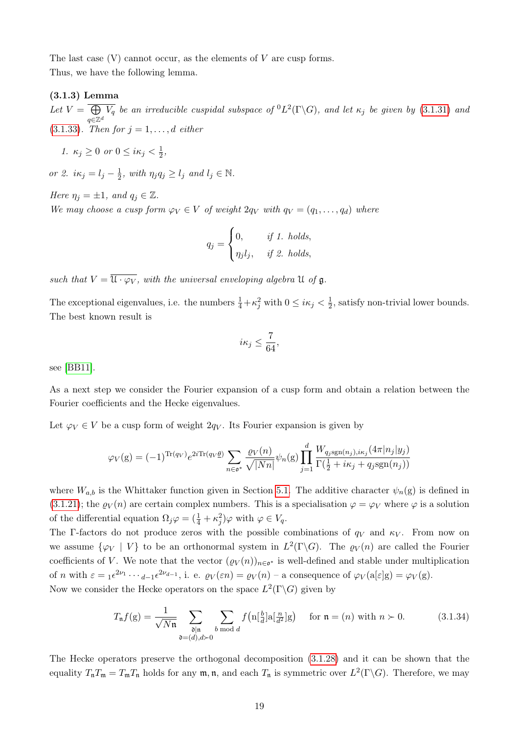The last case  $(V)$  cannot occur, as the elements of  $V$  are cusp forms. Thus, we have the following lemma.

### <span id="page-24-0"></span>(3.1.3) Lemma

Let  $V = \bigoplus$ q∈Z<sup>d</sup>  $\overline{V_q}$  be an irreducible cuspidal subspace of  ${}^0L^2(\Gamma \backslash G)$ , and let  $\kappa_j$  be given by [\(3.1.31\)](#page-23-1) and [\(3.1.33\)](#page-23-2). Then for  $j = 1, ..., d$  either

$$
1. \ \kappa_j \ge 0 \ \text{or} \ 0 \le i\kappa_j < \frac{1}{2},
$$

or 2.  $i\kappa_j = l_j - \frac{1}{2}$  $\frac{1}{2}$ , with  $\eta_j q_j \ge l_j$  and  $l_j \in \mathbb{N}$ .

Here  $\eta_i = \pm 1$ , and  $q_i \in \mathbb{Z}$ . We may choose a cusp form  $\varphi_V \in V$  of weight  $2q_V$  with  $q_V = (q_1, \ldots, q_d)$  where

$$
q_j = \begin{cases} 0, & \text{if } 1. \text{ holds,} \\ \eta_j l_j, & \text{if } 2. \text{ holds,} \end{cases}
$$

such that  $V = \overline{\mathfrak{U} \cdot \varphi_V}$ , with the universal enveloping algebra  $\mathfrak U$  of  $\mathfrak g$ .

The exceptional eigenvalues, i.e. the numbers  $\frac{1}{4} + \kappa^2_j$  with  $0 \le i\kappa_j < \frac{1}{2}$  $\frac{1}{2}$ , satisfy non-trivial lower bounds. The best known result is

$$
i\kappa_j \leq \frac{7}{64},
$$

see [\[BB11\]](#page-85-8).

As a next step we consider the Fourier expansion of a cusp form and obtain a relation between the Fourier coefficients and the Hecke eigenvalues.

Let  $\varphi_V \in V$  be a cusp form of weight  $2q_V$ . Its Fourier expansion is given by

$$
\varphi_V(\mathbf{g}) = (-1)^{\text{Tr}(q_V)} e^{2i \text{Tr}(q_V \underline{\theta})} \sum_{n \in \mathfrak{o}^*} \frac{\varrho_V(n)}{\sqrt{|Nn|}} \psi_n(\mathbf{g}) \prod_{j=1}^d \frac{W_{q_j \text{sgn}(n_j), i\kappa_j}(4\pi |n_j| y_j)}{\Gamma(\frac{1}{2} + i\kappa_j + q_j \text{sgn}(n_j))}
$$

where  $W_{a,b}$  is the Whittaker function given in Section [5.1.](#page-82-1) The additive character  $\psi_n(g)$  is defined in [\(3.1.21\)](#page-20-3); the  $\varrho_V(n)$  are certain complex numbers. This is a specialisation  $\varphi = \varphi_V$  where  $\varphi$  is a solution of the differential equation  $\Omega_j \varphi = (\frac{1}{4} + \kappa_j^2) \varphi$  with  $\varphi \in V_q$ .

The Γ-factors do not produce zeros with the possible combinations of  $q_V$  and  $\kappa_V$ . From now on we assume  $\{\varphi_V \mid V\}$  to be an orthonormal system in  $L^2(\Gamma \backslash G)$ . The  $\varrho_V(n)$  are called the Fourier coefficients of V. We note that the vector  $(\varrho_V(n))_{n\in\mathfrak{o}^*}$  is well-defined and stable under multiplication of *n* with  $\varepsilon = {}_1 \varepsilon^{2\nu_1} \cdots {}_{d-1} \varepsilon^{2\nu_{d-1}}$ , i. e.  $\varrho_V(\varepsilon n) = \varrho_V(n)$  – a consequence of  $\varphi_V(a[\varepsilon]g) = \varphi_V(g)$ . Now we consider the Hecke operators on the space  $L^2(\Gamma \backslash G)$  given by

$$
T_{\mathfrak{n}}f(\mathbf{g}) = \frac{1}{\sqrt{N\mathfrak{n}}} \sum_{\substack{\mathfrak{d}|\mathfrak{n} \\ \mathfrak{d} = (d), d \succ 0}} \sum_{b \bmod d} f\left(\mathfrak{n}[\frac{b}{d}] \mathfrak{a}[\frac{n}{d^2}] \mathbf{g}\right) \quad \text{for } \mathfrak{n} = (n) \text{ with } n \succ 0. \tag{3.1.34}
$$

The Hecke operators preserve the orthogonal decomposition [\(3.1.28\)](#page-22-1) and it can be shown that the equality  $T_nT_m = T_mT_n$  holds for any  $m, n$ , and each  $T_n$  is symmetric over  $L^2(\Gamma \backslash G)$ . Therefore, we may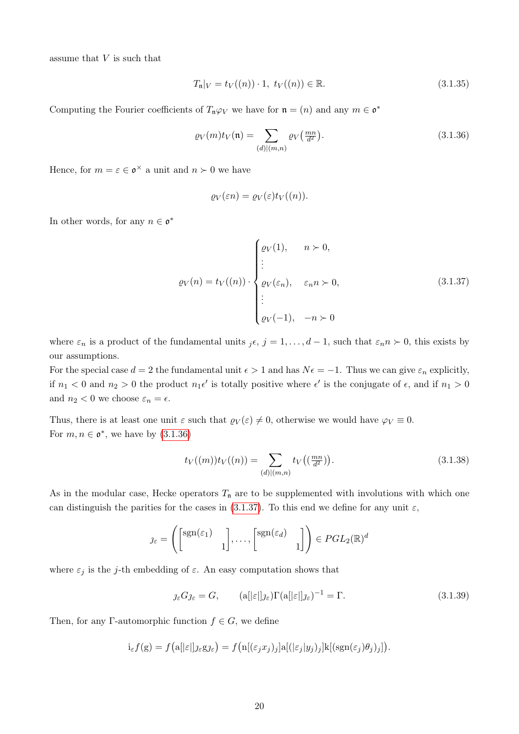assume that  $V$  is such that

<span id="page-25-3"></span>
$$
T_{n}|_{V} = t_{V}((n)) \cdot 1, \ t_{V}((n)) \in \mathbb{R}.
$$
\n(3.1.35)

Computing the Fourier coefficients of  $T_n\varphi_V$  we have for  $\mathfrak{n} = (n)$  and any  $m \in \mathfrak{o}^*$ 

$$
\varrho_V(m)t_V(\mathfrak{n}) = \sum_{(d)|(m,n)} \varrho_V\left(\frac{mn}{d^2}\right). \tag{3.1.36}
$$

Hence, for  $m = \varepsilon \in \mathfrak{o}^{\times}$  a unit and  $n \succ 0$  we have

<span id="page-25-0"></span>
$$
\varrho_V(\varepsilon n) = \varrho_V(\varepsilon) t_V((n)).
$$

In other words, for any  $n \in \mathfrak{o}^*$ 

<span id="page-25-1"></span>
$$
\varrho_V(n) = t_V((n)) \cdot \begin{cases} \varrho_V(1), & n \succ 0, \\ \vdots \\ \varrho_V(\varepsilon_n), & \varepsilon_n n \succ 0, \\ \vdots \\ \varrho_V(-1), & -n \succ 0 \end{cases} \tag{3.1.37}
$$

where  $\varepsilon_n$  is a product of the fundamental units  $j\epsilon$ ,  $j = 1, \ldots, d-1$ , such that  $\varepsilon_n n \succ 0$ , this exists by our assumptions.

For the special case  $d = 2$  the fundamental unit  $\epsilon > 1$  and has  $N\epsilon = -1$ . Thus we can give  $\varepsilon_n$  explicitly, if  $n_1 < 0$  and  $n_2 > 0$  the product  $n_1 \epsilon'$  is totally positive where  $\epsilon'$  is the conjugate of  $\epsilon$ , and if  $n_1 > 0$ and  $n_2 < 0$  we choose  $\varepsilon_n = \epsilon$ .

Thus, there is at least one unit  $\varepsilon$  such that  $\varrho_V(\varepsilon) \neq 0$ , otherwise we would have  $\varphi_V \equiv 0$ . For  $m, n \in \mathfrak{o}^*$ , we have by  $(3.1.36)$ 

<span id="page-25-4"></span>
$$
t_V((m))t_V((n)) = \sum_{(d)|(m,n)} t_V((\frac{mn}{d^2})).
$$
\n(3.1.38)

As in the modular case, Hecke operators  $T_n$  are to be supplemented with involutions with which one can distinguish the parities for the cases in [\(3.1.37\)](#page-25-1). To this end we define for any unit  $\varepsilon$ ,

$$
\jmath_{\varepsilon} = \left( \begin{bmatrix} \text{sgn}(\varepsilon_1) & 1 \\ 1 & 1 \end{bmatrix}, \dots, \begin{bmatrix} \text{sgn}(\varepsilon_d) & 1 \\ 1 & 1 \end{bmatrix} \right) \in PGL_2(\mathbb{R})^d
$$

where  $\varepsilon_j$  is the j-th embedding of  $\varepsilon$ . An easy computation shows that

<span id="page-25-2"></span>
$$
j_{\varepsilon}Gj_{\varepsilon} = G, \qquad (a[|\varepsilon|]j_{\varepsilon})\Gamma(a[|\varepsilon|]j_{\varepsilon})^{-1} = \Gamma.
$$
\n(3.1.39)

Then, for any Γ-automorphic function  $f \in G$ , we define

$$
i_{\varepsilon} f(g) = f\big(a[[\varepsilon]]_{\mathcal{J}\varepsilon} g_{\mathcal{J}\varepsilon}\big) = f\big(n[(\varepsilon_j x_j)_j]a[(\varepsilon_j|y_j)_j]k[(sgn(\varepsilon_j)\theta_j)_j]\big).
$$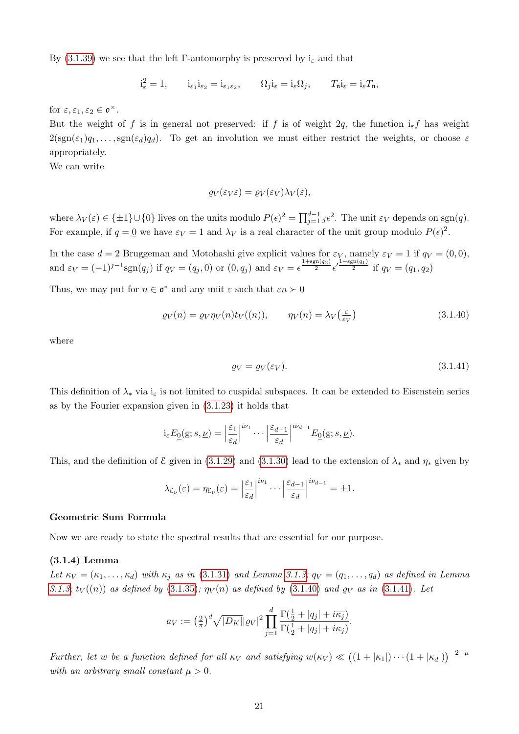By [\(3.1.39\)](#page-25-2) we see that the left Γ-automorphy is preserved by  $i_{\varepsilon}$  and that

$$
\mathbf{i}_{\varepsilon}^2=1, \qquad \mathbf{i}_{\varepsilon_1}\mathbf{i}_{\varepsilon_2}=\mathbf{i}_{\varepsilon_1\varepsilon_2}, \qquad \Omega_j\mathbf{i}_{\varepsilon}=\mathbf{i}_{\varepsilon}\Omega_j, \qquad T_\mathfrak{n}\mathbf{i}_{\varepsilon}=\mathbf{i}_{\varepsilon}T_\mathfrak{n},
$$

for  $\varepsilon, \varepsilon_1, \varepsilon_2 \in \mathfrak{o}^{\times}$ .

But the weight of f is in general not preserved: if f is of weight 2q, the function  $i_{\varepsilon} f$  has weight  $2(\text{sgn}(\epsilon_1)q_1,\ldots,\text{sgn}(\epsilon_d)q_d)$ . To get an involution we must either restrict the weights, or choose  $\epsilon$ appropriately.

We can write

$$
\varrho_V(\varepsilon_V \varepsilon) = \varrho_V(\varepsilon_V) \lambda_V(\varepsilon),
$$

where  $\lambda_V(\varepsilon) \in \{\pm 1\} \cup \{0\}$  lives on the units modulo  $P(\varepsilon)^2 = \prod_{j=1}^{d-1} j \varepsilon^2$ . The unit  $\varepsilon_V$  depends on sgn $(q)$ . For example, if  $q = 0$  we have  $\varepsilon_V = 1$  and  $\lambda_V$  is a real character of the unit group modulo  $P(\epsilon)^2$ .

In the case  $d = 2$  Bruggeman and Motohashi give explicit values for  $\varepsilon_V$ , namely  $\varepsilon_V = 1$  if  $q_V = (0, 0)$ , and  $\varepsilon_V = (-1)^{j-1} \text{sgn}(q_j)$  if  $q_V = (q_j, 0)$  or  $(0, q_j)$  and  $\varepsilon_V = \epsilon^{\frac{1+\text{sgn}(q_2)}{2}} \epsilon'^{\frac{1-\text{sgn}(q_1)}{2}}$  if  $q_V = (q_1, q_2)$ 

Thus, we may put for  $n \in \mathfrak{o}^*$  and any unit  $\varepsilon$  such that  $\varepsilon n \succ 0$ 

$$
\varrho_V(n) = \varrho_V \eta_V(n) t_V((n)), \qquad \eta_V(n) = \lambda_V\left(\frac{\varepsilon}{\varepsilon_V}\right) \tag{3.1.40}
$$

where

<span id="page-26-2"></span><span id="page-26-1"></span>
$$
\varrho_V = \varrho_V(\varepsilon_V). \tag{3.1.41}
$$

This definition of  $\lambda_*$  via  $i_{\varepsilon}$  is not limited to cuspidal subspaces. It can be extended to Eisenstein series as by the Fourier expansion given in [\(3.1.23\)](#page-20-4) it holds that

$$
i_{\varepsilon} E_{\underline{0}}(g; s, \underline{\nu}) = \left| \frac{\varepsilon_1}{\varepsilon_d} \right|^{i\nu_1} \cdots \left| \frac{\varepsilon_{d-1}}{\varepsilon_d} \right|^{i\nu_{d-1}} E_{\underline{0}}(g; s, \underline{\nu}).
$$

This, and the definition of  $\mathcal E$  given in [\(3.1.29\)](#page-22-2) and [\(3.1.30\)](#page-23-3) lead to the extension of  $\lambda_*$  and  $\eta_*$  given by

$$
\lambda_{\mathcal{E}_{\underline{\nu}}}(\varepsilon) = \eta_{\mathcal{E}_{\underline{\nu}}}(\varepsilon) = \left| \frac{\varepsilon_1}{\varepsilon_d} \right|^{i\nu_1} \cdots \left| \frac{\varepsilon_{d-1}}{\varepsilon_d} \right|^{i\nu_{d-1}} = \pm 1.
$$

### <span id="page-26-0"></span>Geometric Sum Formula

Now we are ready to state the spectral results that are essential for our purpose.

### <span id="page-26-3"></span>(3.1.4) Lemma

Let  $\kappa_V = (\kappa_1, \ldots, \kappa_d)$  with  $\kappa_j$  as in [\(3.1.31\)](#page-23-1) and Lemma [3.1.3;](#page-24-0)  $q_V = (q_1, \ldots, q_d)$  as defined in Lemma [3.1.3;](#page-24-0)  $t_V((n))$  as defined by [\(3.1.35\)](#page-25-3);  $\eta_V(n)$  as defined by [\(3.1.40\)](#page-26-1) and  $\rho_V$  as in [\(3.1.41\)](#page-26-2). Let

$$
a_V := \left(\frac{2}{\pi}\right)^d \sqrt{|D_K|} |Q_V|^2 \prod_{j=1}^d \frac{\Gamma(\frac{1}{2} + |q_j| + i\overline{\kappa_j})}{\Gamma(\frac{1}{2} + |q_j| + i\kappa_j)}.
$$

Further, let w be a function defined for all  $\kappa_V$  and satisfying  $w(\kappa_V) \ll ((1+|\kappa_1|) \cdots (1+|\kappa_d|))^{-2-\mu}$ with an arbitrary small constant  $\mu > 0$ .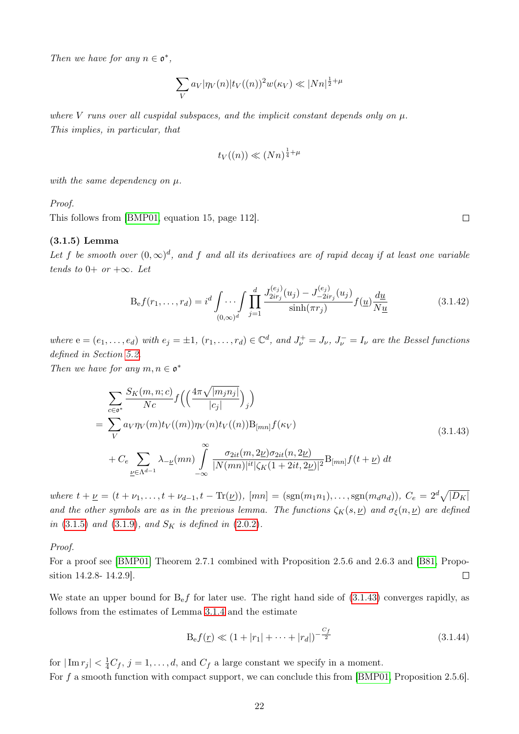Then we have for any  $n \in \mathfrak{o}^*$ ,

$$
\sum_{V} a_V |\eta_V(n)| t_V((n))^2 w(\kappa_V) \ll |Nn|^{\frac{1}{2} + \mu}
$$

where V runs over all cuspidal subspaces, and the implicit constant depends only on  $\mu$ . This implies, in particular, that

$$
t_V((n)) \ll (Nn)^{\frac{1}{4} + \mu}
$$

with the same dependency on  $\mu$ .

Proof.

This follows from [\[BMP01,](#page-85-7) equation 15, page 112].

#### (3.1.5) Lemma

Let f be smooth over  $(0,\infty)^d$ , and f and all its derivatives are of rapid decay if at least one variable tends to  $0+$  or  $+\infty$ . Let

$$
B_{\rm e}f(r_1,\ldots,r_d) = i^d \int \ldots \int \prod_{j=1}^d \frac{J_{2ir_j}^{(e_j)}(u_j) - J_{-2ir_j}^{(e_j)}(u_j)}{\sinh(\pi r_j)} f(\underline{u}) \frac{d\underline{u}}{N\underline{u}} \tag{3.1.42}
$$

where  $e = (e_1, \ldots, e_d)$  with  $e_j = \pm 1$ ,  $(r_1, \ldots, r_d) \in \mathbb{C}^d$ , and  $J_{\nu}^+ = J_{\nu}$ ,  $J_{\nu}^- = I_{\nu}$  are the Bessel functions defined in Section [5.2.](#page-82-2)

Then we have for any  $m, n \in \mathfrak{o}^*$ 

<span id="page-27-0"></span>
$$
\sum_{c \in \mathfrak{o}^*} \frac{S_K(m, n; c)}{Nc} f\left(\left(\frac{4\pi\sqrt{|m_j n_j|}}{|c_j|}\right)_j\right)
$$
\n
$$
= \sum_{V} a_V \eta_V(m) t_V(m) \eta_V(n) t_V(n) B_{[mn]} f(\kappa_V)
$$
\n
$$
+ C_e \sum_{\underline{\nu} \in \Lambda^{d-1}} \lambda_{-\underline{\nu}}(mn) \int_{-\infty}^{\infty} \frac{\sigma_{2it}(m, 2\underline{\nu}) \sigma_{2it}(n, 2\underline{\nu})}{|N(mn)|^{it} |\zeta_K(1+2it, 2\underline{\nu})|^2} B_{[mn]} f(t+\underline{\nu}) dt
$$
\n(3.1.43)

where  $t + \underline{\nu} = (t + \nu_1, \ldots, t + \nu_{d-1}, t - \text{Tr}(\underline{\nu}))$ ,  $[mn] = (\text{sgn}(m_1 n_1), \ldots, \text{sgn}(m_d n_d)), C_e = 2^d \sqrt{|D_K|}$ and the other symbols are as in the previous lemma. The functions  $\zeta_K(s, \underline{\nu})$  and  $\sigma_{\xi}(n, \underline{\nu})$  are defined in  $(3.1.5)$  and  $(3.1.9)$ , and  $S_K$  is defined in  $(2.0.2)$ .

Proof.

For a proof see [\[BMP01\]](#page-85-7) Theorem 2.7.1 combined with Proposition 2.5.6 and 2.6.3 and [\[B81,](#page-85-10) Proposition 14.2.8- 14.2.9].  $\Box$ 

We state an upper bound for  $B<sub>e</sub> f$  for later use. The right hand side of  $(3.1.43)$  converges rapidly, as follows from the estimates of Lemma [3.1.4](#page-26-3) and the estimate

<span id="page-27-2"></span>
$$
B_{e}f(\underline{r}) \ll (1+|r_{1}|+\cdots+|r_{d}|)^{-\frac{C_{f}}{2}}
$$
\n(3.1.44)

for  $|\operatorname{Im} r_j| < \frac{1}{4}C_f$ ,  $j = 1, ..., d$ , and  $C_f$  a large constant we specify in a moment. For f a smooth function with compact support, we can conclude this from [\[BMP01,](#page-85-7) Proposition 2.5.6].

<span id="page-27-1"></span> $\Box$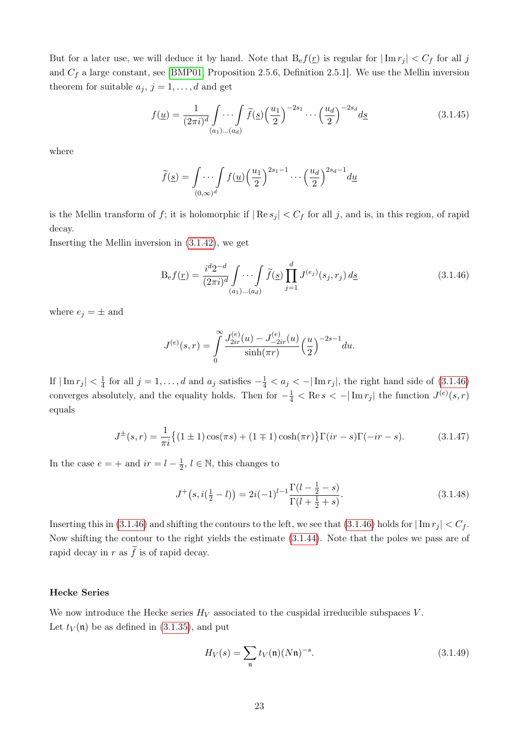But for a later use, we will deduce it by hand. Note that  $B_{\rm e}f(\underline{r})$  is regular for  $|\operatorname{Im} r_j| < C_f$  for all j and  $C_f$  a large constant, see [\[BMP01,](#page-85-7) Proposition 2.5.6, Definition 2.5.1]. We use the Mellin inversion theorem for suitable  $a_j, j = 1, \ldots, d$  and get

$$
f(\underline{u}) = \frac{1}{(2\pi i)^d} \int \cdots \int \widetilde{f}(s) \left(\frac{u_1}{2}\right)^{-2s_1} \cdots \left(\frac{u_d}{2}\right)^{-2s_d} d\underline{s}
$$
(3.1.45)

where

$$
\widetilde{f}(\underline{s}) = \int \cdots \int f(\underline{u}) \left(\frac{u_1}{2}\right)^{2s_1 - 1} \cdots \left(\frac{u_d}{2}\right)^{2s_d - 1} d\underline{u}
$$

is the Mellin transform of f; it is holomorphic if  $|\text{Re } s_j| < C_f$  for all j, and is, in this region, of rapid decay.

Inserting the Mellin inversion in [\(3.1.42\)](#page-27-1), we get

<span id="page-28-1"></span>
$$
B_{e}f(\underline{r}) = \frac{i^{d}2^{-d}}{(2\pi i)^{d}} \int \cdots \int \widetilde{f}(\underline{s}) \prod_{j=1}^{d} J^{(e_j)}(s_j, r_j) d\underline{s}
$$
 (3.1.46)

where  $e_j = \pm$  and

$$
J^{(e)}(s,r) = \int_{0}^{\infty} \frac{J_{2ir}^{(e)}(u) - J_{-2ir}^{(e)}(u)}{\sinh(\pi r)} \left(\frac{u}{2}\right)^{-2s-1} du.
$$

If  $|\operatorname{Im} r_j| < \frac{1}{4}$  $\frac{1}{4}$  for all  $j = 1, ..., d$  and  $a_j$  satisfies  $-\frac{1}{4} < a_j < -|\operatorname{Im} r_j|$ , the right hand side of  $(3.1.46)$ converges absolutely, and the equality holds. Then for  $-\frac{1}{4} < \text{Re } s < -|\text{Im } r_j|$  the function  $J^{(e)}(s,r)$ equals

$$
J^{\pm}(s,r) = \frac{1}{\pi i} \{ (1 \pm 1) \cos(\pi s) + (1 \mp 1) \cosh(\pi r) \} \Gamma(ir-s) \Gamma(-ir-s).
$$
 (3.1.47)

In the case  $e = +$  and  $ir = l - \frac{1}{2}$  $\frac{1}{2}$ ,  $l \in \mathbb{N}$ , this changes to

$$
J^+(s, i(\frac{1}{2} - l)) = 2i(-1)^{l-1} \frac{\Gamma(l - \frac{1}{2} - s)}{\Gamma(l + \frac{1}{2} + s)}.
$$
\n(3.1.48)

Inserting this in [\(3.1.46\)](#page-28-1) and shifting the contours to the left, we see that (3.1.46) holds for  $|\text{Im } r_j| < C_f$ . Now shifting the contour to the right yields the estimate [\(3.1.44\)](#page-27-2). Note that the poles we pass are of rapid decay in r as  $\tilde{f}$  is of rapid decay.

### <span id="page-28-0"></span>Hecke Series

We now introduce the Hecke series  $H_V$  associated to the cuspidal irreducible subspaces V. Let  $t_V(\mathfrak{n})$  be as defined in [\(3.1.35\)](#page-25-3), and put

$$
H_V(s) = \sum_{\mathfrak{n}} t_V(\mathfrak{n})(N\mathfrak{n})^{-s}.
$$
 (3.1.49)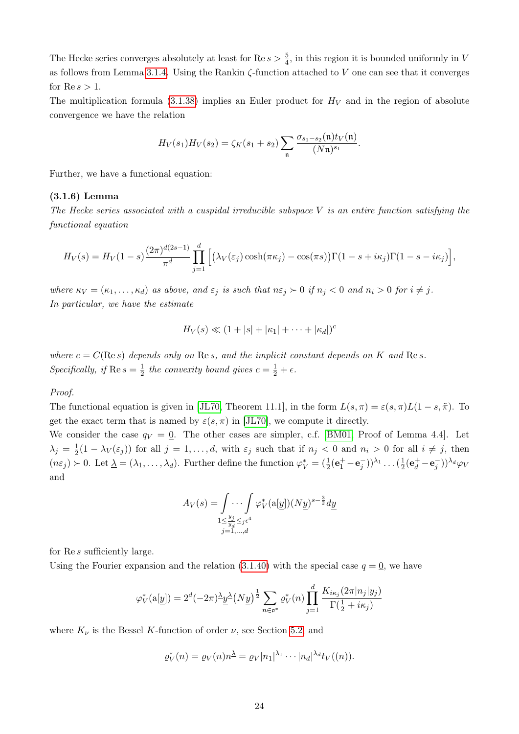The Hecke series converges absolutely at least for  $\text{Re } s > \frac{5}{4}$ , in this region it is bounded uniformly in V as follows from Lemma [3.1.4.](#page-26-3) Using the Rankin  $\zeta$ -function attached to V one can see that it converges for  $\mathop{\mathrm{Re}} s > 1$ .

The multiplication formula [\(3.1.38\)](#page-25-4) implies an Euler product for  $H_V$  and in the region of absolute convergence we have the relation

$$
H_V(s_1)H_V(s_2) = \zeta_K(s_1+s_2) \sum_{\mathfrak{n}} \frac{\sigma_{s_1-s_2}(\mathfrak{n}) t_V(\mathfrak{n})}{(N\mathfrak{n})^{s_1}}.
$$

Further, we have a functional equation:

### (3.1.6) Lemma

The Hecke series associated with a cuspidal irreducible subspace  $V$  is an entire function satisfying the functional equation

$$
H_V(s) = H_V(1-s)\frac{(2\pi)^{d(2s-1)}}{\pi^d} \prod_{j=1}^d \Big[ \big(\lambda_V(\varepsilon_j)\cosh(\pi\kappa_j) - \cos(\pi s)\big)\Gamma(1-s+i\kappa_j)\Gamma(1-s-i\kappa_j)\Big],
$$

where  $\kappa_V = (\kappa_1, \ldots, \kappa_d)$  as above, and  $\varepsilon_j$  is such that  $n\varepsilon_j \succ 0$  if  $n_j < 0$  and  $n_i > 0$  for  $i \neq j$ . In particular, we have the estimate

$$
H_V(s) \ll (1+|s|+|\kappa_1|+\cdots+|\kappa_d|)^c
$$

where  $c = C(\text{Re } s)$  depends only on  $\text{Re } s$ , and the implicit constant depends on K and  $\text{Re } s$ . Specifically, if  $\text{Re } s = \frac{1}{2}$  $\frac{1}{2}$  the convexity bound gives  $c = \frac{1}{2} + \epsilon$ .

### Proof.

The functional equation is given in [\[JL70,](#page-86-13) Theorem 11.1], in the form  $L(s, \pi) = \varepsilon(s, \pi) L(1 - s, \tilde{\pi})$ . To get the exact term that is named by  $\varepsilon(s, \pi)$  in [\[JL70\]](#page-86-13), we compute it directly.

We consider the case  $q_V = 0$ . The other cases are simpler, c.f. [\[BM01,](#page-85-4) Proof of Lemma 4.4]. Let  $\lambda_j = \frac{1}{2}$  $\frac{1}{2}(1 - \lambda_V(\varepsilon_j))$  for all  $j = 1, \ldots, d$ , with  $\varepsilon_j$  such that if  $n_j < 0$  and  $n_i > 0$  for all  $i \neq j$ , then  $(n\varepsilon_j) \succ 0$ . Let  $\underline{\lambda} = (\lambda_1, \ldots, \lambda_d)$ . Further define the function  $\varphi_V^* = (\frac{1}{2}(\mathbf{e}_1^+ - \mathbf{e}_j^-))^{\lambda_1} \ldots (\frac{1}{2}$  $\frac{1}{2}(\mathbf{e}_d^+ - \mathbf{e}_j^-))^{\lambda_d} \varphi_V$ and

$$
A_V(s) = \int \cdots \int \varphi_V^*(\mathbf{a}[y])(Ny)^{s-\frac{3}{2}}dy
$$
  

$$
\sum_{\substack{1 \le \frac{y_j}{y_d} \le j\epsilon^4 \\ j=1,\dots,d}}
$$

for Re s sufficiently large.

Using the Fourier expansion and the relation  $(3.1.40)$  with the special case  $q = 0$ , we have

$$
\varphi_V^*(\mathbf{a}[\underline{y}]) = 2^d(-2\pi)\frac{\lambda}{\underline{y}}\frac{\lambda}{\underline{y}}(Ny)^{\frac{1}{2}} \sum_{n \in \mathfrak{o}^*} \varrho_V^*(n) \prod_{j=1}^d \frac{K_{i\kappa_j}(2\pi|n_j|y_j)}{\Gamma(\frac{1}{2} + i\kappa_j)}
$$

where  $K_{\nu}$  is the Bessel K-function of order  $\nu$ , see Section [5.2,](#page-82-2) and

$$
\varrho_V^*(n) = \varrho_V(n) n^{\underline{\lambda}} = \varrho_V |n_1|^{\lambda_1} \cdots |n_d|^{\lambda_d} t_V((n)).
$$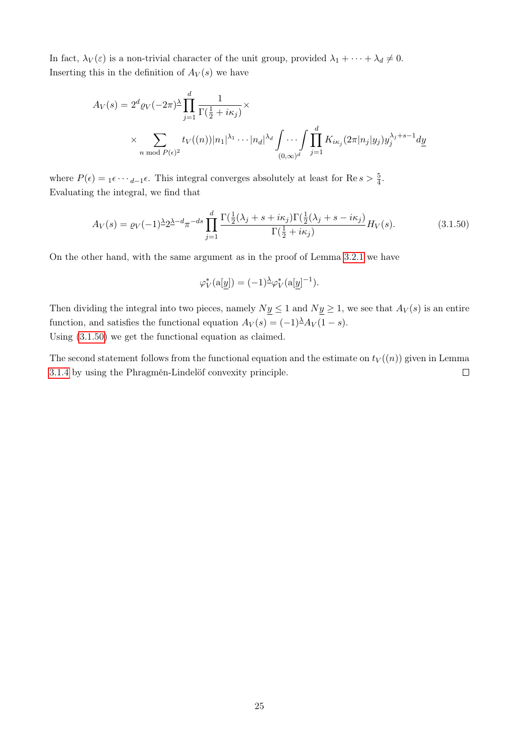In fact,  $\lambda_V(\varepsilon)$  is a non-trivial character of the unit group, provided  $\lambda_1 + \cdots + \lambda_d \neq 0$ . Inserting this in the definition of  $A_V(s)$  we have

$$
A_V(s) = 2^d \varrho_V(-2\pi)^\lambda \prod_{j=1}^d \frac{1}{\Gamma(\frac{1}{2} + i\kappa_j)} \times \times \sum_{n \bmod P(\epsilon)^2} t_V((n)) |n_1|^{\lambda_1} \cdots |n_d|^{\lambda_d} \int_{(0,\infty)^d} \prod_{j=1}^d K_{i\kappa_j}(2\pi |n_j| y_j) y_j^{\lambda_j+s-1} dy
$$

where  $P(\epsilon) = {}_1\epsilon \cdots {}_{d-1}\epsilon$ . This integral converges absolutely at least for Re  $s > \frac{5}{4}$ . Evaluating the integral, we find that

$$
A_V(s) = \varrho_V(-1)^{\underline{\lambda}} 2^{\underline{\lambda} - d} \pi^{-ds} \prod_{j=1}^d \frac{\Gamma(\frac{1}{2}(\lambda_j + s + i\kappa_j)\Gamma(\frac{1}{2}(\lambda_j + s - i\kappa_j)}{\Gamma(\frac{1}{2} + i\kappa_j)} H_V(s).
$$
(3.1.50)

On the other hand, with the same argument as in the proof of Lemma [3.2.1](#page-35-1) we have

<span id="page-30-0"></span>
$$
\varphi_V^*(\mathbf{a}[\underline{y}]) = (-1)^{\underline{\lambda}} \varphi_V^*(\mathbf{a}[\underline{y}]^{-1}).
$$

Then dividing the integral into two pieces, namely  $Ny \le 1$  and  $Ny \ge 1$ , we see that  $A_V(s)$  is an entire function, and satisfies the functional equation  $A_V(s) = (-1)^{\lambda} A_V(1-s)$ . Using [\(3.1.50\)](#page-30-0) we get the functional equation as claimed.

The second statement follows from the functional equation and the estimate on  $t_V((n))$  given in Lemma [3.1.4](#page-26-3) by using the Phragmén-Lindelöf convexity principle.  $\Box$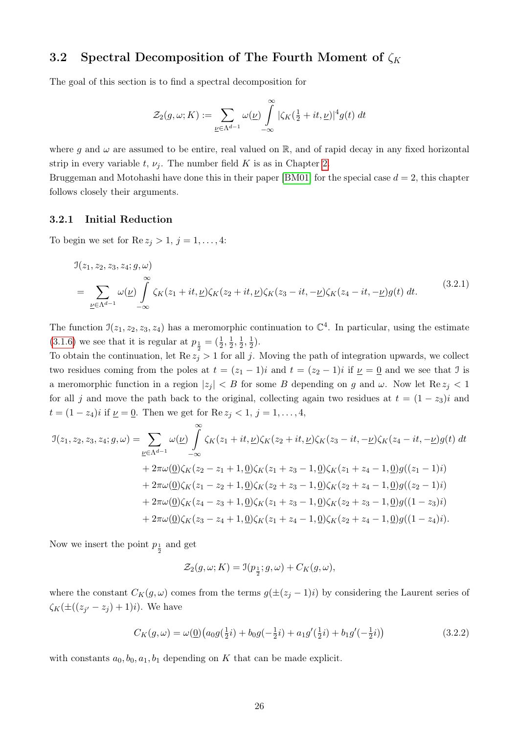### <span id="page-31-0"></span>3.2 Spectral Decomposition of The Fourth Moment of  $\zeta_K$

The goal of this section is to find a spectral decomposition for

$$
\mathcal{Z}_2(g,\omega;K) := \sum_{\underline{\nu} \in \Lambda^{d-1}} \omega(\underline{\nu}) \int_{-\infty}^{\infty} |\zeta_K(\tfrac{1}{2} + it, \underline{\nu})|^4 g(t) dt
$$

where g and  $\omega$  are assumed to be entire, real valued on  $\mathbb{R}$ , and of rapid decay in any fixed horizontal strip in every variable t,  $\nu_i$ . The number field K is as in Chapter [2.](#page-13-0)

Bruggeman and Motohashi have done this in their paper [\[BM01\]](#page-85-4) for the special case  $d = 2$ , this chapter follows closely their arguments.

### <span id="page-31-1"></span>3.2.1 Initial Reduction

To begin we set for  $\text{Re } z_j > 1, j = 1, \ldots, 4$ :

<span id="page-31-2"></span>
$$
J(z_1, z_2, z_3, z_4; g, \omega)
$$
  
= 
$$
\sum_{\underline{\nu} \in \Lambda^{d-1}} \omega(\underline{\nu}) \int_{-\infty}^{\infty} \zeta_K(z_1 + it, \underline{\nu}) \zeta_K(z_2 + it, \underline{\nu}) \zeta_K(z_3 - it, -\underline{\nu}) \zeta_K(z_4 - it, -\underline{\nu}) g(t) dt.
$$
 (3.2.1)

The function  $\mathfrak{I}(z_1, z_2, z_3, z_4)$  has a meromorphic continuation to  $\mathbb{C}^4$ . In particular, using the estimate [\(3.1.6\)](#page-16-2) we see that it is regular at  $p_{\frac{1}{2}} = (\frac{1}{2}, \frac{1}{2})$  $\frac{1}{2}, \frac{1}{2}$  $\frac{1}{2}, \frac{1}{2}$  $(\frac{1}{2})$ .

To obtain the continuation, let  $\text{Re } z_j > 1$  for all j. Moving the path of integration upwards, we collect two residues coming from the poles at  $t = (z_1 - 1)i$  and  $t = (z_2 - 1)i$  if  $\nu = 0$  and we see that J is a meromorphic function in a region  $|z_j| < B$  for some B depending on g and  $\omega$ . Now let  $\text{Re } z_j < 1$ for all j and move the path back to the original, collecting again two residues at  $t = (1 - z_3)i$  and  $t = (1 - z_4)i$  if  $\underline{\nu} = \underline{0}$ . Then we get for  $\text{Re } z_j < 1, j = 1, \ldots, 4$ ,

$$
\begin{split} \mathfrak{I}(z_1,z_2,z_3,z_4;g,\omega) &= \sum_{\underline{\nu}\in\Lambda^{d-1}} \omega(\underline{\nu}) \int_{-\infty}^{\infty} \zeta_K(z_1+it,\underline{\nu})\zeta_K(z_2+it,\underline{\nu})\zeta_K(z_3-it,-\underline{\nu})\zeta_K(z_4-it,-\underline{\nu})g(t) \, dt \\ &+ 2\pi\omega(\underline{0})\zeta_K(z_2-z_1+1,\underline{0})\zeta_K(z_1+z_3-1,\underline{0})\zeta_K(z_1+z_4-1,\underline{0})g((z_1-1)i) \\ &+ 2\pi\omega(\underline{0})\zeta_K(z_1-z_2+1,\underline{0})\zeta_K(z_2+z_3-1,\underline{0})\zeta_K(z_2+z_4-1,\underline{0})g((z_2-1)i) \\ &+ 2\pi\omega(\underline{0})\zeta_K(z_4-z_3+1,\underline{0})\zeta_K(z_1+z_3-1,\underline{0})\zeta_K(z_2+z_3-1,\underline{0})g((1-z_3)i) \\ &+ 2\pi\omega(\underline{0})\zeta_K(z_3-z_4+1,\underline{0})\zeta_K(z_1+z_4-1,\underline{0})\zeta_K(z_2+z_4-1,\underline{0})g((1-z_4)i). \end{split}
$$

Now we insert the point  $p_{\frac{1}{2}}$  and get

$$
\mathcal{Z}_2(g, \omega; K) = \mathfrak{I}(p_{\frac{1}{2}}; g, \omega) + C_K(g, \omega),
$$

where the constant  $C_K(g, \omega)$  comes from the terms  $g(\pm(z_j - 1)i)$  by considering the Laurent series of  $\zeta_K(\pm((z_{j'}-z_j)+1)i)$ . We have

$$
C_K(g,\omega) = \omega(\underline{0}) \left( a_0 g(\frac{1}{2}i) + b_0 g(-\frac{1}{2}i) + a_1 g'(\frac{1}{2}i) + b_1 g'(-\frac{1}{2}i) \right) \tag{3.2.2}
$$

with constants  $a_0, b_0, a_1, b_1$  depending on K that can be made explicit.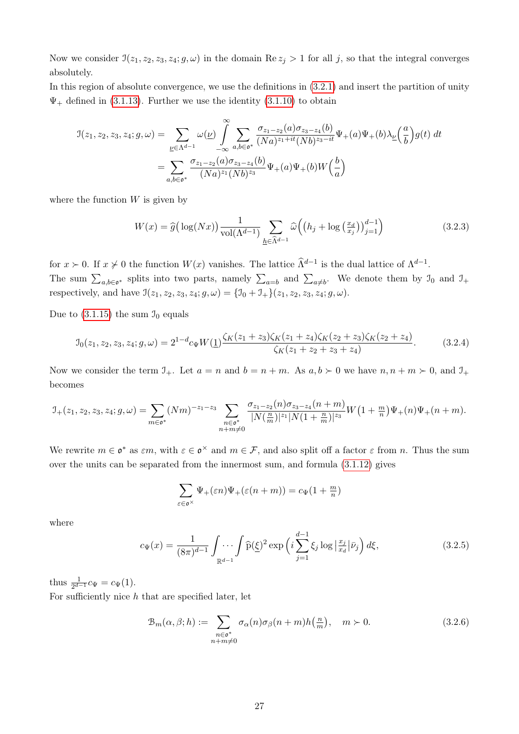Now we consider  $\mathcal{I}(z_1, z_2, z_3, z_4; g, \omega)$  in the domain Re  $z_j > 1$  for all j, so that the integral converges absolutely.

In this region of absolute convergence, we use the definitions in [\(3.2.1\)](#page-31-2) and insert the partition of unity  $\Psi_+$  defined in [\(3.1.13\)](#page-18-3). Further we use the identity [\(3.1.10\)](#page-18-0) to obtain

$$
\mathcal{I}(z_1, z_2, z_3, z_4; g, \omega) = \sum_{\underline{\nu} \in \Lambda^{d-1}} \omega(\underline{\nu}) \int_{-\infty}^{\infty} \sum_{a,b \in \mathfrak{o}^*} \frac{\sigma_{z_1 - z_2}(a) \sigma_{z_3 - z_4}(b)}{(Na)^{z_1 + it}(Nb)^{z_3 - it}} \Psi_{+}(a) \Psi_{+}(b) \lambda_{\underline{\nu}}\left(\frac{a}{b}\right) g(t) dt
$$

$$
= \sum_{a,b \in \mathfrak{o}^*} \frac{\sigma_{z_1 - z_2}(a) \sigma_{z_3 - z_4}(b)}{(Na)^{z_1}(Nb)^{z_3}} \Psi_{+}(a) \Psi_{+}(b) W\left(\frac{b}{a}\right)
$$

where the function  $W$  is given by

$$
W(x) = \hat{g}\left(\log(Nx)\right) \frac{1}{\text{vol}(\Lambda^{d-1})} \sum_{\underline{h} \in \hat{\Lambda}^{d-1}} \hat{\omega}\left(\left(h_j + \log\left(\frac{x_d}{x_j}\right)\right)_{j=1}^{d-1}\right) \tag{3.2.3}
$$

for  $x > 0$ . If  $x \neq 0$  the function  $W(x)$  vanishes. The lattice  $\widehat{\Lambda}^{d-1}$  is the dual lattice of  $\Lambda^{d-1}$ . The sum  $\sum_{a,b\in\mathfrak{o}^*}$  splits into two parts, namely  $\sum_{a=b}$  and  $\sum_{a\neq b}$ . We denote them by  $\mathfrak{I}_0$  and  $\mathfrak{I}_+$ respectively, and have  $\mathcal{I}(z_1, z_2, z_3, z_4; g, \omega) = {\mathcal{I}_0 + \mathcal{I}_+} (z_1, z_2, z_3, z_4; g, \omega)$ .

Due to  $(3.1.15)$  the sum  $\mathcal{I}_0$  equals

$$
\mathcal{I}_0(z_1, z_2, z_3, z_4; g, \omega) = 2^{1-d} c_\Psi W(\underline{1}) \frac{\zeta_K(z_1 + z_3) \zeta_K(z_1 + z_4) \zeta_K(z_2 + z_3) \zeta_K(z_2 + z_4)}{\zeta_K(z_1 + z_2 + z_3 + z_4)}.
$$
(3.2.4)

Now we consider the term  $\mathcal{I}_+$ . Let  $a = n$  and  $b = n + m$ . As  $a, b \succ 0$  we have  $n, n + m \succ 0$ , and  $\mathcal{I}_+$ becomes

$$
\mathbf{I}_{+}(z_1,z_2,z_3,z_4;g,\omega) = \sum_{m \in \mathfrak{o}^*} (Nm)^{-z_1-z_3} \sum_{\substack{n \in \mathfrak{o}^* \\ n+m \neq 0}} \frac{\sigma_{z_1-z_2}(n)\sigma_{z_3-z_4}(n+m)}{|N(\frac{n}{m})|^{z_1}|N(1+\frac{n}{m})|^{z_3}} W\big(1+\frac{m}{n}\big)\Psi_+(n)\Psi_+(n+m).
$$

We rewrite  $m \in \mathfrak{o}^*$  as  $\varepsilon m$ , with  $\varepsilon \in \mathfrak{o}^{\times}$  and  $m \in \mathcal{F}$ , and also split off a factor  $\varepsilon$  from n. Thus the sum over the units can be separated from the innermost sum, and formula  $(3.1.12)$  gives

$$
\sum_{\varepsilon \in \mathfrak{o}^{\times}} \Psi_{+}(\varepsilon n) \Psi_{+}(\varepsilon (n+m)) = c_{\Psi}(1 + \frac{m}{n})
$$

where

$$
c_{\Psi}(x) = \frac{1}{(8\pi)^{d-1}} \int \cdots \int \widehat{p}(\xi)^2 \exp\left(i \sum_{j=1}^{d-1} \xi_j \log \left|\frac{x_j}{x_d}\right| \bar{\nu}_j\right) d\xi, \tag{3.2.5}
$$

thus  $\frac{1}{2^{d-1}}c_{\Psi} = c_{\Psi}(1)$ .

For sufficiently nice  $h$  that are specified later, let

$$
\mathcal{B}_{m}(\alpha,\beta;h) := \sum_{\substack{n \in \mathfrak{g}^*\\ n+m \neq 0}} \sigma_{\alpha}(n)\sigma_{\beta}(n+m)h\left(\frac{n}{m}\right), \quad m \succ 0. \tag{3.2.6}
$$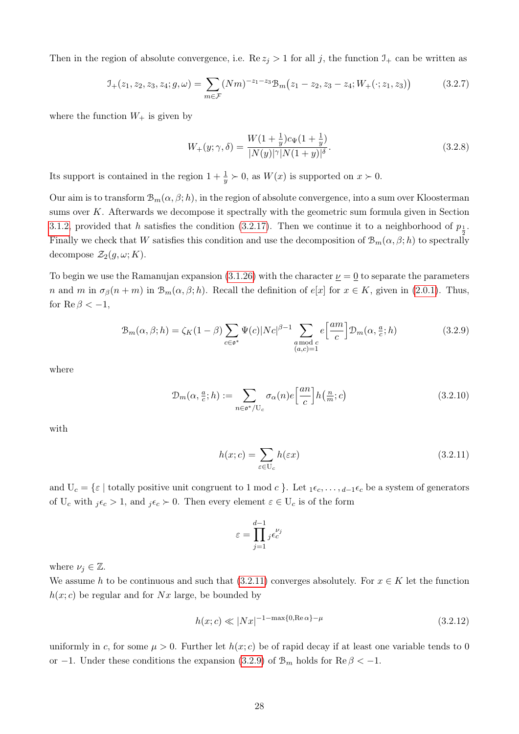Then in the region of absolute convergence, i.e. Re  $z_j > 1$  for all j, the function  $\mathcal{I}_+$  can be written as

$$
\mathcal{I}_{+}(z_1, z_2, z_3, z_4; g, \omega) = \sum_{m \in \mathcal{F}} (Nm)^{-z_1 - z_3} \mathcal{B}_m(z_1 - z_2, z_3 - z_4; W_{+}(\cdot; z_1, z_3)) \tag{3.2.7}
$$

where the function  $W_+$  is given by

$$
W_{+}(y; \gamma, \delta) = \frac{W(1 + \frac{1}{y})c_{\Psi}(1 + \frac{1}{y})}{|N(y)|^{\gamma}|N(1 + y)|^{\delta}}.
$$
\n(3.2.8)

Its support is contained in the region  $1 + \frac{1}{y} \succ 0$ , as  $W(x)$  is supported on  $x \succ 0$ .

Our aim is to transform  $\mathcal{B}_m(\alpha,\beta;h)$ , in the region of absolute convergence, into a sum over Kloosterman sums over  $K$ . Afterwards we decompose it spectrally with the geometric sum formula given in Section [3.1.2,](#page-22-0) provided that h satisfies the condition [\(3.2.17\)](#page-35-2). Then we continue it to a neighborhood of  $p_1$ . 2 Finally we check that W satisfies this condition and use the decomposition of  $\mathcal{B}_m(\alpha,\beta;h)$  to spectrally decompose  $\mathcal{Z}_2(g,\omega;K)$ .

To begin we use the Ramanujan expansion  $(3.1.26)$  with the character  $\nu = 0$  to separate the parameters n and m in  $\sigma_{\beta}(n+m)$  in  $\mathcal{B}_m(\alpha,\beta;h)$ . Recall the definition of  $e[x]$  for  $x \in K$ , given in [\(2.0.1\)](#page-14-1). Thus, for  $\text{Re}\,\beta < -1$ ,

$$
\mathcal{B}_{m}(\alpha,\beta;h) = \zeta_{K}(1-\beta) \sum_{c \in \mathfrak{o}^{*}} \Psi(c) |N c|^{\beta-1} \sum_{\substack{a \text{ mod } c \\ (a,c)=1}} e\left[\frac{am}{c}\right] \mathcal{D}_{m}(\alpha,\frac{a}{c};h)
$$
(3.2.9)

where

$$
\mathcal{D}_m(\alpha, \frac{a}{c}; h) := \sum_{n \in \mathfrak{o}^*/\mathbb{U}_c} \sigma_\alpha(n) e\left[\frac{an}{c}\right] h\left(\frac{n}{m}; c\right) \tag{3.2.10}
$$

with

<span id="page-33-1"></span>
$$
h(x; c) = \sum_{\varepsilon \in U_c} h(\varepsilon x) \tag{3.2.11}
$$

and  $U_c = \{\varepsilon \mid$  totally positive unit congruent to 1 mod c }. Let  $_1 \varepsilon_c, \ldots, d_{-1} \varepsilon_c$  be a system of generators of  $U_c$  with  $i\epsilon_c > 1$ , and  $i\epsilon_c > 0$ . Then every element  $\varepsilon \in U_c$  is of the form

<span id="page-33-2"></span><span id="page-33-0"></span>
$$
\varepsilon = \prod_{j=1}^{d-1} {}_j \epsilon_c^{\nu_j}
$$

where  $\nu_i \in \mathbb{Z}$ .

We assume h to be continuous and such that  $(3.2.11)$  converges absolutely. For  $x \in K$  let the function  $h(x; c)$  be regular and for Nx large, be bounded by

$$
h(x;c) \ll |Nx|^{-1-\max\{0,\text{Re}\,\alpha\}-\mu} \tag{3.2.12}
$$

uniformly in c, for some  $\mu > 0$ . Further let  $h(x; c)$  be of rapid decay if at least one variable tends to 0 or −1. Under these conditions the expansion [\(3.2.9\)](#page-33-1) of  $\mathcal{B}_m$  holds for  $\text{Re } \beta < -1$ .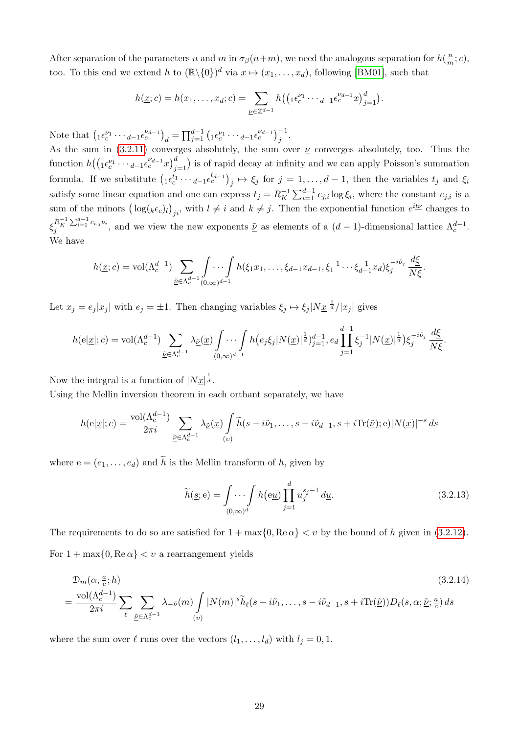After separation of the parameters n and m in  $\sigma_{\beta}(n+m)$ , we need the analogous separation for  $h(\frac{n}{n})$  $\frac{n}{m}$ ; c), too. To this end we extend h to  $(\mathbb{R}\setminus\{0\})^d$  via  $x \mapsto (x_1,\ldots,x_d)$ , following [\[BM01\]](#page-85-4), such that

$$
h(\underline{x};c) = h(x_1,\ldots,x_d;c) = \sum_{\underline{\nu} \in \mathbb{Z}^{d-1}} h\big(\big(\begin{matrix}1\epsilon_c^{\nu_1}\cdots a_{-1}\epsilon_c^{\nu_{d-1}}x\big)_{j=1}^d\big)\end{matrix}.
$$

Note that  $\left( {}_{1}\epsilon_{c}^{\nu_{1}} \cdots {}_{d-1}\epsilon_{c}^{\nu_{d-1}} \right)_{d} = \prod_{j=1}^{d-1} \left( {}_{1}\epsilon_{c}^{\nu_{1}} \cdots {}_{d-1}\epsilon_{c}^{\nu_{d-1}} \right)_{j}^{-1}$ .

As the sum in [\(3.2.11\)](#page-33-0) converges absolutely, the sum over  $\nu$  converges absolutely, too. Thus the function  $h(({}_1\epsilon_c^{\nu_1}\cdots{}_{d-1}\epsilon_c^{\nu_{d-1}}x)^d_{j=1})$  is of rapid decay at infinity and we can apply Poisson's summation formula. If we substitute  $\left(1 \epsilon_c^{t_1} \cdots_{d-1} \epsilon_c^{t_{d-1}}\right)_j \mapsto \xi_j$  for  $j = 1, \ldots, d-1$ , then the variables  $t_j$  and  $\xi_i$ satisfy some linear equation and one can express  $t_j = R_K^{-1}$  $\sum_{i=1}^{j-1} C_{j,i} \log \xi_i$ , where the constant  $c_{j,i}$  is a sum of the minors  $(\log(k\epsilon_c))_{ji}$ , with  $l \neq i$  and  $k \neq j$ . Then the exponential function  $e^{i\underline{t}\underline{\nu}}$  changes to  $\xi_j^{R_K^{-1} \sum_{i=1}^{d-1} c_{i,j} \nu_i}$ , and we view the new exponents  $\underline{\tilde{\nu}}$  as elements of a  $(d-1)$ -dimensional lattice  $\Lambda_c^{d-1}$ . We have

$$
h(\underline{x};c) = \text{vol}(\Lambda_c^{d-1}) \sum_{\underline{\tilde{\nu}} \in \Lambda_c^{d-1}} \int \cdots \int h(\xi_1 x_1, \ldots, \xi_{d-1} x_{d-1}, \xi_1^{-1} \cdots \xi_{d-1}^{-1} x_d) \xi_j^{-i\tilde{\nu}_j} \frac{d\xi}{N\xi}.
$$

Let  $x_j = e_j |x_j|$  with  $e_j = \pm 1$ . Then changing variables  $\xi_j \mapsto \xi_j |N\underline{x}|^{\frac{1}{d}}/|x_j|$  gives

$$
h(e|\underline{x}|; c) = \text{vol}(\Lambda_c^{d-1}) \sum_{\underline{\tilde{\nu}} \in \Lambda_c^{d-1}} \lambda_{\underline{\tilde{\nu}}}(\underline{x}) \int \cdots \int h(e_j \xi_j |N(\underline{x})|^{\frac{1}{d}})_{j=1}^{d-1}, e_d \prod_{j=1}^{d-1} \xi_j^{-1} |N(\underline{x})|^{\frac{1}{d}}) \xi_j^{-i\tilde{\nu}_j} \frac{d\xi}{N\xi}.
$$

Now the integral is a function of  $|Nx|^{\frac{1}{d}}$ .

Using the Mellin inversion theorem in each orthant separately, we have

$$
h(e|\underline{x}|; c) = \frac{\text{vol}(\Lambda_c^{d-1})}{2\pi i} \sum_{\underline{\tilde{\nu}} \in \Lambda_c^{d-1}} \lambda_{\underline{\tilde{\nu}}}(\underline{x}) \int_{(v)} \widetilde{h}(s - i\tilde{\nu}_1, \dots, s - i\tilde{\nu}_{d-1}, s + i\text{Tr}(\underline{\tilde{\nu}}); e)|N(\underline{x})|^{-s} ds
$$

where  $e = (e_1, \ldots, e_d)$  and  $\tilde{h}$  is the Mellin transform of h, given by

<span id="page-34-0"></span>
$$
\widetilde{h}(\underline{s}; \mathbf{e}) = \int \cdots \int h(\mathbf{e}\underline{u}) \prod_{j=1}^{d} u_j^{s_j - 1} d\underline{u}.
$$
\n(3.2.13)

The requirements to do so are satisfied for  $1 + \max\{0, \text{Re}\,\alpha\} < v$  by the bound of h given in [\(3.2.12\)](#page-33-2). For  $1 + \max\{0, \text{Re}\,\alpha\} < v$  a rearrangement yields

$$
\mathcal{D}_{m}(\alpha, \frac{a}{c}; h)
$$
\n
$$
= \frac{\text{vol}(\Lambda_{c}^{d-1})}{2\pi i} \sum_{\ell} \sum_{\underline{\tilde{\nu}} \in \Lambda_{c}^{d-1}} \lambda_{-\underline{\tilde{\nu}}}(m) \int |N(m)|^{s} \widetilde{h}_{\ell}(s - i\tilde{\nu}_{1}, \dots, s - i\tilde{\nu}_{d-1}, s + i \text{Tr}(\underline{\tilde{\nu}})) D_{\ell}(s, \alpha; \underline{\tilde{\nu}}; \frac{a}{c}) ds
$$
\n(3.2.14)

where the sum over  $\ell$  runs over the vectors  $(l_1, \ldots, l_d)$  with  $l_j = 0, 1$ .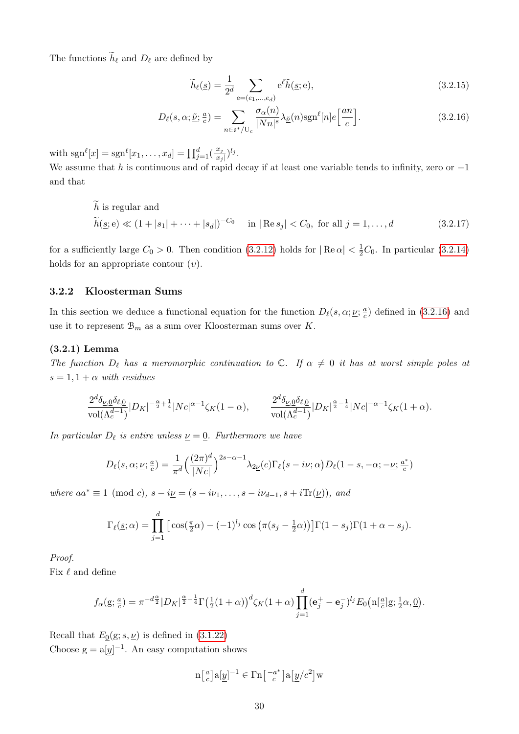The functions  $\widetilde{h}_\ell$  and  $D_\ell$  are defined by

<span id="page-35-3"></span><span id="page-35-2"></span>
$$
\widetilde{h}_{\ell}(\underline{s}) = \frac{1}{2^d} \sum_{e = (e_1, \dots, e_d)} e^{\ell} \widetilde{h}(\underline{s}; e), \qquad (3.2.15)
$$

$$
D_{\ell}(s,\alpha;\underline{\tilde{\nu}};\frac{a}{c}) = \sum_{n \in \mathfrak{o}^*/\mathbb{U}_c} \frac{\sigma_{\alpha}(n)}{|Nn|^s} \lambda_{\underline{\tilde{\nu}}}(n) sgn^{\ell}[n] e\left[\frac{an}{c}\right].
$$
 (3.2.16)

with  $sgn^{\ell}[x] = sgn^{\ell}[x_1, ..., x_d] = \prod_{j=1}^{d} \left(\frac{x_j}{|x_j|}\right)$  $\frac{x_j}{|x_j|}$ )<sup>*l<sub>j</sub>*</sup>.

We assume that h is continuous and of rapid decay if at least one variable tends to infinity, zero or  $-1$ and that

h is regular and  
\n
$$
\widetilde{h}(\underline{s}; e) \ll (1+|s_1|+\cdots+|s_d|)^{-C_0} \quad \text{in } |\text{Re } s_j| < C_0, \text{ for all } j = 1, ..., d
$$
\n(3.2.17)

for a sufficiently large  $C_0 > 0$ . Then condition [\(3.2.12\)](#page-33-2) holds for  $|Re \alpha| < \frac{1}{2}C_0$ . In particular [\(3.2.14\)](#page-34-0) holds for an appropriate contour  $(v)$ .

### <span id="page-35-0"></span>3.2.2 Kloosterman Sums

In this section we deduce a functional equation for the function  $D_{\ell}(s, \alpha; \underline{\nu}; \frac{a}{c})$  $\frac{a}{c}$ ) defined in [\(3.2.16\)](#page-35-3) and use it to represent  $\mathcal{B}_m$  as a sum over Kloosterman sums over K.

### <span id="page-35-1"></span>(3.2.1) Lemma

The function  $D_{\ell}$  has a meromorphic continuation to C. If  $\alpha \neq 0$  it has at worst simple poles at  $s = 1, 1 + \alpha$  with residues

$$
\frac{2^{d}\delta_{\nu,0}\delta_{\ell,0}}{\mathrm{vol}(\Lambda_c^{d-1})}|D_K|^{-\frac{\alpha}{2}+\frac{1}{4}}|Nc|^{\alpha-1}\zeta_K(1-\alpha),\qquad \frac{2^{d}\delta_{\nu,0}\delta_{\ell,0}}{\mathrm{vol}(\Lambda_c^{d-1})}|D_K|^{\frac{\alpha}{2}-\frac{1}{4}}|Nc|^{-\alpha-1}\zeta_K(1+\alpha).
$$

In particular  $D_{\ell}$  is entire unless  $\underline{\nu} = \underline{0}$ . Furthermore we have

$$
D_{\ell}(s,\alpha;\underline{\nu};\frac{a}{c}) = \frac{1}{\pi^d} \left(\frac{(2\pi)^d}{|Nc|}\right)^{2s-\alpha-1} \lambda_{2\underline{\nu}}(c) \Gamma_{\ell}(s-i\underline{\nu};\alpha) D_{\ell}(1-s,-\alpha;-\underline{\nu};\frac{a^*}{c})
$$

where  $aa^* \equiv 1 \pmod{c}$ ,  $s - i\underline{\nu} = (s - i\nu_1, \ldots, s - i\nu_{d-1}, s + i\text{Tr}(\underline{\nu}))$ , and

$$
\Gamma_{\ell}(\underline{s};\alpha) = \prod_{j=1}^{d} \left[ \cos(\frac{\pi}{2}\alpha) - (-1)^{l_j} \cos(\pi(s_j - \frac{1}{2}\alpha)) \right] \Gamma(1 - s_j) \Gamma(1 + \alpha - s_j).
$$

Proof.

Fix  $\ell$  and define

$$
f_{\alpha}(\mathbf{g}; \frac{a}{c}) = \pi^{-d\frac{\alpha}{2}} |D_K|^{\frac{\alpha}{2} - \frac{1}{4}} \Gamma(\frac{1}{2}(1+\alpha))^d \zeta_K(1+\alpha) \prod_{j=1}^d (\mathbf{e}_j^+ - \mathbf{e}_j^-)^{l_j} E_{\underline{0}}\left(\mathbf{n}[\frac{a}{c}]\mathbf{g}; \frac{1}{2}\alpha, \underline{0}\right).
$$

Recall that  $E_0(g; s, \underline{\nu})$  is defined in [\(3.1.22\)](#page-20-1) Choose  $g = a[y]^{-1}$ . An easy computation shows

$$
\mathbf{n}\big[\tfrac{a}{c}\big] \mathbf{a}[\underline{y}]^{-1} \in \Gamma \mathbf{n}\big[\tfrac{-a^*}{c}\big] \mathbf{a}\big[\underline{y}/c^2\big] \mathbf{w}
$$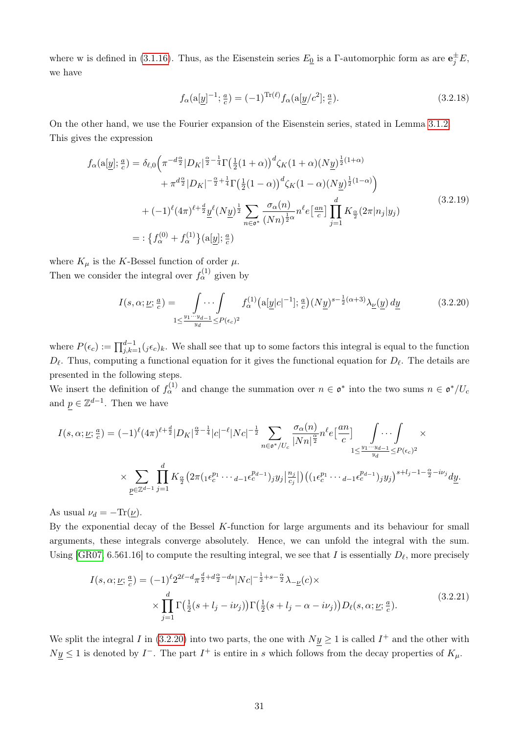where w is defined in [\(3.1.16\)](#page-19-0). Thus, as the Eisenstein series  $E_{\mathbf{Q}}$  is a Γ-automorphic form as are  $\mathbf{e}_j^{\pm}E$ , we have

<span id="page-36-1"></span>
$$
f_{\alpha}(\mathbf{a}[\underline{y}]^{-1}; \frac{a}{c}) = (-1)^{\text{Tr}(\ell)} f_{\alpha}(\mathbf{a}[\underline{y}/c^2]; \frac{a}{c}).
$$
\n(3.2.18)

On the other hand, we use the Fourier expansion of the Eisenstein series, stated in Lemma [3.1.2.](#page-20-0) This gives the expression

<span id="page-36-2"></span>
$$
f_{\alpha}(\mathbf{a}[y]; \frac{a}{c}) = \delta_{\ell,0} \left( \pi^{-d\frac{\alpha}{2}} |D_K|^{\frac{\alpha}{2} - \frac{1}{4}} \Gamma(\frac{1}{2}(1+\alpha))^{d} \zeta_K(1+\alpha) (N\underline{y})^{\frac{1}{2}(1+\alpha)} \right. \\
\left. + \pi^{d\frac{\alpha}{2}} |D_K|^{-\frac{\alpha}{2} + \frac{1}{4}} \Gamma(\frac{1}{2}(1-\alpha))^{d} \zeta_K(1-\alpha) (N\underline{y})^{\frac{1}{2}(1-\alpha)} \right) \\
+ (-1)^{\ell} (4\pi)^{\ell + \frac{d}{2}} \underline{y}^{\ell} (N\underline{y})^{\frac{1}{2}} \sum_{n \in \mathfrak{o}^*} \frac{\sigma_{\alpha}(n)}{(Nn)^{\frac{1}{2}\alpha}} n^{\ell} e^{\frac{1}{2}\alpha n} \prod_{j=1}^{d} K_{\frac{\alpha}{2}} (2\pi |n_j| y_j) \\
= : \left\{ f_{\alpha}^{(0)} + f_{\alpha}^{(1)} \right\} (\mathbf{a}[\underline{y}]; \frac{a}{c}) \tag{3.2.19}
$$

where  $K_{\mu}$  is the K-Bessel function of order  $\mu$ . Then we consider the integral over  $f_{\alpha}^{(1)}$  given by

<span id="page-36-0"></span>
$$
I(s,\alpha;\underline{\nu};\frac{a}{c}) = \int\limits_{1 \leq \frac{y_1 \cdots y_{d-1}}{y_d} \leq P(\epsilon_c)^2} f_{\alpha}^{(1)}(a[\underline{y}|c|^{-1}];\frac{a}{c})(N\underline{y})^{s-\frac{1}{2}(\alpha+3)}\lambda_{\underline{\nu}}(\underline{y}) d\underline{y}
$$
(3.2.20)

where  $P(\epsilon_{c}) := \prod_{j,k=1}^{d-1} (j \epsilon_{c})_k$ . We shall see that up to some factors this integral is equal to the function  $D_{\ell}$ . Thus, computing a functional equation for it gives the functional equation for  $D_{\ell}$ . The details are presented in the following steps.

We insert the definition of  $f_\alpha^{(1)}$  and change the summation over  $n \in \mathfrak{o}^*$  into the two sums  $n \in \mathfrak{o}^*/U_c$ and  $p \in \mathbb{Z}^{d-1}$ . Then we have

$$
I(s,\alpha;\underline{\nu};\frac{a}{c}) = (-1)^{\ell} (4\pi)^{\ell+\frac{d}{2}} |D_K|^{\frac{\alpha}{2}-\frac{1}{4}} |c|^{-\ell} |Nc|^{-\frac{1}{2}} \sum_{n \in \mathfrak{o}^*/U_c} \frac{\sigma_\alpha(n)}{|Nn|^{\frac{\alpha}{2}}} n^{\ell} e^{\left[\frac{an}{c}\right]} \int \cdots \int_{1 \le \frac{y_1 \cdots y_{d-1}}{y_d} \le P(\epsilon_c)^2} \times \sum_{\underline{p} \in \mathbb{Z}^{d-1}} \prod_{j=1}^d K_{\frac{\alpha}{2}} \left(2\pi \left(\frac{e^{p_1} \cdots e^{p_{d-1}}}{e^{p_d}}\right) y_j \Big|_{\frac{n_j}{c_j}} \right) \left(\frac{e^{p_1} \cdots e^{p_{d-1}}}{e^{p_d}}\right) y_j \Big|_{\frac{n_j}{c_j}} \left(\frac{e^{p_d} \cdots e^{p_d}}{e^{p_d}}\right) y_j \Big|_{\frac{n_j}{c_j}} \left(\frac{e^{p_d} \cdots e^{p_d}}{e^{p_d}}\right) y_j \Big|_{\frac{n_j}{c_j}} \right)
$$

As usual  $\nu_d = -\text{Tr}(\nu)$ .

By the exponential decay of the Bessel  $K$ -function for large arguments and its behaviour for small arguments, these integrals converge absolutely. Hence, we can unfold the integral with the sum. Using [\[GR07,](#page-86-0) 6.561.16] to compute the resulting integral, we see that I is essentially  $D_{\ell}$ , more precisely

<span id="page-36-3"></span>
$$
I(s,\alpha;\underline{\nu};\frac{a}{c}) = (-1)^{\ell} 2^{2\ell - d} \pi^{\frac{d}{2} + d\frac{\alpha}{2} - ds} |Nc|^{-\frac{1}{2} + s - \frac{\alpha}{2}} \lambda_{-\underline{\nu}}(c) \times \times \prod_{j=1}^{d} \Gamma\left(\frac{1}{2}(s+l_j - i\nu_j)\right) \Gamma\left(\frac{1}{2}(s+l_j - \alpha - i\nu_j)\right) D_{\ell}(s,\alpha;\underline{\nu};\frac{a}{c}).
$$
\n(3.2.21)

We split the integral I in [\(3.2.20\)](#page-36-0) into two parts, the one with  $Ny \ge 1$  is called  $I^+$  and the other with  $Ny \leq 1$  is denoted by  $I^-$ . The part  $I^+$  is entire in s which follows from the decay properties of  $K_{\mu}$ .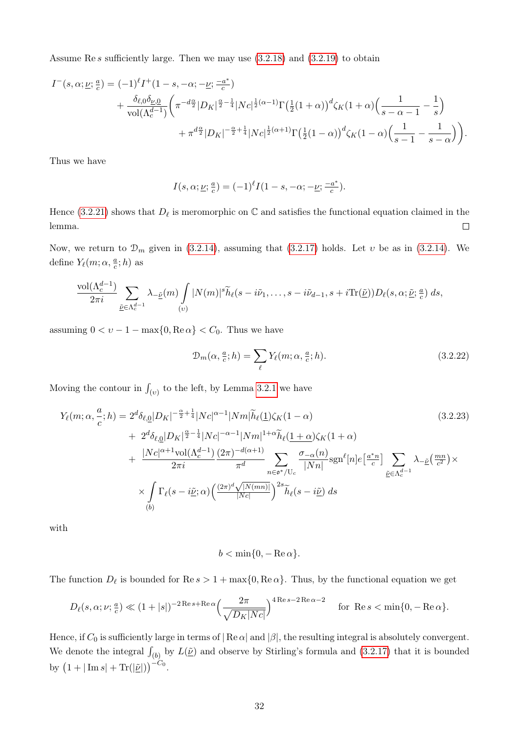Assume Re s sufficiently large. Then we may use [\(3.2.18\)](#page-36-1) and [\(3.2.19\)](#page-36-2) to obtain

$$
I^{-}(s,\alpha;\underline{\nu};\frac{a}{c}) = (-1)^{\ell} I^{+}(1-s,-\alpha;-\underline{\nu};\frac{-a^{*}}{c})
$$
  
+ 
$$
\frac{\delta_{\ell,0}\delta_{\underline{\nu},0}}{\text{vol}(\Lambda_{c}^{d-1})} \left(\pi^{-d\frac{\alpha}{2}} |D_{K}|^{\frac{\alpha}{2}-\frac{1}{4}} |N_{C}|^{\frac{1}{2}(\alpha-1)} \Gamma(\frac{1}{2}(1+\alpha))^{d} \zeta_{K}(1+\alpha) (\frac{1}{s-\alpha-1} - \frac{1}{s}) + \pi^{d\frac{\alpha}{2}} |D_{K}|^{-\frac{\alpha}{2}+\frac{1}{4}} |N_{C}|^{\frac{1}{2}(\alpha+1)} \Gamma(\frac{1}{2}(1-\alpha))^{d} \zeta_{K}(1-\alpha) (\frac{1}{s-1} - \frac{1}{s-\alpha}) \right).
$$

Thus we have

$$
I(s, \alpha; \underline{\nu}; \frac{a}{c}) = (-1)^{\ell} I(1-s, -\alpha; -\underline{\nu}; \frac{-a^*}{c}).
$$

Hence [\(3.2.21\)](#page-36-3) shows that  $D_{\ell}$  is meromorphic on  $\mathbb C$  and satisfies the functional equation claimed in the lemma.  $\Box$ 

Now, we return to  $\mathcal{D}_m$  given in [\(3.2.14\)](#page-34-0), assuming that [\(3.2.17\)](#page-35-0) holds. Let v be as in (3.2.14). We define  $Y_{\ell}(m; \alpha, \frac{a}{c}; h)$  as

$$
\frac{\text{vol}(\Lambda_c^{d-1})}{2\pi i}\sum_{\underline{\tilde{\nu}}\in\Lambda_c^{d-1}}\lambda_{-\underline{\tilde{\nu}}}(m)\int\limits_{(v)}|N(m)|^s\widetilde{h}_{\ell}(s-i\tilde{\nu}_1,\ldots,s-i\tilde{\nu}_{d-1},s+i\text{Tr}(\underline{\tilde{\nu}}))D_{\ell}(s,\alpha;\underline{\tilde{\nu}};\tfrac{a}{c})\;ds,
$$

assuming  $0 < v - 1 - \max\{0, \text{Re}\,\alpha\} < C_0$ . Thus we have

<span id="page-37-1"></span><span id="page-37-0"></span>
$$
\mathcal{D}_m(\alpha, \frac{a}{c}; h) = \sum_{\ell} Y_{\ell}(m; \alpha, \frac{a}{c}; h). \tag{3.2.22}
$$

Moving the contour in  $\int_{(v)}$  to the left, by Lemma [3.2.1](#page-35-1) we have

$$
Y_{\ell}(m;\alpha,\frac{a}{c};h) = 2^{d}\delta_{\ell,\underline{0}}|D_{K}|^{-\frac{\alpha}{2}+\frac{1}{4}}|Nc|^{\alpha-1}|Nm|\tilde{h}_{\ell}(\underline{1})\zeta_{K}(1-\alpha)
$$
\n
$$
+ 2^{d}\delta_{\ell,\underline{0}}|D_{K}|^{\frac{\alpha}{2}-\frac{1}{4}}|Nc|^{-\alpha-1}|Nm|^{1+\alpha}\tilde{h}_{\ell}(\underline{1+\alpha})\zeta_{K}(1+\alpha)
$$
\n
$$
+ \frac{|Nc|^{\alpha+1}\text{vol}(\Lambda_{c}^{d-1})}{2\pi i}\frac{(2\pi)^{-d(\alpha+1)}}{\pi^{d}}\sum_{n\in\sigma^{*}/U_{c}}\frac{\sigma_{-\alpha}(n)}{|Nn|}\text{sgn}^{\ell}[n]e\left[\frac{a^{*}n}{c}\right]\sum_{\tilde{\nu}\in\Lambda_{c}^{d-1}}\lambda_{-\tilde{\nu}}\left(\frac{mn}{c^{2}}\right)\times
$$
\n
$$
\times \int_{(b)}\Gamma_{\ell}(s-i\tilde{\nu};\alpha)\left(\frac{(2\pi)^{d}\sqrt{|N(mn)|}}{|Nc|}\right)^{2s}\tilde{h}_{\ell}(s-i\tilde{\nu})\,ds
$$
\n(3.2.23)

with

$$
b < \min\{0, -\operatorname{Re}\alpha\}.
$$

The function  $D_{\ell}$  is bounded for  $\text{Re } s > 1 + \max\{0, \text{Re }\alpha\}$ . Thus, by the functional equation we get

$$
D_{\ell}(s,\alpha;\nu;\frac{a}{c}) \ll (1+|s|)^{-2\operatorname{Re}s + \operatorname{Re}\alpha} \Big(\frac{2\pi}{\sqrt{D_K|Nc|}}\Big)^{4\operatorname{Re}s - 2\operatorname{Re}\alpha - 2} \quad \text{ for } \operatorname{Re}s < \min\{0, -\operatorname{Re}\alpha\}.
$$

Hence, if  $C_0$  is sufficiently large in terms of  $|\text{Re }\alpha|$  and  $|\beta|$ , the resulting integral is absolutely convergent. We denote the integral  $\int_{(b)}$  by  $L(\underline{\tilde{\nu}})$  and observe by Stirling's formula and [\(3.2.17\)](#page-35-0) that it is bounded by  $(1+|\text{Im }s|+ \text{Tr}(|\underline{\tilde{\nu}}|))^{-C_0}$ .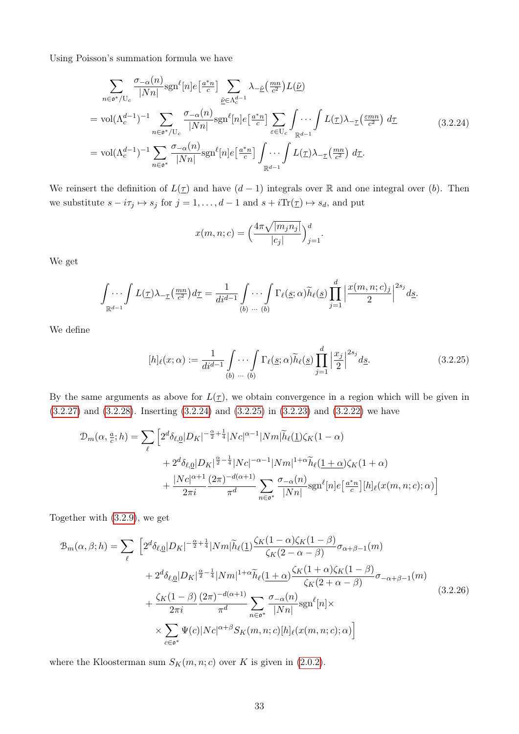Using Poisson's summation formula we have

<span id="page-38-0"></span>
$$
\sum_{n \in \mathfrak{o}^*/\mathrm{U}_c} \frac{\sigma_{-\alpha}(n)}{|Nn|} \mathrm{sgn}^{\ell}[n] e^{\left[\frac{a^*n}{c}\right]} \sum_{\underline{\tilde{\nu}} \in \Lambda_c^{d-1}} \lambda_{-\underline{\tilde{\nu}}} \left(\frac{mn}{c^2}\right) L(\underline{\tilde{\nu}})
$$
\n
$$
= \mathrm{vol}(\Lambda_c^{d-1})^{-1} \sum_{n \in \mathfrak{o}^*/\mathrm{U}_c} \frac{\sigma_{-\alpha}(n)}{|Nn|} \mathrm{sgn}^{\ell}[n] e^{\left[\frac{a^*n}{c}\right]} \sum_{\varepsilon \in \mathrm{U}_c} \int \cdots \int_{\mathbb{R}^{d-1}} L(\underline{\tau}) \lambda_{-\underline{\tau}} \left(\frac{\varepsilon mn}{c^2}\right) d\underline{\tau}
$$
\n
$$
= \mathrm{vol}(\Lambda_c^{d-1})^{-1} \sum_{n \in \mathfrak{o}^*} \frac{\sigma_{-\alpha}(n)}{|Nn|} \mathrm{sgn}^{\ell}[n] e^{\left[\frac{a^*n}{c}\right]} \int \cdots \int_{\mathbb{R}^{d-1}} L(\underline{\tau}) \lambda_{-\underline{\tau}} \left(\frac{mn}{c^2}\right) d\underline{\tau}.
$$
\n(3.2.24)

We reinsert the definition of  $L(\underline{\tau})$  and have  $(d-1)$  integrals over R and one integral over (b). Then we substitute  $s - i\tau_j \mapsto s_j$  for  $j = 1, ..., d - 1$  and  $s + i\text{Tr}(\underline{\tau}) \mapsto s_d$ , and put

$$
x(m, n; c) = \left(\frac{4\pi\sqrt{|m_j n_j|}}{|c_j|}\right)_{j=1}^d
$$

We get

$$
\int_{\mathbb{R}^{d-1}} \int L(\underline{\tau}) \lambda_{-\underline{\tau}}(\frac{mn}{c^2}) d\underline{\tau} = \frac{1}{di^{d-1}} \int_{(b)} \cdots \int_{(b)} \Gamma_{\ell}(\underline{s}; \alpha) \widetilde{h}_{\ell}(\underline{s}) \prod_{j=1}^{d} \left| \frac{x(m, n; c)_j}{2} \right|^{2s_j} ds.
$$

We define

$$
[h]_{\ell}(x;\alpha) := \frac{1}{di^{d-1}} \int_{(b)} \cdots \int_{(b)} \Gamma_{\ell}(\underline{s};\alpha) \widetilde{h}_{\ell}(\underline{s}) \prod_{j=1}^{d} \left| \frac{x_j}{2} \right|^{2s_j} d\underline{s}.
$$
 (3.2.25)

<span id="page-38-1"></span>.

By the same arguments as above for  $L(\tau)$ , we obtain convergence in a region which will be given in [\(3.2.27\)](#page-39-0) and [\(3.2.28\)](#page-39-1). Inserting [\(3.2.24\)](#page-38-0) and [\(3.2.25\)](#page-38-1) in [\(3.2.23\)](#page-37-0) and [\(3.2.22\)](#page-37-1) we have

$$
\mathcal{D}_{m}(\alpha, \frac{a}{c}; h) = \sum_{\ell} \left[ 2^{d} \delta_{\ell, \mathbf{Q}} |D_{K}|^{-\frac{\alpha}{2} + \frac{1}{4}} |N_{C}|^{\alpha - 1} |Nm| \widetilde{h}_{\ell}(\mathbf{1}) \zeta_{K}(1 - \alpha) \right. \\
\left. + 2^{d} \delta_{\ell, \mathbf{Q}} |D_{K}|^{\frac{\alpha}{2} - \frac{1}{4}} |N_{C}|^{-\alpha - 1} |Nm|^{1 + \alpha} \widetilde{h}_{\ell}(\mathbf{1} + \alpha) \zeta_{K}(1 + \alpha) \right. \\
\left. + \frac{|N_{C}|^{\alpha + 1}}{2\pi i} \frac{(2\pi)^{-d(\alpha + 1)}}{\pi^{d}} \sum_{n \in \mathfrak{o}^{*}} \frac{\sigma_{-\alpha}(n)}{|N_{n}|} \text{sgn}^{\ell}[n] e[\frac{a^{*}n}{c}] [h]_{\ell}(x(m, n; c); \alpha) \right]
$$

Together with [\(3.2.9\)](#page-33-0), we get

<span id="page-38-2"></span>
$$
\mathcal{B}_{m}(\alpha,\beta;h) = \sum_{\ell} \left[ 2^{d} \delta_{\ell,\underline{0}} |D_{K}|^{-\frac{\alpha}{2} + \frac{1}{4}} |Nm| \widetilde{h}_{\ell}(\underline{1}) \frac{\zeta_{K}(1-\alpha)\zeta_{K}(1-\beta)}{\zeta_{K}(2-\alpha-\beta)} \sigma_{\alpha+\beta-1}(m) \right. \\ \left. + 2^{d} \delta_{\ell,\underline{0}} |D_{K}|^{\frac{\alpha}{2} - \frac{1}{4}} |Nm|^{1+\alpha} \widetilde{h}_{\ell}(\underline{1+\alpha}) \frac{\zeta_{K}(1+\alpha)\zeta_{K}(1-\beta)}{\zeta_{K}(2+\alpha-\beta)} \sigma_{-\alpha+\beta-1}(m) \right. \\ \left. + \frac{\zeta_{K}(1-\beta)}{2\pi i} \frac{(2\pi)^{-d(\alpha+1)}}{\pi^{d}} \sum_{n \in \mathfrak{o}^{*}} \frac{\sigma_{-\alpha}(n)}{|Nn|} \text{sgn}^{\ell}[n] \times \right. \\ \left. \times \sum_{c \in \mathfrak{o}^{*}} \Psi(c) |Nc|^{\alpha+\beta} S_{K}(m,n;c)[h]_{\ell}(x(m,n;c); \alpha) \right]
$$
\n(3.2.26)

where the Kloosterman sum  $S_K(m, n; c)$  over K is given in [\(2.0.2\)](#page-14-0).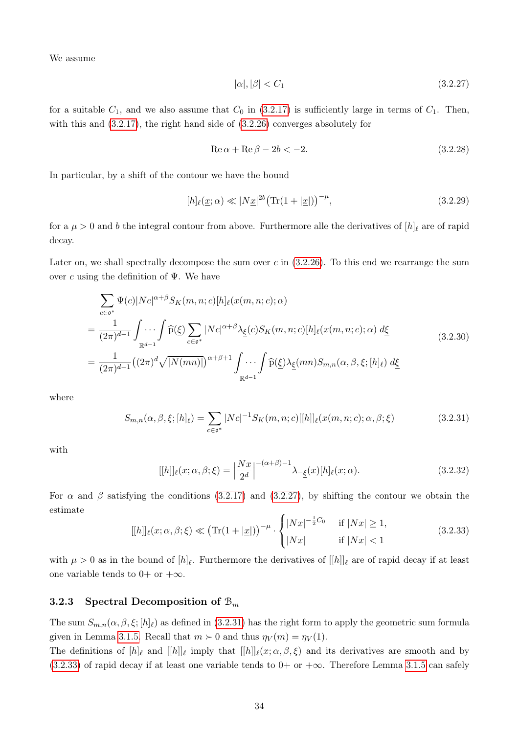We assume

<span id="page-39-1"></span><span id="page-39-0"></span>
$$
|\alpha|, |\beta| < C_1 \tag{3.2.27}
$$

for a suitable  $C_1$ , and we also assume that  $C_0$  in [\(3.2.17\)](#page-35-0) is sufficiently large in terms of  $C_1$ . Then, with this and [\(3.2.17\)](#page-35-0), the right hand side of [\(3.2.26\)](#page-38-2) converges absolutely for

$$
\operatorname{Re}\alpha + \operatorname{Re}\beta - 2b < -2. \tag{3.2.28}
$$

In particular, by a shift of the contour we have the bound

$$
[h]_{\ell}(\underline{x};\alpha) \ll |N\underline{x}|^{2b} \left( \text{Tr}(1+|\underline{x}|) \right)^{-\mu},\tag{3.2.29}
$$

for a  $\mu > 0$  and b the integral contour from above. Furthermore alle the derivatives of  $|h|_\ell$  are of rapid decay.

Later on, we shall spectrally decompose the sum over  $c$  in  $(3.2.26)$ . To this end we rearrange the sum over c using the definition of  $\Psi$ . We have

<span id="page-39-4"></span>
$$
\sum_{c \in \mathfrak{o}^*} \Psi(c) |N c|^{\alpha + \beta} S_K(m, n; c) [h]_{\ell}(x(m, n; c); \alpha)
$$
\n
$$
= \frac{1}{(2\pi)^{d-1}} \int_{\mathbb{R}^{d-1}} \int \cdots \int_{\mathbb{R}^{d-1}} \widehat{\mathbf{p}}(\underline{\xi}) \sum_{c \in \mathfrak{o}^*} |N c|^{\alpha + \beta} \lambda_{\underline{\xi}}(c) S_K(m, n; c) [h]_{\ell}(x(m, n; c); \alpha) d\underline{\xi}
$$
\n
$$
= \frac{1}{(2\pi)^{d-1}} \left( (2\pi)^d \sqrt{|N(mn)|} \right)^{\alpha + \beta + 1} \int_{\mathbb{R}^{d-1}} \cdots \int_{\mathbb{R}^{d-1}} \widehat{\mathbf{p}}(\underline{\xi}) \lambda_{\underline{\xi}}(mn) S_{m,n}(\alpha, \beta, \xi; [h]_{\ell}) d\underline{\xi}
$$
\n(3.2.30)

where

$$
S_{m,n}(\alpha,\beta,\xi;[h]_{\ell}) = \sum_{c \in \mathfrak{o}^*} |Nc|^{-1} S_K(m,n;c)[[h]]_{\ell}(x(m,n;c); \alpha,\beta;\xi)
$$
(3.2.31)

with

<span id="page-39-5"></span><span id="page-39-2"></span>
$$
[[h]]_{\ell}(x;\alpha,\beta;\xi) = \left|\frac{Nx}{2^d}\right|^{-(\alpha+\beta)-1} \lambda_{-\underline{\xi}}(x)[h]_{\ell}(x;\alpha).
$$
\n(3.2.32)

For  $\alpha$  and  $\beta$  satisfying the conditions [\(3.2.17\)](#page-35-0) and [\(3.2.27\)](#page-39-0), by shifting the contour we obtain the estimate

<span id="page-39-3"></span>
$$
[[h]]_{\ell}(x;\alpha,\beta;\xi) \ll (\text{Tr}(1+|\underline{x}|))^{-\mu} \cdot \begin{cases} |Nx|^{-\frac{1}{2}C_0} & \text{if } |Nx| \ge 1, \\ |Nx| & \text{if } |Nx| < 1 \end{cases}
$$
(3.2.33)

with  $\mu > 0$  as in the bound of  $[h]_\ell$ . Furthermore the derivatives of  $[[h]]_\ell$  are of rapid decay if at least one variable tends to  $0+$  or  $+\infty$ .

## 3.2.3 Spectral Decomposition of  $\mathcal{B}_m$

The sum  $S_{m,n}(\alpha,\beta,\xi;[h]_\ell)$  as defined in [\(3.2.31\)](#page-39-2) has the right form to apply the geometric sum formula given in Lemma [3.1.5.](#page-27-0) Recall that  $m \succ 0$  and thus  $\eta_V(m) = \eta_V(1)$ .

The definitions of  $[h]_\ell$  and  $[[h]]_\ell$  imply that  $[[h]]_\ell(x; \alpha, \beta, \xi)$  and its derivatives are smooth and by [\(3.2.33\)](#page-39-3) of rapid decay if at least one variable tends to 0+ or + $\infty$ . Therefore Lemma [3.1.5](#page-27-0) can safely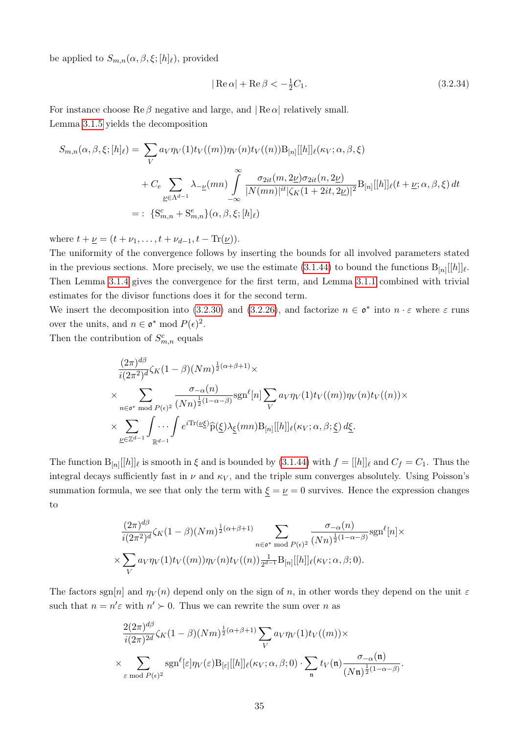be applied to  $S_{m,n}(\alpha,\beta,\xi;[h]_{\ell}),$  provided

<span id="page-40-0"></span>
$$
|\operatorname{Re}\alpha| + \operatorname{Re}\beta < -\frac{1}{2}C_1. \tag{3.2.34}
$$

For instance choose  $\text{Re}\,\beta$  negative and large, and  $|\text{Re}\,\alpha|$  relatively small. Lemma [3.1.5](#page-27-0) yields the decomposition

$$
S_{m,n}(\alpha, \beta, \xi; [h]_{\ell}) = \sum_{V} a_{V} \eta_{V}(1) t_{V}((m)) \eta_{V}(n) t_{V}((n)) B_{[n]}[[h]]_{\ell}(\kappa_{V}; \alpha, \beta, \xi)
$$
  
+  $C_{e} \sum_{\underline{\nu} \in \Lambda^{d-1}} \lambda_{-\underline{\nu}}(mn) \int_{-\infty}^{\infty} \frac{\sigma_{2it}(m, 2\underline{\nu}) \sigma_{2it}(n, 2\underline{\nu})}{|N(mn)|^{it} |\zeta_{K}(1 + 2it, 2\underline{\nu})|^{2}} B_{[n]}[[h]]_{\ell}(t + \underline{\nu}; \alpha, \beta, \xi) dt$   
= : {S}\_{m,n}^{c} + S\_{m,n}^{e} \}(\alpha, \beta, \xi; [h]\_{\ell})

where  $t + \underline{\nu} = (t + \nu_1, \ldots, t + \nu_{d-1}, t - \text{Tr}(\underline{\nu})).$ 

The uniformity of the convergence follows by inserting the bounds for all involved parameters stated in the previous sections. More precisely, we use the estimate [\(3.1.44\)](#page-27-1) to bound the functions  $B_{[n]}[[h]]_{\ell}$ . Then Lemma [3.1.4](#page-26-0) gives the convergence for the first term, and Lemma [3.1.1](#page-16-0) combined with trivial estimates for the divisor functions does it for the second term.

We insert the decomposition into [\(3.2.30\)](#page-39-4) and [\(3.2.26\)](#page-38-2), and factorize  $n \in \mathfrak{o}^*$  into  $n \cdot \varepsilon$  where  $\varepsilon$  runs over the units, and  $n \in \mathfrak{o}^* \mod P(\epsilon)^2$ .

Then the contribution of  $S_{m,n}^c$  equals

$$
\frac{(2\pi)^{d\beta}}{i(2\pi^2)^d} \zeta_K(1-\beta)(Nm)^{\frac{1}{2}(\alpha+\beta+1)} \times
$$
\n
$$
\times \sum_{n \in \mathfrak{o}^* \text{ mod } P(\epsilon)^2} \frac{\sigma_{-\alpha}(n)}{(Nn)^{\frac{1}{2}(1-\alpha-\beta)}} \text{sgn}^{\ell}[n] \sum_V a_V \eta_V(1) t_V((m)) \eta_V(n) t_V((n)) \times
$$
\n
$$
\times \sum_{\underline{\nu} \in \mathbb{Z}^{d-1}} \int_{\mathbb{R}^{d-1}} \cdots \int e^{i \text{Tr}(\underline{\nu \xi})} \widehat{p}(\xi) \lambda_{\underline{\xi}}(mn) B_{[n]}[[h]]_{\ell}(\kappa_V; \alpha, \beta; \underline{\xi}) d\underline{\xi}.
$$

The function  $B_{[n]}[[h]]_\ell$  is smooth in  $\xi$  and is bounded by [\(3.1.44\)](#page-27-1) with  $f = [[h]]_\ell$  and  $C_f = C_1$ . Thus the integral decays sufficiently fast in  $\nu$  and  $\kappa_V$ , and the triple sum converges absolutely. Using Poisson's summation formula, we see that only the term with  $\xi = \underline{\nu} = 0$  survives. Hence the expression changes to

$$
\frac{(2\pi)^{d\beta}}{i(2\pi^2)^d}\zeta_K(1-\beta)(Nm)^{\frac{1}{2}(\alpha+\beta+1)}\sum_{n\in\mathfrak{o}^*\text{ mod }P(\epsilon)^2}\frac{\sigma_{-\alpha}(n)}{(Nn)^{\frac{1}{2}(1-\alpha-\beta)}}\text{sgn}^{\ell}[n]\times
$$

$$
\times\sum_V a_V\eta_V(1)t_V((m))\eta_V(n)t_V((n))\frac{1}{2^{d-1}}\text{B}_{[n]}[[h]]_{\ell}(\kappa_V;\alpha,\beta;0).
$$

The factors sgn[n] and  $\eta_V(n)$  depend only on the sign of n, in other words they depend on the unit  $\varepsilon$ such that  $n = n' \varepsilon$  with  $n' \succ 0$ . Thus we can rewrite the sum over n as

$$
\frac{2(2\pi)^{d\beta}}{i(2\pi)^{2d}}\zeta_K(1-\beta)(Nm)^{\frac{1}{2}(\alpha+\beta+1)}\sum_V a_V\eta_V(1)t_V((m))\times\\ \times \sum_{\varepsilon \bmod P(\varepsilon)^2} \text{sgn}^{\ell}[\varepsilon]\eta_V(\varepsilon)B_{[\varepsilon]}[[h]]_{\ell}(\kappa_V;\alpha,\beta;0)\cdot \sum_{\mathfrak{n}} t_V(\mathfrak{n})\frac{\sigma_{-\alpha}(\mathfrak{n})}{(N\mathfrak{n})^{\frac{1}{2}(1-\alpha-\beta)}}.
$$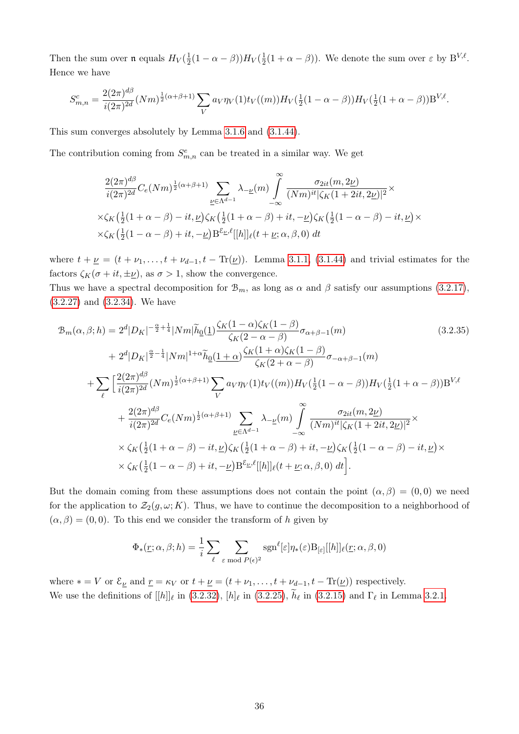Then the sum over  $\mathfrak{n}$  equals  $H_V(\frac{1}{2})$  $\frac{1}{2}(1-\alpha-\beta))H_V(\frac{1}{2})$  $\frac{1}{2}(1+\alpha-\beta)$ ). We denote the sum over  $\varepsilon$  by  $B^{V,\ell}$ . Hence we have

$$
S_{m,n}^{c} = \frac{2(2\pi)^{d\beta}}{i(2\pi)^{2d}} (Nm)^{\frac{1}{2}(\alpha+\beta+1)} \sum_{V} a_V \eta_V(1) t_V((m)) H_V(\frac{1}{2}(1-\alpha-\beta)) H_V(\frac{1}{2}(1+\alpha-\beta)) B^{V,\ell}.
$$

This sum converges absolutely by Lemma [3.1.6](#page-29-0) and [\(3.1.44\)](#page-27-1).

The contribution coming from  $S_{m,n}^e$  can be treated in a similar way. We get

<span id="page-41-0"></span>
$$
\frac{2(2\pi)^{d\beta}}{i(2\pi)^{2d}}C_e(Nm)^{\frac{1}{2}(\alpha+\beta+1)}\sum_{\underline{\nu}\in\Lambda^{d-1}}\lambda_{-\underline{\nu}}(m)\int_{-\infty}^{\infty}\frac{\sigma_{2it}(m,2\underline{\nu})}{(Nm)^{it}|\zeta_K(1+2it,2\underline{\nu})|^2}\times
$$
  
 
$$
\times\zeta_K\left(\frac{1}{2}(1+\alpha-\beta)-it,\underline{\nu}\right)\zeta_K\left(\frac{1}{2}(1+\alpha-\beta)+it,-\underline{\nu}\right)\zeta_K\left(\frac{1}{2}(1-\alpha-\beta)-it,\underline{\nu}\right)\times
$$
  
 
$$
\times\zeta_K\left(\frac{1}{2}(1-\alpha-\beta)+it,-\underline{\nu}\right)\mathcal{B}^{\xi_{\underline{\nu}},\ell}[[h]]_{\ell}(t+\underline{\nu};\alpha,\beta,0) dt
$$

where  $t + \underline{\nu} = (t + \nu_1, \ldots, t + \nu_{d-1}, t - \text{Tr}(\underline{\nu}))$ . Lemma [3.1.1,](#page-16-0) [\(3.1.44\)](#page-27-1) and trivial estimates for the factors  $\zeta_K(\sigma + it, \pm \underline{\nu})$ , as  $\sigma > 1$ , show the convergence.

Thus we have a spectral decomposition for  $\mathcal{B}_m$ , as long as  $\alpha$  and  $\beta$  satisfy our assumptions [\(3.2.17\)](#page-35-0), [\(3.2.27\)](#page-39-0) and [\(3.2.34\)](#page-40-0). We have

$$
\mathcal{B}_{m}(\alpha,\beta;h) = 2^{d}|D_{K}|^{-\frac{\alpha}{2}+\frac{1}{4}}|Nm|\tilde{h}_{0}(1)\frac{\zeta_{K}(1-\alpha)\zeta_{K}(1-\beta)}{\zeta_{K}(2-\alpha-\beta)}\sigma_{\alpha+\beta-1}(m) \qquad (3.2.35)
$$
\n
$$
+ 2^{d}|D_{K}|^{\frac{\alpha}{2}-\frac{1}{4}}|Nm|^{1+\alpha}\tilde{h}_{0}(1+\alpha)\frac{\zeta_{K}(1+\alpha)\zeta_{K}(1-\beta)}{\zeta_{K}(2+\alpha-\beta)}\sigma_{-\alpha+\beta-1}(m) + \sum_{\ell} \left[\frac{2(2\pi)^{d\beta}}{i(2\pi)^{2d}}(Nm)^{\frac{1}{2}(\alpha+\beta+1)}\sum_{V} a_{V}\eta_{V}(1)t_{V}((m))H_{V}(\frac{1}{2}(1-\alpha-\beta))H_{V}(\frac{1}{2}(1+\alpha-\beta))B^{V,\ell} + \frac{2(2\pi)^{d\beta}}{i(2\pi)^{2d}}C_{e}(Nm)^{\frac{1}{2}(\alpha+\beta+1)}\sum_{\nu\in\Lambda^{d-1}}\lambda_{-\nu}(m)\int_{-\infty}^{\infty}\frac{\sigma_{2it}(m,2\nu)}{(Nm)^{it}|\zeta_{K}(1+2it,2\nu)|^{2}} \times \zeta_{K}(\frac{1}{2}(1+\alpha-\beta)-it,\nu)\zeta_{K}(\frac{1}{2}(1+\alpha-\beta)+it,-\nu)\zeta_{K}(\frac{1}{2}(1-\alpha-\beta)-it,\nu)\times \zeta_{K}(\frac{1}{2}(1-\alpha-\beta)+it,-\nu)B^{\varepsilon_{\nu},\ell}[[h]]_{\ell}(t+\nu;\alpha,\beta,0) dt]. \qquad (3.2.35)
$$

But the domain coming from these assumptions does not contain the point  $(\alpha, \beta) = (0, 0)$  we need for the application to  $\mathcal{Z}_2(g,\omega;K)$ . Thus, we have to continue the decomposition to a neighborhood of  $(\alpha, \beta) = (0, 0)$ . To this end we consider the transform of h given by

$$
\Phi_*(\underline{r}; \alpha, \beta; h) = \frac{1}{i} \sum_{\ell} \sum_{\varepsilon \bmod P(\epsilon)^2} \text{sgn}^{\ell}[\varepsilon] \eta_*(\varepsilon) \text{B}_{[\varepsilon]}[[h]] \ell(\underline{r}; \alpha, \beta, 0)
$$

where  $* = V$  or  $\mathcal{E}_{\underline{\nu}}$  and  $\underline{r} = \kappa_V$  or  $t + \underline{\nu} = (t + \nu_1, \dots, t + \nu_{d-1}, t - \text{Tr}(\underline{\nu}))$  respectively. We use the definitions of  $[[h]]_\ell$  in [\(3.2.32\)](#page-39-5),  $[h]_\ell$  in [\(3.2.25\)](#page-38-1),  $h_\ell$  in [\(3.2.15\)](#page-35-2) and  $\Gamma_\ell$  in Lemma [3.2.1.](#page-35-1)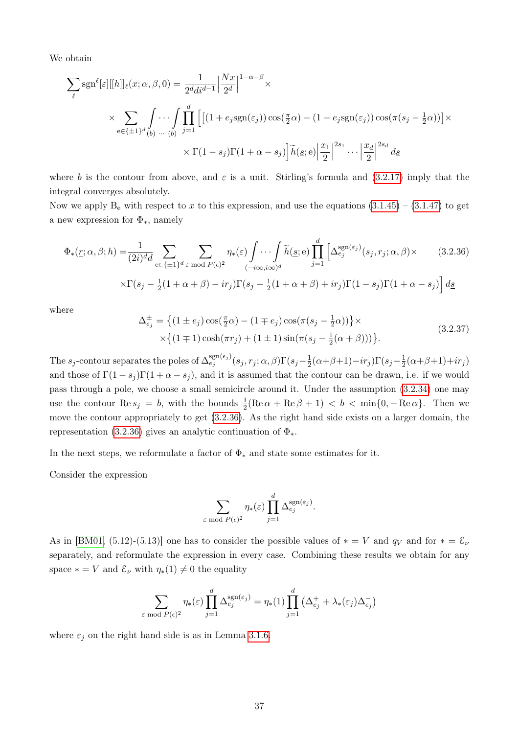We obtain

$$
\sum_{\ell} sgn^{\ell}[\varepsilon][[h]]_{\ell}(x;\alpha,\beta,0) = \frac{1}{2^{d}di^{d-1}} \left| \frac{Nx}{2^{d}} \right|^{1-\alpha-\beta} \times
$$
  

$$
\times \sum_{e \in \{\pm 1\}^{d} \binom{\beta}{b} \cdots \int_{\infty}^{d} \prod_{j=1}^{d} \left[ \left[ (1 + e_{j}sgn(\varepsilon_{j})) \cos(\frac{\pi}{2}\alpha) - (1 - e_{j}sgn(\varepsilon_{j})) \cos(\pi(s_{j} - \frac{1}{2}\alpha)) \right] \times
$$
  

$$
\times \Gamma(1 - s_{j})\Gamma(1 + \alpha - s_{j}) \left| \tilde{h}(\underline{s};e) \right| \frac{x_{1}}{2} \right|^{2s_{1}} \cdots \left| \frac{x_{d}}{2} \right|^{2s_{d}} ds
$$

where b is the contour from above, and  $\varepsilon$  is a unit. Stirling's formula and [\(3.2.17\)](#page-35-0) imply that the integral converges absolutely.

Now we apply  $B_e$  with respect to x to this expression, and use the equations  $(3.1.45) - (3.1.47)$  $(3.1.45) - (3.1.47)$  $(3.1.45) - (3.1.47)$  to get a new expression for  $\Phi_*$ , namely

$$
\Phi_*(\underline{r}; \alpha, \beta; h) = \frac{1}{(2i)^d d} \sum_{e \in \{\pm 1\}^d \epsilon \bmod P(\epsilon)^2} \sum_{\substack{\gamma \in \mathbb{C}^d \\ (-i\infty, i\infty)^d}} \eta_*(\epsilon) \int \cdots \int_{j=1}^d \widetilde{h}(\underline{s}; e) \prod_{j=1}^d \left[ \Delta_{e_j}^{\text{sgn}(\epsilon_j)}(s_j, r_j; \alpha, \beta) \times \right] \tag{3.2.36}
$$
\n
$$
\times \Gamma(s_j - \frac{1}{2}(1 + \alpha + \beta) - ir_j) \Gamma(s_j - \frac{1}{2}(1 + \alpha + \beta) + ir_j) \Gamma(1 - s_j) \Gamma(1 + \alpha - s_j) \, d\underline{s}
$$

where

<span id="page-42-0"></span>
$$
\Delta_{e_j}^{\pm} = \left\{ (1 \pm e_j) \cos(\frac{\pi}{2}\alpha) - (1 \mp e_j) \cos(\pi(s_j - \frac{1}{2}\alpha)) \right\} \times \left\{ (1 \mp 1) \cosh(\pi r_j) + (1 \pm 1) \sin(\pi(s_j - \frac{1}{2}(\alpha + \beta))) \right\}.
$$
\n(3.2.37)

The  $s_j$ -contour separates the poles of  $\Delta_{e_j}^{\text{sgn}(\epsilon_j)}(s_j, r_j; \alpha, \beta)\Gamma(s_j - \frac{1}{2})$  $\frac{1}{2}(\alpha + \beta + 1) - ir_j\Gamma(s_j - \frac{1}{2})$  $rac{1}{2}(\alpha + \beta + 1) + ir_j$ and those of  $\Gamma(1-s_i)\Gamma(1+\alpha-s_i)$ , and it is assumed that the contour can be drawn, i.e. if we would pass through a pole, we choose a small semicircle around it. Under the assumption [\(3.2.34\)](#page-40-0) one may use the contour  $\text{Re } s_j = b$ , with the bounds  $\frac{1}{2}(\text{Re }\alpha + \text{Re }\beta + 1) < b < \min\{0, -\text{Re }\alpha\}$ . Then we move the contour appropriately to get [\(3.2.36\)](#page-42-0). As the right hand side exists on a larger domain, the representation [\(3.2.36\)](#page-42-0) gives an analytic continuation of  $\Phi_*$ .

In the next steps, we reformulate a factor of  $\Phi_*$  and state some estimates for it.

Consider the expression

$$
\sum_{\varepsilon \bmod P(\epsilon)^2} \eta_*(\varepsilon) \prod_{j=1}^d \Delta_{e_j}^{\text{sgn}(\varepsilon_j)}.
$$

As in [\[BM01,](#page-85-0) (5.12)-(5.13)] one has to consider the possible values of  $* = V$  and  $q_V$  and for  $* = \mathcal{E}_{\nu}$ separately, and reformulate the expression in every case. Combining these results we obtain for any space  $* = V$  and  $\mathcal{E}_{\nu}$  with  $\eta_*(1) \neq 0$  the equality

$$
\sum_{\text{mod }P(\epsilon)^2} \eta_*(\varepsilon) \prod_{j=1}^d \Delta_{e_j}^{\text{sgn}(\varepsilon_j)} = \eta_*(1) \prod_{j=1}^d (\Delta_{e_j}^+ + \lambda_*(\varepsilon_j) \Delta_{e_j}^-)
$$

where  $\varepsilon_i$  on the right hand side is as in Lemma [3.1.6.](#page-29-0)

 $\varepsilon$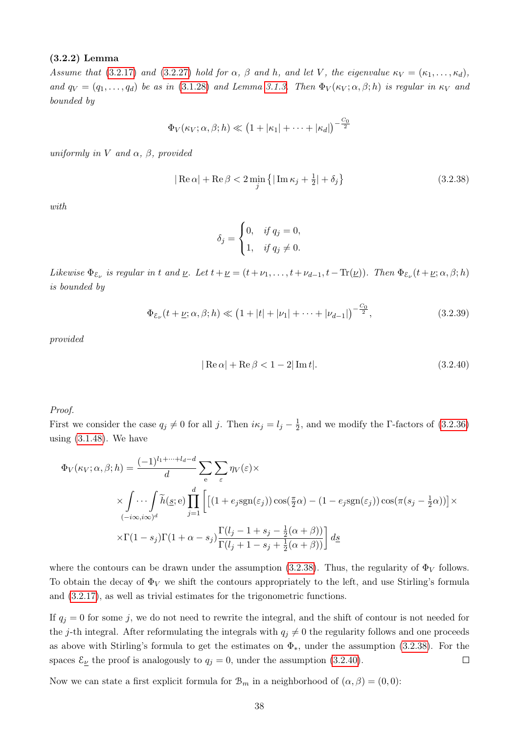#### <span id="page-43-2"></span>(3.2.2) Lemma

Assume that [\(3.2.17\)](#page-35-0) and [\(3.2.27\)](#page-39-0) hold for  $\alpha$ ,  $\beta$  and  $h$ , and let V, the eigenvalue  $\kappa_V = (\kappa_1, \ldots, \kappa_d)$ , and  $q_V = (q_1, \ldots, q_d)$  be as in [\(3.1.28\)](#page-22-0) and Lemma [3.1.3.](#page-24-0) Then  $\Phi_V(\kappa_V; \alpha, \beta; h)$  is regular in  $\kappa_V$  and bounded by

$$
\Phi_V(\kappa_V;\alpha,\beta;h) \ll \left(1+|\kappa_1|+\cdots+|\kappa_d|\right)^{-\frac{C_0}{2}}
$$

uniformly in V and  $\alpha$ ,  $\beta$ , provided

$$
|\operatorname{Re}\alpha| + \operatorname{Re}\beta < 2\min_{j} \left\{ |\operatorname{Im}\kappa_{j} + \frac{1}{2}| + \delta_{j} \right\} \tag{3.2.38}
$$

with.

<span id="page-43-3"></span><span id="page-43-0"></span>
$$
\delta_j = \begin{cases} 0, & \text{if } q_j = 0, \\ 1, & \text{if } q_j \neq 0. \end{cases}
$$

Likewise  $\Phi_{\varepsilon_{\nu}}$  is regular in t and  $\underline{\nu}$ . Let  $t + \underline{\nu} = (t + \nu_1, \ldots, t + \nu_{d-1}, t - \text{Tr}(\underline{\nu}))$ . Then  $\Phi_{\varepsilon_{\nu}}(t + \underline{\nu}; \alpha, \beta; h)$ is bounded by

$$
\Phi_{\mathcal{E}_{\nu}}(t+\underline{\nu};\alpha,\beta;h) \ll \left(1+|t|+|\nu_1|+\cdots+|\nu_{d-1}|\right)^{-\frac{C_0}{2}},\tag{3.2.39}
$$

provided

<span id="page-43-1"></span>
$$
|\operatorname{Re}\alpha| + \operatorname{Re}\beta < 1 - 2|\operatorname{Im}t|.\tag{3.2.40}
$$

#### Proof.

First we consider the case  $q_j \neq 0$  for all j. Then  $i\kappa_j = l_j - \frac{1}{2}$  $\frac{1}{2}$ , and we modify the Γ-factors of [\(3.2.36\)](#page-42-0) using  $(3.1.48)$ . We have

$$
\Phi_V(\kappa_V; \alpha, \beta; h) = \frac{(-1)^{l_1 + \dots + l_d - d}}{d} \sum_{e} \sum_{\varepsilon} \eta_V(\varepsilon) \times
$$
  
 
$$
\times \int_{(-i\infty, i\infty)^d} \tilde{h}(\underline{s}; e) \prod_{j=1}^d \left[ \left[ (1 + e_j \text{sgn}(\varepsilon_j)) \cos(\frac{\pi}{2}\alpha) - (1 - e_j \text{sgn}(\varepsilon_j)) \cos(\pi(s_j - \frac{1}{2}\alpha)) \right] \times
$$
  
 
$$
\times \Gamma(1 - s_j) \Gamma(1 + \alpha - s_j) \frac{\Gamma(l_j - 1 + s_j - \frac{1}{2}(\alpha + \beta))}{\Gamma(l_j + 1 - s_j + \frac{1}{2}(\alpha + \beta))} \right] d\underline{s}
$$

where the contours can be drawn under the assumption [\(3.2.38\)](#page-43-0). Thus, the regularity of  $\Phi_V$  follows. To obtain the decay of  $\Phi_V$  we shift the contours appropriately to the left, and use Stirling's formula and [\(3.2.17\)](#page-35-0), as well as trivial estimates for the trigonometric functions.

If  $q_j = 0$  for some j, we do not need to rewrite the integral, and the shift of contour is not needed for the j-th integral. After reformulating the integrals with  $q_i \neq 0$  the regularity follows and one proceeds as above with Stirling's formula to get the estimates on  $\Phi_{*}$ , under the assumption [\(3.2.38\)](#page-43-0). For the spaces  $\mathcal{E}_{\underline{\nu}}$  the proof is analogously to  $q_j = 0$ , under the assumption [\(3.2.40\)](#page-43-1).  $\Box$ 

Now we can state a first explicit formula for  $\mathcal{B}_m$  in a neighborhood of  $(\alpha, \beta) = (0, 0)$ :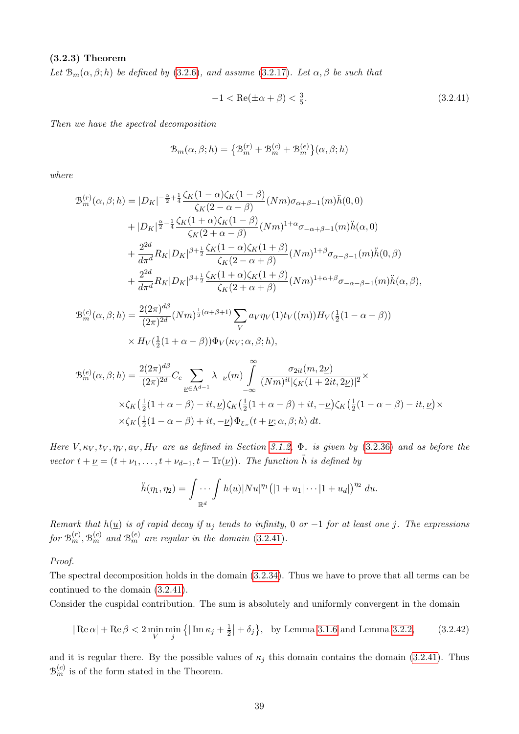#### <span id="page-44-1"></span>(3.2.3) Theorem

Let  $\mathcal{B}_m(\alpha,\beta;h)$  be defined by [\(3.2.6\)](#page-32-0), and assume [\(3.2.17\)](#page-35-0). Let  $\alpha,\beta$  be such that

<span id="page-44-0"></span>
$$
-1 < \operatorname{Re}(\pm \alpha + \beta) < \frac{3}{5}.\tag{3.2.41}
$$

Then we have the spectral decomposition

$$
\mathcal{B}_{m}(\alpha,\beta;h) = \left\{\mathcal{B}_{m}^{(r)} + \mathcal{B}_{m}^{(c)} + \mathcal{B}_{m}^{(e)}\right\}(\alpha,\beta;h)
$$

where

$$
\mathcal{B}_{m}^{(r)}(\alpha,\beta;h) = |D_{K}|^{-\frac{\alpha}{2} + \frac{1}{4}} \frac{\zeta_{K}(1-\alpha)\zeta_{K}(1-\beta)}{\zeta_{K}(2-\alpha-\beta)} (Nm)\sigma_{\alpha+\beta-1}(m)\ddot{h}(0,0) \n+ |D_{K}|^{\frac{\alpha}{2} - \frac{1}{4}} \frac{\zeta_{K}(1+\alpha)\zeta_{K}(1-\beta)}{\zeta_{K}(2+\alpha-\beta)} (Nm)^{1+\alpha}\sigma_{-\alpha+\beta-1}(m)\ddot{h}(\alpha,0) \n+ \frac{2^{2d}}{d\pi^{d}}R_{K}|D_{K}|^{\beta+\frac{1}{2}} \frac{\zeta_{K}(1-\alpha)\zeta_{K}(1+\beta)}{\zeta_{K}(2-\alpha+\beta)} (Nm)^{1+\beta}\sigma_{\alpha-\beta-1}(m)\ddot{h}(0,\beta) \n+ \frac{2^{2d}}{d\pi^{d}}R_{K}|D_{K}|^{\beta+\frac{1}{2}} \frac{\zeta_{K}(1+\alpha)\zeta_{K}(1+\beta)}{\zeta_{K}(2+\alpha+\beta)} (Nm)^{1+\alpha+\beta}\sigma_{-\alpha-\beta-1}(m)\ddot{h}(\alpha,\beta),
$$

$$
\mathcal{B}_{m}^{(c)}(\alpha,\beta;h) = \frac{2(2\pi)^{d\beta}}{(2\pi)^{2d}} (Nm)^{\frac{1}{2}(\alpha+\beta+1)} \sum_{V} a_{V} \eta_{V}(1) t_{V}((m)) H_{V}(\frac{1}{2}(1-\alpha-\beta))
$$
  
 
$$
\times H_{V}(\frac{1}{2}(1+\alpha-\beta)) \Phi_{V}(\kappa_{V};\alpha,\beta;h),
$$

$$
\mathcal{B}_{m}^{(e)}(\alpha,\beta;h) = \frac{2(2\pi)^{d\beta}}{(2\pi)^{2d}} C_{e} \sum_{\underline{\nu} \in \Lambda^{d-1}} \lambda_{-\underline{\nu}}(m) \int_{-\infty}^{\infty} \frac{\sigma_{2it}(m, 2\underline{\nu})}{(Nm)^{it} |\zeta_{K}(1+2it, 2\underline{\nu})|^{2}} \times
$$
  
 
$$
\times \zeta_{K} \left(\frac{1}{2}(1+\alpha-\beta) - it, \underline{\nu}\right) \zeta_{K} \left(\frac{1}{2}(1+\alpha-\beta) + it, -\underline{\nu}\right) \zeta_{K} \left(\frac{1}{2}(1-\alpha-\beta) - it, \underline{\nu}\right) \times
$$
  
 
$$
\times \zeta_{K} \left(\frac{1}{2}(1-\alpha-\beta) + it, -\underline{\nu}\right) \Phi_{\varepsilon_{\nu}}(t+\underline{\nu}; \alpha, \beta; h) dt.
$$

Here V,  $\kappa_V, t_V, \eta_V, a_V, H_V$  are as defined in Section [3.1.2,](#page-22-1)  $\Phi_*$  is given by [\(3.2.36\)](#page-42-0) and as before the vector  $t + \underline{\nu} = (t + \nu_1, \ldots, t + \nu_{d-1}, t - \text{Tr}(\underline{\nu}))$ . The function  $\ddot{h}$  is defined by

$$
\ddot{h}(\eta_1,\eta_2)=\int \ldots \int h(\underline{u})|N\underline{u}|^{\eta_1}(|1+u_1|\cdots|1+u_d|)^{\eta_2} d\underline{u}.
$$

Remark that  $h(\underline{u})$  is of rapid decay if  $u_j$  tends to infinity, 0 or -1 for at least one j. The expressions for  $\mathfrak{B}_m^{(r)}$ ,  $\mathfrak{B}_m^{(c)}$  and  $\mathfrak{B}_m^{(e)}$  are regular in the domain [\(3.2.41\)](#page-44-0).

Proof.

The spectral decomposition holds in the domain [\(3.2.34\)](#page-40-0). Thus we have to prove that all terms can be continued to the domain [\(3.2.41\)](#page-44-0).

Consider the cuspidal contribution. The sum is absolutely and uniformly convergent in the domain

$$
|\operatorname{Re}\alpha| + \operatorname{Re}\beta < 2\min_{V} \min_{j} \left\{ |\operatorname{Im}\kappa_{j} + \frac{1}{2}| + \delta_{j} \right\}, \quad \text{by Lemma 3.1.6 and Lemma 3.2.2}, \tag{3.2.42}
$$

and it is regular there. By the possible values of  $\kappa_j$  this domain contains the domain [\(3.2.41\)](#page-44-0). Thus  $\mathfrak{B}_{m}^{(c)}$  is of the form stated in the Theorem.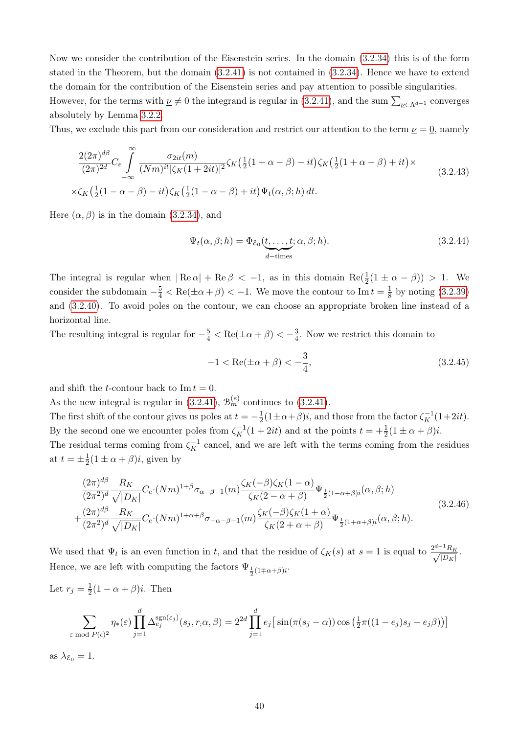Now we consider the contribution of the Eisenstein series. In the domain [\(3.2.34\)](#page-40-0) this is of the form stated in the Theorem, but the domain [\(3.2.41\)](#page-44-0) is not contained in [\(3.2.34\)](#page-40-0). Hence we have to extend the domain for the contribution of the Eisenstein series and pay attention to possible singularities.

However, for the terms with  $\nu \neq 0$  the integrand is regular in [\(3.2.41\)](#page-44-0), and the sum  $\sum_{\nu \in \Lambda^{d-1}}$  converges absolutely by Lemma [3.2.2.](#page-43-2)

Thus, we exclude this part from our consideration and restrict our attention to the term  $\nu = 0$ , namely

<span id="page-45-3"></span>
$$
\frac{2(2\pi)^{d\beta}}{(2\pi)^{2d}}C_e \int_{-\infty}^{\infty} \frac{\sigma_{2it}(m)}{(Nm)^{it}|\zeta_K(1+2it)|^2} \zeta_K\left(\frac{1}{2}(1+\alpha-\beta)-it\right)\zeta_K\left(\frac{1}{2}(1+\alpha-\beta)+it\right) \times
$$
\n
$$
\times \zeta_K\left(\frac{1}{2}(1-\alpha-\beta)-it\right)\zeta_K\left(\frac{1}{2}(1-\alpha-\beta)+it\right)\Psi_t(\alpha,\beta;h) dt. \tag{3.2.43}
$$

Here  $(\alpha, \beta)$  is in the domain [\(3.2.34\)](#page-40-0), and

<span id="page-45-2"></span>
$$
\Psi_t(\alpha, \beta; h) = \Phi_{\mathcal{E}_0}(\underbrace{t, \dots, t}_{d-\text{times}}; \alpha, \beta; h).
$$
\n(3.2.44)

The integral is regular when  $| \text{Re}\,\alpha | + \text{Re}\,\beta < -1$ , as in this domain  $\text{Re}(\frac{1}{2}(1 \pm \alpha - \beta)) > 1$ . We consider the subdomain  $-\frac{5}{4} < \text{Re}(\pm \alpha + \beta) < -1$ . We move the contour to Im  $t = \frac{1}{8}$  $\frac{1}{8}$  by noting [\(3.2.39\)](#page-43-3) and [\(3.2.40\)](#page-43-1). To avoid poles on the contour, we can choose an appropriate broken line instead of a horizontal line.

The resulting integral is regular for  $-\frac{5}{4} < \text{Re}(\pm \alpha + \beta) < -\frac{3}{4}$  $\frac{3}{4}$ . Now we restrict this domain to

<span id="page-45-0"></span>
$$
-1 < \text{Re}(\pm \alpha + \beta) < -\frac{3}{4},\tag{3.2.45}
$$

and shift the *t*-contour back to  $\text{Im } t = 0$ .

As the new integral is regular in [\(3.2.41\)](#page-44-0),  $\mathcal{B}_m^{(e)}$  continues to (3.2.41).

The first shift of the contour gives us poles at  $t = -\frac{1}{2}$  $\frac{1}{2}(1 \pm \alpha + \beta)i$ , and those from the factor  $\zeta_K^{-1}(1+2it)$ . By the second one we encounter poles from  $\zeta_K^{-1}(1+2it)$  and at the points  $t = +\frac{1}{2}(1 \pm \alpha + \beta)i$ .

The residual terms coming from  $\zeta_K^{-1}$  cancel, and we are left with the terms coming from the residues at  $t=\pm \frac{1}{2}$  $\frac{1}{2}(1 \pm \alpha + \beta)i$ , given by

<span id="page-45-1"></span>
$$
\frac{(2\pi)^{d\beta}}{(2\pi^2)^d} \frac{R_K}{\sqrt{|D_K|}} C_e \cdot (Nm)^{1+\beta} \sigma_{\alpha-\beta-1}(m) \frac{\zeta_K(-\beta)\zeta_K(1-\alpha)}{\zeta_K(2-\alpha+\beta)} \Psi_{\frac{1}{2}(1-\alpha+\beta)i}(\alpha,\beta;h) +\frac{(2\pi)^{d\beta}}{(2\pi^2)^d} \frac{R_K}{\sqrt{|D_K|}} C_e \cdot (Nm)^{1+\alpha+\beta} \sigma_{-\alpha-\beta-1}(m) \frac{\zeta_K(-\beta)\zeta_K(1+\alpha)}{\zeta_K(2+\alpha+\beta)} \Psi_{\frac{1}{2}(1+\alpha+\beta)i}(\alpha,\beta;h).
$$
\n(3.2.46)

We used that  $\Psi_t$  is an even function in t, and that the residue of  $\zeta_K(s)$  at  $s=1$  is equal to  $\frac{2^{d-1}R_K}{\sqrt{D-1}}$  $\frac{R_K}{|D_K|}$ . Hence, we are left with computing the factors  $\Psi_{\frac{1}{2}(1+\alpha+\beta)i}$ .

Let  $r_j = \frac{1}{2}$  $\frac{1}{2}(1-\alpha+\beta)i$ . Then

$$
\sum_{\varepsilon \bmod P(\varepsilon)^2} \eta_*(\varepsilon) \prod_{j=1}^d \Delta_{e_j}^{\text{sgn}(\varepsilon_j)}(s_j, r, \alpha, \beta) = 2^{2d} \prod_{j=1}^d e_j \big[ \sin(\pi(s_j - \alpha)) \cos\left(\frac{1}{2}\pi((1 - e_j)s_j + e_j\beta)\right) \big]
$$

as  $\lambda_{\mathcal{E}_0} = 1$ .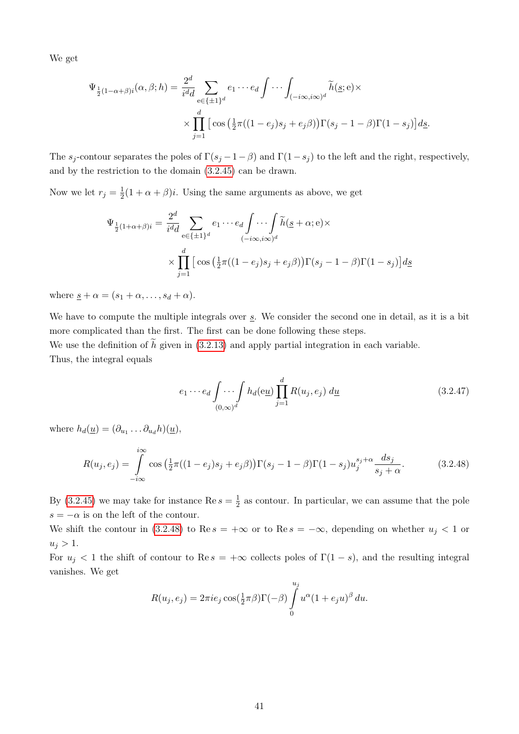We get

$$
\Psi_{\frac{1}{2}(1-\alpha+\beta)i}(\alpha,\beta;h) = \frac{2^d}{i^d d} \sum_{e \in \{\pm 1\}^d} e_1 \cdots e_d \int \cdots \int_{(-i\infty,i\infty)^d} \widetilde{h}(\underline{s};e) \times \prod_{j=1}^d \left[ \cos\left(\frac{1}{2}\pi((1-e_j)s_j+e_j\beta)\right) \Gamma(s_j-1-\beta) \Gamma(1-s_j) \right] d\underline{s}.
$$

The  $s_j$ -contour separates the poles of  $\Gamma(s_j - 1 - \beta)$  and  $\Gamma(1 - s_j)$  to the left and the right, respectively, and by the restriction to the domain [\(3.2.45\)](#page-45-0) can be drawn.

Now we let  $r_j = \frac{1}{2}$  $\frac{1}{2}(1 + \alpha + \beta)i$ . Using the same arguments as above, we get

$$
\Psi_{\frac{1}{2}(1+\alpha+\beta)i} = \frac{2^d}{i^d d} \sum_{e \in \{\pm 1\}^d} e_1 \cdots e_d \int \cdots \int_{(-i\infty,i\infty)^d} \widetilde{h}(\underline{s}+\alpha; e) \times
$$
\n
$$
\times \prod_{j=1}^d \left[ \cos \left( \frac{1}{2} \pi ((1-e_j)s_j + e_j \beta) \right) \Gamma(s_j - 1 - \beta) \Gamma(1 - s_j) \right] d\underline{s}
$$

where  $s + \alpha = (s_1 + \alpha, \ldots, s_d + \alpha)$ .

We have to compute the multiple integrals over  $s$ . We consider the second one in detail, as it is a bit more complicated than the first. The first can be done following these steps.

We use the definition of  $\tilde{h}$  given in [\(3.2.13\)](#page-34-1) and apply partial integration in each variable. Thus, the integral equals

<span id="page-46-1"></span><span id="page-46-0"></span>
$$
e_1 \cdots e_d \int \cdots \int h_d(\mathbf{e} \underline{u}) \prod_{j=1}^d R(u_j, e_j) d\underline{u}
$$
 (3.2.47)

where  $h_d(\underline{u}) = (\partial_{u_1} \dots \partial_{u_d} h)(\underline{u}),$ 

$$
R(u_j, e_j) = \int_{-i\infty}^{i\infty} \cos\left(\frac{1}{2}\pi((1-e_j)s_j + e_j\beta)\right) \Gamma(s_j - 1 - \beta) \Gamma(1 - s_j) u_j^{s_j + \alpha} \frac{ds_j}{s_j + \alpha}.
$$
 (3.2.48)

By [\(3.2.45\)](#page-45-0) we may take for instance Re  $s=\frac{1}{2}$  $\frac{1}{2}$  as contour. In particular, we can assume that the pole  $s = -\alpha$  is on the left of the contour.

We shift the contour in [\(3.2.48\)](#page-46-0) to Re s = +∞ or to Re s =  $-\infty$ , depending on whether  $u_i < 1$  or  $u_j > 1$ .

For  $u_i < 1$  the shift of contour to Re  $s = +\infty$  collects poles of  $\Gamma(1-s)$ , and the resulting integral vanishes. We get

$$
R(u_j, e_j) = 2\pi i e_j \cos(\frac{1}{2}\pi\beta)\Gamma(-\beta) \int_0^{u_j} u^{\alpha}(1 + e_j u)^{\beta} du.
$$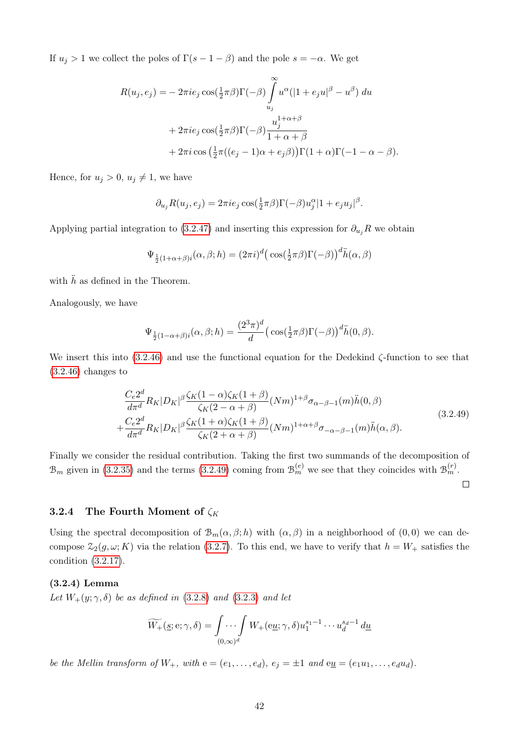If  $u_j > 1$  we collect the poles of  $\Gamma(s - 1 - \beta)$  and the pole  $s = -\alpha$ . We get

$$
R(u_j, e_j) = -2\pi i e_j \cos(\frac{1}{2}\pi\beta)\Gamma(-\beta) \int_{u_j}^{\infty} u^{\alpha} (|1 + e_j u|^{\beta} - u^{\beta}) du
$$
  
+ 
$$
2\pi i e_j \cos(\frac{1}{2}\pi\beta)\Gamma(-\beta) \frac{u_j^{1+\alpha+\beta}}{1+\alpha+\beta}
$$
  
+ 
$$
2\pi i \cos(\frac{1}{2}\pi((e_j - 1)\alpha + e_j\beta))\Gamma(1+\alpha)\Gamma(-1-\alpha-\beta).
$$

Hence, for  $u_j > 0$ ,  $u_j \neq 1$ , we have

$$
\partial_{u_j} R(u_j, e_j) = 2\pi i e_j \cos(\frac{1}{2}\pi\beta) \Gamma(-\beta) u_j^{\alpha} |1 + e_j u_j|^{\beta}.
$$

Applying partial integration to [\(3.2.47\)](#page-46-1) and inserting this expression for  $\partial_{u_i}R$  we obtain

$$
\Psi_{\frac{1}{2}(1+\alpha+\beta)i}(\alpha,\beta;h) = (2\pi i)^d \big(\cos(\frac{1}{2}\pi\beta)\Gamma(-\beta)\big)^d \ddot{h}(\alpha,\beta)
$$

with  $\ddot{h}$  as defined in the Theorem.

Analogously, we have

$$
\Psi_{\frac{1}{2}(1-\alpha+\beta)i}(\alpha,\beta;h) = \frac{(2^3\pi)^d}{d} \left(\cos(\frac{1}{2}\pi\beta)\Gamma(-\beta)\right)^d \ddot{h}(0,\beta).
$$

We insert this into [\(3.2.46\)](#page-45-1) and use the functional equation for the Dedekind ζ-function to see that  $(3.2.46)$  changes to

<span id="page-47-0"></span>
$$
\frac{C_e 2^d}{d\pi^d} R_K |D_K|^\beta \frac{\zeta_K (1-\alpha)\zeta_K (1+\beta)}{\zeta_K (2-\alpha+\beta)} (Nm)^{1+\beta} \sigma_{\alpha-\beta-1}(m) \ddot{h}(0,\beta) \n+ \frac{C_e 2^d}{d\pi^d} R_K |D_K|^\beta \frac{\zeta_K (1+\alpha)\zeta_K (1+\beta)}{\zeta_K (2+\alpha+\beta)} (Nm)^{1+\alpha+\beta} \sigma_{-\alpha-\beta-1}(m) \ddot{h}(\alpha,\beta).
$$
\n(3.2.49)

Finally we consider the residual contribution. Taking the first two summands of the decomposition of  $\mathcal{B}_m$  given in [\(3.2.35\)](#page-41-0) and the terms [\(3.2.49\)](#page-47-0) coming from  $\mathcal{B}_m^{(e)}$  we see that they coincides with  $\mathcal{B}_m^{(r)}$ .

 $\Box$ 

## 3.2.4 The Fourth Moment of  $\zeta_K$

Using the spectral decomposition of  $\mathcal{B}_m(\alpha,\beta;h)$  with  $(\alpha,\beta)$  in a neighborhood of  $(0,0)$  we can decompose  $\mathcal{Z}_2(g,\omega;K)$  via the relation [\(3.2.7\)](#page-33-1). To this end, we have to verify that  $h = W_+$  satisfies the condition [\(3.2.17\)](#page-35-0).

#### <span id="page-47-1"></span>(3.2.4) Lemma

Let  $W_+(y;\gamma,\delta)$  be as defined in [\(3.2.8\)](#page-33-2) and [\(3.2.3\)](#page-32-1) and let

$$
\widetilde{W_+}(\underline{s}; \mathbf{e}; \gamma, \delta) = \int \cdots \int W_+(\mathbf{e}\underline{u}; \gamma, \delta) u_1^{s_1 - 1} \cdots u_d^{s_d - 1} d\underline{u}
$$

be the Mellin transform of  $W_+$ , with  $e = (e_1, \ldots, e_d)$ ,  $e_j = \pm 1$  and  $e_{\underline{u}} = (e_1u_1, \ldots, e_du_d)$ .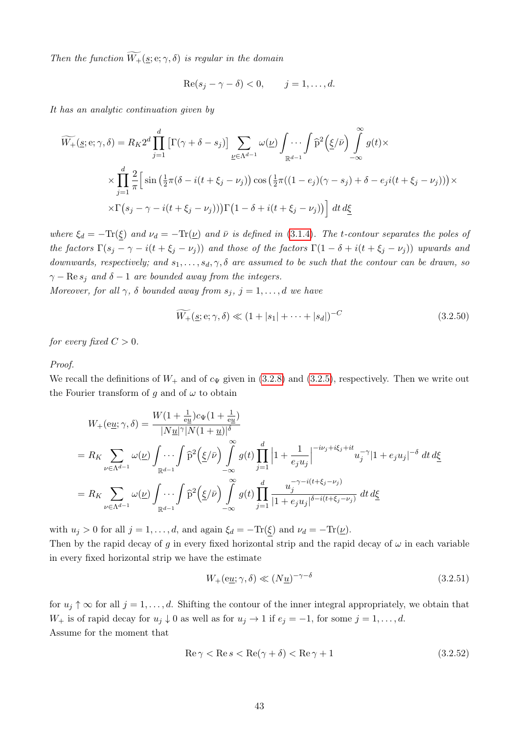Then the function  $\widetilde{W_+}(\underline{s}; \mathrm{e}; \gamma, \delta)$  is regular in the domain

$$
\operatorname{Re}(s_j - \gamma - \delta) < 0, \qquad j = 1, \dots, d.
$$

It has an analytic continuation given by

$$
\widetilde{W_{+}}(\underline{s}; e; \gamma, \delta) = R_{K} 2^{d} \prod_{j=1}^{d} \left[ \Gamma(\gamma + \delta - s_{j}) \right] \sum_{\underline{\nu} \in \Lambda^{d-1}} \omega(\underline{\nu}) \int \cdots \int \widehat{p}^{2} \left( \underline{\xi}/\overline{\nu} \right) \int_{-\infty}^{\infty} g(t) \times
$$
\n
$$
\times \prod_{j=1}^{d} \frac{2}{\pi} \left[ \sin \left( \frac{1}{2} \pi (\delta - i(t + \xi_{j} - \nu_{j}) \right) \cos \left( \frac{1}{2} \pi ((1 - e_{j})(\gamma - s_{j}) + \delta - e_{j}i(t + \xi_{j} - \nu_{j})) \right) \times
$$
\n
$$
\times \Gamma(s_{j} - \gamma - i(t + \xi_{j} - \nu_{j})) \Gamma(1 - \delta + i(t + \xi_{j} - \nu_{j})) \right] dt d\underline{\xi}
$$

where  $\xi_d = -\text{Tr}(\xi)$  and  $\nu_d = -\text{Tr}(\underline{\nu})$  and  $\bar{\nu}$  is defined in [\(3.1.4\)](#page-16-1). The t-contour separates the poles of the factors  $\Gamma(s_j - \gamma - i(t + \xi_j - \nu_j))$  and those of the factors  $\Gamma(1 - \delta + i(t + \xi_j - \nu_j))$  upwards and downwards, respectively; and  $s_1, \ldots, s_d, \gamma, \delta$  are assumed to be such that the contour can be drawn, so  $\gamma - \text{Re } s_i$  and  $\delta - 1$  are bounded away from the integers.

Moreover, for all  $\gamma$ ,  $\delta$  bounded away from  $s_j$ ,  $j = 1, \ldots, d$  we have

<span id="page-48-1"></span>
$$
\widetilde{W_+}(\underline{s}; \mathbf{e}; \gamma, \delta) \ll (1 + |s_1| + \dots + |s_d|)^{-C}
$$
\n(3.2.50)

for every fixed  $C > 0$ .

#### Proof.

We recall the definitions of  $W_+$  and of  $c_{\Psi}$  given in [\(3.2.8\)](#page-33-2) and [\(3.2.5\)](#page-32-2), respectively. Then we write out the Fourier transform of q and of  $\omega$  to obtain

$$
W_{+}(\mathbf{e}\underline{u};\gamma,\delta) = \frac{W(1+\frac{1}{\mathbf{e}\underline{u}})c_{\Psi}(1+\frac{1}{\mathbf{e}\underline{u}})}{|N\underline{u}|^{\gamma}|N(1+\underline{u})|^{\delta}}
$$
  
\n
$$
= R_{K} \sum_{\nu \in \Lambda^{d-1}} \omega(\underline{\nu}) \int \cdots \int_{\mathbb{R}^{d-1}} \hat{p}^{2}(\underline{\xi}/\bar{\nu}) \int_{-\infty}^{\infty} g(t) \prod_{j=1}^{d} \left|1 + \frac{1}{e_{j}u_{j}}\right|^{-i\nu_{j} + i\xi_{j} + it} u_{j}^{-\gamma}|1 + e_{j}u_{j}|^{-\delta} dt d\underline{\xi}
$$
  
\n
$$
= R_{K} \sum_{\nu \in \Lambda^{d-1}} \omega(\underline{\nu}) \int_{\mathbb{R}^{d-1}} \cdots \int_{\mathbb{R}^{d-1}} \hat{p}^{2}(\underline{\xi}/\bar{\nu}) \int_{-\infty}^{\infty} g(t) \prod_{j=1}^{d} \frac{u_{j}^{-\gamma - i(t + \xi_{j} - \nu_{j})}}{|1 + e_{j}u_{j}|^{\delta - i(t + \xi_{j} - \nu_{j})}} dt d\underline{\xi}
$$

with  $u_j > 0$  for all  $j = 1, \ldots, d$ , and again  $\xi_d = -\text{Tr}(\xi)$  and  $\nu_d = -\text{Tr}(\underline{\nu})$ .

Then by the rapid decay of g in every fixed horizontal strip and the rapid decay of  $\omega$  in each variable in every fixed horizontal strip we have the estimate

<span id="page-48-2"></span><span id="page-48-0"></span>
$$
W_{+}(e\underline{u};\gamma,\delta) \ll (N\underline{u})^{-\gamma-\delta} \tag{3.2.51}
$$

for  $u_j \uparrow \infty$  for all  $j = 1, \ldots, d$ . Shifting the contour of the inner integral appropriately, we obtain that  $W_+$  is of rapid decay for  $u_j \downarrow 0$  as well as for  $u_j \rightarrow 1$  if  $e_j = -1$ , for some  $j = 1, \ldots, d$ . Assume for the moment that

$$
\operatorname{Re}\gamma < \operatorname{Re}s < \operatorname{Re}(\gamma + \delta) < \operatorname{Re}\gamma + 1\tag{3.2.52}
$$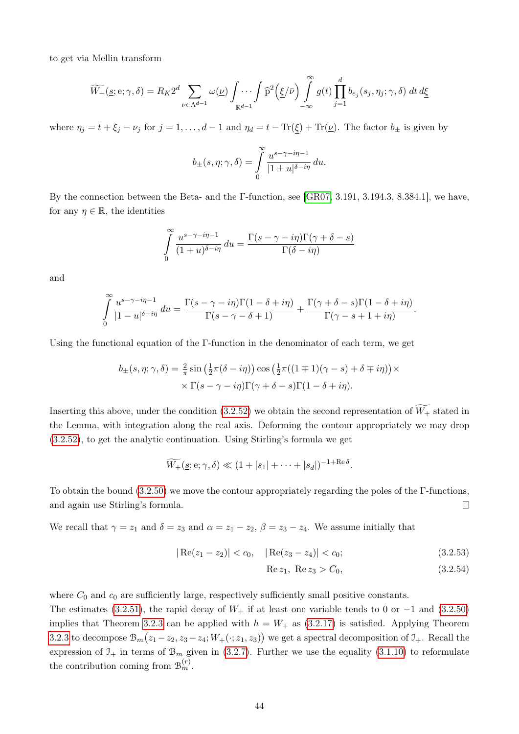to get via Mellin transform

$$
\widetilde{W_{+}}(\underline{s};e;\gamma,\delta) = R_{K} 2^{d} \sum_{\nu \in \Lambda^{d-1}} \omega(\underline{\nu}) \int \cdots \int_{\mathbb{R}^{d-1}} \widehat{p}^{2}(\underline{\xi}/\bar{\nu}) \int_{-\infty}^{\infty} g(t) \prod_{j=1}^{d} b_{e_{j}}(s_{j}, \eta_{j};\gamma,\delta) dt d\underline{\xi}
$$

where  $\eta_j = t + \xi_j - \nu_j$  for  $j = 1, ..., d - 1$  and  $\eta_d = t - \text{Tr}(\xi) + \text{Tr}(\nu)$ . The factor  $b_{\pm}$  is given by

$$
b_{\pm}(s,\eta;\gamma,\delta) = \int\limits_{0}^{\infty} \frac{u^{s-\gamma-i\eta-1}}{|1 \pm u|^{\delta-i\eta}} du.
$$

By the connection between the Beta- and the Γ-function, see [\[GR07,](#page-86-0) 3.191, 3.194.3, 8.384.1], we have, for any  $\eta \in \mathbb{R}$ , the identities

$$
\int_{0}^{\infty} \frac{u^{s-\gamma-i\eta-1}}{(1+u)^{\delta-i\eta}} du = \frac{\Gamma(s-\gamma-i\eta)\Gamma(\gamma+\delta-s)}{\Gamma(\delta-i\eta)}
$$

and

$$
\int_{0}^{\infty} \frac{u^{s-\gamma-i\eta-1}}{|1-u|^{\delta-i\eta}} du = \frac{\Gamma(s-\gamma-i\eta)\Gamma(1-\delta+i\eta)}{\Gamma(s-\gamma-\delta+1)} + \frac{\Gamma(\gamma+\delta-s)\Gamma(1-\delta+i\eta)}{\Gamma(\gamma-s+1+i\eta)}.
$$

Using the functional equation of the  $\Gamma$ -function in the denominator of each term, we get

$$
b_{\pm}(s,\eta;\gamma,\delta) = \frac{2}{\pi} \sin\left(\frac{1}{2}\pi(\delta - i\eta)\right) \cos\left(\frac{1}{2}\pi((1 \mp 1)(\gamma - s) + \delta \mp i\eta)\right) \times \\ \times \Gamma(s - \gamma - i\eta)\Gamma(\gamma + \delta - s)\Gamma(1 - \delta + i\eta).
$$

Inserting this above, under the condition [\(3.2.52\)](#page-48-0) we obtain the second representation of  $W_+$  stated in the Lemma, with integration along the real axis. Deforming the contour appropriately we may drop [\(3.2.52\)](#page-48-0), to get the analytic continuation. Using Stirling's formula we get

$$
\widetilde{W_+}(s;e;\gamma,\delta) \ll (1+|s_1|+\cdots+|s_d|)^{-1+\mathrm{Re}\,\delta}.
$$

To obtain the bound [\(3.2.50\)](#page-48-1) we move the contour appropriately regarding the poles of the Γ-functions, and again use Stirling's formula.  $\Box$ 

We recall that  $\gamma = z_1$  and  $\delta = z_3$  and  $\alpha = z_1 - z_2$ ,  $\beta = z_3 - z_4$ . We assume initially that

$$
|\operatorname{Re}(z_1 - z_2)| < c_0, \quad |\operatorname{Re}(z_3 - z_4)| < c_0; \tag{3.2.53}
$$

<span id="page-49-1"></span><span id="page-49-0"></span>Re 
$$
z_1
$$
, Re  $z_3 > C_0$ , (3.2.54)

where  $C_0$  and  $c_0$  are sufficiently large, respectively sufficiently small positive constants.

The estimates [\(3.2.51\)](#page-48-2), the rapid decay of  $W_+$  if at least one variable tends to 0 or  $-1$  and [\(3.2.50\)](#page-48-1) implies that Theorem [3.2.3](#page-44-1) can be applied with  $h = W_+$  as [\(3.2.17\)](#page-35-0) is satisfied. Applying Theorem [3.2.3](#page-44-1) to decompose  $\mathcal{B}_m(z_1 - z_2, z_3 - z_4; W_+(\cdot; z_1, z_3))$  we get a spectral decomposition of  $\mathcal{I}_+$ . Recall the expression of  $\mathfrak{I}_{+}$  in terms of  $\mathfrak{B}_{m}$  given in [\(3.2.7\)](#page-33-1). Further we use the equality [\(3.1.10\)](#page-18-0) to reformulate the contribution coming from  $\mathcal{B}_m^{(r)}$ .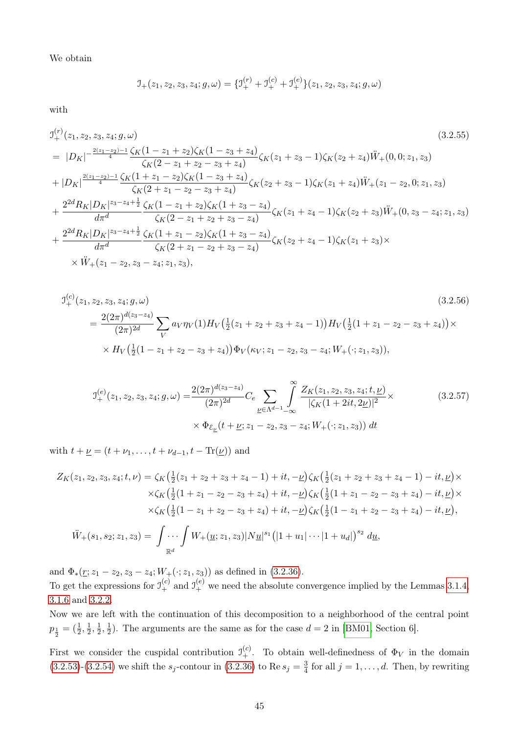We obtain

<span id="page-50-1"></span>
$$
\mathcal{I}_{+}(z_1, z_2, z_3, z_4; g, \omega) = \{\mathcal{I}_{+}^{(r)} + \mathcal{I}_{+}^{(c)} + \mathcal{I}_{+}^{(e)}\}(z_1, z_2, z_3, z_4; g, \omega)
$$

with

$$
J_{+}^{(r)}(z_1, z_2, z_3, z_4; g, \omega)
$$
\n
$$
= |D_K|^{-\frac{2(z_1 - z_2) - 1}{4}} \frac{\zeta_K (1 - z_1 + z_2) \zeta_K (1 - z_3 + z_4)}{\zeta_K (2 - z_1 + z_2 - z_3 + z_4)} \zeta_K (z_1 + z_3 - 1) \zeta_K (z_2 + z_4) \ddot{W}_+(0, 0; z_1, z_3)
$$
\n
$$
+ |D_K|^{\frac{2(z_1 - z_2) - 1}{4}} \frac{\zeta_K (1 + z_1 - z_2) \zeta_K (1 - z_3 + z_4)}{\zeta_K (2 + z_1 - z_2 - z_3 + z_4)} \zeta_K (z_2 + z_3 - 1) \zeta_K (z_1 + z_4) \ddot{W}_+(z_1 - z_2, 0; z_1, z_3)
$$
\n
$$
+ \frac{2^{2d} R_K |D_K|^{z_3 - z_4 + \frac{1}{2}}}{d \pi^d} \frac{\zeta_K (1 - z_1 + z_2) \zeta_K (1 + z_3 - z_4)}{\zeta_K (2 - z_1 + z_2 + z_3 - z_4)} \zeta_K (z_1 + z_4 - 1) \zeta_K (z_2 + z_3) \ddot{W}_+(0, z_3 - z_4; z_1, z_3)
$$
\n
$$
+ \frac{2^{2d} R_K |D_K|^{z_3 - z_4 + \frac{1}{2}}}{d \pi^d} \frac{\zeta_K (1 + z_1 - z_2) \zeta_K (1 + z_3 - z_4)}{\zeta_K (2 + z_1 - z_2 + z_3 - z_4)} \zeta_K (z_2 + z_4 - 1) \zeta_K (z_1 + z_3) \times
$$
\n
$$
\times \ddot{W}_+(z_1 - z_2, z_3 - z_4; z_1, z_3),
$$
\n(3.2.55)

$$
\mathcal{I}_{+}^{(c)}(z_1, z_2, z_3, z_4; g, \omega) \tag{3.2.56}
$$
\n
$$
= \frac{2(2\pi)^{d(z_3 - z_4)}}{(2\pi)^{2d}} \sum_{V} a_V \eta_V(1) H_V\left(\frac{1}{2}(z_1 + z_2 + z_3 + z_4 - 1)\right) H_V\left(\frac{1}{2}(1 + z_1 - z_2 - z_3 + z_4)\right) \times
$$
\n
$$
\times H_V\left(\frac{1}{2}(1 - z_1 + z_2 - z_3 + z_4)\right) \Phi_V(\kappa_V; z_1 - z_2, z_3 - z_4; W_+(\cdot; z_1, z_3)),
$$
\n
$$
(3.2.56)
$$

<span id="page-50-0"></span>
$$
\mathcal{I}_{+}^{(e)}(z_1, z_2, z_3, z_4; g, \omega) = \frac{2(2\pi)^{d(z_3 - z_4)}}{(2\pi)^{2d}} C_e \sum_{\underline{\nu} \in \Lambda^{d-1}} \int_{-\infty}^{\infty} \frac{Z_K(z_1, z_2, z_3, z_4; t, \underline{\nu})}{|\zeta_K(1 + 2it, 2\underline{\nu})|^2} \times \Phi_{\mathcal{E}_{\underline{\nu}}}(t + \underline{\nu}; z_1 - z_2, z_3 - z_4; W_+(\cdot; z_1, z_3)) dt
$$
\n(3.2.57)

with  $t + \underline{\nu} = (t + \nu_1, \ldots, t + \nu_{d-1}, t - \text{Tr}(\underline{\nu}))$  and

$$
Z_K(z_1, z_2, z_3, z_4; t, \nu) = \zeta_K\left(\frac{1}{2}(z_1 + z_2 + z_3 + z_4 - 1) + it, -\nu\right)\zeta_K\left(\frac{1}{2}(z_1 + z_2 + z_3 + z_4 - 1) - it, \nu\right) \times
$$
  
\n
$$
\times \zeta_K\left(\frac{1}{2}(1 + z_1 - z_2 - z_3 + z_4) + it, -\nu\right)\zeta_K\left(\frac{1}{2}(1 + z_1 - z_2 - z_3 + z_4) - it, \nu\right) \times
$$
  
\n
$$
\times \zeta_K\left(\frac{1}{2}(1 - z_1 + z_2 - z_3 + z_4) + it, -\nu\right)\zeta_K\left(\frac{1}{2}(1 - z_1 + z_2 - z_3 + z_4) - it, \nu\right),
$$
  
\n
$$
\ddot{W}_+(s_1, s_2; z_1, z_3) = \int \cdots \int W_+(\underline{u}; z_1, z_3) |N \underline{u}|^{s_1} \left(|1 + u_1| \cdots |1 + u_d|\right)^{s_2} d\underline{u},
$$

and  $\Phi_*(\underline{r}; z_1 - z_2, z_3 - z_4; W_+(\cdot; z_1, z_3))$  as defined in [\(3.2.36\)](#page-42-0). To get the expressions for  $\mathfrak{I}_+^{(c)}$  and  $\mathfrak{I}_+^{(e)}$  we need the absolute convergence implied by the Lemmas [3.1.4,](#page-26-0) [3.1.6](#page-29-0) and [3.2.2.](#page-43-2)

Now we are left with the continuation of this decomposition to a neighborhood of the central point  $p_{\frac{1}{2}} = (\frac{1}{2}, \frac{1}{2})$  $\frac{1}{2}, \frac{1}{2}$  $\frac{1}{2}, \frac{1}{2}$  $\frac{1}{2}$ ). The arguments are the same as for the case  $d = 2$  in [\[BM01,](#page-85-0) Section 6].

First we consider the cuspidal contribution  $\mathcal{I}_+^{(c)}$ . To obtain well-definedness of  $\Phi_V$  in the domain  $(3.2.53)-(3.2.54)$  $(3.2.53)-(3.2.54)$  $(3.2.53)-(3.2.54)$  we shift the  $s_j$ -contour in  $(3.2.36)$  to Re  $s_j = \frac{3}{4}$  $\frac{3}{4}$  for all  $j = 1, \ldots, d$ . Then, by rewriting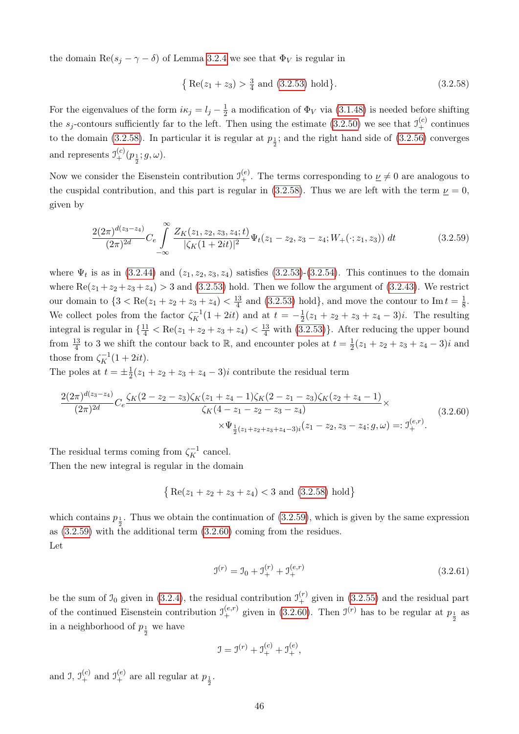the domain Re( $s_j - \gamma - \delta$ ) of Lemma [3.2.4](#page-47-1) we see that  $\Phi_V$  is regular in

<span id="page-51-1"></span><span id="page-51-0"></span>
$$
\{ \text{Re}(z_1 + z_3) > \frac{3}{4} \text{ and } (3.2.53) \text{ hold} \}. \tag{3.2.58}
$$

For the eigenvalues of the form  $i\kappa_j = l_j - \frac{1}{2}$  $\frac{1}{2}$  a modification of  $\Phi_V$  via [\(3.1.48\)](#page-28-2) is needed before shifting the  $s_j$ -contours sufficiently far to the left. Then using the estimate [\(3.2.50\)](#page-48-1) we see that  $\mathfrak{I}^{(c)}_+$  continues to the domain [\(3.2.58\)](#page-51-0). In particular it is regular at  $p_{\frac{1}{2}}$ ; and the right hand side of [\(3.2.56\)](#page-50-0) converges and represents  $\mathcal{I}_{+}^{(c)}(p_{\frac{1}{2}};g,\omega)$ .

Now we consider the Eisenstein contribution  $\mathfrak{I}^{(e)}_+$ . The terms corresponding to  $\underline{\nu} \neq 0$  are analogous to the cuspidal contribution, and this part is regular in [\(3.2.58\)](#page-51-0). Thus we are left with the term  $\nu = 0$ , given by

$$
\frac{2(2\pi)^{d(z_3-z_4)}}{(2\pi)^{2d}}C_e \int_{-\infty}^{\infty} \frac{Z_K(z_1, z_2, z_3, z_4; t)}{|\zeta_K(1+2it)|^2} \Psi_t(z_1-z_2, z_3-z_4; W_+(\cdot; z_1, z_3)) dt \qquad (3.2.59)
$$

where  $\Psi_t$  is as in [\(3.2.44\)](#page-45-2) and  $(z_1, z_2, z_3, z_4)$  satisfies [\(3.2.53\)](#page-49-0)-[\(3.2.54\)](#page-49-1). This continues to the domain where  $\text{Re}(z_1+z_2+z_3+z_4) > 3$  and [\(3.2.53\)](#page-49-0) hold. Then we follow the argument of [\(3.2.43\)](#page-45-3). We restrict our domain to  $\{3 < \text{Re}(z_1 + z_2 + z_3 + z_4) < \frac{13}{4}\}$  $\frac{13}{4}$  and [\(3.2.53\)](#page-49-0) hold}, and move the contour to Im  $t = \frac{1}{8}$  $\frac{1}{8}$ . We collect poles from the factor  $\zeta_K^{-1}(1+2it)$  and at  $t=-\frac{1}{2}$  $\frac{1}{2}(z_1 + z_2 + z_3 + z_4 - 3)i$ . The resulting integral is regular in  $\{\frac{11}{4} < \text{Re}(z_1 + z_2 + z_3 + z_4) < \frac{13}{4} \text{ with } (3.2.53)\}\.$  $\{\frac{11}{4} < \text{Re}(z_1 + z_2 + z_3 + z_4) < \frac{13}{4} \text{ with } (3.2.53)\}\.$  $\{\frac{11}{4} < \text{Re}(z_1 + z_2 + z_3 + z_4) < \frac{13}{4} \text{ with } (3.2.53)\}\.$  After reducing the upper bound from  $\frac{13}{4}$  to 3 we shift the contour back to  $\mathbb{R}$ , and encounter poles at  $t = \frac{1}{2}$  $\frac{1}{2}(z_1 + z_2 + z_3 + z_4 - 3)i$  and those from  $\zeta_K^{-1}(1+2it)$ .

The poles at  $t=\pm \frac{1}{2}$  $\frac{1}{2}(z_1 + z_2 + z_3 + z_4 - 3)i$  contribute the residual term

<span id="page-51-2"></span>
$$
\frac{2(2\pi)^{d(z_3-z_4)}}{(2\pi)^{2d}} C_e \frac{\zeta_K (2-z_2-z_3)\zeta_K (z_1+z_4-1)\zeta_K (2-z_1-z_3)\zeta_K (z_2+z_4-1)}{\zeta_K (4-z_1-z_2-z_3-z_4)} \times \frac{\zeta_K (z_1+z_2+z_3-z_4)}{\zeta_{\frac{1}{2}(z_1+z_2+z_3+z_4-3)i}(z_1-z_2,z_3-z_4;g,\omega) =: \mathfrak{I}_+^{(e,r)}.
$$
\n(3.2.60)

The residual terms coming from  $\zeta_K^{-1}$  cancel.

Then the new integral is regular in the domain

$$
\{ \text{Re}(z_1 + z_2 + z_3 + z_4) < 3 \text{ and } (3.2.58) \text{ hold} \}
$$

which contains  $p_{\frac{1}{2}}$ . Thus we obtain the continuation of [\(3.2.59\)](#page-51-1), which is given by the same expression as [\(3.2.59\)](#page-51-1) with the additional term [\(3.2.60\)](#page-51-2) coming from the residues. Let

<span id="page-51-3"></span>
$$
\mathbf{J}^{(r)} = \mathbf{J}_0 + \mathbf{J}_+^{(r)} + \mathbf{J}_+^{(e,r)} \tag{3.2.61}
$$

be the sum of  $\mathfrak{I}_0$  given in [\(3.2.4\)](#page-32-3), the residual contribution  $\mathfrak{I}_+^{(r)}$  given in [\(3.2.55\)](#page-50-1) and the residual part of the continued Eisenstein contribution  $\mathcal{I}_{+}^{(e,r)}$  given in [\(3.2.60\)](#page-51-2). Then  $\mathcal{I}_{-}^{(r)}$  has to be regular at  $p_{\frac{1}{2}}$  as in a neighborhood of  $p_{\frac{1}{2}}$  we have

$$
J = J^{(r)} + J^{(c)}_+ + J^{(e)}_+,
$$

and J,  $\mathcal{I}_{+}^{(c)}$  and  $\mathcal{I}_{+}^{(e)}$  are all regular at  $p_{\frac{1}{2}}$ .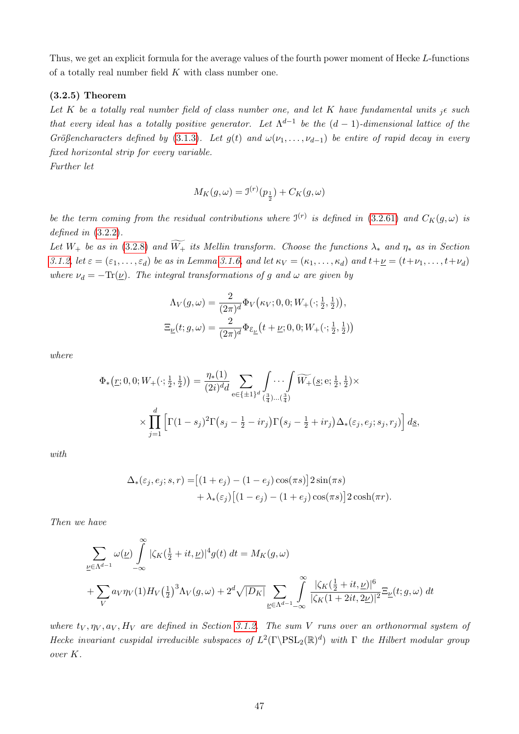Thus, we get an explicit formula for the average values of the fourth power moment of Hecke L-functions of a totally real number field K with class number one.

## <span id="page-52-0"></span>(3.2.5) Theorem

Let K be a totally real number field of class number one, and let K have fundamental units  ${}_{i} \epsilon$  such that every ideal has a totally positive generator. Let  $\Lambda^{d-1}$  be the  $(d-1)$ -dimensional lattice of the Größencharacters defined by [\(3.1.3\)](#page-15-0). Let g(t) and  $\omega(\nu_1, \ldots, \nu_{d-1})$  be entire of rapid decay in every fixed horizontal strip for every variable.

Further let

$$
M_K(g,\omega) = \mathfrak{I}^{(r)}(p_{\frac{1}{2}}) + C_K(g,\omega)
$$

be the term coming from the residual contributions where  $\mathfrak{I}^{(r)}$  is defined in [\(3.2.61\)](#page-51-3) and  $C_K(g,\omega)$  is defined in  $(3.2.2)$ .

Let  $W_+$  be as in [\(3.2.8\)](#page-33-2) and  $\widetilde{W_+}$  its Mellin transform. Choose the functions  $\lambda_*$  and  $\eta_*$  as in Section [3.1.2,](#page-22-1) let  $\varepsilon = (\varepsilon_1, \ldots, \varepsilon_d)$  be as in Lemma [3.1.6,](#page-29-0) and let  $\kappa_V = (\kappa_1, \ldots, \kappa_d)$  and  $t + \underline{\nu} = (t + \nu_1, \ldots, t + \nu_d)$ where  $\nu_d = -\text{Tr}(\underline{\nu})$ . The integral transformations of g and  $\omega$  are given by

$$
\begin{aligned} \Lambda_V(g,\omega) &= \frac{2}{(2\pi)^d} \Phi_V\big(\kappa_V;0,0;W_+(\cdot;\tfrac{1}{2},\tfrac{1}{2})\big), \\ \Xi_{\underline{\nu}}(t;g,\omega) &= \frac{2}{(2\pi)^d} \Phi_{\mathcal{E}_{\underline{\nu}}}\big(t+\underline{\nu};0,0;W_+(\cdot;\tfrac{1}{2},\tfrac{1}{2})\big) \end{aligned}
$$

where

$$
\Phi_{*}(r; 0, 0; W_{+}(\cdot; \frac{1}{2}, \frac{1}{2})) = \frac{\eta_{*}(1)}{(2i)^{d}d} \sum_{e \in \{\pm 1\}^{d}} \int_{(\frac{3}{4})...(\frac{3}{4})} \cdots \int_{(\frac{3}{4})...(\frac{3}{4})} \widetilde{W_{+}}(s; e; \frac{1}{2}, \frac{1}{2}) \times \prod_{j=1}^{d} \left[ \Gamma(1 - s_{j})^{2} \Gamma(s_{j} - \frac{1}{2} - ir_{j}) \Gamma(s_{j} - \frac{1}{2} + ir_{j}) \Delta_{*}(\varepsilon_{j}, e_{j}; s_{j}, r_{j}) \right] d\underline{s},
$$

with

$$
\Delta_*(\varepsilon_j, e_j; s, r) = [(1+e_j) - (1-e_j)\cos(\pi s)] 2\sin(\pi s)
$$
  
+ 
$$
\lambda_*(\varepsilon_j) [(1-e_j) - (1+e_j)\cos(\pi s)] 2\cosh(\pi r).
$$

Then we have

$$
\sum_{\nu \in \Lambda^{d-1}} \omega(\underline{\nu}) \int_{-\infty}^{\infty} |\zeta_K(\frac{1}{2} + it, \underline{\nu})|^4 g(t) dt = M_K(g, \omega)
$$
  
+ 
$$
\sum_{V} a_V \eta_V(1) H_V(\frac{1}{2})^3 \Lambda_V(g, \omega) + 2^d \sqrt{|D_K|} \sum_{\underline{\nu} \in \Lambda^{d-1} - \infty} \int_{-\infty}^{\infty} \frac{|\zeta_K(\frac{1}{2} + it, \underline{\nu})|^6}{|\zeta_K(1 + 2it, 2\underline{\nu})|^2} \Xi_{\underline{\nu}}(t; g, \omega) dt
$$

where  $t_V, \eta_V, a_V, H_V$  are defined in Section [3.1.2.](#page-22-1) The sum V runs over an orthonormal system of Hecke invariant cuspidal irreducible subspaces of  $L^2(\Gamma \backslash \mathrm{PSL}_2(\mathbb{R})^d)$  with  $\Gamma$  the Hilbert modular group over K.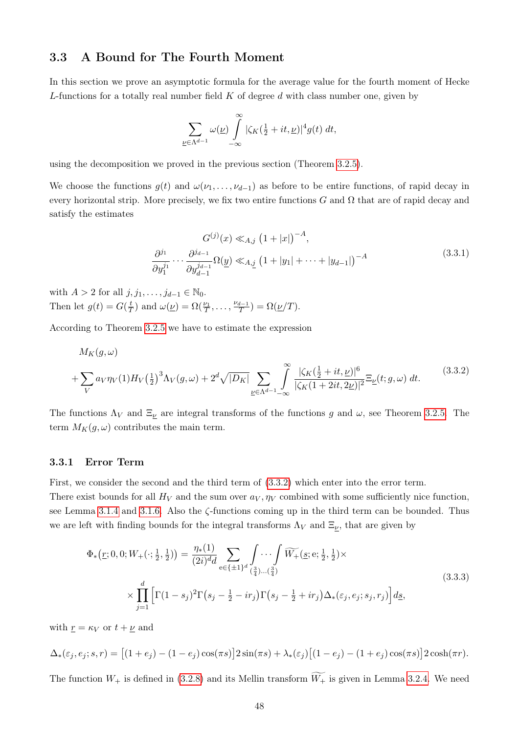## 3.3 A Bound for The Fourth Moment

In this section we prove an asymptotic formula for the average value for the fourth moment of Hecke L-functions for a totally real number field  $K$  of degree  $d$  with class number one, given by

$$
\sum_{\underline{\nu}\in\Lambda^{d-1}}\omega(\underline{\nu})\int\limits_{-\infty}^{\infty}|\zeta_K(\tfrac{1}{2}+it,\underline{\nu})|^4g(t)\;dt,
$$

using the decomposition we proved in the previous section (Theorem [3.2.5\)](#page-52-0).

We choose the functions  $g(t)$  and  $\omega(\nu_1,\ldots,\nu_{d-1})$  as before to be entire functions, of rapid decay in every horizontal strip. More precisely, we fix two entire functions G and  $\Omega$  that are of rapid decay and satisfy the estimates

<span id="page-53-1"></span>
$$
G^{(j)}(x) \ll_{A,j} (1+|x|)^{-A},
$$
  
\n
$$
\frac{\partial^{j_1}}{\partial y_1^{j_1}} \cdots \frac{\partial^{j_{d-1}}}{\partial y_{d-1}^{j_{d-1}}} \Omega(\underline{y}) \ll_{A,j} (1+|y_1|+\cdots+|y_{d-1}|)^{-A}
$$
\n(3.3.1)

with  $A > 2$  for all  $j, j_1, \ldots, j_{d-1} \in \mathbb{N}_0$ . Then let  $g(t) = G(\frac{t}{7})$  $(\frac{t}{T})$  and  $\omega(\underline{\nu}) = \Omega(\frac{\nu_1}{T}, \dots, \frac{\nu_{d-1}}{T})$  $\frac{d-1}{T}$ ) =  $\Omega(\underline{\nu}/T)$ .

According to Theorem [3.2.5](#page-52-0) we have to estimate the expression

<span id="page-53-0"></span>
$$
M_K(g,\omega)
$$
  
+ 
$$
\sum_V a_V \eta_V(1) H_V\left(\frac{1}{2}\right)^3 \Lambda_V(g,\omega) + 2^d \sqrt{|D_K|} \sum_{\underline{\nu} \in \Lambda^{d-1} - \infty} \int_{-\infty}^{\infty} \frac{|\zeta_K(\frac{1}{2} + it, \underline{\nu})|^6}{|\zeta_K(1 + 2it, 2\underline{\nu})|^2} \Xi_{\underline{\nu}}(t; g, \omega) dt.
$$
 (3.3.2)

The functions  $\Lambda_V$  and  $\Xi_{\underline{\nu}}$  are integral transforms of the functions g and  $\omega$ , see Theorem [3.2.5.](#page-52-0) The term  $M_K(q,\omega)$  contributes the main term.

## <span id="page-53-3"></span>3.3.1 Error Term

First, we consider the second and the third term of [\(3.3.2\)](#page-53-0) which enter into the error term. There exist bounds for all  $H_V$  and the sum over  $a_V, \eta_V$  combined with some sufficiently nice function, see Lemma [3.1.4](#page-26-0) and [3.1.6.](#page-29-0) Also the ζ-functions coming up in the third term can be bounded. Thus we are left with finding bounds for the integral transforms  $\Lambda_V$  and  $\Xi_{\nu}$ , that are given by

<span id="page-53-2"></span>
$$
\Phi_{*}(r; 0, 0; W_{+}(\cdot; \frac{1}{2}, \frac{1}{2})) = \frac{\eta_{*}(1)}{(2i)^{d}d} \sum_{e \in \{\pm 1\}^{d}} \int_{(\frac{3}{4})} \cdots \int_{(\frac{3}{4})} \widetilde{W_{+}}(s; e; \frac{1}{2}, \frac{1}{2}) \times \prod_{j=1}^{d} \left[ \Gamma(1 - s_{j})^{2} \Gamma(s_{j} - \frac{1}{2} - ir_{j}) \Gamma(s_{j} - \frac{1}{2} + ir_{j}) \Delta_{*}(\varepsilon_{j}, e_{j}; s_{j}, r_{j}) \right] ds,
$$
\n(3.3.3)

with  $r = \kappa_V$  or  $t + \nu$  and

$$
\Delta_*(\varepsilon_j, e_j; s, r) = \left[ (1+e_j) - (1-e_j)\cos(\pi s) \right] 2\sin(\pi s) + \lambda_*(\varepsilon_j) \left[ (1-e_j) - (1+e_j)\cos(\pi s) \right] 2\cosh(\pi r).
$$

The function  $W_+$  is defined in [\(3.2.8\)](#page-33-2) and its Mellin transform  $\widetilde{W_+}$  is given in Lemma [3.2.4.](#page-47-1) We need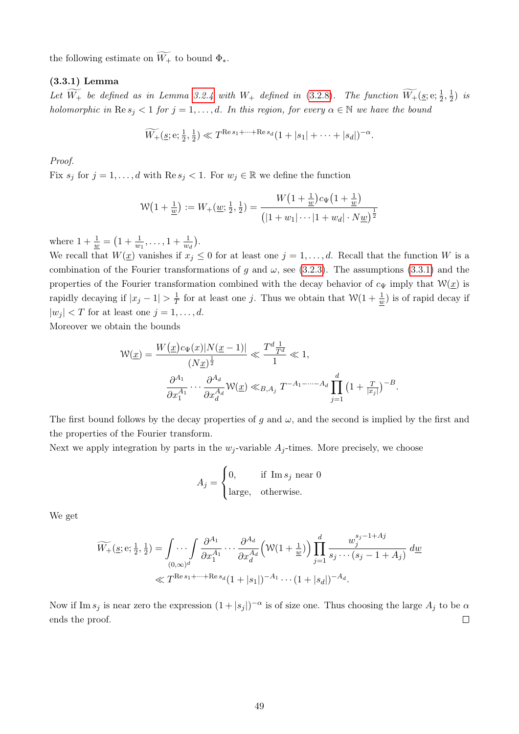the following estimate on  $\widetilde{W_+}$  to bound  $\Phi_*$ .

## <span id="page-54-0"></span>(3.3.1) Lemma

Let  $\widetilde{W_+}$  be defined as in Lemma [3.2.4](#page-47-1) with  $W_+$  defined in [\(3.2.8\)](#page-33-2). The function  $\widetilde{W_+}(\underline{s}; e; \frac{1}{2}, \frac{1}{2})$  $(\frac{1}{2})$  is holomorphic in  $\text{Re } s_i < 1$  for  $j = 1, ..., d$ . In this region, for every  $\alpha \in \mathbb{N}$  we have the bound

$$
\widetilde{W_+}(\underline{s}; \mathrm{e}; \frac{1}{2}, \frac{1}{2}) \ll T^{\text{Re } s_1 + \dots + \text{Re } s_d} (1 + |s_1| + \dots + |s_d|)^{-\alpha}.
$$

Proof.

Fix  $s_j$  for  $j = 1, ..., d$  with  $\text{Re } s_j < 1$ . For  $w_j \in \mathbb{R}$  we define the function

$$
W\left(1+\frac{1}{w}\right) := W_{+}(\underline{w};\frac{1}{2},\frac{1}{2}) = \frac{W\left(1+\frac{1}{w}\right)c_{\Psi}\left(1+\frac{1}{w}\right)}{\left(|1+w_{1}|\cdots|1+w_{d}|\cdot N\underline{w}\right)^{\frac{1}{2}}}
$$

where  $1 + \frac{1}{\underline{w}} = \left(1 + \frac{1}{w_1}, \ldots, 1 + \frac{1}{w_d}\right)$ .

We recall that  $W(\underline{x})$  vanishes if  $x_j \leq 0$  for at least one  $j = 1, \ldots, d$ . Recall that the function W is a combination of the Fourier transformations of g and  $\omega$ , see [\(3.2.3\)](#page-32-1). The assumptions [\(3.3.1\)](#page-53-1) and the properties of the Fourier transformation combined with the decay behavior of  $c_{\Psi}$  imply that  $\mathcal{W}(\underline{x})$  is rapidly decaying if  $|x_j - 1| > \frac{1}{7}$  $\frac{1}{T}$  for at least one j. Thus we obtain that  $\mathcal{W}(1+\frac{1}{w})$  is of rapid decay if  $|w_j| < T$  for at least one  $j = 1, \ldots, d$ .

Moreover we obtain the bounds

$$
\mathcal{W}(\underline{x}) = \frac{W(\underline{x})c_{\Psi}(x)|N(\underline{x}-1)|}{(N\underline{x})^{\frac{1}{2}}} \ll \frac{T^{d}\frac{1}{T^{d}}}{1} \ll 1,
$$

$$
\frac{\partial^{A_{1}}}{\partial x_{1}^{A_{1}}}\cdots\frac{\partial^{A_{d}}}{\partial x_{d}^{A_{d}}} \mathcal{W}(\underline{x}) \ll_{B,A_{j}} T^{-A_{1}-\cdots-A_{d}} \prod_{j=1}^{d} \left(1+\frac{T}{|x_{j}|}\right)^{-B}.
$$

The first bound follows by the decay properties of g and  $\omega$ , and the second is implied by the first and the properties of the Fourier transform.

Next we apply integration by parts in the  $w_j$ -variable  $A_j$ -times. More precisely, we choose

$$
A_j = \begin{cases} 0, & \text{if } \text{Im } s_j \text{ near } 0\\ \text{large, } & \text{otherwise.} \end{cases}
$$

We get

$$
\widetilde{W_+}(\underline{s}; \mathbf{e}; \frac{1}{2}, \frac{1}{2}) = \int \cdots \int \frac{\partial^{A_1}}{\partial x_1^{A_1}} \cdots \frac{\partial^{A_d}}{\partial x_d^{A_d}} \left( \mathcal{W}(1 + \frac{1}{\underline{w}}) \right) \prod_{j=1}^d \frac{w_j^{s_j - 1 + Aj}}{s_j \cdots (s_j - 1 + A_j)} d\underline{w}
$$
\n
$$
\ll T^{\text{Re}\,s_1 + \cdots + \text{Re}\,s_d} (1 + |s_1|)^{-A_1} \cdots (1 + |s_d|)^{-A_d}.
$$

Now if Im  $s_j$  is near zero the expression  $(1+|s_j|)^{-\alpha}$  is of size one. Thus choosing the large  $A_j$  to be  $\alpha$ ends the proof.  $\Box$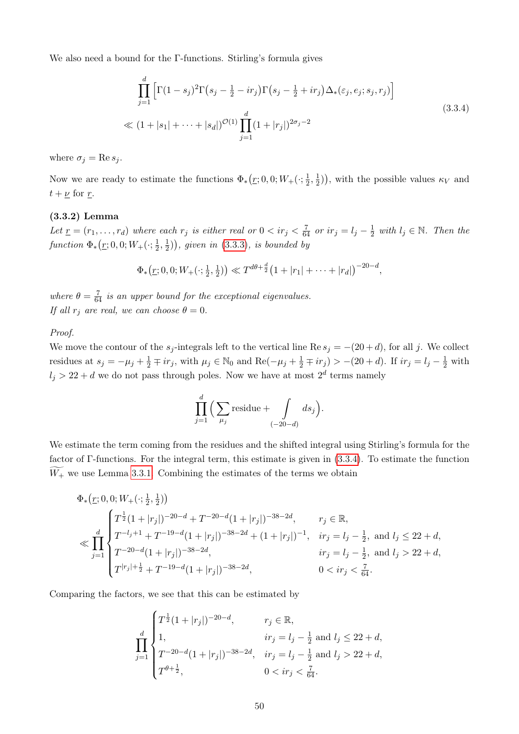We also need a bound for the Γ-functions. Stirling's formula gives

<span id="page-55-0"></span>
$$
\prod_{j=1}^{d} \left[ \Gamma(1-s_j)^2 \Gamma(s_j - \frac{1}{2} - ir_j) \Gamma(s_j - \frac{1}{2} + ir_j) \Delta_*(\varepsilon_j, e_j; s_j, r_j) \right]
$$
\n
$$
\ll (1 + |s_1| + \dots + |s_d|)^{\mathcal{O}(1)} \prod_{j=1}^{d} (1 + |r_j|)^{2\sigma_j - 2}
$$
\n(3.3.4)

where  $\sigma_j = \text{Re } s_j$ .

Now we are ready to estimate the functions  $\Phi_*(\underline{r};0,0;W_+(\cdot;\frac{1}{2}))$  $\frac{1}{2}, \frac{1}{2}$  $(\frac{1}{2})$ , with the possible values  $\kappa_V$  and  $t + \underline{\nu}$  for  $\underline{r}$ .

## (3.3.2) Lemma

Let  $\underline{r} = (r_1, \ldots, r_d)$  where each  $r_j$  is either real or  $0 < ir_j < \frac{7}{64}$  or  $ir_j = l_j - \frac{1}{2}$  $\frac{1}{2}$  with  $l_j \in \mathbb{N}$ . Then the  $function \ \Phi_*(\underline{r};0,0;W_+(\cdot;\frac{1}{2}))$  $\frac{1}{2}, \frac{1}{2}$  $(\frac{1}{2})$ , given in [\(3.3.3\)](#page-53-2), is bounded by

$$
\Phi_*\big(\underline{r};0,0;W_+(\cdot;\tfrac{1}{2},\tfrac{1}{2})\big) \ll T^{d\theta+\frac{d}{2}}\big(1+|r_1|+\cdots+|r_d|\big)^{-20-d},
$$

where  $\theta = \frac{7}{64}$  is an upper bound for the exceptional eigenvalues. If all  $r_i$  are real, we can choose  $\theta = 0$ .

## Proof.

We move the contour of the  $s_j$ -integrals left to the vertical line Re  $s_j = -(20 + d)$ , for all j. We collect residues at  $s_j = -\mu_j + \frac{1}{2} \mp ir_j$ , with  $\mu_j \in \mathbb{N}_0$  and  $\text{Re}(-\mu_j + \frac{1}{2} \mp ir_j) > -(20 + d)$ . If  $ir_j = l_j - \frac{1}{2}$  with  $l_j > 22 + d$  we do not pass through poles. Now we have at most  $2^d$  terms namely

$$
\prod_{j=1}^d \Big(\sum_{\mu_j} \text{residue} + \int\limits_{(-20-d)} ds_j\Big).
$$

We estimate the term coming from the residues and the shifted integral using Stirling's formula for the factor of Γ-functions. For the integral term, this estimate is given in [\(3.3.4\)](#page-55-0). To estimate the function  $\widetilde{W_+}$  we use Lemma [3.3.1.](#page-54-0) Combining the estimates of the terms we obtain

$$
\Phi_{*}(r; 0, 0; W_{+}(\cdot; \frac{1}{2}, \frac{1}{2}))
$$
\n
$$
\ll \prod_{j=1}^{d} \begin{cases}\nT^{\frac{1}{2}}(1+|r_{j}|)^{-20-d} + T^{-20-d}(1+|r_{j}|)^{-38-2d}, & r_{j} \in \mathbb{R}, \\
T^{-l_{j}+1} + T^{-19-d}(1+|r_{j}|)^{-38-2d} + (1+|r_{j}|)^{-1}, & ir_{j} = l_{j} - \frac{1}{2}, \text{ and } l_{j} \le 22 + d, \\
T^{-20-d}(1+|r_{j}|)^{-38-2d}, & ir_{j} = l_{j} - \frac{1}{2}, \text{ and } l_{j} > 22 + d, \\
T^{|r_{j}| + \frac{1}{2}} + T^{-19-d}(1+|r_{j}|)^{-38-2d}, & 0 < ir_{j} < \frac{7}{64}.\n\end{cases}
$$

Comparing the factors, we see that this can be estimated by

$$
\prod_{j=1}^{d} \begin{cases} T^{\frac{1}{2}}(1+|r_j|)^{-20-d}, & r_j \in \mathbb{R}, \\ 1, & ir_j = l_j - \frac{1}{2} \text{ and } l_j \le 22+d, \\ T^{-20-d}(1+|r_j|)^{-38-2d}, & ir_j = l_j - \frac{1}{2} \text{ and } l_j > 22+d, \\ T^{\theta+\frac{1}{2}}, & 0 < ir_j < \frac{7}{64}. \end{cases}
$$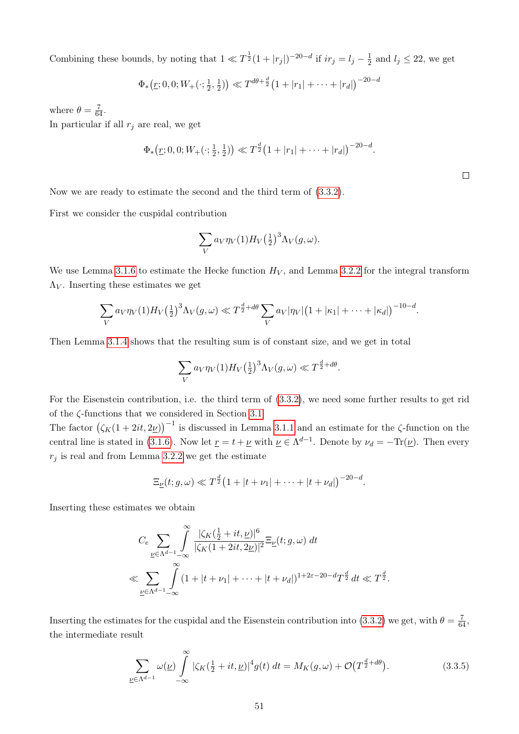Combining these bounds, by noting that  $1 \ll T^{\frac{1}{2}}(1+|r_j|)^{-20-d}$  if  $ir_j = l_j - \frac{1}{2}$  $\frac{1}{2}$  and  $l_j \leq 22$ , we get

$$
\Phi_*(\underline{r};0,0;W_+(\cdot;\frac{1}{2},\frac{1}{2})) \ll T^{d\theta+\frac{d}{2}}(1+|r_1|+\cdots+|r_d|)^{-20-d}
$$

where  $\theta = \frac{7}{64}$ .

In particular if all  $r_j$  are real, we get

$$
\Phi_*(\underline{r}; 0, 0; W_+(\cdot; \frac{1}{2}, \frac{1}{2})) \ll T^{\frac{d}{2}} (1 + |r_1| + \cdots + |r_d|)^{-20-d}.
$$

Now we are ready to estimate the second and the third term of [\(3.3.2\)](#page-53-0).

First we consider the cuspidal contribution

$$
\sum_{V} a_V \eta_V(1) H_V(\frac{1}{2})^3 \Lambda_V(g, \omega).
$$

We use Lemma [3.1.6](#page-29-0) to estimate the Hecke function  $H_V$ , and Lemma [3.2.2](#page-43-2) for the integral transform  $\Lambda_V$ . Inserting these estimates we get

$$
\sum_{V} a_V \eta_V(1) H_V\left(\frac{1}{2}\right)^3 \Lambda_V(g,\omega) \ll T^{\frac{d}{2}+d\theta} \sum_{V} a_V |\eta_V| \left(1+|\kappa_1|+\cdots+|\kappa_d|\right)^{-10-d}.
$$

Then Lemma [3.1.4](#page-26-0) shows that the resulting sum is of constant size, and we get in total

$$
\sum_{V} a_V \eta_V(1) H_V(\frac{1}{2})^3 \Lambda_V(g, \omega) \ll T^{\frac{d}{2} + d\theta}.
$$

For the Eisenstein contribution, i.e. the third term of [\(3.3.2\)](#page-53-0), we need some further results to get rid of the ζ-functions that we considered in Section [3.1.](#page-15-1)

The factor  $(\zeta_K(1+2it,2\underline{\nu}))^{-1}$  is discussed in Lemma [3.1.1](#page-16-0) and an estimate for the  $\zeta$ -function on the central line is stated in [\(3.1.6\)](#page-16-2). Now let  $\underline{r} = t + \underline{\nu}$  with  $\underline{\nu} \in \Lambda^{d-1}$ . Denote by  $\nu_d = -\text{Tr}(\underline{\nu})$ . Then every  $r_i$  is real and from Lemma [3.2.2](#page-43-2) we get the estimate

$$
\Xi_{\underline{\nu}}(t; g, \omega) \ll T^{\frac{d}{2}} (1 + |t + \nu_1| + \cdots + |t + \nu_d|)^{-20-d}.
$$

Inserting these estimates we obtain

$$
C_e \sum_{\nu \in \Lambda^{d-1}} \int_{-\infty}^{\infty} \frac{|\zeta_K(\frac{1}{2} + it, \underline{\nu})|^6}{|\zeta_K(1 + 2it, 2\underline{\nu})|^2} \Xi_{\underline{\nu}}(t; g, \omega) dt
$$
  

$$
\ll \sum_{\underline{\nu} \in \Lambda^{d-1}} \int_{-\infty}^{\infty} (1 + |t + \nu_1| + \dots + |t + \nu_d|)^{1 + 2\varepsilon - 20 - d} T^{\frac{d}{2}} dt \ll T^{\frac{d}{2}}.
$$

Inserting the estimates for the cuspidal and the Eisenstein contribution into [\(3.3.2\)](#page-53-0) we get, with  $\theta = \frac{7}{64}$ , the intermediate result

<span id="page-56-0"></span>
$$
\sum_{\underline{\nu}\in\Lambda^{d-1}}\omega(\underline{\nu})\int\limits_{-\infty}^{\infty}|\zeta_K(\tfrac{1}{2}+it,\underline{\nu})|^4g(t) dt = M_K(g,\omega) + \mathcal{O}\big(T^{\frac{d}{2}+d\theta}\big).
$$
 (3.3.5)

 $\Box$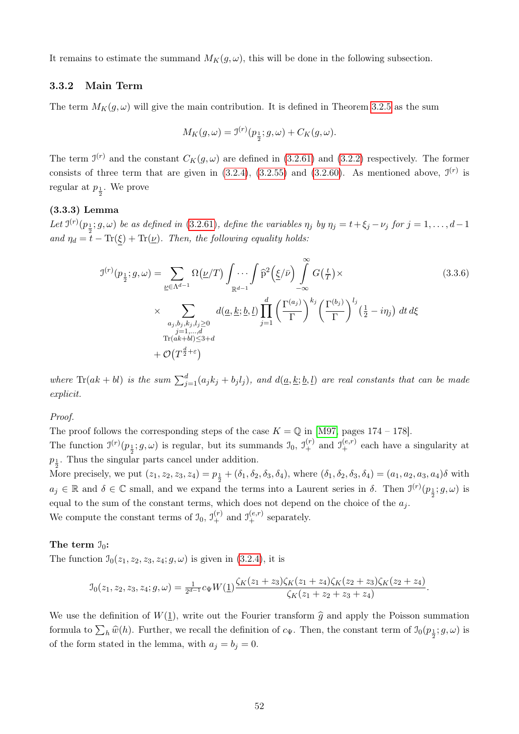It remains to estimate the summand  $M_K(g, \omega)$ , this will be done in the following subsection.

## <span id="page-57-2"></span>3.3.2 Main Term

The term  $M_K(g,\omega)$  will give the main contribution. It is defined in Theorem [3.2.5](#page-52-0) as the sum

<span id="page-57-1"></span>
$$
M_K(g,\omega) = \mathcal{I}^{(r)}(p_{\frac{1}{2}};g,\omega) + C_K(g,\omega).
$$

The term  $\mathcal{I}^{(r)}$  and the constant  $C_K(g,\omega)$  are defined in [\(3.2.61\)](#page-51-3) and [\(3.2.2\)](#page-31-0) respectively. The former consists of three term that are given in  $(3.2.4)$ ,  $(3.2.55)$  and  $(3.2.60)$ . As mentioned above,  $\mathfrak{I}^{(r)}$  is regular at  $p_{\frac{1}{2}}$ . We prove

## <span id="page-57-0"></span>(3.3.3) Lemma

Let  $J^{(r)}(p_{\frac{1}{2}};g,\omega)$  be as defined in [\(3.2.61\)](#page-51-3), define the variables  $\eta_j$  by  $\eta_j = t + \xi_j - \nu_j$  for  $j = 1,\ldots,d-1$ and  $\eta_d = t - \text{Tr}(\xi) + \text{Tr}(\underline{\nu})$ . Then, the following equality holds:

$$
\mathcal{I}^{(r)}(p_{\frac{1}{2}};g,\omega) = \sum_{\underline{\nu} \in \Lambda^{d-1}} \Omega(\underline{\nu}/T) \int \cdots \int \widehat{p}^2(\underline{\xi}/\bar{\nu}) \int_{-\infty}^{\infty} G(\frac{t}{T}) \times
$$
\n
$$
\times \sum_{\substack{a_j, b_j, k_j, l_j \ge 0 \\ j=1, \dots, d \\ \text{Tr}(ak+bl) \le 3+d}} d(\underline{a}, \underline{k}; \underline{b}, \underline{l}) \prod_{j=1}^d \left(\frac{\Gamma^{(a_j)}}{\Gamma}\right)^{k_j} \left(\frac{\Gamma^{(b_j)}}{\Gamma}\right)^{l_j} (\frac{1}{2} - i\eta_j) dt d\xi
$$
\n
$$
+ \mathcal{O}(T^{\frac{d}{2}+\varepsilon})
$$
\n(3.3.6)

where  $\text{Tr}(ak+bl)$  is the sum  $\sum_{j=1}^{d}(a_jk_j+b_jl_j)$ , and  $d(\underline{a},\underline{k};\underline{b},\underline{l})$  are real constants that can be made explicit.

## Proof.

The proof follows the corresponding steps of the case  $K = \mathbb{Q}$  in [\[M97,](#page-87-0) pages 174 – 178].

The function  $\mathfrak{I}^{(r)}(p_{\frac{1}{2}};g,\omega)$  is regular, but its summands  $\mathfrak{I}_0$ ,  $\mathfrak{I}_+^{(r)}$  and  $\mathfrak{I}_+^{(e,r)}$  each have a singularity at  $p_1$ . Thus the singular parts cancel under addition.

More precisely, we put  $(z_1, z_2, z_3, z_4) = p_{\frac{1}{2}} + (\delta_1, \delta_2, \delta_3, \delta_4)$ , where  $(\delta_1, \delta_2, \delta_3, \delta_4) = (a_1, a_2, a_3, a_4) \delta$  with  $a_j \in \mathbb{R}$  and  $\delta \in \mathbb{C}$  small, and we expand the terms into a Laurent series in  $\delta$ . Then  $\mathcal{I}^{(r)}(p_{\frac{1}{2}};g,\omega)$  is equal to the sum of the constant terms, which does not depend on the choice of the  $a_j$ . We compute the constant terms of  $\mathfrak{I}_0$ ,  $\mathfrak{I}_+^{(r)}$  and  $\mathfrak{I}_+^{(e,r)}$  separately.

#### The term  $\mathfrak{I}_0$ :

The function  $\mathcal{I}_0(z_1, z_2, z_3, z_4; g, \omega)$  is given in [\(3.2.4\)](#page-32-3), it is

$$
\mathcal{I}_0(z_1, z_2, z_3, z_4; g, \omega) = \frac{1}{2^{d-1}} c_{\Psi} W(\underline{1}) \frac{\zeta_K(z_1+z_3) \zeta_K(z_1+z_4) \zeta_K(z_2+z_3) \zeta_K(z_2+z_4)}{\zeta_K(z_1+z_2+z_3+z_4)}.
$$

We use the definition of  $W(\underline{1})$ , write out the Fourier transform  $\hat{g}$  and apply the Poisson summation formula to  $\sum_h \widehat{w}(h)$ . Further, we recall the definition of  $c_{\Psi}$ . Then, the constant term of  $\mathfrak{I}_0(p_{\frac{1}{2}}; g, \omega)$  is of the form stated in the lemma, with  $a_j = b_j = 0$ .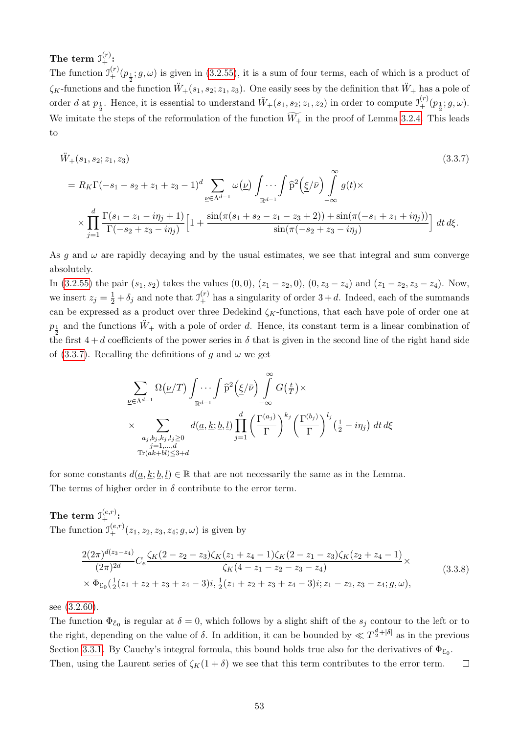The term  $\mathfrak{I}^{(r)}_+ \colon$ 

The function  $\mathfrak{I}^{(r)}_{+}(p_{\frac{1}{2}};g,\omega)$  is given in [\(3.2.55\)](#page-50-1), it is a sum of four terms, each of which is a product of  $\zeta_K$ -functions and the function  $\ddot{W}_+(s_1, s_2; z_1, z_3)$ . One easily sees by the definition that  $\ddot{W}_+$  has a pole of order d at  $p_{\frac{1}{2}}$ . Hence, it is essential to understand  $\ddot{W}_+(s_1, s_2; z_1, z_2)$  in order to compute  $\mathfrak{I}^{(r)}_+(\overline{p}_{\frac{1}{2}};g,\omega)$ . We imitate the steps of the reformulation of the function  $\widetilde{W_+}$  in the proof of Lemma [3.2.4.](#page-47-1) This leads to

<span id="page-58-0"></span>
$$
\ddot{W}_{+}(s_{1}, s_{2}; z_{1}, z_{3})
$$
\n
$$
= R_{K}\Gamma(-s_{1}-s_{2}+z_{1}+z_{3}-1)^{d} \sum_{\underline{\nu}\in\Lambda^{d-1}} \omega(\underline{\nu}) \int_{\mathbb{R}^{d-1}} \int_{\tilde{\mathbb{P}}} \hat{p}^{2}(\underline{\xi}/\bar{\nu}) \int_{-\infty}^{\infty} g(t) \times
$$
\n
$$
\times \prod_{j=1}^{d} \frac{\Gamma(s_{1}-z_{1}-i\eta_{j}+1)}{\Gamma(-s_{2}+z_{3}-i\eta_{j})} \Big[1 + \frac{\sin(\pi(s_{1}+s_{2}-z_{1}-z_{3}+2)) + \sin(\pi(-s_{1}+z_{1}+i\eta_{j}))}{\sin(\pi(-s_{2}+z_{3}-i\eta_{j}))}\Big] dt d\xi.
$$
\n(3.3.7)

As g and  $\omega$  are rapidly decaying and by the usual estimates, we see that integral and sum converge absolutely.

In [\(3.2.55\)](#page-50-1) the pair  $(s_1, s_2)$  takes the values  $(0, 0)$ ,  $(z_1 - z_2, 0)$ ,  $(0, z_3 - z_4)$  and  $(z_1 - z_2, z_3 - z_4)$ . Now, we insert  $z_j = \frac{1}{2} + \delta_j$  and note that  $\mathcal{I}^{(r)}_+$  has a singularity of order  $3 + d$ . Indeed, each of the summands can be expressed as a product over three Dedekind  $\zeta_K$ -functions, that each have pole of order one at  $p_{\frac{1}{2}}$  and the functions  $\ddot{W}_{+}$  with a pole of order d. Hence, its constant term is a linear combination of the first  $4 + d$  coefficients of the power series in  $\delta$  that is given in the second line of the right hand side of [\(3.3.7\)](#page-58-0). Recalling the definitions of q and  $\omega$  we get

$$
\sum_{\underline{\nu}\in\Lambda^{d-1}}\Omega(\underline{\nu}/T)\int\limits_{\mathbb{R}^{d-1}}\cdots\int_{\mathbb{R}^{d-1}}\widehat{p}^{2}\left(\underline{\xi}/\bar{\nu}\right)\int\limits_{-\infty}^{\infty}G\left(\frac{t}{T}\right)\times
$$
\n
$$
\times\sum_{\substack{a_{j},b_{j},k_{j},l_{j}\geq 0\\j=1,\dots,d\\Tr(ak+bl)\leq 3+d}}d(\underline{a},\underline{k};\underline{b},\underline{l})\prod_{j=1}^{d}\left(\frac{\Gamma^{(a_{j})}}{\Gamma}\right)^{k_{j}}\left(\frac{\Gamma^{(b_{j})}}{\Gamma}\right)^{l_{j}}\left(\frac{1}{2}-i\eta_{j}\right)dt\,d\xi
$$

for some constants  $d(a, k; b, l) \in \mathbb{R}$  that are not necessarily the same as in the Lemma. The terms of higher order in  $\delta$  contribute to the error term.

 $\text{The term } \mathfrak{I}^{(e,r)}_+ \text{:}$ The function  $\mathfrak{I}^{(e,r)}_+(z_1, z_2, z_3, z_4; g, \omega)$  is given by

$$
\frac{2(2\pi)^{d(z_3-z_4)}}{(2\pi)^{2d}} C_e \frac{\zeta_K (2-z_2-z_3)\zeta_K (z_1+z_4-1)\zeta_K (2-z_1-z_3)\zeta_K (z_2+z_4-1)}{\zeta_K (4-z_1-z_2-z_3-z_4)} \times \Phi_{\mathcal{E}_0}(\frac{1}{2}(z_1+z_2+z_3+z_4-3)i, \frac{1}{2}(z_1+z_2+z_3+z_4-3)i; z_1-z_2, z_3-z_4; g, \omega),
$$
\n(3.3.8)

see [\(3.2.60\)](#page-51-2).

The function  $\Phi_{\mathcal{E}_0}$  is regular at  $\delta = 0$ , which follows by a slight shift of the  $s_j$  contour to the left or to the right, depending on the value of  $\delta$ . In addition, it can be bounded by  $\ll T^{\frac{d}{2}+|\delta|}$  as in the previous Section [3.3.1.](#page-53-3) By Cauchy's integral formula, this bound holds true also for the derivatives of  $\Phi_{\mathcal{E}_0}$ . Then, using the Laurent series of  $\zeta_K(1+\delta)$  we see that this term contributes to the error term.  $\Box$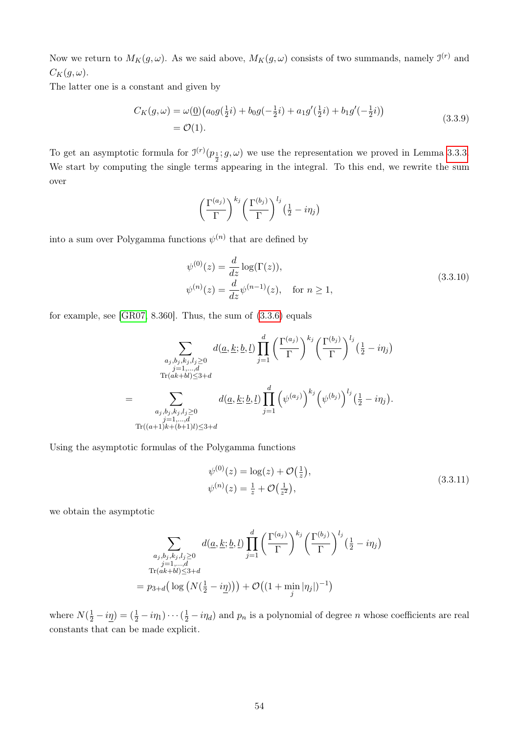Now we return to  $M_K(g, \omega)$ . As we said above,  $M_K(g, \omega)$  consists of two summands, namely  $\mathfrak{I}^{(r)}$  and  $C_K(g,\omega).$ 

The latter one is a constant and given by

<span id="page-59-0"></span>
$$
C_K(g,\omega) = \omega(\underline{0})\left(a_0g(\frac{1}{2}i) + b_0g(-\frac{1}{2}i) + a_1g'(\frac{1}{2}i) + b_1g'(-\frac{1}{2}i)\right)
$$
  
=  $\mathcal{O}(1).$  (3.3.9)

To get an asymptotic formula for  $\mathcal{I}^{(r)}(p_{\frac{1}{2}};g,\omega)$  we use the representation we proved in Lemma [3.3.3.](#page-57-0) We start by computing the single terms appearing in the integral. To this end, we rewrite the sum over

$$
\left(\frac{\Gamma^{(a_j)}}{\Gamma}\right)^{k_j} \left(\frac{\Gamma^{(b_j)}}{\Gamma}\right)^{l_j} \left(\frac{1}{2} - i\eta_j\right)
$$

into a sum over Polygamma functions  $\psi^{(n)}$  that are defined by

$$
\psi^{(0)}(z) = \frac{d}{dz} \log(\Gamma(z)),
$$
  
\n
$$
\psi^{(n)}(z) = \frac{d}{dz} \psi^{(n-1)}(z), \quad \text{for } n \ge 1,
$$
\n(3.3.10)

for example, see [\[GR07,](#page-86-0) 8.360]. Thus, the sum of [\(3.3.6\)](#page-57-1) equals

$$
\sum_{\substack{a_j, b_j, k_j, l_j \ge 0 \\ j=1, \dots, d \\ \text{Tr}(ak+bl) \le 3+d}} d(\underline{a}, \underline{k}; \underline{b}, \underline{l}) \prod_{j=1}^d \left(\frac{\Gamma^{(a_j)}}{\Gamma}\right)^{k_j} \left(\frac{\Gamma^{(b_j)}}{\Gamma}\right)^{l_j} \left(\frac{1}{2} - i\eta_j\right)
$$

$$
= \sum_{\substack{a_j, b_j, k_j, l_j \ge 0 \\ j=1, \dots, d \\ \text{Tr}((a+1)k+(b+1)l) \le 3+d}} d(\underline{a}, \underline{k}; \underline{b}, \underline{l}) \prod_{j=1}^d \left(\psi^{(a_j)}\right)^{k_j} \left(\psi^{(b_j)}\right)^{l_j} \left(\frac{1}{2} - i\eta_j\right).
$$

Using the asymptotic formulas of the Polygamma functions

$$
\psi^{(0)}(z) = \log(z) + \mathcal{O}\left(\frac{1}{z}\right), \n\psi^{(n)}(z) = \frac{1}{z} + \mathcal{O}\left(\frac{1}{z^2}\right),
$$
\n(3.3.11)

we obtain the asymptotic

$$
\sum_{\substack{a_j, b_j, k_j, l_j \ge 0 \\ j=1,\dots,d \\ \text{Tr}(ak+bl) \le 3+d}} d(\underline{a}, \underline{k}; \underline{b}, \underline{l}) \prod_{j=1}^d \left(\frac{\Gamma^{(a_j)}}{\Gamma}\right)^{k_j} \left(\frac{\Gamma^{(b_j)}}{\Gamma}\right)^{l_j} \left(\frac{1}{2} - i\eta_j\right)
$$

$$
= p_{3+d} \left(\log \left(N\left(\frac{1}{2} - i\underline{\eta}\right)\right)\right) + \mathcal{O}\left((1 + \min_j |\eta_j|)^{-1}\right)
$$

where  $N(\frac{1}{2}-i\underline{\eta})=(\frac{1}{2}-i\eta_1)\cdots(\frac{1}{2}-i\eta_d)$  and  $p_n$  is a polynomial of degree n whose coefficients are real constants that can be made explicit.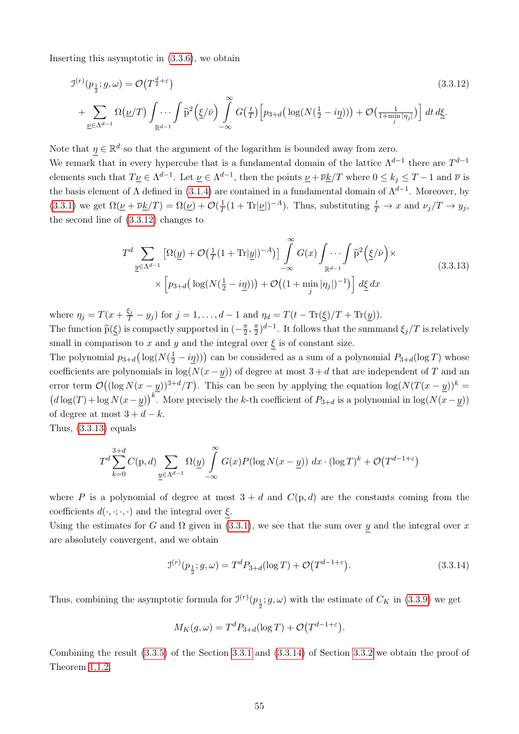Inserting this asymptotic in [\(3.3.6\)](#page-57-1), we obtain

$$
\mathcal{I}^{(r)}(p_{\frac{1}{2}};g,\omega) = \mathcal{O}\left(T^{\frac{d}{2}+\varepsilon}\right)
$$
\n
$$
+ \sum_{\underline{\nu}\in\Lambda^{d-1}} \Omega(\underline{\nu}/T) \int_{\mathbb{R}^{d-1}} \cdots \int \widehat{p}^{2}\left(\underline{\xi}/\bar{\nu}\right) \int_{-\infty}^{\infty} G\left(\frac{t}{T}\right) \left[p_{3+d}\left(\log(N(\frac{1}{2}-i\underline{\eta}))\right) + \mathcal{O}\left(\frac{1}{1+\min_{j}|\eta_{j}|}\right)\right] dt d\underline{\xi}.
$$
\n(3.3.12)

Note that  $\eta \in \mathbb{R}^d$  so that the argument of the logarithm is bounded away from zero.

We remark that in every hypercube that is a fundamental domain of the lattice  $\Lambda^{d-1}$  there are  $T^{d-1}$ elements such that  $T\underline{\nu} \in \Lambda^{d-1}$ . Let  $\underline{\nu} \in \Lambda^{d-1}$ , then the points  $\underline{\nu} + \overline{\nu} \underline{k}/T$  where  $0 \le k_j \le T-1$  and  $\overline{\nu}$  is the basis element of  $\Lambda$  defined in [\(3.1.4\)](#page-16-1) are contained in a fundamental domain of  $\Lambda^{d-1}$ . Moreover, by [\(3.3.1\)](#page-53-1) we get  $\Omega(\underline{\nu} + \overline{\nu} \underline{k}/T) = \Omega(\underline{\nu}) + \mathcal{O}(\frac{1}{T})$  $\frac{1}{T}(1+\text{Tr}|\underline{\nu}|)^{-A})$ . Thus, substituting  $\frac{t}{T} \to x$  and  $\nu_j/T \to y_j$ , the second line of [\(3.3.12\)](#page-60-0) changes to

<span id="page-60-1"></span><span id="page-60-0"></span>
$$
T^{d} \sum_{\underline{y} \in \Lambda^{d-1}} \left[ \Omega(\underline{y}) + \mathcal{O}\left(\frac{1}{T}(1+\text{Tr}|\underline{y}|)^{-A}\right) \right] \int_{-\infty}^{\infty} G(x) \int_{\mathbb{R}^{d-1}} \int_{\mathbb{R}^{d-1}} \hat{P}^{2}\left(\underline{\xi}/\bar{\nu}\right) \times \left[ p_{3+d} \left( \log(N(\frac{1}{2}-i\underline{\eta})) \right) + \mathcal{O}\left((1+\min_{j} |\eta_{j}|)^{-1}\right) \right] d\underline{\xi} dx \tag{3.3.13}
$$

where  $\eta_j = T(x + \frac{\xi_j}{T} - y_j)$  for  $j = 1, ..., d - 1$  and  $\eta_d = T(t - \text{Tr}(\underline{\xi})/T + \text{Tr}(\underline{y}))$ .

The function  $\widehat{p}(\underline{\xi})$  is compactly supported in  $(-\frac{\pi}{2})$  $\frac{\pi}{2}, \frac{\pi}{2}$  $\frac{\pi}{2}$ )<sup>d-1</sup>. It follows that the summand  $\xi_j/T$  is relatively small in comparison to x and y and the integral over  $\xi$  is of constant size.

The polynomial  $p_{3+d}(\log(N(\frac{1}{2}-i\underline{\eta})))$  can be considered as a sum of a polynomial  $P_{3+d}(\log T)$  whose coefficients are polynomials in  $log(N(x - y))$  of degree at most  $3 + d$  that are independent of T and an error term  $\mathcal{O}((\log N(x-y))^{3+d}/T)$ . This can be seen by applying the equation  $\log(N(T(x-y))^{k} =$  $\left(d \log(T) + \log N(x-y)\right)^k$ . More precisely the k-th coefficient of  $P_{3+d}$  is a polynomial in  $\log(N(x-y))$ of degree at most  $3 + d - k$ .

Thus,  $(3.3.13)$  equals

$$
T^{d} \sum_{k=0}^{3+d} C(p,d) \sum_{\underline{y} \in \Lambda^{d-1}} \Omega(\underline{y}) \int_{-\infty}^{\infty} G(x) P(\log N(x - \underline{y})) dx \cdot (\log T)^{k} + \mathcal{O}(T^{d-1+\varepsilon})
$$

where P is a polynomial of degree at most  $3 + d$  and  $C(p, d)$  are the constants coming from the coefficients  $d(\cdot, \cdot; \cdot, \cdot)$  and the integral over  $\xi$ .

Using the estimates for G and  $\Omega$  given in [\(3.3.1\)](#page-53-1), we see that the sum over y and the integral over x are absolutely convergent, and we obtain

<span id="page-60-2"></span>
$$
J^{(r)}(p_{\frac{1}{2}};g,\omega) = T^{d}P_{3+d}(\log T) + \mathcal{O}(T^{d-1+\epsilon}).
$$
\n(3.3.14)

Thus, combining the asymptotic formula for  $\mathcal{I}^{(r)}(p_{\frac{1}{2}};g,\omega)$  with the estimate of  $C_K$  in [\(3.3.9\)](#page-59-0) we get

$$
M_K(g,\omega) = T^d P_{3+d}(\log T) + \mathcal{O}(T^{d-1+\varepsilon}).
$$

Combining the result [\(3.3.5\)](#page-56-0) of the Section [3.3.1](#page-53-3) and [\(3.3.14\)](#page-60-2) of Section [3.3.2](#page-57-2) we obtain the proof of Theorem [1.1.2.](#page-10-0)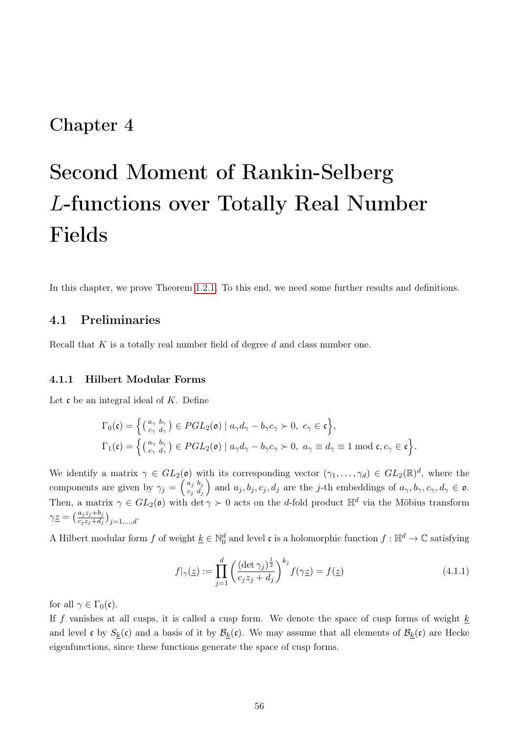## Chapter 4

# Second Moment of Rankin-Selberg L-functions over Totally Real Number Fields

In this chapter, we prove Theorem [1.2.1.](#page-11-0) To this end, we need some further results and definitions.

## 4.1 Preliminaries

Recall that  $K$  is a totally real number field of degree  $d$  and class number one.

## 4.1.1 Hilbert Modular Forms

Let  $\mathfrak c$  be an integral ideal of K. Define

$$
\Gamma_0(\mathfrak{c}) = \left\{ \begin{pmatrix} a_{\gamma} & b_{\gamma} \\ c_{\gamma} & d_{\gamma} \end{pmatrix} \in PGL_2(\mathfrak{o}) \mid a_{\gamma}d_{\gamma} - b_{\gamma}c_{\gamma} \succ 0, \ c_{\gamma} \in \mathfrak{c} \right\},
$$
  
\n
$$
\Gamma_1(\mathfrak{c}) = \left\{ \begin{pmatrix} a_{\gamma} & b_{\gamma} \\ c_{\gamma} & d_{\gamma} \end{pmatrix} \in PGL_2(\mathfrak{o}) \mid a_{\gamma}d_{\gamma} - b_{\gamma}c_{\gamma} \succ 0, \ a_{\gamma} \equiv d_{\gamma} \equiv 1 \bmod \mathfrak{c}, c_{\gamma} \in \mathfrak{c} \right\}.
$$

We identify a matrix  $\gamma \in GL_2(\mathfrak{o})$  with its corresponding vector  $(\gamma_1, \ldots, \gamma_d) \in GL_2(\mathbb{R})^d$ , where the components are given by  $\gamma_j = \begin{pmatrix} a_j & b_j \\ c_i & d_j \end{pmatrix}$  $c_j$   $d_j$ and  $a_j, b_j, c_j, d_j$  are the j-th embeddings of  $a_\gamma, b_\gamma, c_\gamma, d_\gamma \in \mathfrak{o}$ . Then, a matrix  $\gamma \in GL_2(\mathfrak{o})$  with  $\det \gamma \succ 0$  acts on the d-fold product  $\mathbb{H}^d$  via the Möbius transform  $\gamma \underline{z} = \left(\frac{a_j z_j + b_j}{c_j z_j + d_j}\right)_{j=1,\ldots,d}.$ 

A Hilbert modular form f of weight  $\underline{k} \in \mathbb{N}_0^d$  and level c is a holomorphic function  $f : \mathbb{H}^d \to \mathbb{C}$  satisfying

$$
f|_{\gamma}(\underline{z}) := \prod_{j=1}^{d} \left( \frac{(\det \gamma_j)^{\frac{1}{2}}}{c_j z_j + d_j} \right)^{k_j} f(\gamma \underline{z}) = f(\underline{z}) \tag{4.1.1}
$$

for all  $\gamma \in \Gamma_0(\mathfrak{c})$ .

If f vanishes at all cusps, it is called a cusp form. We denote the space of cusp forms of weight  $\underline{k}$ and level c by  $S_k(c)$  and a basis of it by  $\mathcal{B}_k(c)$ . We may assume that all elements of  $\mathcal{B}_k(c)$  are Hecke eigenfunctions, since these functions generate the space of cusp forms.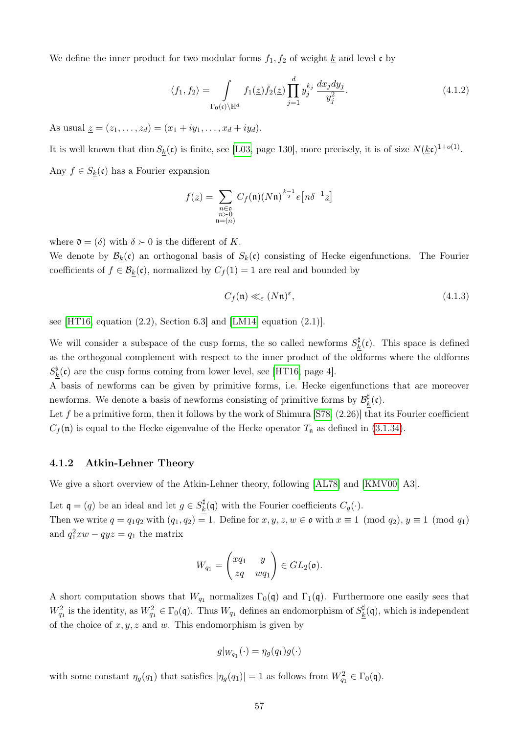We define the inner product for two modular forms  $f_1, f_2$  of weight  $\underline{k}$  and level c by

<span id="page-62-0"></span>
$$
\langle f_1, f_2 \rangle = \int_{\Gamma_0(\mathfrak{c}) \backslash \mathbb{H}^d} f_1(\underline{z}) \overline{f}_2(\underline{z}) \prod_{j=1}^d y_j^{k_j} \frac{dx_j dy_j}{y_j^2}.
$$
 (4.1.2)

As usual  $\underline{z} = (z_1, \ldots, z_d) = (x_1 + iy_1, \ldots, x_d + iy_d).$ 

It is well known that  $\dim S_{\underline{k}}(\mathfrak{c})$  is finite, see [\[L03,](#page-87-1) page 130], more precisely, it is of size  $N(\underline{k}\mathfrak{c})^{1+o(1)}$ . Any  $f \in S_k(c)$  has a Fourier expansion

$$
f(\underline{z}) = \sum_{\substack{n \in \mathfrak{a} \\ n > 0 \\ \mathfrak{n} = (n)}} C_f(\mathfrak{n})(N\mathfrak{n})^{\frac{k-1}{2}} e\left[n\delta^{-1}\underline{z}\right]
$$

where  $\mathfrak{d} = (\delta)$  with  $\delta \succ 0$  is the different of K.

We denote by  $\mathcal{B}_k(\mathfrak{c})$  an orthogonal basis of  $S_k(\mathfrak{c})$  consisting of Hecke eigenfunctions. The Fourier coefficients of  $f \in \mathcal{B}_k(\mathfrak{c})$ , normalized by  $C_f(1) = 1$  are real and bounded by

$$
C_f(\mathfrak{n}) \ll_{\varepsilon} (N\mathfrak{n})^{\varepsilon},\tag{4.1.3}
$$

see [\[HT16,](#page-86-1) equation  $(2.2)$ , Section 6.3] and [\[LM14,](#page-86-2) equation  $(2.1)$ ].

We will consider a subspace of the cusp forms, the so called newforms  $S_k^{\sharp}$  $\frac{f_{k}^{T}(\mathfrak{c})}{k}$ . This space is defined as the orthogonal complement with respect to the inner product of the oldforms where the oldforms  $S_{\underline{k}}^{\flat}(\mathfrak{c})$  are the cusp forms coming from lower level, see [\[HT16,](#page-86-1) page 4].

A basis of newforms can be given by primitive forms, i.e. Hecke eigenfunctions that are moreover newforms. We denote a basis of newforms consisting of primitive forms by  $\mathcal{B}_l^{\sharp}$  $\frac{k}{k}$ (c).

Let f be a primitive form, then it follows by the work of Shimura [\[S78,](#page-87-2)  $(2.26)$ ] that its Fourier coefficient  $C_f(\mathfrak{n})$  is equal to the Hecke eigenvalue of the Hecke operator  $T_{\mathfrak{n}}$  as defined in [\(3.1.34\)](#page-24-1).

## 4.1.2 Atkin-Lehner Theory

We give a short overview of the Atkin-Lehner theory, following [\[AL78\]](#page-85-1) and [\[KMV00,](#page-86-3) A3].

Let  $\mathfrak{q} = (q)$  be an ideal and let  $g \in S_k^{\sharp}$  $\frac{d}{k}(\mathfrak{q})$  with the Fourier coefficients  $C_g(\cdot)$ . Then we write  $q = q_1 q_2$  with  $(q_1, q_2) = 1$ . Define for  $x, y, z, w \in \mathfrak{o}$  with  $x \equiv 1 \pmod{q_2}$ ,  $y \equiv 1 \pmod{q_1}$ and  $q_1^2 xw - qyz = q_1$  the matrix

$$
W_{q_1} = \begin{pmatrix} xq_1 & y \\ zq & wq_1 \end{pmatrix} \in GL_2(\mathfrak{o}).
$$

A short computation shows that  $W_{q_1}$  normalizes  $\Gamma_0(\mathfrak{q})$  and  $\Gamma_1(\mathfrak{q})$ . Furthermore one easily sees that  $W_{q_1}^2$  is the identity, as  $W_{q_1}^2 \in \Gamma_0(\mathfrak{q})$ . Thus  $W_{q_1}$  defines an endomorphism of  $S_k^{\sharp}$  $\frac{d\mu}{d\lambda}(\mathfrak{q})$ , which is independent of the choice of  $x, y, z$  and w. This endomorphism is given by

$$
g|_{W_{q_1}}(\cdot) = \eta_g(q_1)g(\cdot)
$$

with some constant  $\eta_g(q_1)$  that satisfies  $|\eta_g(q_1)| = 1$  as follows from  $W_{q_1}^2 \in \Gamma_0(\mathfrak{q})$ .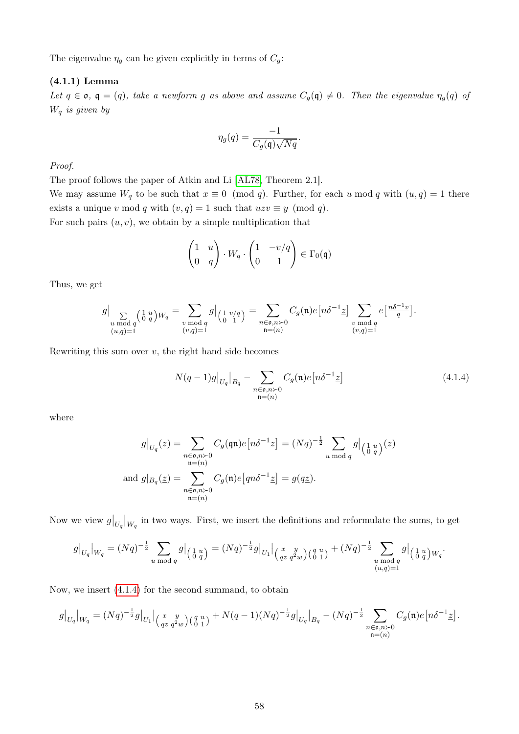The eigenvalue  $\eta_g$  can be given explicitly in terms of  $C_g$ :

## <span id="page-63-1"></span>(4.1.1) Lemma

Let  $q \in \mathfrak{o}$ ,  $\mathfrak{q} = (q)$ , take a newform g as above and assume  $C_g(\mathfrak{q}) \neq 0$ . Then the eigenvalue  $\eta_g(q)$  of  $W_q$  is given by

$$
\eta_g(q) = \frac{-1}{C_g(\mathfrak{q})\sqrt{Nq}}.
$$

Proof.

The proof follows the paper of Atkin and Li [\[AL78,](#page-85-1) Theorem 2.1]. We may assume  $W_q$  to be such that  $x \equiv 0 \pmod{q}$ . Further, for each u mod q with  $(u, q) = 1$  there exists a unique v mod q with  $(v, q) = 1$  such that  $uzv \equiv y \pmod{q}$ .

For such pairs  $(u, v)$ , we obtain by a simple multiplication that

$$
\begin{pmatrix} 1 & u \\ 0 & q \end{pmatrix} \cdot W_q \cdot \begin{pmatrix} 1 & -v/q \\ 0 & 1 \end{pmatrix} \in \Gamma_0(\mathfrak{q})
$$

Thus, we get

$$
g\big|_{\substack{u \bmod q \\ (u,q)=1}} \zeta\left(\begin{smallmatrix} 1 & u \\ 0 & q \end{smallmatrix}\right) W_q = \sum_{\substack{v \bmod q \\ (v,q)=1}} g\big|_{\left(\begin{smallmatrix} 1 & v/q \\ 0 & 1 \end{smallmatrix}\right)} = \sum_{\substack{n \in \mathfrak o, n \succ 0 \\ \mathfrak n = (n)}} C_g(\mathfrak n) e\left[n \delta^{-1} \underline{z}\right] \sum_{\substack{v \bmod q \\ (v,q)=1}} e\left[\frac{n \delta^{-1} v}{q}\right].
$$

Rewriting this sum over  $v$ , the right hand side becomes

<span id="page-63-0"></span>
$$
N(q-1)g|_{U_q}|_{B_q} - \sum_{\substack{n \in \mathfrak{d}, n \succ 0 \\ \mathfrak{n} = (n)}} C_g(\mathfrak{n})e\left[n\delta^{-1}\underline{z}\right]
$$
\n(4.1.4)

where

$$
g|_{U_q}(\underline{z}) = \sum_{\substack{n \in \mathfrak{0}, n > 0 \\ \mathfrak{n} = (n)}} C_g(\mathfrak{q}\mathfrak{n}) e\left[n\delta^{-1}\underline{z}\right] = (Nq)^{-\frac{1}{2}} \sum_{u \bmod q} g\Big|_{\begin{pmatrix} 1 & u \\ 0 & q \end{pmatrix}}(\underline{z})
$$
  
and 
$$
g|_{B_q}(\underline{z}) = \sum_{\substack{n \in \mathfrak{0}, n > 0 \\ \mathfrak{n} = (n)}} C_g(\mathfrak{n}) e\left[qn\delta^{-1}\underline{z}\right] = g(q\underline{z}).
$$

Now we view  $g|_{U_q}|_{W_q}$  in two ways. First, we insert the definitions and reformulate the sums, to get

$$
g|_{U_q}|_{W_q} = (Nq)^{-\frac{1}{2}} \sum_{u \bmod q} g|_{\left(\begin{smallmatrix} 1 & u \\ 0 & q \end{smallmatrix}\right)} = (Nq)^{-\frac{1}{2}} g|_{U_1}|_{\left(\begin{smallmatrix} x & y \\ qz & q^2w \end{smallmatrix}\right) \left(\begin{smallmatrix} q & u \\ 0 & 1 \end{smallmatrix}\right)} + (Nq)^{-\frac{1}{2}} \sum_{\substack{u \bmod q \\ (u,q)=1}} g|_{\left(\begin{smallmatrix} 1 & u \\ 0 & q \end{smallmatrix}\right) W_q}.
$$

Now, we insert [\(4.1.4\)](#page-63-0) for the second summand, to obtain

$$
g\big|_{U_q}\big|_{W_q} = (Nq)^{-\frac{1}{2}}g\big|_{U_1}\big|_{\big({q\atop{q\,z}\,q^2w}\big)\big({q\atop{q\,1}}\big)} + N(q-1)(Nq)^{-\frac{1}{2}}g\big|_{U_q}\big|_{B_q} - (Nq)^{-\frac{1}{2}}\sum_{\substack{n\in\mathfrak{0},n\succ 0\\ \mathfrak{n}=(n)}} C_g(\mathfrak{n})e\big[n\delta^{-1}\underline{z}\big].
$$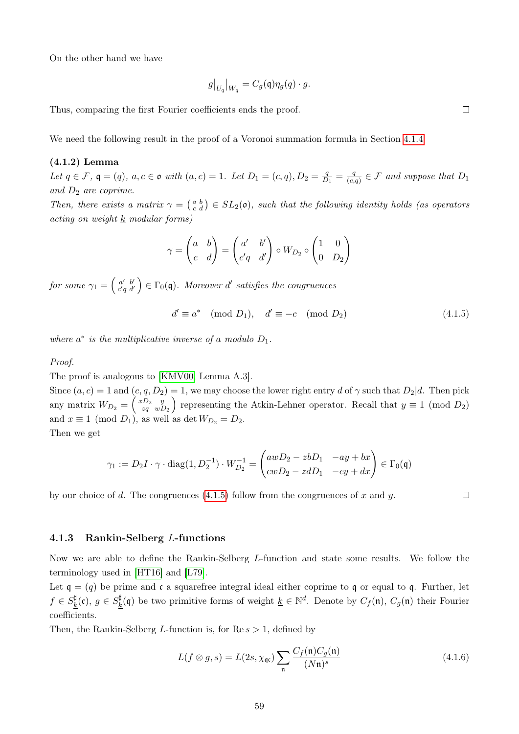On the other hand we have

$$
g|_{U_q}|_{W_q} = C_g(\mathfrak{q})\eta_g(q) \cdot g.
$$

Thus, comparing the first Fourier coefficients ends the proof.

We need the following result in the proof of a Voronoi summation formula in Section [4.1.4](#page-67-0)

## <span id="page-64-1"></span>(4.1.2) Lemma

Let  $q \in \mathcal{F}$ ,  $q = (q)$ ,  $a, c \in \mathfrak{o}$  with  $(a, c) = 1$ . Let  $D_1 = (c, q)$ ,  $D_2 = \frac{q}{D}$  $\frac{q}{D_1} = \frac{q}{(c)}$  $\frac{q}{(c,q)} \in \mathcal{F}$  and suppose that  $D_1$ and  $D_2$  are coprime.

Then, there exists a matrix  $\gamma = \begin{pmatrix} a & b \\ c & d \end{pmatrix} \in SL_2(\mathfrak{o})$ , such that the following identity holds (as operators acting on weight k modular forms)

$$
\gamma = \begin{pmatrix} a & b \\ c & d \end{pmatrix} = \begin{pmatrix} a' & b' \\ c'q & d' \end{pmatrix} \circ W_{D_2} \circ \begin{pmatrix} 1 & 0 \\ 0 & D_2 \end{pmatrix}
$$

for some  $\gamma_1 = \left( \begin{smallmatrix} a' & b' \ c' a & d' \end{smallmatrix} \right)$  $\begin{pmatrix} a' & b' \\ c' & q d' \end{pmatrix} \in \Gamma_0(\mathfrak{q})$ . Moreover d' satisfies the congruences

$$
d' \equiv a^* \pmod{D_1}, \quad d' \equiv -c \pmod{D_2} \tag{4.1.5}
$$

where  $a^*$  is the multiplicative inverse of a modulo  $D_1$ .

## Proof.

The proof is analogous to [\[KMV00,](#page-86-3) Lemma A.3].

Since  $(a, c) = 1$  and  $(c, q, D_2) = 1$ , we may choose the lower right entry d of  $\gamma$  such that  $D_2|d$ . Then pick any matrix  $W_{D_2} = \begin{pmatrix} xD_2 & y \\ zq & w \end{pmatrix}$  $\binom{p_2-y}{zq-wD_2}$  representing the Atkin-Lehner operator. Recall that  $y \equiv 1 \pmod{D_2}$ and  $x \equiv 1 \pmod{D_1}$ , as well as det  $W_{D_2} = D_2$ .

Then we get

$$
\gamma_1 := D_2 I \cdot \gamma \cdot \text{diag}(1, D_2^{-1}) \cdot W_{D_2}^{-1} = \begin{pmatrix} awD_2 - zbD_1 & -ay + bx \\ cwD_2 - zdD_1 & -cy + dx \end{pmatrix} \in \Gamma_0(\mathfrak{q})
$$

by our choice of d. The congruences  $(4.1.5)$  follow from the congruences of x and y.

## 4.1.3 Rankin-Selberg L-functions

Now we are able to define the Rankin-Selberg L-function and state some results. We follow the terminology used in [\[HT16\]](#page-86-1) and [\[L79\]](#page-86-4).

Let  $\mathfrak{q} = (q)$  be prime and c a squarefree integral ideal either coprime to q or equal to q. Further, let  $f\in S_k^\sharp$  $\frac{d}{d k}(\mathfrak{c}),\ g\in S^{\sharp}_k$  $\frac{\sharp}{k}(\mathfrak{q})$  be two primitive forms of weight  $\underline{k} \in \mathbb{N}^d$ . Denote by  $C_f(\mathfrak{n}), C_g(\mathfrak{n})$  their Fourier coefficients.

Then, the Rankin-Selberg L-function is, for  $\text{Re } s > 1$ , defined by

$$
L(f \otimes g, s) = L(2s, \chi_{\mathfrak{q}\mathfrak{c}}) \sum_{\mathfrak{n}} \frac{C_f(\mathfrak{n}) C_g(\mathfrak{n})}{(N\mathfrak{n})^s} \tag{4.1.6}
$$

<span id="page-64-0"></span> $\Box$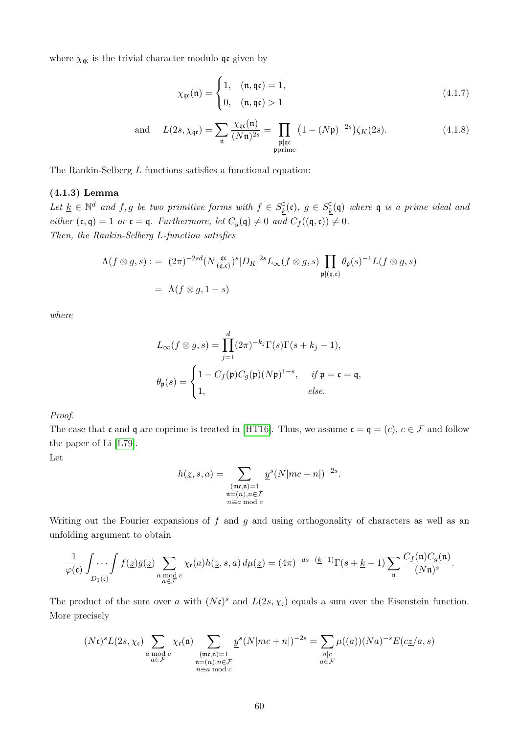where  $\chi_{\mathfrak{q}\mathfrak{c}}$  is the trivial character modulo  $\mathfrak{q}\mathfrak{c}$  given by

$$
\chi_{\mathfrak{qc}}(\mathfrak{n}) = \begin{cases} 1, & (\mathfrak{n}, \mathfrak{qc}) = 1, \\ 0, & (\mathfrak{n}, \mathfrak{qc}) > 1 \end{cases}
$$
 (4.1.7)

and 
$$
L(2s, \chi_{\mathfrak{q}\mathfrak{c}}) = \sum_{\mathfrak{n}} \frac{\chi_{\mathfrak{q}\mathfrak{c}}(\mathfrak{n})}{(N\mathfrak{n})^{2s}} = \prod_{\substack{\mathfrak{p} \mid \mathfrak{q}\mathfrak{c} \\ \mathfrak{p} \text{prime}}} \left(1 - (N\mathfrak{p})^{-2s}\right) \zeta_K(2s).
$$
 (4.1.8)

The Rankin-Selberg L functions satisfies a functional equation:

## (4.1.3) Lemma

Let  $\underline{k} \in \mathbb{N}^d$  and  $f, g$  be two primitive forms with  $f \in S_k^{\sharp}$  $\frac{d}{dt}(\mathfrak{c}),\;g\,\in\,S^{\sharp}_k$  $\frac{d}{k}(\mathfrak{q})$  where  $\mathfrak{q}$  is a prime ideal and either  $(c, q) = 1$  or  $c = q$ . Furthermore, let  $C_g(q) \neq 0$  and  $C_f((q, c)) \neq 0$ . Then, the Rankin-Selberg L-function satisfies

$$
\Lambda(f \otimes g, s) := (2\pi)^{-2sd} (N \frac{\mathfrak{q}\mathfrak{c}}{(\mathfrak{q}, \mathfrak{c})})^s |D_K|^{2s} L_{\infty}(f \otimes g, s) \prod_{\mathfrak{p} | (\mathfrak{q}, \mathfrak{c})} \theta_{\mathfrak{p}}(s)^{-1} L(f \otimes g, s)
$$
  
=  $\Lambda(f \otimes g, 1 - s)$ 

where

$$
L_{\infty}(f \otimes g, s) = \prod_{j=1}^{d} (2\pi)^{-k_j} \Gamma(s) \Gamma(s + k_j - 1),
$$
  

$$
\theta_{\mathfrak{p}}(s) = \begin{cases} 1 - C_f(\mathfrak{p}) C_g(\mathfrak{p})(N\mathfrak{p})^{1-s}, & \text{if } \mathfrak{p} = \mathfrak{c} = \mathfrak{q}, \\ 1, & \text{else.} \end{cases}
$$

Proof.

The case that c and q are coprime is treated in [\[HT16\]](#page-86-1). Thus, we assume  $\mathfrak{c} = \mathfrak{q} = (c)$ ,  $c \in \mathcal{F}$  and follow the paper of Li [\[L79\]](#page-86-4).

Let

$$
h(\underline{z},s,a) = \sum_{\substack{(\mathfrak{m}\mathfrak{c},\mathfrak{n})=1\\ \mathfrak{n}=(n),n\in\mathcal{F}\\ n\equiv a\bmod c}} \underline{y}^s (N|mc+n|)^{-2s}.
$$

Writing out the Fourier expansions of  $f$  and  $g$  and using orthogonality of characters as well as an unfolding argument to obtain

$$
\frac{1}{\varphi(\mathfrak{c})}\int_{D_1(\mathfrak{c})} \int f(\underline{z})\bar{g}(\underline{z}) \sum_{\substack{a \bmod c \\ a \in \mathcal{F}}} \chi_{\mathfrak{c}}(a)h(\underline{z},s,a) d\mu(\underline{z}) = (4\pi)^{-ds - (\underline{k}-1)}\Gamma(s+\underline{k}-1) \sum_{\mathfrak{n}} \frac{C_f(\mathfrak{n})C_g(\mathfrak{n})}{(N\mathfrak{n})^s}.
$$

The product of the sum over a with  $(N\mathfrak{c})^s$  and  $L(2s,\chi_{\mathfrak{c}})$  equals a sum over the Eisenstein function. More precisely

$$
(N\mathfrak{c})^s L(2s,\chi_{\mathfrak{c}}) \sum_{\substack{a \bmod c \\ a \in \mathcal{F}}} \chi_{\mathfrak{c}}(\mathfrak{a}) \sum_{\substack{(\mathfrak{m}\mathfrak{c},\mathfrak{n})=1 \\ \mathfrak{n}=(n),n\in\mathcal{F}}} \underline{y}^s (N|mc+n|)^{-2s} = \sum_{\substack{a|c \\ a \in \mathcal{F}}} \mu((a))(Na)^{-s} E(c\underline{z}/a,s)
$$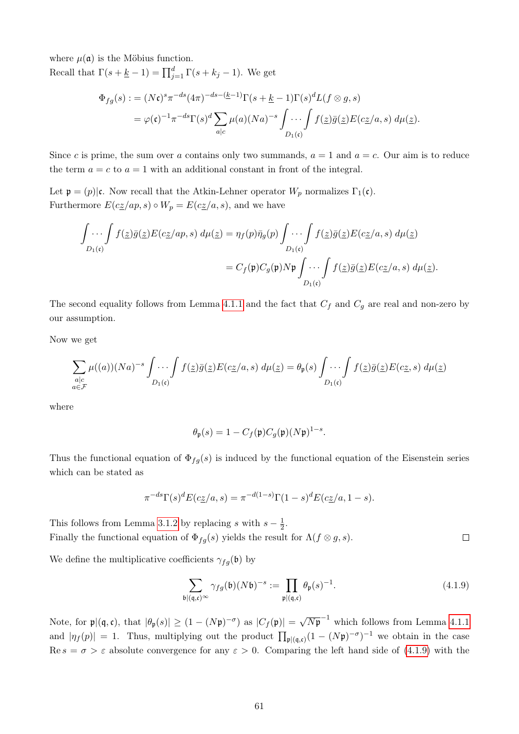where  $\mu(\mathfrak{a})$  is the Möbius function.

Recall that  $\Gamma(s + \underline{k} - 1) = \prod_{j=1}^{d} \Gamma(s + k_j - 1)$ . We get

$$
\Phi_{fg}(s) := (N\mathfrak{c})^s \pi^{-ds} (4\pi)^{-ds - (k-1)} \Gamma(s + k-1) \Gamma(s)^d L(f \otimes g, s)
$$
  
=  $\varphi(\mathfrak{c})^{-1} \pi^{-ds} \Gamma(s)^d \sum_{a|c} \mu(a) (Na)^{-s} \int \cdots \int f(\underline{z}) \bar{g}(\underline{z}) E(c\underline{z}/a, s) d\mu(\underline{z}).$ 

Since c is prime, the sum over a contains only two summands,  $a = 1$  and  $a = c$ . Our aim is to reduce the term  $a = c$  to  $a = 1$  with an additional constant in front of the integral.

Let  $\mathfrak{p} = (p)|\mathfrak{c}$ . Now recall that the Atkin-Lehner operator  $W_p$  normalizes  $\Gamma_1(\mathfrak{c})$ . Furthermore  $E(cz(ap, s) \circ W_p = E(cz/a, s)$ , and we have

$$
\int \dots \int f(\underline{z}) \overline{g}(\underline{z}) E(c\underline{z}/ap, s) d\mu(\underline{z}) = \eta_f(p) \overline{\eta}_g(p) \int \dots \int f(\underline{z}) \overline{g}(\underline{z}) E(c\underline{z}/a, s) d\mu(\underline{z})
$$

$$
= C_f(\mathfrak{p}) C_g(\mathfrak{p}) N \mathfrak{p} \int \dots \int f(\underline{z}) \overline{g}(\underline{z}) E(c\underline{z}/a, s) d\mu(\underline{z}).
$$

The second equality follows from Lemma [4.1.1](#page-63-1) and the fact that  $C_f$  and  $C_g$  are real and non-zero by our assumption.

Now we get

$$
\sum_{\substack{a|c\\a\in\mathcal{F}}} \mu((a))(Na)^{-s} \int \cdots \int f(\underline{z})\overline{g}(\underline{z})E(c\underline{z}/a,s) d\mu(\underline{z}) = \theta_{\mathfrak{p}}(s) \int \cdots \int f(\underline{z})\overline{g}(\underline{z})E(c\underline{z},s) d\mu(\underline{z})
$$

where

$$
\theta_{\mathfrak{p}}(s) = 1 - C_f(\mathfrak{p}) C_g(\mathfrak{p})(N\mathfrak{p})^{1-s}.
$$

Thus the functional equation of  $\Phi_{fg}(s)$  is induced by the functional equation of the Eisenstein series which can be stated as

$$
\pi^{-ds}\Gamma(s)^d E(cz/a, s) = \pi^{-d(1-s)}\Gamma(1-s)^d E(cz/a, 1-s).
$$

This follows from Lemma [3.1.2](#page-20-0) by replacing s with  $s-\frac{1}{2}$  $rac{1}{2}$ . Finally the functional equation of  $\Phi_{fg}(s)$  yields the result for  $\Lambda(f \otimes g, s)$ .  $\Box$ 

We define the multiplicative coefficients  $\gamma_{fq}(\mathfrak{b})$  by

<span id="page-66-0"></span>
$$
\sum_{\mathfrak{b}|\mathfrak{q},\mathfrak{c}\rangle^{\infty}} \gamma_{fg}(\mathfrak{b})(N\mathfrak{b})^{-s} := \prod_{\mathfrak{p}|\mathfrak{q},\mathfrak{c}\rangle} \theta_{\mathfrak{p}}(s)^{-1}.
$$
\n(4.1.9)

Note, for  $\mathfrak{p} |(\mathfrak{q}, \mathfrak{c})$ , that  $|\theta_{\mathfrak{p}}(s)| \geq (1 - (N\mathfrak{p})^{-\sigma})$  as  $|C_f(\mathfrak{p})| =$ √  $\overline{N\mathfrak{p}}^{-1}$  which follows from Lemma [4.1.1](#page-63-1) and  $|\eta_f(p)| = 1$ . Thus, multiplying out the product  $\prod_{\mathfrak{p} \mid (q,\mathfrak{c})} (1 - (N\mathfrak{p})^{-\sigma})^{-1}$  we obtain in the case Re  $s = \sigma > \varepsilon$  absolute convergence for any  $\varepsilon > 0$ . Comparing the left hand side of [\(4.1.9\)](#page-66-0) with the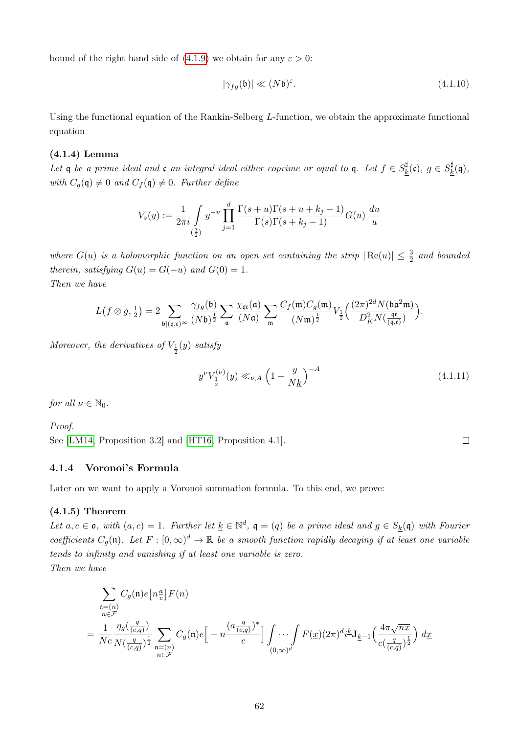bound of the right hand side of  $(4.1.9)$  we obtain for any  $\varepsilon > 0$ :

<span id="page-67-2"></span>
$$
|\gamma_{fg}(\mathfrak{b})| \ll (N\mathfrak{b})^{\varepsilon}.
$$
\n(4.1.10)

Using the functional equation of the Rankin-Selberg L-function, we obtain the approximate functional equation

## <span id="page-67-1"></span>(4.1.4) Lemma

Let q be a prime ideal and c an integral ideal either coprime or equal to q. Let  $f \in S^{\sharp}_{k}$  $g_k^\sharp(\mathfrak{c}),\ g\in S_k^\sharp$  $\frac{d\mu}{d}(\mathfrak{q}),$ with  $C_g(\mathfrak{q})\neq 0$  and  $C_f(\mathfrak{q})\neq 0$ . Further define

$$
V_s(y) := \frac{1}{2\pi i} \int_{(\frac{3}{2})} y^{-u} \prod_{j=1}^d \frac{\Gamma(s+u)\Gamma(s+u+k_j-1)}{\Gamma(s)\Gamma(s+k_j-1)} G(u) \frac{du}{u}
$$

where  $G(u)$  is a holomorphic function on an open set containing the strip  $|Re(u)| \leq \frac{3}{2}$  and bounded therein, satisfying  $G(u) = G(-u)$  and  $G(0) = 1$ . Then we have

$$
L(f \otimes g, \frac{1}{2}) = 2 \sum_{\mathfrak{b} \mid (\mathfrak{q}, \mathfrak{c})^{\infty}} \frac{\gamma_{fg}(\mathfrak{b})}{(N\mathfrak{b})^{\frac{1}{2}}} \sum_{\mathfrak{a}} \frac{\chi_{\mathfrak{q} \mathfrak{c}}(\mathfrak{a})}{(N\mathfrak{a})} \sum_{\mathfrak{m}} \frac{C_f(\mathfrak{m}) C_g(\mathfrak{m})}{(N\mathfrak{m})^{\frac{1}{2}}} V_{\frac{1}{2}}\Big(\frac{(2\pi)^{2d} N(\mathfrak{b} \mathfrak{a}^2 \mathfrak{m})}{D_K^2 N(\frac{\mathfrak{q} \mathfrak{c}}{(\mathfrak{q}, \mathfrak{c})})}\Big).
$$

Moreover, the derivatives of  $V_{\frac{1}{2}}(y)$  satisfy

$$
y^{\nu} V_{\frac{1}{2}}^{(\nu)}(y) \ll_{\nu,A} \left(1 + \frac{y}{N\underline{k}}\right)^{-A} \tag{4.1.11}
$$

for all  $\nu \in \mathbb{N}_0$ .

Proof.

See [\[LM14,](#page-86-2) Proposition 3.2] and [\[HT16,](#page-86-1) Proposition 4.1].

## <span id="page-67-0"></span>4.1.4 Voronoi's Formula

Later on we want to apply a Voronoi summation formula. To this end, we prove:

## (4.1.5) Theorem

Let  $a, c \in \mathfrak{o}$ , with  $(a, c) = 1$ . Further let  $\underline{k} \in \mathbb{N}^d$ ,  $\mathfrak{q} = (q)$  be a prime ideal and  $g \in S_{\underline{k}}(\mathfrak{q})$  with Fourier coefficients  $C_g(\mathfrak{n})$ . Let  $F : [0,\infty)^d \to \mathbb{R}$  be a smooth function rapidly decaying if at least one variable tends to infinity and vanishing if at least one variable is zero.

Then we have

$$
\sum_{\substack{\mathfrak{n}=(n) \\ n \in \mathcal{F}}} C_g(\mathfrak{n}) e\left[n\frac{a}{c}\right] F(n)
$$
\n
$$
= \frac{1}{Nc} \frac{\eta_g\left(\frac{q}{(c,q)}\right)}{N\left(\frac{q}{(c,q)}\right)^{\frac{1}{2}}} \sum_{\substack{\mathfrak{n}=(n) \\ n \in \mathcal{F}}} C_g(\mathfrak{n}) e\left[-n\frac{\left(a\frac{q}{(c,q)}\right)^{*}}{c}\right] \int \cdots \int_{(0,\infty)^d} F(\underline{x})(2\pi)^d i^{\underline{k}} \mathbf{J}_{\underline{k}-1}\left(\frac{4\pi\sqrt{n}\underline{x}}{c\left(\frac{q}{(c,q)}\right)^{\frac{1}{2}}}\right) d\underline{x}
$$

 $\Box$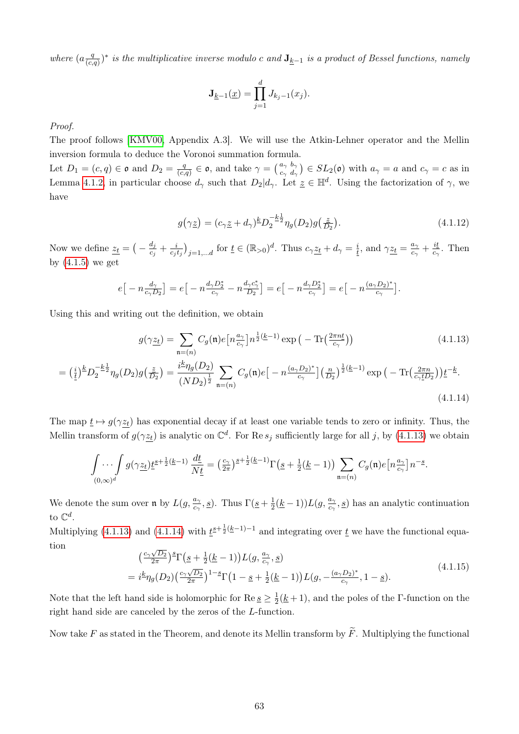where  $\left(a\frac{q}{\sqrt{c}}\right)$  $\frac{q}{(c,q)}$ <sup>\*</sup> is the multiplicative inverse modulo c and  $\mathbf{J}_{\underline{k}-1}$  is a product of Bessel functions, namely

$$
\mathbf{J}_{\underline{k}-1}(\underline{x}) = \prod_{j=1}^d J_{k_j-1}(x_j).
$$

Proof.

The proof follows [\[KMV00,](#page-86-3) Appendix A.3]. We will use the Atkin-Lehner operator and the Mellin inversion formula to deduce the Voronoi summation formula.

Let  $D_1 = (c, q) \in \mathfrak{o}$  and  $D_2 = \frac{q}{(c, q)}$  $\frac{q}{(c,q)} \in \mathfrak{o}$ , and take  $\gamma = \begin{pmatrix} a_{\gamma} & b_{\gamma} \\ c_{\gamma} & d_{\gamma} \end{pmatrix} \in SL_2(\mathfrak{o})$  with  $a_{\gamma} = a$  and  $c_{\gamma} = c$  as in Lemma [4.1.2,](#page-64-1) in particular choose  $d_{\gamma}$  such that  $D_2|d_{\gamma}$ . Let  $\underline{z} \in \mathbb{H}^d$ . Using the factorization of  $\gamma$ , we have

<span id="page-68-1"></span><span id="page-68-0"></span>
$$
g(\gamma \underline{z}) = (c_{\gamma} \underline{z} + d_{\gamma})^{\underline{k}} D_2^{-\underline{k} \frac{1}{2}} \eta_g(D_2) g(\frac{\underline{z}}{D_2}). \tag{4.1.12}
$$

Now we define  $z_t = \left(-\frac{d_j}{d_k}\right)$  $\frac{d_j}{c_j}+\frac{i}{c_j}$  $\frac{i}{c_j t_j}\Big)_{j=1,\ldots d}$  for  $\underline{t} \in (\mathbb{R}_{>0})^d$ . Thus  $c_\gamma \underline{z_t} + d_\gamma = \frac{i}{t}$  $\frac{i}{t}$ , and  $\gamma \underline{z_t} = \frac{a_\gamma}{c_\gamma}$  $\frac{a_\gamma}{c_\gamma}+\frac{it}{c_\gamma}$  $rac{u}{c_{\gamma}}$ . Then by  $(4.1.5)$  we get

$$
e\big[-n\frac{d_{\gamma}}{c_{\gamma}D_2}\big] = e\big[-n\frac{d_{\gamma}D_2^*}{c_{\gamma}} - n\frac{d_{\gamma}c_{\gamma}^*}{D_2}\big] = e\big[-n\frac{d_{\gamma}D_2^*}{c_{\gamma}}\big] = e\big[-n\frac{(a_{\gamma}D_2)^*}{c_{\gamma}}\big].
$$

Using this and writing out the definition, we obtain

$$
g(\gamma \underline{z_t}) = \sum_{\mathfrak{n} = (n)} C_g(\mathfrak{n}) e\left[n \frac{a_\gamma}{c_\gamma}\right] n^{\frac{1}{2}(\underline{k}-1)} \exp\left(-\operatorname{Tr}\left(\frac{2\pi n \underline{t}}{c_\gamma}\right)\right)
$$
(4.1.13)

$$
= \left(\frac{i}{t}\right)^{k} D_{2}^{-\frac{k}{2}} \eta_{g}(D_{2}) g\left(\frac{z}{D_{2}}\right) = \frac{i^{k} \eta_{g}(D_{2})}{(ND_{2})^{\frac{1}{2}}} \sum_{\mathfrak{n}=(n)} C_{g}(\mathfrak{n}) e\left[-n \frac{(a_{\gamma} D_{2})^{*}}{c_{\gamma}}\right] \left(\frac{n}{D_{2}}\right)^{\frac{1}{2}(k-1)} \exp\left(-\operatorname{Tr}\left(\frac{2\pi n}{c_{\gamma} \underline{t} D_{2}}\right) \underline{t}^{-\underline{k}}.\tag{4.1.14}
$$

The map  $\underline{t} \mapsto g(\gamma z_t)$  has exponential decay if at least one variable tends to zero or infinity. Thus, the Mellin transform of  $g(\gamma z_t)$  is analytic on  $\mathbb{C}^d$ . For Re  $s_j$  sufficiently large for all j, by [\(4.1.13\)](#page-68-0) we obtain

$$
\int\limits_{(0,\infty)^d} \int g(\gamma \underline{z_t}) \underline{t}^{s+\frac{1}{2}(\underline{k}-1)} \, \frac{d\underline{t}}{N\underline{t}} = \left(\frac{c_\gamma}{2\pi}\right)^{s+\frac{1}{2}(\underline{k}-1)} \Gamma\big(\underline{s}+\tfrac{1}{2}(\underline{k}-1)\big) \sum\limits_{\mathfrak{n}=(n)} C_g(\mathfrak{n}) e\big[n\frac{a_\gamma}{c_\gamma}\big] n^{-s}.
$$

We denote the sum over  $\mathfrak{n}$  by  $L(g, \frac{a_2}{a_1})$  $\frac{a_{\gamma}}{c_{\gamma}}, \underline{s})$ . Thus  $\Gamma(\underline{s} + \frac{1}{2})$  $\frac{1}{2}(\underline{k}-1))L(g,\frac{a_{\gamma}}{c_{\gamma}})$  $\frac{a_{\gamma}}{c_{\gamma}}, \underline{s}$ ) has an analytic continuation to  $\mathbb{C}^d$ .

Multiplying [\(4.1.13\)](#page-68-0) and [\(4.1.14\)](#page-68-1) with  $\underline{t}^{s+\frac{1}{2}(k-1)-1}$  and integrating over  $\underline{t}$  we have the functional equation √

<span id="page-68-2"></span>
$$
\begin{split} &\left(\frac{c_{\gamma}\sqrt{D_{2}}}{2\pi}\right)^{\underline{s}}\Gamma\left(\underline{s}+\frac{1}{2}(\underline{k}-1)\right)L(g,\frac{a_{\gamma}}{c_{\gamma}},\underline{s})\\ &=i^{\underline{k}}\eta_{g}(D_{2})\left(\frac{c_{\gamma}\sqrt{D_{2}}}{2\pi}\right)^{1-\underline{s}}\Gamma\left(1-\underline{s}+\frac{1}{2}(\underline{k}-1)\right)L(g,-\frac{(a_{\gamma}D_{2})^{*}}{c_{\gamma}},1-\underline{s}).\end{split} \tag{4.1.15}
$$

Note that the left hand side is holomorphic for  $\text{Re } \underline{s} \geq \frac{1}{2}$  $\frac{1}{2}(\underline{k}+1)$ , and the poles of the Γ-function on the right hand side are canceled by the zeros of the L-function.

Now take F as stated in the Theorem, and denote its Mellin transform by  $\widetilde{F}$ . Multiplying the functional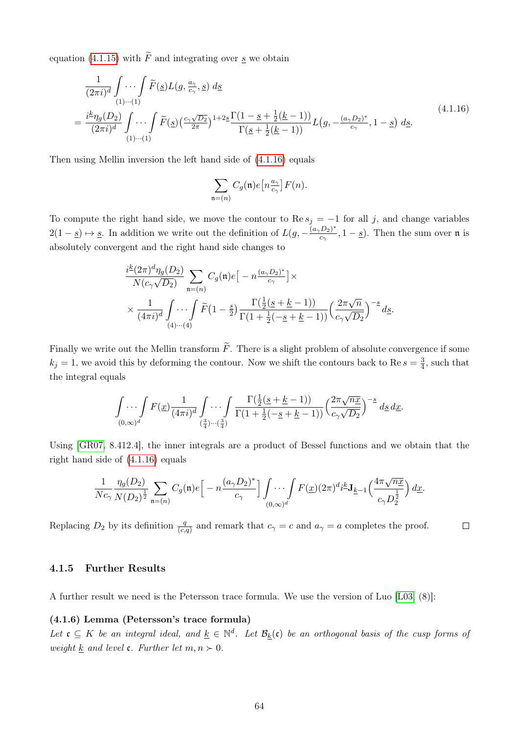equation [\(4.1.15\)](#page-68-2) with  $\widetilde{F}$  and integrating over s we obtain

<span id="page-69-0"></span>
$$
\frac{1}{(2\pi i)^d} \int \cdots \int \widetilde{F}(\underline{s}) L(g, \frac{a_{\gamma}}{c_{\gamma}}, \underline{s}) d\underline{s}
$$
\n
$$
= \frac{i^k \eta_g(D_2)}{(2\pi i)^d} \int \cdots \int \widetilde{F}(\underline{s}) \left(\frac{c_{\gamma} \sqrt{D_2}}{2\pi}\right)^{1+2\underline{s}} \frac{\Gamma(1-\underline{s}+\frac{1}{2}(\underline{k}-1))}{\Gamma(\underline{s}+\frac{1}{2}(\underline{k}-1))} L(g, -\frac{(a_{\gamma}D_2)^*}{c_{\gamma}}, 1-\underline{s}) d\underline{s}.
$$
\n
$$
(4.1.16)
$$

Then using Mellin inversion the left hand side of [\(4.1.16\)](#page-69-0) equals

$$
\sum_{\mathfrak{n}=(n)}C_g(\mathfrak{n})e\big[n\tfrac{a_\gamma}{c_\gamma}\big]F(n).
$$

To compute the right hand side, we move the contour to  $\text{Re } s_j = -1$  for all j, and change variables  $2(1-s) \mapsto s$ . In addition we write out the definition of  $L(g, -\frac{(a_{\gamma}D_{2})^{*}}{c})$  $(\frac{D_2}{c_\gamma}, 1-\underline{s})$ . Then the sum over n is absolutely convergent and the right hand side changes to

$$
\frac{i^{\underline{k}}(2\pi)^d\eta_g(D_2)}{N(c_\gamma\sqrt{D_2})}\sum_{\mathfrak{n}=(n)}C_g(\mathfrak{n})e\big[-n\frac{(a_\gamma D_2)^*}{c_\gamma}\big]\times
$$
\n
$$
\times \frac{1}{(4\pi i)^d}\int_{(4)\cdots(4)}\cdots\int_{(4)\cdots(4)}\widetilde{F}\big(1-\frac{s}{2}\big)\frac{\Gamma(\frac{1}{2}(s+\underline{k}-1))}{\Gamma(1+\frac{1}{2}(-\underline{s}+\underline{k}-1))}\Big(\frac{2\pi\sqrt{n}}{c_\gamma\sqrt{D_2}}\Big)^{-s}d\underline{s}.
$$

Finally we write out the Mellin transform  $\widetilde{F}$ . There is a slight problem of absolute convergence if some  $k_j = 1$ , we avoid this by deforming the contour. Now we shift the contours back to Re  $s = \frac{3}{4}$  $\frac{3}{4}$ , such that the integral equals

$$
\int \cdots \int F(\underline{x}) \frac{1}{(4\pi i)^d} \int \cdots \int \frac{\Gamma(\frac{1}{2}(\underline{s} + \underline{k} - 1))}{\Gamma(1 + \frac{1}{2}(-\underline{s} + \underline{k} - 1))} \left(\frac{2\pi \sqrt{n\underline{x}}}{c_\gamma \sqrt{D_2}}\right)^{-\underline{s}} d\underline{s} d\underline{x}.
$$

Using [\[GR07,](#page-86-0) 8.412.4], the inner integrals are a product of Bessel functions and we obtain that the right hand side of [\(4.1.16\)](#page-69-0) equals

$$
\frac{1}{Nc_\gamma}\frac{\eta_g(D_2)}{N(D_2)^{\frac{1}{2}}}\sum_{\mathfrak{n}=(n)}C_g(\mathfrak{n})e\Big[-n\frac{(a_\gamma D_2)^*}{c_\gamma}\Big]\int\limits_{(0,\infty)^d}\hspace{-3mm}\cdots \int F(\underline{x})(2\pi)^di^{\underline{k}}\mathbf{J}_{\underline{k}-1}\Big(\frac{4\pi\sqrt{n\underline{x}}}{c_\gamma D_2^{\frac{1}{2}}}\Big)\,d\underline{x}.
$$

 $\Box$ 

Replacing  $D_2$  by its definition  $\frac{q}{(c,q)}$  and remark that  $c_\gamma = c$  and  $a_\gamma = a$  completes the proof.

## 4.1.5 Further Results

A further result we need is the Petersson trace formula. We use the version of Luo [\[L03,](#page-87-1) (8)]:

## (4.1.6) Lemma (Petersson's trace formula)

Let  $\mathfrak{c} \subseteq K$  be an integral ideal, and  $\underline{k} \in \mathbb{N}^d$ . Let  $\mathcal{B}_k(\mathfrak{c})$  be an orthogonal basis of the cusp forms of weight k and level  $\mathfrak{c}$ . Further let  $m, n \succ 0$ .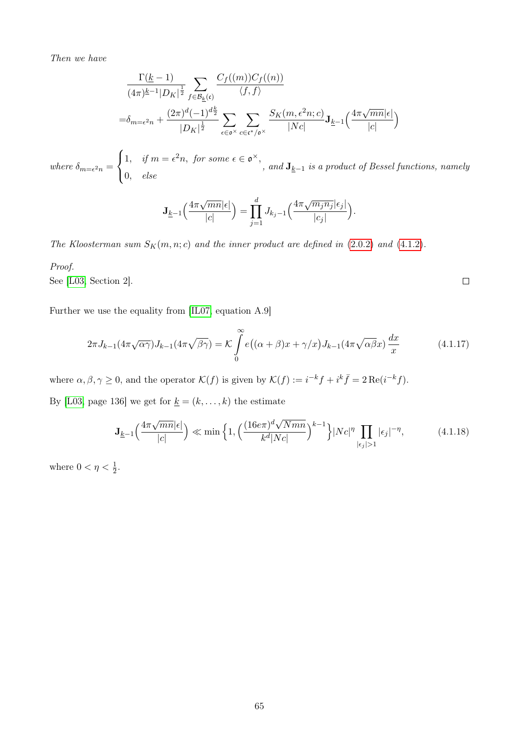Then we have

$$
\frac{\Gamma(\underline{k}-1)}{(4\pi)^{\underline{k}-1}|D_K|^{\frac{1}{2}}}\sum_{f\in\mathcal{B}_{\underline{k}}(\mathfrak{c})}\frac{C_f((m))C_f((n))}{\langle f,f\rangle}
$$
\n
$$
=\delta_{m=\epsilon^2 n}+\frac{(2\pi)^d(-1)^{d\frac{k}{2}}}{|D_K|^{\frac{1}{2}}}\sum_{\epsilon\in\mathfrak{o}^{\times}}\sum_{c\in\mathfrak{c}^{\times}/\mathfrak{o}^{\times}}\frac{S_K(m,\epsilon^2 n;c)}{|Nc|}\mathbf{J}_{\underline{k}-1}\Big(\frac{4\pi\sqrt{mn}|\epsilon|}{|c|}\Big)
$$

where  $\delta_{m=\epsilon^2 n} =$  $\sqrt{ }$  $\int$  $\mathcal{L}$ 1, if  $m = \epsilon^2 n$ , for some  $\epsilon \in \mathfrak{o}^{\times}$ , 0, else , and  $J_{k-1}$  is a product of Bessel functions, namely

$$
\mathbf{J}_{\underline{k}-1}\Big(\frac{4\pi\sqrt{mn}|\epsilon|}{|c|}\Big) = \prod_{j=1}^d J_{k_j-1}\Big(\frac{4\pi\sqrt{m_jn_j}|\epsilon_j|}{|c_j|}\Big).
$$

The Kloosterman sum  $S_K(m, n; c)$  and the inner product are defined in [\(2.0.2\)](#page-14-0) and [\(4.1.2\)](#page-62-0).

## Proof.

See [\[L03,](#page-87-1) Section 2].

Further we use the equality from [\[IL07,](#page-86-5) equation A.9]

$$
2\pi J_{k-1}(4\pi\sqrt{\alpha\gamma})J_{k-1}(4\pi\sqrt{\beta\gamma}) = \mathcal{K}\int_{0}^{\infty} e\big((\alpha+\beta)x+\gamma/x\big)J_{k-1}(4\pi\sqrt{\alpha\beta}x)\frac{dx}{x}
$$
(4.1.17)

where  $\alpha, \beta, \gamma \geq 0$ , and the operator  $\mathcal{K}(f)$  is given by  $\mathcal{K}(f) := i^{-k} f + i^{k} \bar{f} = 2 \operatorname{Re}(i^{-k} f)$ .

By [\[L03,](#page-87-1) page 136] we get for  $\underline{k}=(k,\ldots,k)$  the estimate

$$
\mathbf{J}_{\underline{k}-1}\left(\frac{4\pi\sqrt{mn}|\epsilon|}{|c|}\right) \ll \min\left\{1, \left(\frac{(16e\pi)^d\sqrt{Nmn}}{k^d|Nc|}\right)^{k-1}\right\}|Nc|^{\eta} \prod_{|\epsilon_j|>1} |\epsilon_j|^{-\eta},\tag{4.1.18}
$$

where  $0 < \eta < \frac{1}{2}$ .

 $\Box$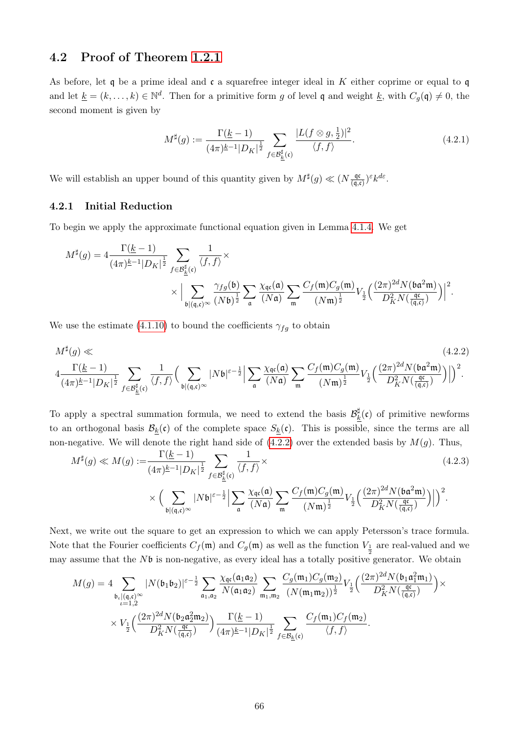## 4.2 Proof of Theorem [1.2.1](#page-11-0)

As before, let q be a prime ideal and  $\mathfrak c$  a squarefree integer ideal in K either coprime or equal to q and let  $\underline{k} = (k, \ldots, k) \in \mathbb{N}^d$ . Then for a primitive form g of level q and weight  $\underline{k}$ , with  $C_g(\mathfrak{q}) \neq 0$ , the second moment is given by

<span id="page-71-0"></span>
$$
M^{\sharp}(g) := \frac{\Gamma(\underline{k} - 1)}{(4\pi)^{\underline{k} - 1} |D_K|^{\frac{1}{2}}} \sum_{f \in \mathcal{B}_{\underline{k}}^{\sharp}(\mathfrak{c})} \frac{|L(f \otimes g, \frac{1}{2})|^2}{\langle f, f \rangle}.
$$
 (4.2.1)

We will establish an upper bound of this quantity given by  $M^{\sharp}(g) \ll (N \frac{q\sigma}{\sqrt{g}})$  $\frac{\mathfrak{q}\mathfrak{c}}{(\mathfrak{q},\mathfrak{c})})^{\varepsilon}k^{d\varepsilon}.$ 

## 4.2.1 Initial Reduction

To begin we apply the approximate functional equation given in Lemma [4.1.4.](#page-67-1) We get

$$
\begin{split} M^\sharp(g) = 4\frac{\Gamma(\underline{k}-1)}{(4\pi)^{\underline{k}-1}|D_K|^{\frac{1}{2}}} \sum_{f \in \mathcal{B}_{\underline{k}}^\sharp(\mathfrak{c})} \frac{1}{\langle f, f \rangle} \times \\ & \times \Big|\sum_{\mathfrak{b} \mid (\mathfrak{q}, \mathfrak{c})^\infty} \frac{\gamma_{fg}(\mathfrak{b})}{(N\mathfrak{b})^{\frac{1}{2}}} \sum_{\mathfrak{a}} \frac{\chi_{\mathfrak{q}\mathfrak{c}}(\mathfrak{a})}{(N\mathfrak{a})} \sum_{\mathfrak{m}} \frac{C_f(\mathfrak{m})C_g(\mathfrak{m})}{(N\mathfrak{m})^{\frac{1}{2}}} V_{\frac{1}{2}}\Big(\frac{(2\pi)^{2d}N(\mathfrak{b}\mathfrak{a}^2 \mathfrak{m})}{D^2_K N(\frac{\mathfrak{q}\mathfrak{c}}{(\mathfrak{q}, \mathfrak{c})})} \Big)^2. \end{split}
$$

We use the estimate [\(4.1.10\)](#page-67-2) to bound the coefficients  $\gamma_{fg}$  to obtain

$$
M^{\sharp}(g) \ll (4.2.2)
$$
\n
$$
4 \frac{\Gamma(\underline{k}-1)}{(4\pi)^{\underline{k}-1}|D_K|^{\frac{1}{2}}} \sum_{f \in \mathcal{B}_{\underline{k}}^{\sharp}(\mathfrak{c})} \frac{1}{\langle f, f \rangle} \Big( \sum_{\mathfrak{b} \mid (\mathfrak{q}, \mathfrak{c})^{\infty}} |N\mathfrak{b}|^{\varepsilon-\frac{1}{2}} \Big| \sum_{\mathfrak{a}} \frac{\chi_{\mathfrak{q}\mathfrak{c}}(\mathfrak{a})}{(N\mathfrak{a})} \sum_{\mathfrak{m}} \frac{C_f(\mathfrak{m}) C_g(\mathfrak{m})}{(N\mathfrak{m})^{\frac{1}{2}}} V_{\frac{1}{2}} \Big( \frac{(2\pi)^{2d} N(\mathfrak{b} \mathfrak{a}^2 \mathfrak{m})}{D_K^2 N(\frac{\mathfrak{q}\mathfrak{c}}{(\mathfrak{q}, \mathfrak{c})})} \Big) \Big|^2.
$$
\n
$$
(4.2.2)
$$

To apply a spectral summation formula, we need to extend the basis  $\mathcal{B}_k^{\sharp}$  $\frac{1}{k}$ (c) of primitive newforms to an orthogonal basis  $\mathcal{B}_k(\mathfrak{c})$  of the complete space  $S_k(\mathfrak{c})$ . This is possible, since the terms are all non-negative. We will denote the right hand side of  $(4.2.2)$  over the extended basis by  $M(g)$ . Thus,

$$
M^{\sharp}(g) \ll M(g) := \frac{\Gamma(\underline{k}-1)}{(4\pi)^{\underline{k}-1}|D_K|^{\frac{1}{2}}} \sum_{f \in \mathcal{B}_{\underline{k}}^{\sharp}(\mathfrak{c})} \frac{1}{\langle f, f \rangle} \times \left(\sum_{\mathfrak{b} \mid (\mathfrak{q}, \mathfrak{c})^{\infty}} |N\mathfrak{b}|^{\varepsilon-\frac{1}{2}} \Big| \sum_{\mathfrak{a}} \frac{\chi_{\mathfrak{q}\mathfrak{c}}(\mathfrak{a})}{(N\mathfrak{a})} \sum_{\mathfrak{m}} \frac{C_f(\mathfrak{m}) C_g(\mathfrak{m})}{(N\mathfrak{m})^{\frac{1}{2}}} V_{\frac{1}{2}} \Big( \frac{(2\pi)^{2d} N(\mathfrak{b} \mathfrak{a}^2 \mathfrak{m})}{D_K^2 N(\frac{\mathfrak{q}\mathfrak{c}}{(\mathfrak{q}, \mathfrak{c})})} \Big| \Big)^2.
$$
\n
$$
(4.2.3)
$$

Next, we write out the square to get an expression to which we can apply Petersson's trace formula. Note that the Fourier coefficients  $C_f(\mathfrak{m})$  and  $C_g(\mathfrak{m})$  as well as the function  $V_{\frac{1}{2}}$  are real-valued and we may assume that the  $N\mathfrak{b}$  is non-negative, as every ideal has a totally positive generator. We obtain

$$
M(g) = 4 \sum_{\substack{\mathfrak{b}_{\iota}|(\mathfrak{q},\mathfrak{c})^{\infty} \\ \iota=1,2}} |N(\mathfrak{b}_{1}\mathfrak{b}_{2})|^{\varepsilon-\frac{1}{2}} \sum_{\mathfrak{a}_{1},\mathfrak{a}_{2}} \frac{\chi_{\mathfrak{q}\mathfrak{c}}(\mathfrak{a}_{1}\mathfrak{a}_{2})}{N(\mathfrak{a}_{1}\mathfrak{a}_{2})} \sum_{\mathfrak{m}_{1},\mathfrak{m}_{2}} \frac{C_{g}(\mathfrak{m}_{1}) C_{g}(\mathfrak{m}_{2})}{(N(\mathfrak{m}_{1}\mathfrak{m}_{2}))^{\frac{1}{2}}} V_{\frac{1}{2}}\left(\frac{(2\pi)^{2d} N(\mathfrak{b}_{1}\mathfrak{a}_{1}^{2}\mathfrak{m}_{1})}{D_{K}^{2} N(\frac{\mathfrak{q}\mathfrak{c}}{(\mathfrak{q},\mathfrak{c})})}\right) \times \\ \times V_{\frac{1}{2}}\left(\frac{(2\pi)^{2d} N(\mathfrak{b}_{2}\mathfrak{a}_{2}^{2}\mathfrak{m}_{2})}{D_{K}^{2} N(\frac{\mathfrak{q}\mathfrak{c}}{(\mathfrak{q},\mathfrak{c})})}\right) \frac{\Gamma(\underline{k}-1)}{(4\pi)^{\underline{k}-1}|D_{K}|^{\frac{1}{2}}} \sum_{f \in \mathcal{B}_{\underline{k}}(\mathfrak{c})} \frac{C_{f}(\mathfrak{m}_{1}) C_{f}(\mathfrak{m}_{2})}{\langle f, f \rangle}.
$$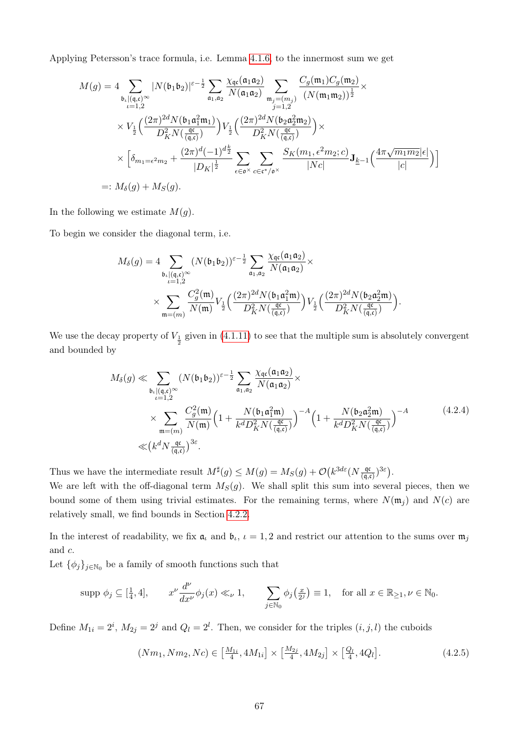Applying Petersson's trace formula, i.e. Lemma [4.1.6,](#page-69-0) to the innermost sum we get

$$
M(g) = 4 \sum_{\substack{\mathfrak{b}_{\iota} \mid (q, \mathfrak{c})^{\infty} \\ \iota = 1, 2}} |N(\mathfrak{b}_{1}\mathfrak{b}_{2})|^{\varepsilon - \frac{1}{2}} \sum_{\mathfrak{a}_{1}, \mathfrak{a}_{2}} \frac{\chi_{\mathfrak{q} \mathfrak{c}}(\mathfrak{a}_{1}\mathfrak{a}_{2})}{N(\mathfrak{a}_{1}\mathfrak{a}_{2})} \sum_{\substack{\mathfrak{m}_{j} = (m_{j}) \\ j = 1, 2}} \frac{C_{g}(\mathfrak{m}_{1}) C_{g}(\mathfrak{m}_{2})}{(N(\mathfrak{m}_{1}\mathfrak{m}_{2}))^{\frac{1}{2}}} \times
$$
  
 
$$
\times V_{\frac{1}{2}}\Big(\frac{(2\pi)^{2d} N(\mathfrak{b}_{1}\mathfrak{a}_{1}^{2} \mathfrak{m}_{1})}{D_{K}^{2} N(\frac{\mathfrak{q} \mathfrak{c}}{\mathfrak{q}_{2}})}\Big) V_{\frac{1}{2}}\Big(\frac{(2\pi)^{2d} N(\mathfrak{b}_{2}\mathfrak{a}_{2}^{2} \mathfrak{m}_{2})}{D_{K}^{2} N(\frac{\mathfrak{q} \mathfrak{c}}{\mathfrak{q}_{2}})}\Big) \times
$$
  
 
$$
\times \Big[\delta_{m_{1} = \varepsilon^{2} m_{2}} + \frac{(2\pi)^{d}(-1)^{d_{\frac{k}{2}}}}{|D_{K}|^{\frac{1}{2}}} \sum_{\varepsilon \in \mathfrak{o}^{\times}} \sum_{c \in \mathfrak{c}^{*}/\mathfrak{o}^{\times}} \frac{S_{K}(m_{1}, \varepsilon^{2} m_{2}; c)}{|Nc|} \mathbf{J}_{\underline{k}-1}\Big(\frac{4\pi \sqrt{m_{1} m_{2}}|\varepsilon|}{|c|}\Big)\Big]
$$
  
 =:  $M_{\delta}(g) + M_{S}(g)$ .

In the following we estimate  $M(g)$ .

To begin we consider the diagonal term, i.e.

$$
\begin{split} M_{\delta}(g) &= 4 \sum_{\substack{\mathfrak{b}_{\iota}|(\mathfrak{q},\mathfrak{c})^{\infty} \\ \iota=1,2}} (N(\mathfrak{b}_1 \mathfrak{b}_2))^{\varepsilon-\frac{1}{2}} \sum_{\mathfrak{a}_1,\mathfrak{a}_2} \frac{\chi_{\mathfrak{q}\mathfrak{c}}(\mathfrak{a}_1 \mathfrak{a}_2)}{N(\mathfrak{a}_1 \mathfrak{a}_2)} \times \\ & \times \sum_{\mathfrak{m}=(m)} \frac{C_g^2(\mathfrak{m})}{N(\mathfrak{m})} V_{\frac{1}{2}}\Big(\frac{(2\pi)^{2d}N(\mathfrak{b}_1 \mathfrak{a}_1^2\mathfrak{m})}{D_K^2 N(\frac{\mathfrak{q}\mathfrak{c}}{(\mathfrak{q},\mathfrak{c})})} \Big) V_{\frac{1}{2}}\Big(\frac{(2\pi)^{2d}N(\mathfrak{b}_2 \mathfrak{a}_2^2\mathfrak{m})}{D_K^2 N(\frac{\mathfrak{q}\mathfrak{c}}{(\mathfrak{q},\mathfrak{c})})} \Big). \end{split}
$$

We use the decay property of  $V_{\frac{1}{2}}$  given in [\(4.1.11\)](#page-67-0) to see that the multiple sum is absolutely convergent and bounded by

<span id="page-72-1"></span>
$$
M_{\delta}(g) \ll \sum_{\substack{\mathfrak{b}_{\iota}|(\mathfrak{q},\mathfrak{c})^{\infty} \\ \iota=1,2}} (N(\mathfrak{b}_{1}\mathfrak{b}_{2}))^{\varepsilon-\frac{1}{2}} \sum_{\mathfrak{a}_{1},\mathfrak{a}_{2}} \frac{\chi_{\mathfrak{q}\mathfrak{c}}(\mathfrak{a}_{1}\mathfrak{a}_{2})}{N(\mathfrak{a}_{1}\mathfrak{a}_{2})} \times \times \sum_{\mathfrak{m}=(m)} \frac{C_{g}^{2}(\mathfrak{m})}{N(\mathfrak{m})} \Big(1 + \frac{N(\mathfrak{b}_{1}\mathfrak{a}_{1}^{2}\mathfrak{m})}{k^{d}D_{K}^{2}N(\frac{\mathfrak{q}\mathfrak{c}}{(\mathfrak{q},\mathfrak{c})})}\Big)^{-A} \Big(1 + \frac{N(\mathfrak{b}_{2}\mathfrak{a}_{2}^{2}\mathfrak{m})}{k^{d}D_{K}^{2}N(\frac{\mathfrak{q}\mathfrak{c}}{(\mathfrak{q},\mathfrak{c})})}\Big)^{-A} \qquad (4.2.4)
$$
\n
$$
\ll (k^{d}N \frac{\mathfrak{q}\mathfrak{c}}{(\mathfrak{q},\mathfrak{c})})^{3\varepsilon}.
$$

Thus we have the intermediate result  $M^{\sharp}(g) \leq M(g) = M_S(g) + \mathcal{O}(k^{3d\varepsilon}(N \frac{q\sigma}{\sqrt{d}}))$  $\frac{\mathfrak{q}(\mathfrak{c})}{(\mathfrak{q},\mathfrak{c})}$   $(3\varepsilon)$ .

We are left with the off-diagonal term  $M_S(g)$ . We shall split this sum into several pieces, then we bound some of them using trivial estimates. For the remaining terms, where  $N(\mathfrak{m}_i)$  and  $N(c)$  are relatively small, we find bounds in Section [4.2.2.](#page-75-0)

In the interest of readability, we fix  $a_t$  and  $b_t$ ,  $t = 1, 2$  and restrict our attention to the sums over  $m_j$ and c.

Let  $\{\phi_j\}_{j\in\mathbb{N}_0}$  be a family of smooth functions such that

$$
\text{supp }\phi_j \subseteq [\frac{1}{4}, 4], \qquad x^{\nu} \frac{d^{\nu}}{dx^{\nu}} \phi_j(x) \ll_{\nu} 1, \qquad \sum_{j \in \mathbb{N}_0} \phi_j\left(\frac{x}{2^j}\right) \equiv 1, \quad \text{for all } x \in \mathbb{R}_{\ge 1}, \nu \in \mathbb{N}_0.
$$

Define  $M_{1i} = 2^i$ ,  $M_{2j} = 2^j$  and  $Q_l = 2^l$ . Then, we consider for the triples  $(i, j, l)$  the cuboids

<span id="page-72-0"></span>
$$
(Nm_1, Nm_2, Nc) \in \left[\frac{M_{1i}}{4}, 4M_{1i}\right] \times \left[\frac{M_{2j}}{4}, 4M_{2j}\right] \times \left[\frac{Q_l}{4}, 4Q_l\right].\tag{4.2.5}
$$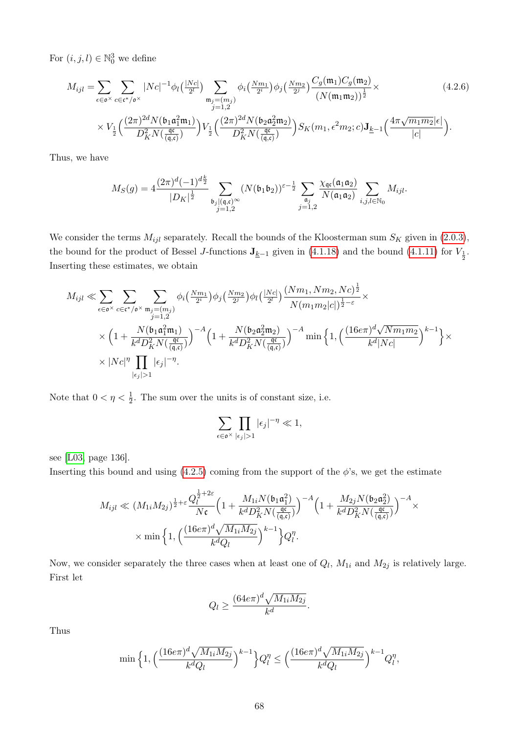For  $(i, j, l) \in \mathbb{N}_0^3$  we define

$$
M_{ijl} = \sum_{\epsilon \in \mathfrak{o}^{\times}} \sum_{c \in \mathfrak{c}^*/\mathfrak{o}^{\times}} |Nc|^{-1} \phi_l \left(\frac{|Nc|}{2^l}\right) \sum_{\substack{\mathfrak{m}_j = (m_j) \\ j = 1,2}} \phi_i \left(\frac{Nm_1}{2^i}\right) \phi_j \left(\frac{Nm_2}{2^j}\right) \frac{C_g(\mathfrak{m}_1) C_g(\mathfrak{m}_2)}{\left(N(\mathfrak{m}_1 \mathfrak{m}_2)\right)^{\frac{1}{2}}} \times
$$
\n
$$
\times V_{\frac{1}{2}} \left(\frac{(2\pi)^{2d} N(\mathfrak{b}_1 \mathfrak{a}_1^2 \mathfrak{m}_1)}{D_K^2 N\left(\frac{\mathfrak{q}\mathfrak{c}}{\left(\mathfrak{q}, \mathfrak{c}\right)}\right)} V_{\frac{1}{2}} \left(\frac{(2\pi)^{2d} N(\mathfrak{b}_2 \mathfrak{a}_2^2 \mathfrak{m}_2)}{D_K^2 N\left(\frac{\mathfrak{q}\mathfrak{c}}{\left(\mathfrak{q}, \mathfrak{c}\right)}\right)} S_K(m_1, \epsilon^2 m_2; c) \mathbf{J}_{\underline{k}-1} \left(\frac{4\pi \sqrt{m_1 m_2} |\epsilon|}{|c|}\right).
$$
\n(4.2.6)

Thus, we have

<span id="page-73-0"></span>
$$
M_S(g)=4\frac{(2\pi)^d(-1)^{d\frac{k}{2}}}{|D_K|^{\frac{1}{2}}}\sum_{\substack{\mathfrak{b}_j\mid(\mathfrak{q},\mathfrak{c})^{\infty}\\j=1,2}}(N(\mathfrak{b}_1\mathfrak{b}_2))^{\varepsilon-\frac{1}{2}}\sum_{\substack{\mathfrak{a}_j\\j=1,2}}\frac{\chi_{\mathfrak{q}\mathfrak{c}}(\mathfrak{a}_1\mathfrak{a}_2)}{N(\mathfrak{a}_1\mathfrak{a}_2)}\sum_{i,j,l\in\mathbb{N}_0}M_{ijl}.
$$

We consider the terms  $M_{ijl}$  separately. Recall the bounds of the Kloosterman sum  $S_K$  given in [\(2.0.3\)](#page-14-0), the bound for the product of Bessel J-functions  $J_{\underline{k}-1}$  given in [\(4.1.18\)](#page-70-0) and the bound [\(4.1.11\)](#page-67-0) for  $V_{\frac{1}{2}}$ . Inserting these estimates, we obtain

$$
M_{ijl} \ll \sum_{\epsilon \in \mathfrak{o}^{\times}} \sum_{c \in \mathfrak{c}^*/\mathfrak{o}^{\times}} \sum_{\substack{\mathfrak{m}_j = (m_j) \\ j = 1, 2}} \phi_i \left( \frac{Nm_1}{2^i} \right) \phi_j \left( \frac{Nm_2}{2^i} \right) \phi_l \left( \frac{|Nc|}{2^l} \right) \frac{(Nm_1, Nm_2, Nc)^{\frac{1}{2}}}{N(m_1m_2|c|)^{\frac{1}{2} - \varepsilon}} \times \times \left( 1 + \frac{N(\mathfrak{b}_1 \mathfrak{a}_1^2 \mathfrak{m}_1)}{k^d D_K^2 N \left( \frac{\mathfrak{q}^c}{(\mathfrak{q}, \mathfrak{c})} \right)} \right)^{-A} \left( 1 + \frac{N(\mathfrak{b}_2 \mathfrak{a}_2^2 \mathfrak{m}_2)}{k^d D_K^2 N \left( \frac{\mathfrak{q}^c}{(\mathfrak{q}, \mathfrak{c})} \right)} \right)^{-A} \min \left\{ 1, \left( \frac{(16\epsilon \pi)^d \sqrt{Nm_1m_2}}{k^d |Nc|} \right)^{k-1} \right\} \times \times |Nc|^{\eta} \prod_{|\epsilon_j| > 1} |\epsilon_j|^{-\eta}.
$$

Note that  $0 < \eta < \frac{1}{2}$ . The sum over the units is of constant size, i.e.

$$
\sum_{\epsilon \in \mathfrak{o}^{\times}} \prod_{|\epsilon_j|>1} |\epsilon_j|^{-\eta} \ll 1,
$$

see [\[L03,](#page-87-0) page 136].

Inserting this bound and using  $(4.2.5)$  coming from the support of the  $\phi$ 's, we get the estimate

$$
M_{ijl} \ll (M_{1i}M_{2j})^{\frac{1}{2}+\varepsilon} \frac{Q_l^{\frac{1}{2}+2\varepsilon}}{N\mathfrak{c}} \Big(1+\frac{M_{1i}N(\mathfrak{b}_1\mathfrak{a}_1^2)}{k^d D_K^2 N(\frac{\mathfrak{q}\mathfrak{c}}{(\mathfrak{q},\mathfrak{c})})}\Big)^{-A} \Big(1+\frac{M_{2j}N(\mathfrak{b}_2\mathfrak{a}_2^2)}{k^d D_K^2 N(\frac{\mathfrak{q}\mathfrak{c}}{(\mathfrak{q},\mathfrak{c})})}\Big)^{-A} \times \frac{1}{N} \times \min\Big\{1,\Big(\frac{(16e\pi)^d\sqrt{M_{1i}M_{2j}}}{k^d Q_l}\Big)^{k-1}\Big\}Q_l^n.
$$

Now, we consider separately the three cases when at least one of  $Q_l$ ,  $M_{1i}$  and  $M_{2j}$  is relatively large. First let

$$
Q_l \ge \frac{(64e\pi)^d \sqrt{M_{1i}M_{2j}}}{k^d}.
$$

Thus

$$
\min\Big\{1,\Big(\frac{(16e\pi)^{d}\sqrt{M_{1i}M_{2j}}}{k^{d}Q_{l}}\Big)^{k-1}\Big\}Q_{l}^{\eta}\leq\Big(\frac{(16e\pi)^{d}\sqrt{M_{1i}M_{2j}}}{k^{d}Q_{l}}\Big)^{k-1}Q_{l}^{\eta},
$$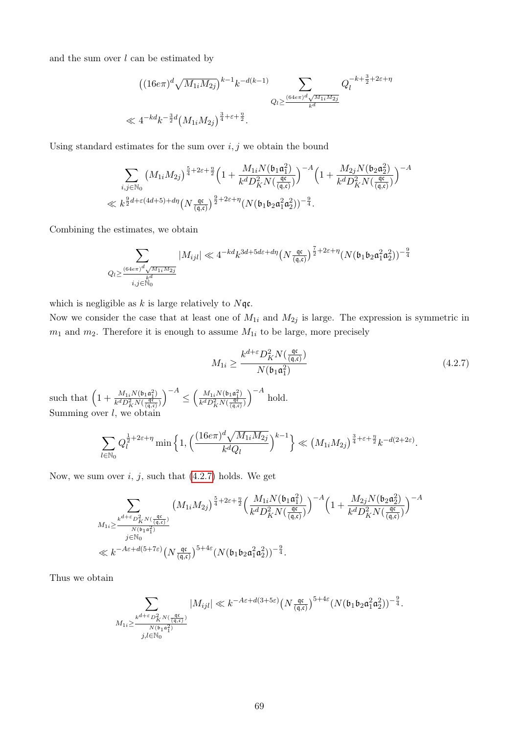and the sum over  $l$  can be estimated by

$$
((16e\pi)^{d}\sqrt{M_{1i}M_{2j}})^{k-1}k^{-d(k-1)}\sum_{Q_l\geq \frac{(64e\pi)^{d}\sqrt{M_{1i}M_{2j}}}{k^d}}Q_l^{-k+\frac{3}{2}+2\varepsilon+\eta}
$$
  

$$
\ll 4^{-kd}k^{-\frac{3}{2}d}(M_{1i}M_{2j})^{\frac{3}{4}+\varepsilon+\frac{\eta}{2}}.
$$

Using standard estimates for the sum over  $i, j$  we obtain the bound

$$
\sum_{i,j \in \mathbb{N}_0} \left( M_{1i} M_{2j} \right)^{\frac{5}{4} + 2\varepsilon + \frac{\eta}{2}} \left( 1 + \frac{M_{1i} N(\mathfrak{b}_1 \mathfrak{a}_1^2)}{k^d D_K^2 N(\frac{\mathfrak{q} \mathfrak{c}}{(\mathfrak{q}, \mathfrak{c})})} \right)^{-A} \left( 1 + \frac{M_{2j} N(\mathfrak{b}_2 \mathfrak{a}_2^2)}{k^d D_K^2 N(\frac{\mathfrak{q} \mathfrak{c}}{(\mathfrak{q}, \mathfrak{c})})} \right)^{-A}
$$
  

$$
\ll k^{\frac{9}{2}d + \varepsilon (4d + 5) + d\eta} \left( N \frac{\mathfrak{q} \mathfrak{c}}{(\mathfrak{q}, \mathfrak{c})} \right)^{\frac{9}{2} + 2\varepsilon + \eta} \left( N(\mathfrak{b}_1 \mathfrak{b}_2 \mathfrak{a}_1^2 \mathfrak{a}_2^2) \right)^{-\frac{9}{4}}.
$$

Combining the estimates, we obtain

$$
\sum_{Q_l \geq \frac{(64e\pi)^d \sqrt{M_{1i}M_{2j}}}{k^d}} |M_{ijl}| \ll 4^{-kd} k^{3d + 5d\varepsilon + d\eta} \left(N \frac{\mathfrak{q} \mathfrak{c}}{\mathfrak{q}, \mathfrak{c}}\right)^{\frac{7}{2} + 2\varepsilon + \eta} (N(\mathfrak{b}_1 \mathfrak{b}_2 \mathfrak{a}_1^2 \mathfrak{a}_2^2))^{-\frac{9}{4}}
$$

which is negligible as  $k$  is large relatively to  $N\mathfrak{q}$ c.

Now we consider the case that at least one of  $M_{1i}$  and  $M_{2j}$  is large. The expression is symmetric in  $m_1$  and  $m_2$ . Therefore it is enough to assume  $M_{1i}$  to be large, more precisely

<span id="page-74-0"></span>
$$
M_{1i} \ge \frac{k^{d+\varepsilon} D_K^2 N(\frac{\mathfrak{q} \mathfrak{c}}{(\mathfrak{q}, \mathfrak{c})})}{N(\mathfrak{b}_1 \mathfrak{a}_1^2)}
$$
(4.2.7)

such that  $\left(1 + \frac{M_{1i}N(b_1a_1^2)}{h d D^2 N(c_1^2)}\right)$  $\overline{k^dD_K^2N(\frac{\mathfrak{q}\mathfrak{c}}{(\mathfrak{q},\mathfrak{c})})}$  $\Big)^{-A} \leq \Big(\frac{M_{1i}N(\mathfrak{b}_1\mathfrak{a}_1^2)}{\frac{1}{\ln\log 2 - M\log 2}}\Big)$  $\overline{k^dD_K^2N(\frac{\mathfrak{q}^{\mathfrak{c}}}{(\mathfrak{q},\mathfrak{c})})}$  $\int^{-A}$  hold. Summing over  $l$ , we obtain

$$
\sum_{l \in \mathbb{N}_0} Q_l^{\frac{1}{2} + 2\varepsilon + \eta} \min \left\{ 1, \left( \frac{(16e\pi)^d \sqrt{M_{1i} M_{2j}}}{k^d Q_l} \right)^{k-1} \right\} \ll \left( M_{1i} M_{2j} \right)^{\frac{3}{4} + \varepsilon + \frac{\eta}{2}} k^{-d(2+2\varepsilon)}.
$$

Now, we sum over  $i, j$ , such that  $(4.2.7)$  holds. We get

$$
\begin{split} & \sum_{\substack{k^{d+\varepsilon}D^2_K N(\frac{\mathfrak{q}\mathfrak{c}}{\mathfrak{q},\mathfrak{c}})\\ j\in\mathbb{N}_0}} \left( M_{1i}M_{2j}\right)^{\frac{5}{4}+2\varepsilon+\frac{\eta}{2}}& \Big(\frac{M_{1i}N(\mathfrak{b}_1\mathfrak{a}_1^2)}{k^d D^2_K N(\frac{\mathfrak{q}\mathfrak{c}}{\mathfrak{q},\mathfrak{c}})}\Big)^{-A}\Big(1+\frac{M_{2j}N(\mathfrak{b}_2\mathfrak{a}_2^2)}{k^d D^2_K N(\frac{\mathfrak{q}\mathfrak{c}}{\mathfrak{q},\mathfrak{c}})}\Big)^{-A} \\ & \ll k^{-A\varepsilon+d(5+7\varepsilon)}\big(N\frac{\mathfrak{q}\mathfrak{c}}{\mathfrak{q},\mathfrak{c}}\big)^{5+4\varepsilon}(N(\mathfrak{b}_1\mathfrak{b}_2\mathfrak{a}_1^2\mathfrak{a}_2^2))^{-\frac{9}{4}}. \end{split}
$$

Thus we obtain

$$
\sum_{\substack{k^{d+\varepsilon}D^2_{K}N(\frac{\mathfrak{q}\mathfrak{c}}{(\mathfrak{q},\mathfrak{c})})\\M_{1i}\geq \frac{k^{d+\varepsilon}D^2_{K}N(\frac{\mathfrak{q}\mathfrak{c}}{(\mathfrak{q},\mathfrak{c})})}{N(\mathfrak{b}_1\mathfrak{a}_1^2) }}\vert M_{ijl}\vert \ll k^{-A\varepsilon+d(3+5\varepsilon)}\big(N\frac{\mathfrak{q}\mathfrak{c}}{(\mathfrak{q},\mathfrak{c})}\big)^{5+4\varepsilon}(N(\mathfrak{b}_1\mathfrak{b}_2\mathfrak{a}_1^2\mathfrak{a}_2^2))^{-\frac{9}{4}}.
$$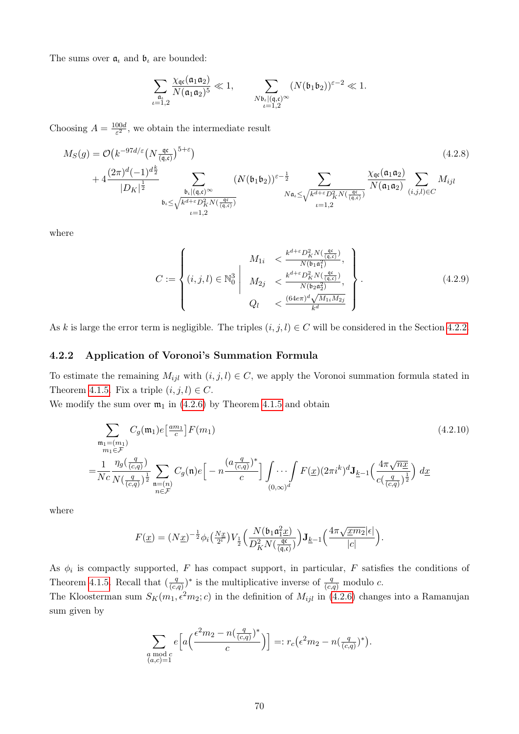The sums over  $\mathfrak{a}_t$  and  $\mathfrak{b}_t$  are bounded:

<span id="page-75-3"></span>
$$
\sum_{\substack{\mathfrak{a}_\iota\\ \iota=1,2}}\frac{\chi_{\mathfrak{q}\mathfrak{c}}(\mathfrak{a}_1\mathfrak{a}_2)}{N(\mathfrak{a}_1\mathfrak{a}_2)^5}\ll 1, \qquad \sum_{\substack{N\mathfrak{b}_\iota\mid(\mathfrak{q},\mathfrak{c})\\ \iota=1,2}}(N(\mathfrak{b}_1\mathfrak{b}_2))^{\varepsilon-2}\ll 1.
$$

Choosing  $A = \frac{100d}{c^2}$  $\frac{00d}{\varepsilon^2}$ , we obtain the intermediate result

$$
M_S(g) = \mathcal{O}\left(k^{-97d/\varepsilon}\left(N\frac{\mathfrak{q}c}{(\mathfrak{q},\mathfrak{c})}\right)^{5+\varepsilon}\right)
$$
\n
$$
+ 4\frac{(2\pi)^d(-1)^{d\frac{k}{2}}}{|D_K|^{\frac{1}{2}}}\sum_{\substack{\mathfrak{b}_t|(\mathfrak{q},\mathfrak{c})\infty\\ \mathfrak{b}_t \leq \sqrt{k^{d+\varepsilon}D_K^2N(\frac{\mathfrak{q}c}{(\mathfrak{q},\mathfrak{c})})}}} \left(N(\mathfrak{b}_1\mathfrak{b}_2)\right)^{\varepsilon-\frac{1}{2}}\sum_{\substack{N\mathfrak{a}_t \leq \sqrt{k^{d+\varepsilon}D_K^2N(\frac{\mathfrak{q}c}{(\mathfrak{q},\mathfrak{c})})}}} \frac{\chi_{\mathfrak{q}c}(\mathfrak{a}_1\mathfrak{a}_2)}{N(\mathfrak{a}_1\mathfrak{a}_2)}\sum_{(i,j,l)\in C} M_{ijl}
$$
\n
$$
M_{ijl}
$$
\n
$$
M_{ik} \leq \sqrt{k^{d+\varepsilon}D_K^2N(\frac{\mathfrak{q}c}{(\mathfrak{q},\mathfrak{c})})}} \frac{\chi_{\mathfrak{q}c}(\mathfrak{a}_1\mathfrak{a}_2)}{N(\mathfrak{a}_1\mathfrak{a}_2)}\sum_{(i,j,l)\in C} M_{ijl}
$$
\n
$$
M_{ijl}
$$
\n
$$
M_{ik} \leq \sqrt{k^{d+\varepsilon}D_K^2N(\frac{\mathfrak{q}c}{(\mathfrak{q},\mathfrak{c})})}} \frac{\chi_{\mathfrak{q}c}(\mathfrak{a}_1\mathfrak{a}_2)}{N(\mathfrak{a}_1\mathfrak{a}_2)}\sum_{(i,j,l)\in C} M_{ijl}
$$
\n
$$
M_{ijl}
$$
\n
$$
M_{ik} \leq \sqrt{k^{d+\varepsilon}D_K^2N(\frac{\mathfrak{q}c}{(\mathfrak{q},\mathfrak{c})})}} \frac{\chi_{\mathfrak{q}c}(\mathfrak{a}_1\mathfrak{a}_2)}{N(\mathfrak{a}_1\mathfrak{a}_2)} \frac{\chi_{\mathfrak{q
$$

where

<span id="page-75-1"></span>
$$
C := \begin{cases} M_{1i} < \frac{k^{d+\varepsilon} D_K^2 N(\frac{\mathfrak{q}^{\varepsilon}}{(\mathfrak{q}, c)})}{N(\mathfrak{b}_1 \mathfrak{a}_1^2)},\\ (i, j, l) \in \mathbb{N}_0^3 \middle| & M_{2j} < \frac{k^{d+\varepsilon} D_K^2 N(\frac{\mathfrak{q}^{\varepsilon}}{(\mathfrak{q}, c)})}{N(\mathfrak{b}_2 \mathfrak{a}_2^2)},\\ Q_l < \frac{(64e\pi)^d \sqrt{M_{1i} M_{2j}}}{k^d} \end{cases} . \tag{4.2.9}
$$

As k is large the error term is negligible. The triples  $(i, j, l) \in C$  will be considered in the Section [4.2.2.](#page-75-0)

#### <span id="page-75-0"></span>4.2.2 Application of Voronoi's Summation Formula

To estimate the remaining  $M_{ijl}$  with  $(i, j, l) \in C$ , we apply the Voronoi summation formula stated in Theorem [4.1.5.](#page-67-1) Fix a triple  $(i, j, l) \in C$ .

We modify the sum over  $m_1$  in [\(4.2.6\)](#page-73-0) by Theorem [4.1.5](#page-67-1) and obtain

$$
\sum_{\substack{\mathfrak{m}_1 = (m_1) \\ m_1 \in \mathcal{F}}} C_g(\mathfrak{m}_1) e^{\frac{am_1}{c}} F(m_1)
$$
\n
$$
= \frac{1}{Nc} \frac{\eta_g(\frac{q}{(c,q)})}{N(\frac{q}{(c,q)})^{\frac{1}{2}}} \sum_{\substack{\mathfrak{n} = (n) \\ n \in \mathcal{F}}} C_g(\mathfrak{n}) e^{\frac{(a \frac{q}{(c,q)})^*}{c}} \left[ -n \frac{(a \frac{q}{(c,q)})^*}{c} \right] \int_{(0,\infty)^d} \cdots \int_{(0,\infty)^d} F(\underline{x}) (2\pi i^k)^d \mathbf{J}_{\underline{k}-1} \left( \frac{4\pi \sqrt{n} \underline{x}}{c(\frac{q}{(c,q)})^{\frac{1}{2}}} \right) d\underline{x}
$$
\n
$$
(4.2.10)
$$

where

<span id="page-75-2"></span>
$$
F(\underline{x}) = (N\underline{x})^{-\frac{1}{2}}\phi_i\left(\frac{N\underline{x}}{2^i}\right)V_{\frac{1}{2}}\left(\frac{N(\mathfrak{b}_1\mathfrak{a}_1^2\underline{x})}{D_K^2N\left(\frac{\mathfrak{q}\mathfrak{c}}{(\mathfrak{q},\mathfrak{c})}\right)}\right)\mathbf{J}_{\underline{k}-1}\left(\frac{4\pi\sqrt{\underline{x}m_2}|\epsilon|}{|c|}\right).
$$

As  $\phi_i$  is compactly supported, F has compact support, in particular, F satisfies the conditions of Theorem [4.1.5.](#page-67-1) Recall that  $\left(\frac{q}{\sqrt{a}}\right)$  $(\frac{q}{(c,q)})^*$  is the multiplicative inverse of  $\frac{q}{(c,q)}$  modulo c.

The Kloosterman sum  $S_K(m_1, \epsilon^2 m_2; c)$  in the definition of  $M_{ijl}$  in [\(4.2.6\)](#page-73-0) changes into a Ramanujan sum given by

$$
\sum_{\substack{a \bmod c \\ (a,c)=1}} e\left[a\left(\frac{\epsilon^2 m_2 - n(\frac{q}{(c,q)})^*}{c}\right)\right] =: r_c\left(\epsilon^2 m_2 - n(\frac{q}{(c,q)})^*\right).
$$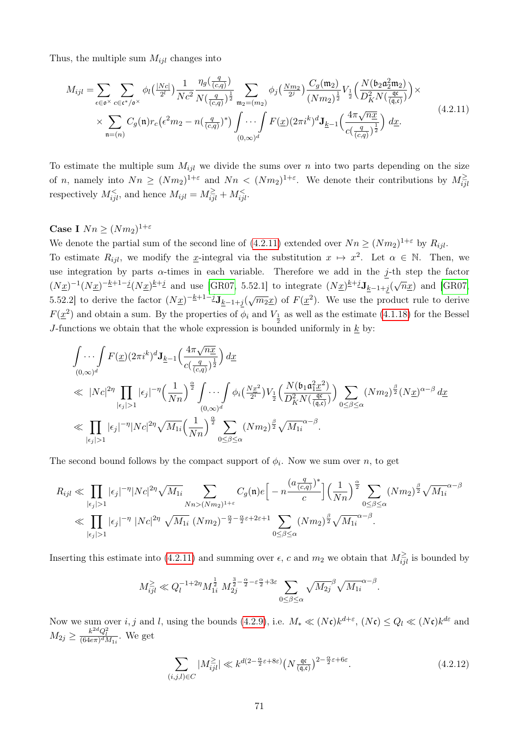Thus, the multiple sum  $M_{ijl}$  changes into

<span id="page-76-0"></span>
$$
M_{ijl} = \sum_{\epsilon \in \mathfrak{O}^{\times}} \sum_{c \in \mathfrak{c}^*/\mathfrak{O}^{\times}} \phi_l\left(\frac{|Nc|}{2^l}\right) \frac{1}{Nc^2} \frac{\eta_g\left(\frac{q}{(c,q)}\right)}{N\left(\frac{q}{(c,q)}\right)^{\frac{1}{2}}} \sum_{\mathfrak{m}_2 = (m_2)} \phi_j\left(\frac{Nm_2}{2^j}\right) \frac{C_g(\mathfrak{m}_2)}{(Nm_2)^{\frac{1}{2}}} V_{\frac{1}{2}}\left(\frac{N(\mathfrak{b}_2 \mathfrak{a}_2^2 \mathfrak{m}_2)}{D_K^2 N\left(\frac{\mathfrak{q}}{(\mathfrak{q},c)}\right)}\right) \times \\ \times \sum_{\mathfrak{n} = (n)} C_g(\mathfrak{n}) r_c\left(\epsilon^2 m_2 - n\left(\frac{q}{(c,q)}\right)^*\right) \int_{(0,\infty)^d} \cdots \int F(\underline{x})(2\pi i^k)^d \mathbf{J}_{\underline{k}-1}\left(\frac{4\pi\sqrt{n\underline{x}}}{c\left(\frac{q}{(c,q)}\right)^{\frac{1}{2}}}\right) d\underline{x}.
$$
\n(4.2.11)

To estimate the multiple sum  $M_{ijl}$  we divide the sums over n into two parts depending on the size of n, namely into  $Nn \ge (Nm_2)^{1+\varepsilon}$  and  $Nn < (Nm_2)^{1+\varepsilon}$ . We denote their contributions by  $M^{\geq}_{ij}$ respectively  $M_{ijl}^{\lt}$ , and hence  $M_{ijl} = M_{ijl}^{\ge} + M_{ijl}^{\lt}$ .

### Case I  $Nn \geq (Nm_2)^{1+\varepsilon}$

We denote the partial sum of the second line of  $(4.2.11)$  extended over  $Nn \ge (Nm_2)^{1+\varepsilon}$  by  $R_{ijl}$ .

To estimate  $R_{ijl}$ , we modify the x-integral via the substitution  $x \mapsto x^2$ . Let  $\alpha \in \mathbb{N}$ . Then, we use integration by parts  $\alpha$ -times in each variable. Therefore we add in the j-th step the factor  $(N_{\underline{x}})^{-1}(N_{\underline{x}})^{-k+1-j}(N_{\underline{x}})^{k+j}$  and use [\[GR07,](#page-86-0) 5.52.1] to integrate  $(N_{\underline{x}})^{k+j}J_{k-1+j}(\sqrt{n_{\underline{x}}})$  and [GR07, 5.52.2] to derive the factor  $(N_1x)^{-k+1-j}J_{k-1+j}(\sqrt{m_2x})$  of  $F(x^2)$ . We use the product rule to derive  $F(\underline{x}^2)$  and obtain a sum. By the properties of  $\phi_i$  and  $V_{\frac{1}{2}}$  as well as the estimate [\(4.1.18\)](#page-70-0) for the Bessel J-functions we obtain that the whole expression is bounded uniformly in  $\underline{k}$  by:

$$
\int \cdots \int F(\underline{x})(2\pi i^k)^d \mathbf{J}_{\underline{k}-1} \left( \frac{4\pi \sqrt{n\underline{x}}}{c(\frac{q}{(c,q)})^{\frac{1}{2}}} \right) d\underline{x}
$$
\n
$$
\ll |Nc|^{2\eta} \prod_{|\epsilon_j|>1} |\epsilon_j|^{-\eta} \left( \frac{1}{Nn} \right)^{\frac{\alpha}{2}} \int \cdots \int \phi_i \left( \frac{N\underline{x}^2}{2^i} \right) V_{\frac{1}{2}} \left( \frac{N(\mathfrak{b}_1 \mathfrak{a}_1^2 \underline{x}^2)}{D_K^2 N(\frac{\mathfrak{q}^2}{(\mathfrak{q}, \mathfrak{c})}} \right) \sum_{0 \le \beta \le \alpha} (Nm_2)^{\frac{\beta}{2}} (N\underline{x})^{\alpha-\beta} d\underline{x}
$$
\n
$$
\ll \prod_{|\epsilon_j|>1} |\epsilon_j|^{-\eta} |Nc|^{2\eta} \sqrt{M_{1i}} \left( \frac{1}{Nn} \right)^{\frac{\alpha}{2}} \sum_{0 \le \beta \le \alpha} (Nm_2)^{\frac{\beta}{2}} \sqrt{M_{1i}}^{\alpha-\beta}.
$$

The second bound follows by the compact support of  $\phi_i$ . Now we sum over n, to get

$$
R_{ijl} \ll \prod_{|\epsilon_j|>1} |\epsilon_j|^{-\eta} |Nc|^{2\eta} \sqrt{M_{1i}} \sum_{Nn>(Nm_2)^{1+\varepsilon}} C_g(\mathfrak{n}) e\Big[ -n \frac{(a\frac{q}{(c,q)})^*}{c} \Big] \Big(\frac{1}{Nn}\Big)^{\frac{\alpha}{2}} \sum_{0 \leq \beta \leq \alpha} (Nm_2)^{\frac{\beta}{2}} \sqrt{M_{1i}}^{\alpha-\beta}
$$
  

$$
\ll \prod_{|\epsilon_j|>1} |\epsilon_j|^{-\eta} |Nc|^{2\eta} \sqrt{M_{1i}} (Nm_2)^{-\frac{\alpha}{2}-\frac{\alpha}{2}\varepsilon+2\varepsilon+1} \sum_{0 \leq \beta \leq \alpha} (Nm_2)^{\frac{\beta}{2}} \sqrt{M_{1i}}^{\alpha-\beta}.
$$

Inserting this estimate into [\(4.2.11\)](#page-76-0) and summing over  $\epsilon$ , c and  $m_2$  we obtain that  $M^{\geq}_{ijl}$  is bounded by

$$
M_{ijl}^{\geq}\ll Q_l^{-1+2\eta}M_{1i}^{\frac12}\ M_{2j}^{\frac32-\frac{\alpha}{2}-\varepsilon\frac{\alpha}{2}+3\varepsilon}\sum_{0\leq\beta\leq\alpha}\sqrt{M_{2j}}^\beta\sqrt{M_{1i}}^{\alpha-\beta}.
$$

Now we sum over i, j and l, using the bounds [\(4.2.9\)](#page-75-1), i.e.  $M_* \ll (N\mathfrak{c})k^{d+\varepsilon}$ ,  $(N\mathfrak{c}) \le Q_l \ll (N\mathfrak{c})k^{d\varepsilon}$  and  $M_{2j} \ge \frac{k^{2d}Q_l^2}{(64e\pi)^dM_{1i}}$ . We get

<span id="page-76-1"></span>
$$
\sum_{(i,j,l)\in C} |M_{ijl}^{\ge}| \ll k^{d(2-\frac{\alpha}{2}\varepsilon+8\varepsilon)} \left(N_{\frac{\mathfrak{q}\mathfrak{c}}{(\mathfrak{q},\mathfrak{c})}}\right)^{2-\frac{\alpha}{2}\varepsilon+6\varepsilon}.\tag{4.2.12}
$$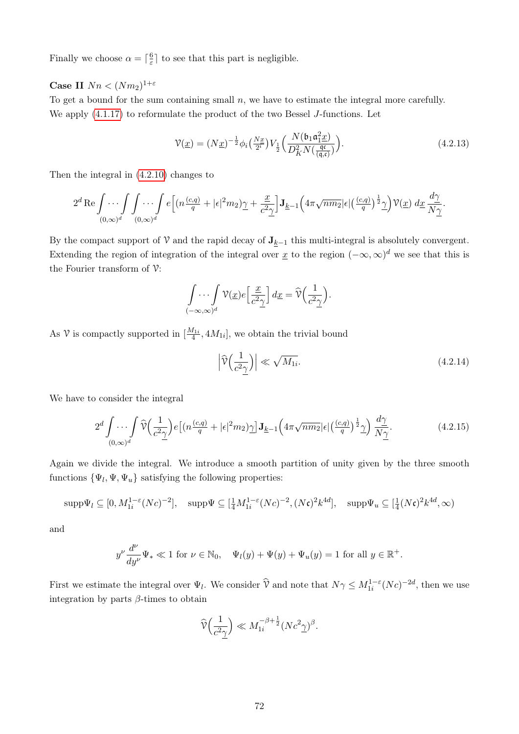Finally we choose  $\alpha = \lceil \frac{6}{5} \rceil$  $\frac{6}{5}$  to see that this part is negligible.

### Case II  $Nn < (Nm_2)^{1+\varepsilon}$

To get a bound for the sum containing small  $n$ , we have to estimate the integral more carefully. We apply [\(4.1.17\)](#page-70-1) to reformulate the product of the two Bessel J-functions. Let

<span id="page-77-2"></span>
$$
\mathcal{V}(\underline{x}) = (N\underline{x})^{-\frac{1}{2}} \phi_i \left(\frac{N\underline{x}}{2^i}\right) V_{\frac{1}{2}} \left(\frac{N(\mathfrak{b}_1 \mathfrak{a}_1^2 \underline{x})}{D_K^2 N(\frac{\mathfrak{q} \mathfrak{c}}{(\mathfrak{q}, \mathfrak{c})})}\right). \tag{4.2.13}
$$

Then the integral in [\(4.2.10\)](#page-75-2) changes to

$$
2^{d} \operatorname{Re} \int \cdots \int \int \cdots \int e \left[ (n \frac{(c,q)}{q} + |\epsilon|^{2} m_{2}) \underline{\gamma} + \frac{\underline{x}}{c^{2} \underline{\gamma}} \right] \mathbf{J}_{\underline{k}-1} \Big( 4 \pi \sqrt{nm_{2}} |\epsilon| \left( \frac{(c,q)}{q} \right)^{\frac{1}{2}} \underline{\gamma} \Big) \mathcal{V}(\underline{x}) \, d\underline{x} \, \frac{d \underline{\gamma}}{N \underline{\gamma}}.
$$

By the compact support of V and the rapid decay of  $J_{k-1}$  this multi-integral is absolutely convergent. Extending the region of integration of the integral over  $\underline{x}$  to the region  $(-\infty,\infty)^d$  we see that this is the Fourier transform of  $\mathcal{V}$ :

$$
\int_{(-\infty,\infty)^d} \mathcal{V}(\underline{x}) e\left[\frac{\underline{x}}{c^2 \underline{\gamma}}\right] d\underline{x} = \widehat{\mathcal{V}}\left(\frac{1}{c^2 \underline{\gamma}}\right).
$$

As  $\mathcal V$  is compactly supported in  $[\frac{M_{1i}}{4}, 4M_{1i}]$ , we obtain the trivial bound

<span id="page-77-1"></span><span id="page-77-0"></span>
$$
\left|\widehat{\mathcal{V}}\left(\frac{1}{c^2\gamma}\right)\right| \ll \sqrt{M_{1i}}.\tag{4.2.14}
$$

We have to consider the integral

$$
2^d \int \cdots \int_{(0,\infty)^d} \widehat{\mathcal{V}}\Big(\frac{1}{c^2 \gamma}\Big) e\big[ \big(n\frac{(c,q)}{q} + |\epsilon|^2 m_2\big)\gamma \big] \mathbf{J}_{\underline{k}-1} \Big(4\pi \sqrt{nm_2} |\epsilon| \big(\frac{(c,q)}{q}\big)^{\frac{1}{2}} \gamma \Big) \frac{d\gamma}{N\gamma}.
$$
 (4.2.15)

Again we divide the integral. We introduce a smooth partition of unity given by the three smooth functions  $\{\Psi_l, \Psi, \Psi_u\}$  satisfying the following properties:

$$
\mathrm{supp}\Psi_l \subseteq [0, M_{1i}^{1-\varepsilon} (Nc)^{-2}], \quad \mathrm{supp}\Psi \subseteq [\frac{1}{4}M_{1i}^{1-\varepsilon} (Nc)^{-2}, (N\mathfrak{c})^2 k^{4d}], \quad \mathrm{supp}\Psi_u \subseteq [\frac{1}{4} (N\mathfrak{c})^2 k^{4d}, \infty)
$$

and

$$
y^{\nu} \frac{d^{\nu}}{dy^{\nu}} \Psi_{*} \ll 1 \text{ for } \nu \in \mathbb{N}_{0}, \quad \Psi_{l}(y) + \Psi(y) + \Psi_{u}(y) = 1 \text{ for all } y \in \mathbb{R}^{+}.
$$

First we estimate the integral over  $\Psi_l$ . We consider  $\hat{V}$  and note that  $N\gamma \leq M_{1i}^{1-\varepsilon}(Nc)^{-2d}$ , then we use integration by parts  $\beta$ -times to obtain

$$
\widehat{V}\Big(\frac{1}{c^2\underline{\gamma}}\Big) \ll M_{1i}^{-\beta + \frac{1}{2}} (Nc^2\underline{\gamma})^{\beta}.
$$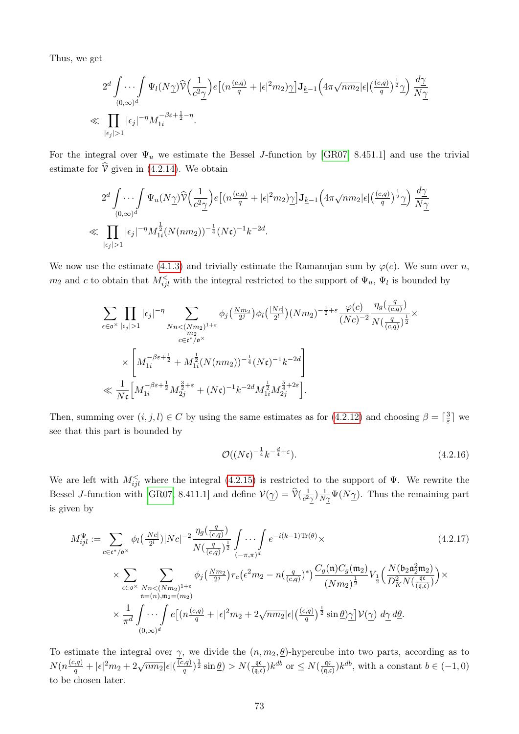Thus, we get

$$
2^d \int \cdots \int \Psi_l(N\underline{\gamma}) \widehat{\mathbb{V}}\Big(\frac{1}{c^2\underline{\gamma}}\Big) e \big[(n\frac{(c,q)}{q} + |\epsilon|^2 m_2)\underline{\gamma}\big] \mathbf{J}_{\underline{k}-1}\Big(4\pi\sqrt{nm_2}|\epsilon| \big(\frac{(c,q)}{q}\big)^{\frac{1}{2}}\underline{\gamma}\Big) \frac{d\underline{\gamma}}{N\underline{\gamma}} \\ \ll \prod_{|\epsilon_j|>1} |\epsilon_j|^{-\eta} M_{1i}^{-\beta\varepsilon + \frac{1}{2} - \eta}.
$$

For the integral over  $\Psi_u$  we estimate the Bessel J-function by [\[GR07,](#page-86-0) 8.451.1] and use the trivial estimate for  $\hat{V}$  given in [\(4.2.14\)](#page-77-0). We obtain

$$
2^d \int \cdots \int \Psi_u(N\gamma) \widehat{V}\Big(\frac{1}{c^2\gamma}\Big) e\big[(n\frac{(c,q)}{q} + |\epsilon|^2 m_2)\gamma\big] \mathbf{J}_{\underline{k}-1}\Big(4\pi\sqrt{nm_2}|\epsilon|\Big(\frac{(c,q)}{q}\Big)^{\frac{1}{2}}\gamma\Big) \frac{d\gamma}{N\gamma}
$$
  
\$\ll \prod\_{|\epsilon\_j|>1} |\epsilon\_j|^{-\eta} M\_{1i}^{\frac{1}{2}}(N(nm\_2))^{-\frac{1}{4}}(N\mathfrak{c})^{-1} k^{-2d}.

We now use the estimate [\(4.1.3\)](#page-62-0) and trivially estimate the Ramanujan sum by  $\varphi(c)$ . We sum over n,  $m_2$  and c to obtain that  $M_{ijl}^{\le}$  with the integral restricted to the support of  $\Psi_u$ ,  $\Psi_l$  is bounded by

$$
\begin{split} & \sum_{\epsilon \in \mathfrak{o}^{\times}} \prod_{|\epsilon_j|>1} |\epsilon_j|^{-\eta} \sum_{\substack{Nn < (Nm_2)^{1+\varepsilon} \\ m_2 \\ c \in \mathfrak{c}^{\times}/\mathfrak{o}^{\times}}} \phi_j\left(\tfrac{Nm_2}{2^j}\right) \phi_l\left(\tfrac{|Nc|}{2^l}\right) (Nm_2)^{-\frac{1}{2}+\varepsilon} \frac{\varphi(c)}{(Nc)^{-2}} \frac{\eta_g\left(\frac{q}{(c,q)}\right)}{N\left(\frac{q}{(c,q)}\right)^{\frac{1}{2}}} \times \\ & \times \left[ M_{1i}^{-\beta\varepsilon+\frac{1}{2}} + M_{1i}^{\frac{1}{2}} (N(nm_2))^{-\frac{1}{4}} (N\mathfrak{c})^{-1} k^{-2d} \right] \\ & \ll \frac{1}{N\mathfrak{c}} \Big[ M_{1i}^{-\beta\varepsilon+\frac{1}{2}} M_{2j}^{\frac{3}{2}+\varepsilon} + (N\mathfrak{c})^{-1} k^{-2d} M_{1i}^{\frac{1}{2}} M_{2j}^{\frac{5}{4}+2\varepsilon} \Big]. \end{split}
$$

Then, summing over  $(i, j, l) \in C$  by using the same estimates as for  $(4.2.12)$  and choosing  $\beta = \lceil \frac{3}{5} \rceil$  $\frac{3}{\varepsilon}$  we see that this part is bounded by

<span id="page-78-1"></span><span id="page-78-0"></span>
$$
\mathcal{O}((N\mathfrak{c})^{-\frac{1}{4}}k^{-\frac{d}{4}+\varepsilon}).\tag{4.2.16}
$$

We are left with  $M_{ijl}^{\le}$  where the integral [\(4.2.15\)](#page-77-1) is restricted to the support of  $\Psi$ . We rewrite the Bessel J-function with [\[GR07,](#page-86-0) 8.411.1] and define  $\mathcal{V}(\underline{\gamma}) = \widehat{\mathcal{V}}(\frac{1}{c^2})$  $\frac{1}{c^2\gamma}$ ) $\frac{1}{N\gamma}\Psi(N\gamma)$ . Thus the remaining part is given by

$$
M_{ijl}^{\Psi} := \sum_{c \in \mathfrak{c}^* / \mathfrak{o}^{\times}} \phi_l\left(\frac{|Nc|}{2^l}\right) |Nc|^{-2} \frac{\eta_g\left(\frac{q}{(c,q)}\right)}{N\left(\frac{q}{(c,q)}\right)^{\frac{1}{2}}} \int \cdots \int e^{-i(k-1)\text{Tr}(\underline{\theta})} \times
$$
\n
$$
\times \sum_{\epsilon \in \mathfrak{o}^{\times}} \sum_{\substack{Nn < (Nm_2)^{1+\varepsilon} \\ n=(n),m_2=(m_2)}} \phi_j\left(\frac{Nm_2}{2^j}\right) r_c \left(\epsilon^2 m_2 - n\left(\frac{q}{(c,q)}\right)^*\right) \frac{C_g(\mathfrak{n}) C_g(\mathfrak{m}_2)}{(Nm_2)^{\frac{1}{2}}} V_{\frac{1}{2}}\left(\frac{N(\mathfrak{b}_2 \mathfrak{a}_2^2 \mathfrak{m}_2)}{D_K^2 N\left(\frac{\mathfrak{a}_c}{(q,\mathfrak{c})}\right)}\right) \times
$$
\n
$$
\times \frac{1}{\pi^d} \int \cdots \int e\left[(n\frac{(c,q)}{q} + |\epsilon|^2 m_2 + 2\sqrt{nm_2} |\epsilon|\left(\frac{(c,q)}{q}\right)^{\frac{1}{2}} \sin \underline{\theta}) \gamma\right] \mathcal{V}(\gamma) d\gamma d\underline{\theta}.
$$
\n(4.2.17)

To estimate the integral over  $\gamma$ , we divide the  $(n, m_2, \underline{\theta})$ -hypercube into two parts, according as to  $N(n\frac{(c,q)}{q}+|\epsilon|^2 m_2 + 2\sqrt{nm_2}|\epsilon|(\frac{c}{q})$  $(\frac{q}{q})^{\frac{1}{2}}\sin\theta)>N(\frac{q\cos\theta}{q\cos\theta})$  $\frac{\mathfrak{q}(\mathfrak{q},\mathfrak{c})}{(\mathfrak{q},\mathfrak{c})}$  k<sup>db</sup> or  $\leq N(\frac{\mathfrak{q}\mathfrak{c}}{(\mathfrak{q},\mathfrak{c})})$  $\frac{\mathfrak{q}\mathfrak{c}}{(\mathfrak{q},\mathfrak{c})}$  k<sup>db</sup>, with a constant  $b \in (-1,0)$ to be chosen later.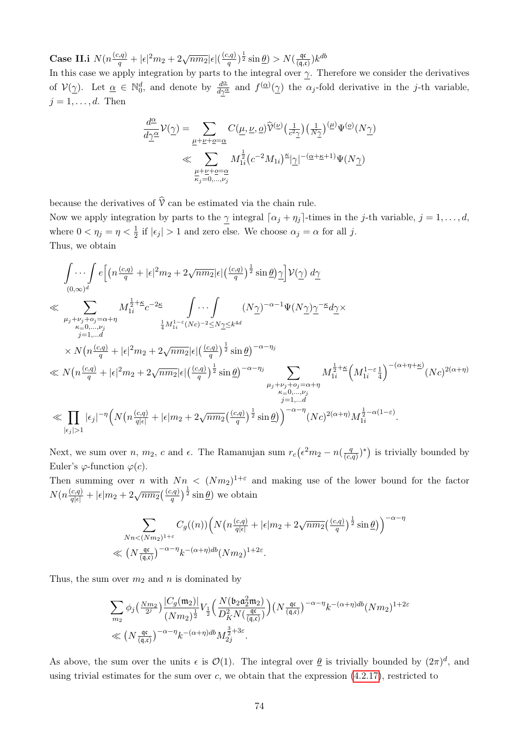Case II.i  $N(n\frac{(c,q)}{q}+|\epsilon|^2 m_2+2\sqrt{nm_2}|\epsilon|(\frac{(c,q)}{q})$  $(\frac{q}{q},\frac{q}{q})^{\frac{1}{2}}\sin\theta)>N(\frac{q\cos\theta}{q\cos\theta})$  $\frac{\mathfrak{q} \mathfrak{c}}{(\mathfrak{q},\mathfrak{c})}$  $k^{db}$ 

In this case we apply integration by parts to the integral over  $\gamma$ . Therefore we consider the derivatives of  $V(\underline{\gamma})$ . Let  $\underline{\alpha} \in \mathbb{N}_0^d$ , and denote by  $\frac{d^{\underline{\alpha}}}{d\gamma^{\underline{\alpha}}}$  and  $f^{(\underline{\alpha})}(\underline{\gamma})$  the  $\alpha_j$ -fold derivative in the j-th variable,  $j = 1, \ldots, d$ . Then

$$
\frac{d^{\underline{\alpha}}}{d\underline{\gamma}^{\underline{\alpha}}} \mathcal{V}(\underline{\gamma}) = \sum_{\underline{\mu} + \underline{\nu} + \underline{o} = \underline{\alpha}} C(\underline{\mu}, \underline{\nu}, \underline{o}) \widehat{\mathcal{V}}^{(\underline{\nu})} \left(\frac{1}{c^2 \underline{\gamma}}\right) \left(\frac{1}{N \underline{\gamma}}\right)^{(\underline{\mu})} \Psi^{(\underline{o})}(N \underline{\gamma})
$$
  
\$\ll\$ 
$$
\sum_{\substack{\underline{\mu} + \underline{\nu} + \underline{o} = \underline{\alpha} \\ \kappa_j = 0, \dots, \nu_j}} M_{1i}^{\frac{1}{2}} (c^{-2} M_{1i})^{\underline{\kappa}} |\underline{\gamma}|^{-(\underline{\alpha} + \underline{\kappa} + 1)} \Psi(N \underline{\gamma})
$$

because the derivatives of  $\hat{v}$  can be estimated via the chain rule.

Now we apply integration by parts to the  $\gamma$  integral  $\lceil \alpha_j + \eta_j \rceil$ -times in the j-th variable,  $j = 1, \ldots, d$ , where  $0 < \eta_j = \eta < \frac{1}{2}$  if  $|\epsilon_j| > 1$  and zero else. We choose  $\alpha_j = \alpha$  for all j. Thus, we obtain

$$
\int \cdots \int_{(0,\infty)^d} e\Big[\Big(n\frac{(c,q)}{q} + |\epsilon|^2 m_2 + 2\sqrt{n m_2}|\epsilon|\Big(\frac{(c,q)}{q}\Big)^{\frac{1}{2}}\sin \underline{\theta}\Big) \underline{\gamma}\Big] \mathcal{V}(\underline{\gamma}) d\underline{\gamma}
$$
\n
$$
\ll \sum_{\substack{\mu_j + \nu_j + o_j = \alpha + \eta \\ \kappa = 0, \ldots, \nu_j \\ j = 1, \ldots d}} M_{1i}^{\frac{1}{2} + \kappa} c^{-2\underline{\kappa}} \int \cdots \int \left(N\underline{\gamma}\Big)^{-\alpha - 1} \Psi(N\underline{\gamma}) \underline{\gamma}^{-\kappa} d\underline{\gamma} \times
$$
\n
$$
\times N\Big(n\frac{(c,q)}{q} + |\epsilon|^2 m_2 + 2\sqrt{n m_2}|\epsilon|\Big(\frac{(c,q)}{q}\Big)^{\frac{1}{2}}\sin \underline{\theta}\Big)^{-\alpha - \eta_j}
$$
\n
$$
\ll N\Big(n\frac{(c,q)}{q} + |\epsilon|^2 m_2 + 2\sqrt{n m_2}|\epsilon|\Big(\frac{(c,q)}{q}\Big)^{\frac{1}{2}}\sin \underline{\theta}\Big)^{-\alpha - \eta_j} \sum_{\substack{\mu_j + \nu_j + o_j = \alpha + \eta \\ \kappa = 0, \ldots, \nu_j \\ j = 1, \ldots d}} M_{1i}^{\frac{1}{2} + \kappa} \Big(M_{1i}^{1 - \varepsilon} \frac{1}{4}\Big)^{-(\alpha + \eta + \underline{\kappa})} (Nc)^{2(\alpha + \eta)}
$$
\n
$$
\ll \prod_{\substack{\kappa = 0, \ldots, \nu_j \\ \kappa = 0, \ldots, \nu_j \\ |\epsilon_j| > 1}} |\epsilon_j|^{-\eta} \Big(N\Big(n\frac{(c,q)}{q|\epsilon|} + |\epsilon| m_2 + 2\sqrt{n m_2} \Big(\frac{(c,q)}{q}\Big)^{\frac{1}{2}}\sin \underline{\theta}\Big)\Big)^{-\alpha - \eta} (Nc)^{2(\alpha + \eta)} M_{1i}^{\frac{1}{2} - \alpha(1 - \varepsilon)}.
$$

Next, we sum over *n*, *m*<sub>2</sub>, *c* and  $\epsilon$ . The Ramanujan sum  $r_c(\epsilon^2 m_2 - n(\frac{q}{c_c})$  $\frac{q}{(c,q)}$ <sup>\*</sup>) is trivially bounded by Euler's  $\varphi$ -function  $\varphi(c)$ .

Then summing over n with  $Nn < (Nm_2)^{1+\varepsilon}$  and making use of the lower bound for the factor  $N(n\frac{(c,q)}{q|\epsilon|}+|\epsilon|m_2+2\sqrt{nm_2}(\frac{(c,q)}{q})^{\frac{1}{2}}\sin\theta)$  we obtain

$$
\sum_{Nn < (Nm_2)^{1+\varepsilon}} C_g((n)) \Big( N\big(n\frac{(c,q)}{q|\epsilon|} + |\epsilon|m_2 + 2\sqrt{nm_2}\big(\frac{(c,q)}{q}\big)^{\frac{1}{2}}\sin\underline{\theta}\big) \Big)^{-\alpha-\eta}
$$
  

$$
\ll \left(N\frac{\mathfrak{q}\mathfrak{c}}{(\mathfrak{q},\mathfrak{c})}\right)^{-\alpha-\eta} k^{-(\alpha+\eta)db} (Nm_2)^{1+2\varepsilon}.
$$

Thus, the sum over  $m_2$  and n is dominated by

$$
\begin{aligned} &\sum_{m_2} \phi_j\big(\tfrac{Nm_2}{2^j}\big) \frac{|C_g(\mathfrak{m}_2)|}{(Nm_2)^{\frac{1}{2}}} V_{\frac{1}{2}}\Big(\frac{N\big(\mathfrak{b}_2 \mathfrak{a}_2^2 \mathfrak{m}_2\big)}{D_K^2 N\big(\frac{\mathfrak{q}\mathfrak{c}}{(\mathfrak{q},\mathfrak{c})}\big)}\Big) \big(N\frac{\mathfrak{q}\mathfrak{c}}{(\mathfrak{q},\mathfrak{c})}\big)^{-\alpha-\eta} k^{-(\alpha+\eta)db} (Nm_2)^{1+2\varepsilon} \\ &\ll \big(N\frac{\mathfrak{q}\mathfrak{c}}{(\mathfrak{q},\mathfrak{c})}\big)^{-\alpha-\eta} k^{-(\alpha+\eta)db} M_{2j}^{\frac{3}{2}+3\varepsilon}. \end{aligned}
$$

As above, the sum over the units  $\epsilon$  is  $\mathcal{O}(1)$ . The integral over  $\underline{\theta}$  is trivially bounded by  $(2\pi)^d$ , and using trivial estimates for the sum over c, we obtain that the expression  $(4.2.17)$ , restricted to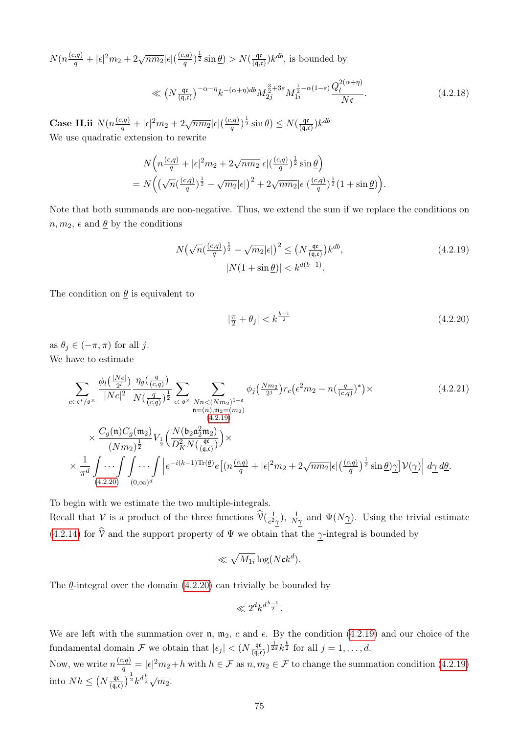$N(n\frac{(c,q)}{q}+|\epsilon|^2 m_2 + 2\sqrt{nm_2}|\epsilon|(\frac{(c,q)}{q})$  $(\frac{q}{q},\frac{q}{q})^{\frac{1}{2}}\sin\theta)>N(\frac{q\cos\theta}{q\cos\theta})$  $\frac{\mathfrak{q}(\mathfrak{q},\mathfrak{c})}{(\mathfrak{q},\mathfrak{c})}$  k<sup>db</sup>, is bounded by

<span id="page-80-3"></span>
$$
\ll \left(N \frac{\mathfrak{q} \mathfrak{c}}{\mathfrak{q} \mathfrak{c} \mathfrak{c}}\right)^{-\alpha-\eta} k^{-(\alpha+\eta)db} M_{2j}^{\frac{3}{2}+3\varepsilon} M_{1i}^{\frac{1}{2}-\alpha(1-\varepsilon)} \frac{Q_l^{2(\alpha+\eta)}}{N\mathfrak{c}}.\tag{4.2.18}
$$

Case II.ii  $N(n \frac{(c,q)}{q} + |\epsilon|^2 m_2 + 2\sqrt{n m_2} |\epsilon| (\frac{(c,q)}{q})$  $(\frac{q,q}{q})^{\frac{1}{2}}\sin\theta)\leq N(\frac{\mathfrak{q}\mathfrak{c}}{(\mathfrak{q},\mathfrak{c})})$  $\frac{\mathfrak{q} \mathfrak{c}}{(\mathfrak{q},\mathfrak{c})}$  $k^{db}$ We use quadratic extension to rewrite

$$
N\left(n\frac{(c,q)}{q}+|\epsilon|^2m_2+2\sqrt{nm_2}|\epsilon|(\frac{(c,q)}{q})^{\frac{1}{2}}\sin\theta\right)
$$
  
= 
$$
N\left(\left(\sqrt{n}(\frac{(c,q)}{q})^{\frac{1}{2}}-\sqrt{m_2}|\epsilon|\right)^2+2\sqrt{nm_2}|\epsilon|(\frac{(c,q)}{q})^{\frac{1}{2}}(1+\sin\theta)\right).
$$

Note that both summands are non-negative. Thus, we extend the sum if we replace the conditions on  $n, m_2, \epsilon$  and  $\underline{\theta}$  by the conditions

$$
N\left(\sqrt{n}(\frac{(c,q)}{q})^{\frac{1}{2}} - \sqrt{m_2}|\epsilon|\right)^2 \le \left(N \frac{\mathfrak{q} \mathfrak{c}}{(\mathfrak{q},\mathfrak{c})}\right) k^{db},
$$
  

$$
|N(1 + \sin \underline{\theta})| < k^{d(b-1)}.
$$
 (4.2.19)

The condition on  $\theta$  is equivalent to

<span id="page-80-2"></span><span id="page-80-1"></span><span id="page-80-0"></span>
$$
|\frac{\pi}{2} + \theta_j| < k^{\frac{b-1}{2}} \tag{4.2.20}
$$

as  $\theta_j \in (-\pi, \pi)$  for all j. We have to estimate

$$
\sum_{c \in \mathfrak{e}^*/\mathfrak{o}^{\times}} \frac{\phi_l\left(\frac{|Nc|}{2^l}\right)}{|Nc|^2} \frac{\eta_g\left(\frac{q}{(c,q)}\right)}{N\left(\frac{q}{(c,q)}\right)^{\frac{1}{2}}} \sum_{\epsilon \in \mathfrak{o}^{\times}} \sum_{\substack{Nn < (Nm_2)^{1+\epsilon} \\ n=(n),m_2=(m_2)}} \phi_j\left(\frac{Nm_2}{2^j}\right) r_c\left(\epsilon^2 m_2 - n\left(\frac{q}{(c,q)}\right)^*)\right) \times \frac{C_g(\mathfrak{n}) C_g(\mathfrak{m}_2)}{\left(\frac{4.2.19}{2}\right)^{\frac{1}{2}}} V_{\frac{1}{2}}\left(\frac{N(\mathfrak{b}_2 \mathfrak{a}_2^2 \mathfrak{m}_2)}{D_K^2 N\left(\frac{\mathfrak{a}_\mathfrak{c}}{q,\mathfrak{c}}\right)}\right) \times \times \frac{\frac{1}{\pi^d} \int \cdots \int \int \cdots \int_{(0,\infty)^d} \left|e^{-i(k-1)\text{Tr}(\underline{\theta})} e\left[(n\frac{(c,q)}{q} + |\epsilon|^2 m_2 + 2\sqrt{n m_2}|\epsilon|\left(\frac{(c,q)}{q}\right)^{\frac{1}{2}} \sin \underline{\theta}\right) \gamma\right] \mathcal{V}(\gamma) \left| d\gamma d\underline{\theta}.\right.
$$
\n(4.2.20)

To begin with we estimate the two multiple-integrals.

Recall that V is a product of the three functions  $\hat{V}(\frac{1}{c^2})$  $\frac{1}{c^2\gamma}$ ),  $\frac{1}{N\gamma}$  and  $\Psi(N\gamma)$ . Using the trivial estimate [\(4.2.14\)](#page-77-0) for  $\hat{V}$  and the support property of  $\Psi$  we obtain that the  $\gamma$ -integral is bounded by

$$
\ll \sqrt{M_{1i}} \log(N \mathfrak{c} k^d).
$$

The  $\theta$ -integral over the domain [\(4.2.20\)](#page-80-1) can trivially be bounded by

$$
\ll 2^d k^{d\frac{b-1}{2}}.
$$

We are left with the summation over  $n, m_2, c$  and  $\epsilon$ . By the condition [\(4.2.19\)](#page-80-0) and our choice of the fundamental domain F we obtain that  $|\epsilon_j| < (N \frac{q\epsilon}{\sqrt{q}})$  $\frac{\mathfrak{q} \mathfrak{c}}{(\mathfrak{q},\mathfrak{c})}$   $\frac{1}{2d} k^{\frac{b}{2}}$  for all  $j=1,\ldots,d$ .

Now, we write  $n \frac{(c,q)}{q} = |\epsilon|^2 m_2 + h$  with  $h \in \mathcal{F}$  as  $n, m_2 \in \mathcal{F}$  to change the summation condition  $(4.2.19)$ into  $Nh \leq (N \frac{\mathfrak{q}c}{\mathfrak{q}c}$  $\left(\frac{\mathfrak{q} \mathfrak{c}}{(\mathfrak{q}, \mathfrak{c})}\right)^{\frac{1}{2}} k^{d \frac{b}{2}} \sqrt{m_2}.$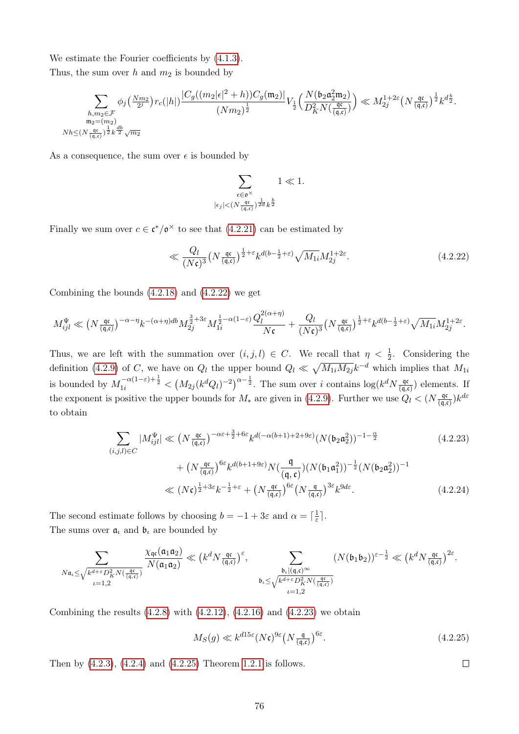We estimate the Fourier coefficients by [\(4.1.3\)](#page-62-0).

Thus, the sum over h and  $m_2$  is bounded by

$$
\sum_{\substack{h,m_2 \in \mathcal{F} \\ \mathfrak{m}_2 = (m_2) \\ M \leq (N \frac{\mathfrak{q} \mathfrak{c}}{(\mathfrak{q}, \mathfrak{c})})^{\frac{1}{2}} k^{\frac{db}{2}}} \phi_j\big( \frac{Nm_2}{2^j} \big) r_c(|h|) \frac{|C_g((m_2|\epsilon|^2 + h)) C_g(\mathfrak{m}_2)|}{(Nm_2)^{\frac{1}{2}}} V_{\frac{1}{2}}\Big( \frac{N(\mathfrak{b}_2 \mathfrak{a}_2^2 \mathfrak{m}_2)}{D_K^2 N(\frac{\mathfrak{q} \mathfrak{c}}{(\mathfrak{q}, \mathfrak{c})})} \Big) \ll M_2^{1 + 2 \varepsilon} \big( N \frac{\mathfrak{q} \mathfrak{c}}{(\mathfrak{q}, \mathfrak{c})} \big)^{\frac{1}{2}} k^{d \frac{b}{2}}.
$$

As a consequence, the sum over  $\epsilon$  is bounded by

<span id="page-81-0"></span>
$$
\sum_{\substack{\epsilon \in \mathfrak{o}^{\times} \\ |\epsilon_j| < (N \frac{\mathfrak{q} \mathfrak{c}}{(\mathfrak{q}, \mathfrak{c})})^{\frac{1}{2d}} k^{\frac{b}{2}}}} 1 \ll 1.
$$

Finally we sum over  $c \in \mathfrak{c}^*/\mathfrak{o}^\times$  to see that  $(4.2.21)$  can be estimated by

$$
\ll \frac{Q_l}{(N\mathfrak{c})^3} \left(N \frac{\mathfrak{q}\mathfrak{c}}{(\mathfrak{q}, \mathfrak{c})}\right)^{\frac{1}{2}+\varepsilon} k^{d(b-\frac{1}{2}+\varepsilon)} \sqrt{M_{1i}} M_{2j}^{1+2\varepsilon}.
$$
\n(4.2.22)

Combining the bounds  $(4.2.18)$  and  $(4.2.22)$  we get

$$
M_{ijl}^{\Psi} \ll \left(N \frac{\mathfrak{q} \mathfrak{c}}{(\mathfrak{q}, \mathfrak{c})}\right)^{-\alpha-\eta} k^{-(\alpha+\eta)db} M_{2j}^{\frac{3}{2}+3\varepsilon} M_{1i}^{\frac{1}{2}-\alpha(1-\varepsilon)} \frac{Q_l^{2(\alpha+\eta)}}{N\mathfrak{c}} + \frac{Q_l}{(N\mathfrak{c})^3} \left(N \frac{\mathfrak{q} \mathfrak{c}}{(\mathfrak{q}, \mathfrak{c})}\right)^{\frac{1}{2}+\varepsilon} k^{d(b-\frac{1}{2}+\varepsilon)} \sqrt{M_{1i}} M_{2j}^{1+2\varepsilon}.
$$

Thus, we are left with the summation over  $(i, j, l) \in C$ . We recall that  $\eta < \frac{1}{2}$ . Considering the definition [\(4.2.9\)](#page-75-1) of C, we have on  $Q_l$  the upper bound  $Q_l \ll \sqrt{M_{1i}M_{2j}}k^{-d}$  which implies that  $M_{1i}$ is bounded by  $M_{1i}^{-\alpha(1-\varepsilon)+\frac{1}{2}} < (M_{2j}(k^d Q_l)^{-2})^{\alpha-\frac{1}{2}}$ . The sum over i contains  $\log(k^d N \frac{dq}{(q,q)^2})$  $\frac{\mathfrak{q} \mathfrak{c}}{(\mathfrak{q},\mathfrak{c})}$  elements. If the exponent is positive the upper bounds for  $M_*$  are given in [\(4.2.9\)](#page-75-1). Further we use  $Q_l < (N \frac{q\sigma}{\sigma}$  $\frac{\mathfrak{q}\mathfrak{c}}{(\mathfrak{q},\mathfrak{c})}$  $k^{d\varepsilon}$ to obtain

$$
\sum_{(i,j,l)\in C} |M_{ijl}^{\Psi}| \ll \left(N \frac{\mathfrak{q}^{\mathfrak{c}}}{(\mathfrak{q},\mathfrak{c})}\right)^{-\alpha\varepsilon + \frac{3}{2} + 6\varepsilon} k^{d(-\alpha(b+1) + 2 + 9\varepsilon)} (N(\mathfrak{b}_2 \mathfrak{a}_2^2))^{-1 - \frac{\alpha}{2}}
$$
(4.2.23)  
+ 
$$
\left(N \frac{\mathfrak{q}^{\mathfrak{c}}}{(\mathfrak{q},\mathfrak{c})}\right)^{6\varepsilon} k^{d(b+1+9\varepsilon)} N\left(\frac{\mathfrak{q}}{(\mathfrak{q},\mathfrak{c})}\right) (N(\mathfrak{b}_1 \mathfrak{a}_1^2))^{-\frac{1}{2}} (N(\mathfrak{b}_2 \mathfrak{a}_2^2))^{-1}
$$

$$
\ll (N\mathfrak{c})^{\frac{1}{2} + 3\varepsilon} k^{-\frac{1}{2} + \varepsilon} + \left(N \frac{\mathfrak{q}^{\mathfrak{c}}}{(\mathfrak{q},\mathfrak{c})}\right)^{6\varepsilon} \left(N \frac{\mathfrak{q}}{(\mathfrak{q},\mathfrak{c})}\right)^{3\varepsilon} k^{9d\varepsilon}.
$$
(4.2.24)

The second estimate follows by choosing  $b = -1 + 3\varepsilon$  and  $\alpha = \lceil \frac{1}{\varepsilon} \rceil$  $\frac{1}{\varepsilon}$ ]. The sums over  $a_i$  and  $b_i$  are bounded by

$$
\sum_{\substack{N\mathfrak{a}_{\iota} \leq \sqrt{k^{d+\varepsilon}D_{K}^{2}N\left(\frac{\mathfrak{q}\varepsilon}{(\mathfrak{q},\mathfrak{c})}\right)}}\frac{\chi_{\mathfrak{q}\mathfrak{c}}(\mathfrak{a}_1\mathfrak{a}_2)}{N(\mathfrak{a}_1\mathfrak{a}_2)} \ll \left(k^{d}N\frac{\mathfrak{q}\varepsilon}{(\mathfrak{q},\mathfrak{c})}\right)^{\varepsilon}, \sum_{\substack{\mathfrak{b}_{\iota}|(\mathfrak{q},\mathfrak{c}) \sim \\ \iota=1,2}} (N(\mathfrak{b}_1\mathfrak{b}_2))^{\varepsilon-\frac{1}{2}} \ll \left(k^{d}N\frac{\mathfrak{q}\varepsilon}{(\mathfrak{q},\mathfrak{c})}\right)^{2\varepsilon}.
$$

Combining the results  $(4.2.8)$  with  $(4.2.12)$ ,  $(4.2.16)$  and  $(4.2.23)$  we obtain

$$
M_S(g) \ll k^{d15\varepsilon} (N\mathfrak{c})^{9\varepsilon} \left(N \frac{\mathfrak{q}}{(\mathfrak{q}, \mathfrak{c})}\right)^{6\varepsilon}.
$$
\n(4.2.25)

<span id="page-81-2"></span><span id="page-81-1"></span> $\Box$ 

Then by [\(4.2.3\)](#page-71-0), [\(4.2.4\)](#page-72-1) and [\(4.2.25\)](#page-81-2) Theorem [1.2.1](#page-11-0) is follows.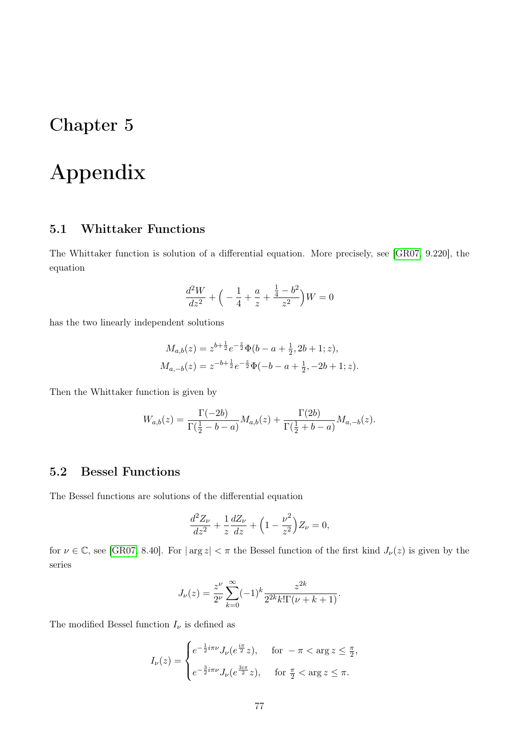## Chapter 5

## Appendix

### 5.1 Whittaker Functions

The Whittaker function is solution of a differential equation. More precisely, see [\[GR07,](#page-86-0) 9.220], the equation

$$
\frac{d^2W}{dz^2} + \left(-\frac{1}{4} + \frac{a}{z} + \frac{\frac{1}{4} - b^2}{z^2}\right)W = 0
$$

has the two linearly independent solutions

$$
M_{a,b}(z) = z^{b+\frac{1}{2}}e^{-\frac{z}{2}}\Phi(b-a+\frac{1}{2},2b+1;z),
$$
  
\n
$$
M_{a,-b}(z) = z^{-b+\frac{1}{2}}e^{-\frac{z}{2}}\Phi(-b-a+\frac{1}{2},-2b+1;z).
$$

Then the Whittaker function is given by

$$
W_{a,b}(z) = \frac{\Gamma(-2b)}{\Gamma(\frac{1}{2} - b - a)} M_{a,b}(z) + \frac{\Gamma(2b)}{\Gamma(\frac{1}{2} + b - a)} M_{a,-b}(z).
$$

### 5.2 Bessel Functions

The Bessel functions are solutions of the differential equation

$$
\frac{d^2Z_{\nu}}{dz^2} + \frac{1}{z}\frac{dZ_{\nu}}{dz} + \left(1 - \frac{\nu^2}{z^2}\right)Z_{\nu} = 0,
$$

for  $\nu \in \mathbb{C}$ , see [\[GR07,](#page-86-0) 8.40]. For  $|\arg z| < \pi$  the Bessel function of the first kind  $J_{\nu}(z)$  is given by the series

$$
J_{\nu}(z) = \frac{z^{\nu}}{2^{\nu}} \sum_{k=0}^{\infty} (-1)^{k} \frac{z^{2k}}{2^{2k}k! \Gamma(\nu+k+1)}.
$$

The modified Bessel function  $I_{\nu}$  is defined as

$$
I_{\nu}(z) = \begin{cases} e^{-\frac{1}{2}i\pi\nu} J_{\nu}(e^{\frac{i\pi}{2}}z), & \text{for } -\pi < \arg z \leq \frac{\pi}{2}, \\ e^{-\frac{3}{2}i\pi\nu} J_{\nu}(e^{\frac{3i\pi}{2}}z), & \text{for } \frac{\pi}{2} < \arg z \leq \pi. \end{cases}
$$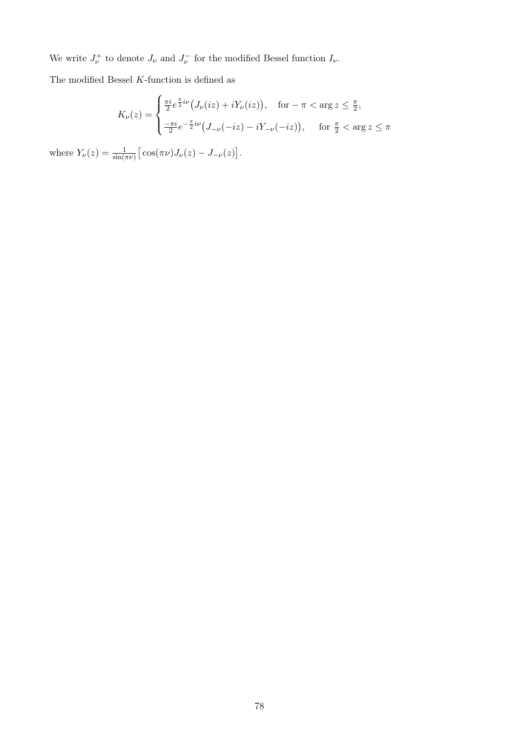We write  $J_{\nu}^{+}$  to denote  $J_{\nu}$  and  $J_{\nu}^{-}$  for the modified Bessel function  $I_{\nu}$ .

The modified Bessel  $K\mbox{-}\mathrm{function}$  is defined as

$$
K_{\nu}(z) = \begin{cases} \frac{\pi i}{2} e^{\frac{\pi}{2}i\nu} \left( J_{\nu}(iz) + iY_{\nu}(iz) \right), & \text{for } -\pi < \arg z \le \frac{\pi}{2}, \\ \frac{-\pi i}{2} e^{-\frac{\pi}{2}i\nu} \left( J_{-\nu}(-iz) - iY_{-\nu}(-iz) \right), & \text{for } \frac{\pi}{2} < \arg z \le \pi \end{cases}
$$

where  $Y_{\nu}(z) = \frac{1}{\sin(\pi \nu)} \left[ \cos(\pi \nu) J_{\nu}(z) - J_{-\nu}(z) \right]$ .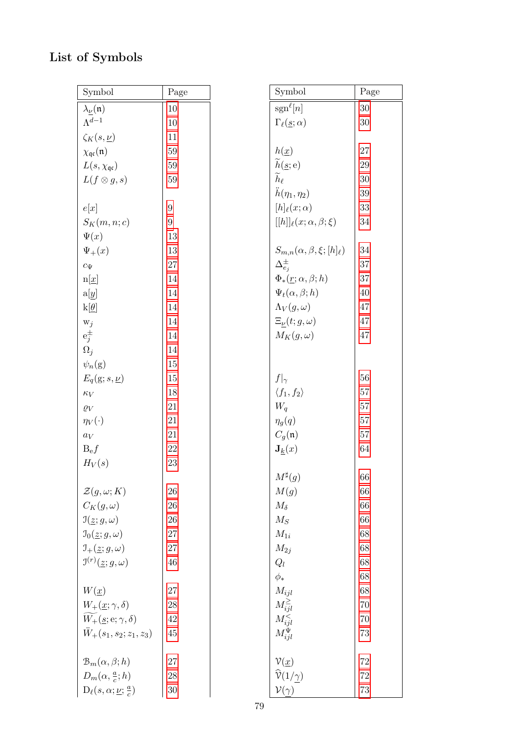## List of Symbols

| Symbol                                              | Page             | Symbol                                        | Page |
|-----------------------------------------------------|------------------|-----------------------------------------------|------|
| $\lambda_{\underline{\nu}}(\mathfrak{n})$           | 10               | $sgn^{\ell}[n]$                               | 30   |
| $\Lambda^{d-1}$                                     | 10               | $\Gamma_{\ell}(\underline{s};\alpha)$         | 30   |
| $\zeta_K(s,\underline{\nu})$                        | 11               |                                               |      |
| $\chi_{\mathfrak{qc}}(\mathfrak{n})$                | 59               | $h(\underline{x})$                            | 27   |
| $L(s, \chi_{\mathfrak{q}\mathfrak{c}})$             | 59               | $\widetilde{h}(\underline{s};e)$              | 29   |
| $L(f\otimes g,s)$                                   | 59               | $\widetilde{h}_\ell$                          | 30   |
|                                                     |                  | $\ddot{h}(\eta_1,\eta_2)$                     | 39   |
| e[x]                                                | $\boldsymbol{9}$ | $[h]_{\ell}(x;\alpha)$                        | 33   |
| $S_K(m, n; c)$                                      | $\boldsymbol{9}$ | $[[h]]_{\ell}(x;\alpha,\beta;\xi)$            | 34   |
| $\Psi(x)$                                           | 13               |                                               |      |
| $\Psi_{+}(x)$                                       | 13               | $S_{m,n}(\alpha,\beta,\xi;[h]_{\ell})$        | 34   |
| $c_{\Psi}$                                          | $27\,$           | $\Delta_{e_i}^{\pm}$                          | 37   |
| $n[\underline{x}]$                                  | 14               | $\Phi_*(\underline{r}; \alpha, \beta; h)$     | 37   |
| a[y]                                                | 14               | $\Psi_t(\alpha, \beta; h)$                    | 40   |
| $k[\underline{\theta}]$                             | 14               | $\Lambda_V(g,\omega)$                         | 47   |
| $\mathbf{w}_j$                                      | 14               | $\Xi_{\nu}(t; g, \omega)$                     | 47   |
| $\mathbf{e}_j^\pm$                                  | 14               | $M_K(g,\omega)$                               | 47   |
| $\Omega_j$                                          | 14               |                                               |      |
| $\psi_n(\mathrm{g})$                                | 15               |                                               |      |
| $E_q(g; s, \underline{\nu})$                        | 15               | $f _{\gamma}$                                 | 56   |
| $\kappa_V$                                          | 18               | $\langle f_1, f_2 \rangle$                    | 57   |
| $\varrho_V$                                         | 21               | $W_q$                                         | 57   |
| $\eta_V(\cdot)$                                     | $21\,$           | $\eta_g(q)$                                   | 57   |
| $a_V$                                               | 21               | $C_g(\mathfrak{n})$                           | 57   |
| $B_{\rm e}f$                                        | 22               | $\mathbf{J}_k(x)$                             | 64   |
| $H_V(s)$                                            | 23               |                                               |      |
|                                                     |                  | $M^\sharp(g)$                                 | 66   |
| $\mathcal{Z}(g,\omega;K)$                           | 26               | M(g)                                          | 66   |
| $C_K(g,\omega)$                                     | 26               | $M_{\delta}$                                  | 66   |
| $\mathfrak{I}(\underline{z};g,\omega)$              | 26               | $M_S$                                         | 66   |
| $\mathfrak{I}_0(\underline{z};g,\omega)$            | $27\,$           | $M_{1i}$                                      | 68   |
| $\mathcal{I}_{+}(\underline{z};g,\omega)$           | $27\,$           | $M_{2j}$                                      | 68   |
| $\mathfrak{I}^{(r)}(\underline{z};g,\omega)$        | 46               | $Q_l$                                         | 68   |
|                                                     |                  | $\phi_*$                                      | 68   |
| $W(\underline{x})$                                  | 27               | $M_{ijl}$                                     | 68   |
| $W_{+}(\underline{x};\gamma,\delta)$                | 28               |                                               | 70   |
| $W_+(\underline{s};{\bf e};\gamma,\delta)$          | 42               | $M_{i j l}^{\geq} \over M_{i j l}^{<}$        | 70   |
| $\ddot{W}_+(s_1,s_2;z_1,z_3)$                       | 45               | $M_{ijl}^{\Psi}$                              | 73   |
|                                                     |                  |                                               |      |
| $\mathcal{B}_m(\alpha,\beta;h)$                     | 27               | $\mathcal{V}(\underline{x})$                  | 72   |
| $D_m(\alpha, \frac{a}{c}; h)$                       | 28               | $\widehat{\mathcal{V}}(1/\underline{\gamma})$ | 72   |
| $D_{\ell}(s, \alpha; \underline{\nu}; \frac{a}{c})$ | 30               | $\mathcal{V}(\gamma)$                         | 73   |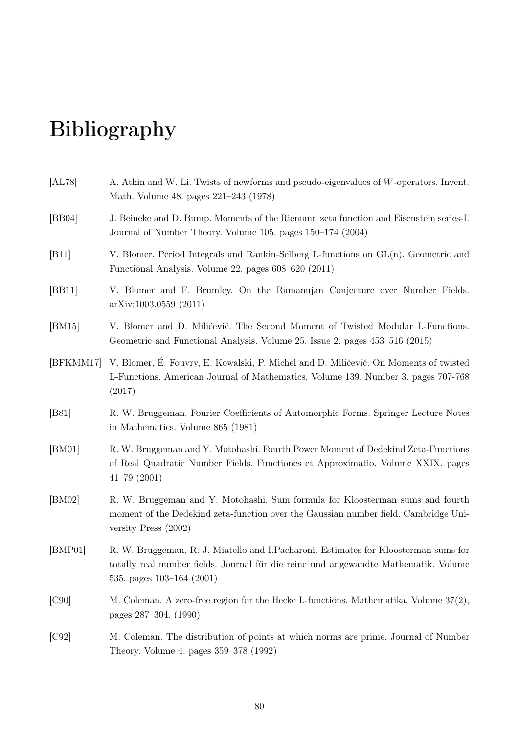# Bibliography

| [AL78]         | A. Atkin and W. Li. Twists of newforms and pseudo-eigenvalues of W-operators. Invent.<br>Math. Volume 48. pages 221–243 (1978)                                                                             |
|----------------|------------------------------------------------------------------------------------------------------------------------------------------------------------------------------------------------------------|
| [BB04]         | J. Beineke and D. Bump. Moments of the Riemann zeta function and Eisenstein series-I.<br>Journal of Number Theory. Volume 105. pages 150–174 (2004)                                                        |
| [B11]          | V. Blomer. Period Integrals and Rankin-Selberg L-functions on $GL(n)$ . Geometric and<br>Functional Analysis. Volume 22. pages 608–620 (2011)                                                              |
| [BB11]         | V. Blomer and F. Brumley. On the Ramanujan Conjecture over Number Fields.<br>arXiv:1003.0559(2011)                                                                                                         |
| [BM15]         | V. Blomer and D. Milićević. The Second Moment of Twisted Modular L-Functions.<br>Geometric and Functional Analysis. Volume 25. Issue 2. pages 453–516 (2015)                                               |
| [BFKMM17]      | V. Blomer, É. Fouvry, E. Kowalski, P. Michel and D. Milićević. On Moments of twisted<br>L-Functions. American Journal of Mathematics. Volume 139. Number 3. pages 707-768<br>(2017)                        |
| [ <b>B81</b> ] | R. W. Bruggeman. Fourier Coefficients of Automorphic Forms. Springer Lecture Notes<br>in Mathematics. Volume 865 (1981)                                                                                    |
| [BM01]         | R. W. Bruggeman and Y. Motohashi. Fourth Power Moment of Dedekind Zeta-Functions<br>of Real Quadratic Number Fields. Functiones et Approximatio. Volume XXIX. pages<br>$41 - 79(2001)$                     |
| [BM02]         | R. W. Bruggeman and Y. Motohashi. Sum formula for Kloosterman sums and fourth<br>moment of the Dedekind zeta-function over the Gaussian number field. Cambridge Uni-<br>versity Press $(2002)$             |
| [BMP01]        | R. W. Bruggeman, R. J. Miatello and I. Pacharoni. Estimates for Kloosterman sums for<br>totally real number fields. Journal für die reine und angewandte Mathematik. Volume<br>535. pages $103-164$ (2001) |
| [C90]          | M. Coleman. A zero-free region for the Hecke L-functions. Mathematika, Volume 37(2),<br>pages 287-304. (1990)                                                                                              |
| [C92]          | M. Coleman. The distribution of points at which norms are prime. Journal of Number<br>Theory. Volume 4. pages 359–378 (1992)                                                                               |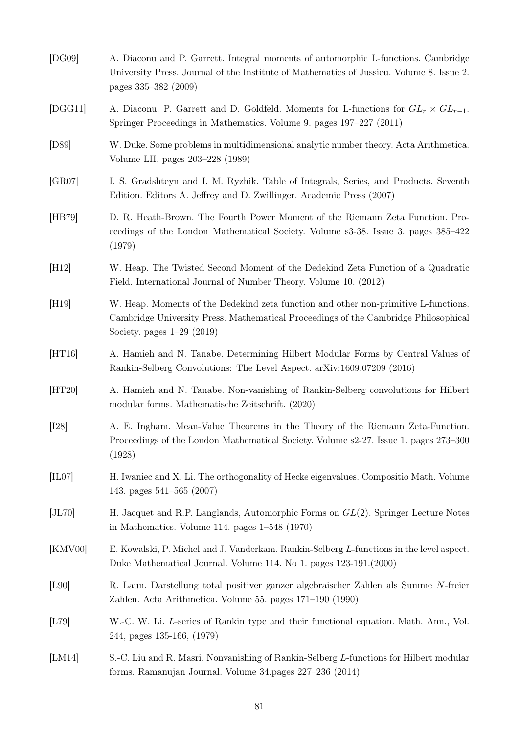<span id="page-86-0"></span>

| [DG09]  | A. Diaconu and P. Garrett. Integral moments of automorphic L-functions. Cambridge<br>University Press. Journal of the Institute of Mathematics of Jussieu. Volume 8. Issue 2.<br>pages 335–382 (2009)      |
|---------|------------------------------------------------------------------------------------------------------------------------------------------------------------------------------------------------------------|
| [DGG11] | A. Diaconu, P. Garrett and D. Goldfeld. Moments for L-functions for $GL_r \times GL_{r-1}$ .<br>Springer Proceedings in Mathematics. Volume 9. pages 197–227 (2011)                                        |
| [D89]   | W. Duke. Some problems in multidimensional analytic number theory. Acta Arithmetica.<br>Volume LII. pages 203–228 (1989)                                                                                   |
| [GR07]  | I. S. Gradshteyn and I. M. Ryzhik. Table of Integrals, Series, and Products. Seventh<br>Edition. Editors A. Jeffrey and D. Zwillinger. Academic Press (2007)                                               |
| [HB79]  | D. R. Heath-Brown. The Fourth Power Moment of the Riemann Zeta Function. Pro-<br>ceedings of the London Mathematical Society. Volume s3-38. Issue 3. pages 385-422<br>(1979)                               |
| [H12]   | W. Heap. The Twisted Second Moment of the Dedekind Zeta Function of a Quadratic<br>Field. International Journal of Number Theory. Volume 10. (2012)                                                        |
| [H19]   | W. Heap. Moments of the Dedekind zeta function and other non-primitive L-functions.<br>Cambridge University Press. Mathematical Proceedings of the Cambridge Philosophical<br>Society. pages $1-29$ (2019) |
| [HT16]  | A. Hamieh and N. Tanabe. Determining Hilbert Modular Forms by Central Values of<br>Rankin-Selberg Convolutions: The Level Aspect. arXiv:1609.07209 (2016)                                                  |
| [HT20]  | A. Hamieh and N. Tanabe. Non-vanishing of Rankin-Selberg convolutions for Hilbert<br>modular forms. Mathematische Zeitschrift. (2020)                                                                      |
| [128]   | A. E. Ingham. Mean-Value Theorems in the Theory of the Riemann Zeta-Function.<br>Proceedings of the London Mathematical Society. Volume s2-27. Issue 1. pages 273-300<br>(1928)                            |
| [IL07]  | H. Iwaniec and X. Li. The orthogonality of Hecke eigenvalues. Compositio Math. Volume<br>143. pages $541-565$ (2007)                                                                                       |
| [JL70]  | H. Jacquet and R.P. Langlands, Automorphic Forms on $GL(2)$ . Springer Lecture Notes<br>in Mathematics. Volume 114. pages $1-548$ (1970)                                                                   |
| [KMV00] | E. Kowalski, P. Michel and J. Vanderkam. Rankin-Selberg L-functions in the level aspect.<br>Duke Mathematical Journal. Volume 114. No 1. pages 123-191.(2000)                                              |
| [L90]   | R. Laun. Darstellung total positiver ganzer algebraischer Zahlen als Summe N-freier<br>Zahlen. Acta Arithmetica. Volume 55. pages 171–190 (1990)                                                           |
| [L79]   | W.-C. W. Li. L-series of Rankin type and their functional equation. Math. Ann., Vol.<br>244, pages 135-166, (1979)                                                                                         |
| [LM14]  | S.-C. Liu and R. Masri. Nonvanishing of Rankin-Selberg L-functions for Hilbert modular<br>forms. Ramanujan Journal. Volume 34. pages 227–236 (2014)                                                        |